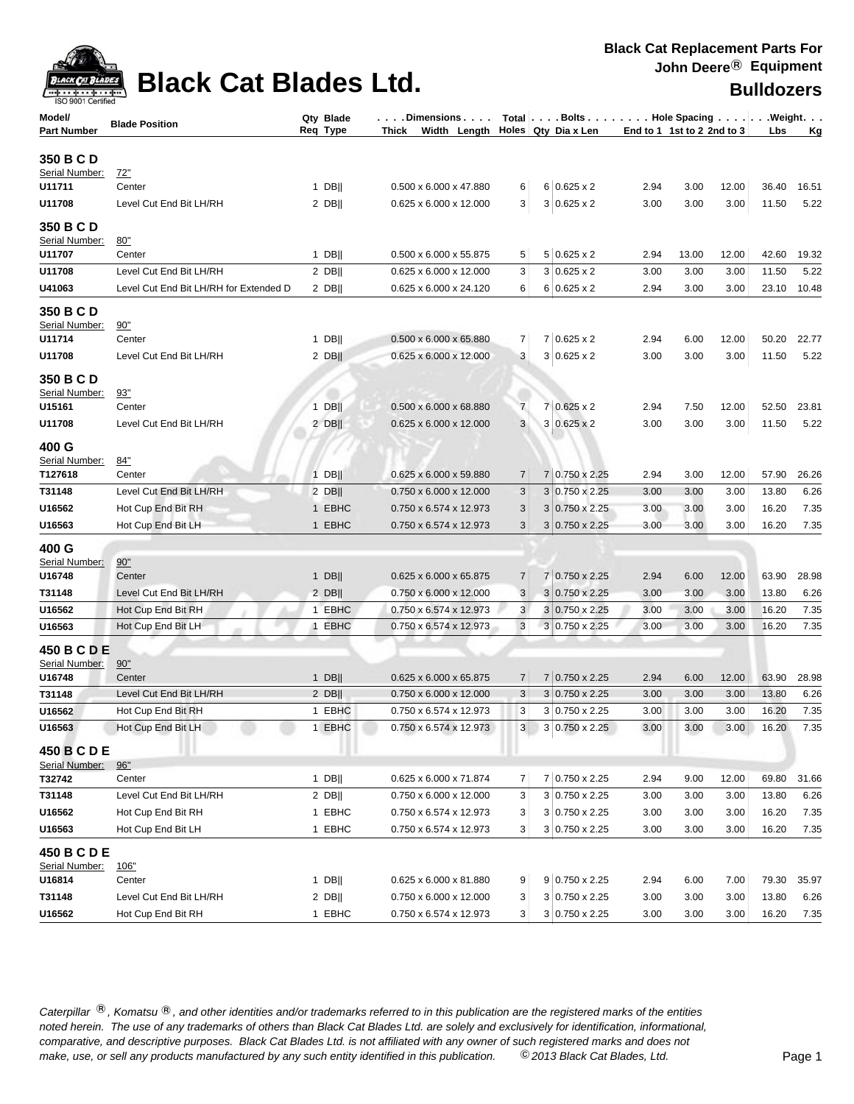

| Model/                        | <b>Blade Position</b>                  | $\ldots$ . Dimensions $\ldots  \hspace{0.1cm}$ Total $ \ldots$ . Bolts $\ldots  \ldots$ . Hole Spacing $\ldots  \ldots  \ldots$ . Weight. $\ldots$<br>Qty Blade<br>Width Length Holes Qty Dia x Len |                        |                | End to 1 1st to 2 2nd to 3 |      |       |       |       |           |
|-------------------------------|----------------------------------------|-----------------------------------------------------------------------------------------------------------------------------------------------------------------------------------------------------|------------------------|----------------|----------------------------|------|-------|-------|-------|-----------|
| <b>Part Number</b>            |                                        | Req Type                                                                                                                                                                                            | Thick                  |                |                            |      |       |       | Lbs   | <u>Kg</u> |
| 350 B C D                     |                                        |                                                                                                                                                                                                     |                        |                |                            |      |       |       |       |           |
| Serial Number:                | <u>72"</u>                             |                                                                                                                                                                                                     |                        |                |                            |      |       |       |       |           |
| U11711                        | Center                                 | $1$ DB                                                                                                                                                                                              | 0.500 x 6.000 x 47.880 | 6              | $6 0.625 \times 2$         | 2.94 | 3.00  | 12.00 | 36.40 | 16.51     |
| U11708                        | Level Cut End Bit LH/RH                | $2$ DB                                                                                                                                                                                              | 0.625 x 6.000 x 12.000 | 3              | $3 0.625 \times 2$         | 3.00 | 3.00  | 3.00  | 11.50 | 5.22      |
| 350 B C D                     |                                        |                                                                                                                                                                                                     |                        |                |                            |      |       |       |       |           |
| Serial Number:                | 80"                                    |                                                                                                                                                                                                     |                        |                |                            |      |       |       |       |           |
| U11707                        | Center                                 | $1$ DB                                                                                                                                                                                              | 0.500 x 6.000 x 55.875 | 5              | $5 0.625 \times 2$         | 2.94 | 13.00 | 12.00 | 42.60 | 19.32     |
| U11708                        | Level Cut End Bit LH/RH                | $2$ DB                                                                                                                                                                                              | 0.625 x 6.000 x 12.000 | 3              | $3 0.625 \times 2$         | 3.00 | 3.00  | 3.00  | 11.50 | 5.22      |
| U41063                        | Level Cut End Bit LH/RH for Extended D | $2$ DB                                                                                                                                                                                              | 0.625 x 6.000 x 24.120 | 6              | $6 0.625 \times 2$         | 2.94 | 3.00  | 3.00  | 23.10 | 10.48     |
| 350 B C D                     |                                        |                                                                                                                                                                                                     |                        |                |                            |      |       |       |       |           |
| Serial Number:                | 90"                                    |                                                                                                                                                                                                     |                        |                |                            |      |       |       |       |           |
| U11714                        | Center                                 | 1 DB                                                                                                                                                                                                | 0.500 x 6.000 x 65.880 | 7              | $7 0.625 \times 2$         | 2.94 | 6.00  | 12.00 | 50.20 | 22.77     |
| U11708                        | Level Cut End Bit LH/RH                | $2$ DB                                                                                                                                                                                              | 0.625 x 6.000 x 12.000 | 3              | $3 0.625 \times 2$         | 3.00 | 3.00  | 3.00  | 11.50 | 5.22      |
| 350 B C D                     |                                        |                                                                                                                                                                                                     |                        |                |                            |      |       |       |       |           |
| Serial Number:                | 93"                                    |                                                                                                                                                                                                     |                        |                |                            |      |       |       |       |           |
| U15161                        | Center                                 | $1$ DB                                                                                                                                                                                              | 0.500 x 6.000 x 68.880 | $\overline{7}$ | $7 0.625 \times 2$         | 2.94 | 7.50  | 12.00 | 52.50 | 23.81     |
| U11708                        | Level Cut End Bit LH/RH                | $2$ DB                                                                                                                                                                                              | 0.625 x 6.000 x 12.000 | 3              | $3 0.625 \times 2$         | 3.00 | 3.00  | 3.00  | 11.50 | 5.22      |
| 400 G                         |                                        |                                                                                                                                                                                                     |                        |                |                            |      |       |       |       |           |
| Serial Number:                | 84"                                    |                                                                                                                                                                                                     |                        |                |                            |      |       |       |       |           |
| T127618                       | Center                                 | $1$ DB                                                                                                                                                                                              | 0.625 x 6.000 x 59.880 | 7              | 7 0.750 x 2.25             | 2.94 | 3.00  | 12.00 | 57.90 | 26.26     |
| T31148                        | Level Cut End Bit LH/RH                | $2$ DB                                                                                                                                                                                              | 0.750 x 6.000 x 12.000 | 3              | $3 0.750 \times 2.25$      | 3.00 | 3.00  | 3.00  | 13.80 | 6.26      |
| U16562                        | Hot Cup End Bit RH                     | 1 EBHC                                                                                                                                                                                              | 0.750 x 6.574 x 12.973 | $\sqrt{3}$     | $3 0.750 \times 2.25$      | 3.00 | 3.00  | 3.00  | 16.20 | 7.35      |
| U16563                        | Hot Cup End Bit LH                     | 1 EBHC                                                                                                                                                                                              | 0.750 x 6.574 x 12.973 | 3              | $3 0.750 \times 2.25$      | 3.00 | 3.00  | 3.00  | 16.20 | 7.35      |
|                               |                                        |                                                                                                                                                                                                     |                        |                |                            |      |       |       |       |           |
| 400 G<br>Serial Number:       | 90"                                    |                                                                                                                                                                                                     |                        |                |                            |      |       |       |       |           |
| U16748                        | Center                                 | $1$ DB                                                                                                                                                                                              | 0.625 x 6.000 x 65.875 | 7              | 7 0.750 x 2.25             | 2.94 | 6.00  | 12.00 | 63.90 | 28.98     |
| T31148                        | Level Cut End Bit LH/RH                | $2$ DB                                                                                                                                                                                              | 0.750 x 6.000 x 12.000 | $\sqrt{3}$     | $3 0.750 \times 2.25$      | 3.00 | 3.00  | 3.00  | 13.80 | 6.26      |
| U16562                        | Hot Cup End Bit RH                     | 1 EBHC                                                                                                                                                                                              | 0.750 x 6.574 x 12.973 | 3              | 3 0.750 x 2.25             | 3.00 | 3.00  | 3.00  | 16.20 | 7.35      |
| U16563                        | Hot Cup End Bit LH                     | 1 EBHC                                                                                                                                                                                              | 0.750 x 6.574 x 12.973 | $\mathbf{3}$   | $3 0.750 \times 2.25$      | 3.00 | 3.00  | 3.00  | 16.20 | 7.35      |
|                               |                                        |                                                                                                                                                                                                     |                        |                |                            |      |       |       |       |           |
| 450 B C D E<br>Serial Number: | 90"                                    |                                                                                                                                                                                                     |                        |                |                            |      |       |       |       |           |
| U16748                        | Center                                 | $1$ DB                                                                                                                                                                                              | 0.625 x 6.000 x 65.875 | $\overline{7}$ | 7 0.750 x 2.25             | 2.94 | 6.00  | 12.00 | 63.90 | 28.98     |
| T31148                        | Level Cut End Bit LH/RH                | $2$ DB                                                                                                                                                                                              | 0.750 x 6.000 x 12.000 | 3              | $3 0.750 \times 2.25$      | 3.00 | 3.00  | 3.00  | 13.80 | 6.26      |
| U16562                        | Hot Cup End Bit RH                     | 1 EBHC                                                                                                                                                                                              | 0.750 x 6.574 x 12.973 | 3              | $3 0.750 \times 2.25$      | 3.00 | 3.00  | 3.00  | 16.20 | 7.35      |
| U16563                        | Hot Cup End Bit LH                     | 1 EBHC                                                                                                                                                                                              | 0.750 x 6.574 x 12.973 | 3              | 3 0.750 x 2.25             | 3.00 | 3.00  | 3.00  | 16.20 | 7.35      |
|                               |                                        |                                                                                                                                                                                                     |                        |                |                            |      |       |       |       |           |
| 450 B C D E<br>Serial Number: | 96"                                    |                                                                                                                                                                                                     |                        |                |                            |      |       |       |       |           |
| T32742                        | Center                                 | $1$ DB                                                                                                                                                                                              | 0.625 x 6.000 x 71.874 | $\overline{7}$ | 7 0.750 x 2.25             | 2.94 | 9.00  | 12.00 | 69.80 | 31.66     |
| T31148                        | Level Cut End Bit LH/RH                | $2$ DB                                                                                                                                                                                              | 0.750 x 6.000 x 12.000 | 3              | 3 0.750 x 2.25             | 3.00 | 3.00  | 3.00  | 13.80 | 6.26      |
| U16562                        | Hot Cup End Bit RH                     | 1 EBHC                                                                                                                                                                                              | 0.750 x 6.574 x 12.973 | 3              | 3 0.750 x 2.25             | 3.00 | 3.00  | 3.00  | 16.20 | 7.35      |
| U16563                        | Hot Cup End Bit LH                     | 1 EBHC                                                                                                                                                                                              | 0.750 x 6.574 x 12.973 | 3              | 3 0.750 x 2.25             | 3.00 | 3.00  | 3.00  | 16.20 | 7.35      |
|                               |                                        |                                                                                                                                                                                                     |                        |                |                            |      |       |       |       |           |
| 450 B C D E<br>Serial Number: | 106"                                   |                                                                                                                                                                                                     |                        |                |                            |      |       |       |       |           |
| U16814                        | Center                                 | $1$ DB                                                                                                                                                                                              | 0.625 x 6.000 x 81.880 | 9              | 9 0.750 x 2.25             | 2.94 | 6.00  | 7.00  | 79.30 | 35.97     |
| T31148                        | Level Cut End Bit LH/RH                | $2$ DB                                                                                                                                                                                              | 0.750 x 6.000 x 12.000 | 3              | 3 0.750 x 2.25             | 3.00 | 3.00  | 3.00  | 13.80 | 6.26      |
| U16562                        | Hot Cup End Bit RH                     | 1 EBHC                                                                                                                                                                                              | 0.750 x 6.574 x 12.973 | 3              | 3 0.750 x 2.25             | 3.00 | 3.00  | 3.00  | 16.20 | 7.35      |
|                               |                                        |                                                                                                                                                                                                     |                        |                |                            |      |       |       |       |           |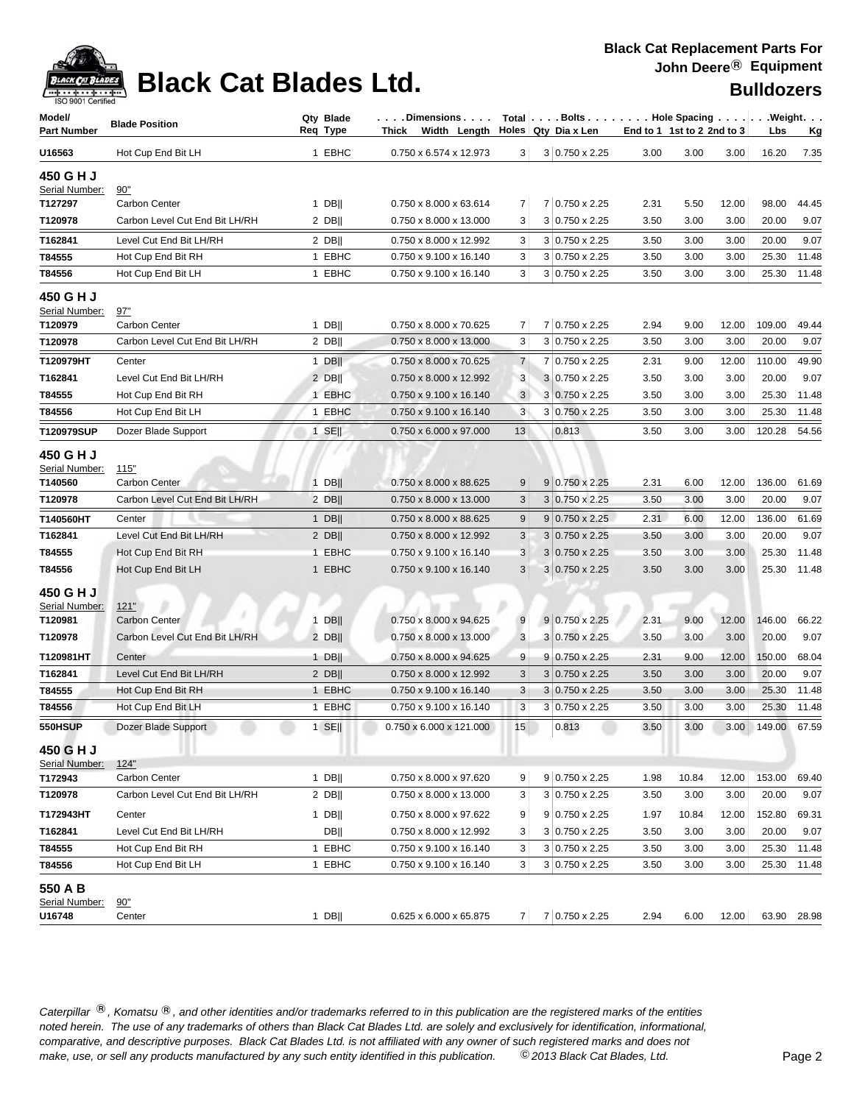

| Model/<br><b>Part Number</b>           | <b>Blade Position</b>             | Qty Blade<br>Req Type | . Dimensions   Total   Bolts Hole Spacing   Weight.<br>Width Length Holes Qty Dia x Len<br>Thick |                |                                   |              | End to 1 1st to 2 2nd to 3 |              | Lbs            | <u>Kg</u>   |
|----------------------------------------|-----------------------------------|-----------------------|--------------------------------------------------------------------------------------------------|----------------|-----------------------------------|--------------|----------------------------|--------------|----------------|-------------|
| U16563                                 | Hot Cup End Bit LH                | 1 EBHC                | 0.750 x 6.574 x 12.973                                                                           | 3 <sup>2</sup> | 3 0.750 x 2.25                    | 3.00         | 3.00                       | 3.00         | 16.20          | 7.35        |
| 450 G H J<br>Serial Number:            | 90"                               |                       |                                                                                                  |                |                                   |              |                            |              |                |             |
| T127297                                | Carbon Center                     | $1$ DB                | 0.750 x 8.000 x 63.614                                                                           | 7              | 7 0.750 x 2.25                    | 2.31         | 5.50                       | 12.00        | 98.00          | 44.45       |
| T120978                                | Carbon Level Cut End Bit LH/RH    | $2$ DB                | 0.750 x 8.000 x 13.000                                                                           | 3              | $3 0.750 \times 2.25$             | 3.50         | 3.00                       | 3.00         | 20.00          | 9.07        |
| T162841                                | Level Cut End Bit LH/RH           | $2$ DB                | 0.750 x 8.000 x 12.992                                                                           | 3              | 3 0.750 x 2.25                    | 3.50         | 3.00                       | 3.00         | 20.00          | 9.07        |
| T84555                                 | Hot Cup End Bit RH                | 1 EBHC                | 0.750 x 9.100 x 16.140                                                                           | 3              | 3 0.750 x 2.25                    | 3.50         | 3.00                       | 3.00         | 25.30          | 11.48       |
| T84556                                 | Hot Cup End Bit LH                | 1 EBHC                | 0.750 x 9.100 x 16.140                                                                           | 3              | 3 0.750 x 2.25                    | 3.50         | 3.00                       | 3.00         | 25.30          | 11.48       |
| 450 G H J<br>Serial Number:<br>T120979 | 97"<br><b>Carbon Center</b>       | $1$ DB                | 0.750 x 8.000 x 70.625                                                                           | 7              | 7 0.750 x 2.25                    | 2.94         | 9.00                       | 12.00        | 109.00         | 49.44       |
| T120978                                | Carbon Level Cut End Bit LH/RH    | $2$ DB                | 0.750 x 8.000 x 13.000                                                                           | 3              | $3 0.750 \times 2.25$             | 3.50         | 3.00                       | 3.00         | 20.00          | 9.07        |
|                                        |                                   |                       |                                                                                                  |                |                                   |              |                            |              |                |             |
| T120979HT                              | Center<br>Level Cut End Bit LH/RH | $1$ DB                | 0.750 x 8.000 x 70.625                                                                           | $\overline{7}$ | 7 0.750 x 2.25                    | 2.31         | 9.00                       | 12.00        | 110.00         | 49.90       |
| T162841<br>T84555                      |                                   | $2$ DB                | 0.750 x 8.000 x 12.992                                                                           | 3              | 3 0.750 x 2.25<br>3 0.750 x 2.25  | 3.50         | 3.00                       | 3.00         | 20.00<br>25.30 | 9.07        |
|                                        | Hot Cup End Bit RH                | 1 EBHC<br>1 EBHC      | 0.750 x 9.100 x 16.140<br>0.750 x 9.100 x 16.140                                                 | 3<br>3         |                                   | 3.50         | 3.00<br>3.00               | 3.00<br>3.00 | 25.30          | 11.48       |
| T84556                                 | Hot Cup End Bit LH                |                       |                                                                                                  |                | 3 0.750 x 2.25                    | 3.50         |                            |              |                | 11.48       |
| T120979SUP                             | Dozer Blade Support               | $1$ SE                | $0.750 \times 6.000 \times 97.000$                                                               | 13             | 0.813                             | 3.50         | 3.00                       | 3.00         | 120.28         | 54.56       |
| 450 G H J<br>Serial Number:<br>T140560 | 115"<br><b>Carbon Center</b>      | $1$ DB                | 0.750 x 8.000 x 88.625                                                                           | 9              | $9 0.750 \times 2.25$             | 2.31         | 6.00                       | 12.00        | 136.00         | 61.69       |
| T120978                                | Carbon Level Cut End Bit LH/RH    | $2$ DB                | 0.750 x 8.000 x 13.000                                                                           | 3              | 3 0.750 x 2.25                    | 3.50         | 3.00                       | 3.00         | 20.00          | 9.07        |
| T140560HT                              | Center                            | $1$ DB                | 0.750 x 8.000 x 88.625                                                                           | 9              | $9 0.750 \times 2.25$             | 2.31         | 6.00                       | 12.00        | 136.00         | 61.69       |
| T162841                                | Level Cut End Bit LH/RH           | $2$ DB                | 0.750 x 8.000 x 12.992                                                                           | $\sqrt{3}$     | $3 0.750 \times 2.25$             | 3.50         | 3.00                       | 3.00         | 20.00          | 9.07        |
| T84555                                 | Hot Cup End Bit RH                | 1 EBHC                | $0.750 \times 9.100 \times 16.140$                                                               | 3              | $3 0.750 \times 2.25$             | 3.50         | 3.00                       | 3.00         | 25.30          | 11.48       |
| T84556                                 | Hot Cup End Bit LH                | 1 EBHC                | 0.750 x 9.100 x 16.140                                                                           | 3              | $3 0.750 \times 2.25$             | 3.50         | 3.00                       | 3.00         | 25.30          | 11.48       |
| 450 G H J<br>Serial Number:<br>T120981 | 121"<br><b>Carbon Center</b>      | $1$ DB                | 0.750 x 8.000 x 94.625                                                                           | 9              | $9 0.750 \times 2.25$             | 2.31         | 9.00                       | 12.00        | 146.00         | 66.22       |
| T120978                                | Carbon Level Cut End Bit LH/RH    | $2$ DB                | 0.750 x 8.000 x 13.000                                                                           | $\sqrt{3}$     | $3 0.750 \times 2.25$             | 3.50         | 3.00                       | 3.00         | 20.00          | 9.07        |
| T120981HT                              | Center                            | $1$ DB                | 0.750 x 8.000 x 94.625                                                                           | 9              | $9 \mid 0.750 \times 2.25$        | 2.31         | 9.00                       | 12.00        | 150.00         | 68.04       |
| T162841                                | Level Cut End Bit LH/RH           | $2$ DB                | 0.750 x 8.000 x 12.992                                                                           | 3              | $3 0.750 \times 2.25$             | 3.50         | 3.00                       | 3.00         | 20.00          | 9.07        |
| T84555                                 | Hot Cup End Bit RH                | 1 EBHC                | 0.750 x 9.100 x 16.140                                                                           | 3              | $3 0.750 \times 2.25$             | 3.50         | 3.00                       | 3.00         | 25.30          | 11.48       |
| T84556                                 | Hot Cup End Bit LH                | 1 EBHC                | 0.750 x 9.100 x 16.140                                                                           | 3              | 3 0.750 x 2.25                    | 3.50         | 3.00                       | 3.00         | 25.30          | 11.48       |
| 550HSUP                                | Dozer Blade Support               | $1$ SE                | 0.750 x 6.000 x 121.000                                                                          | 15             | 0.813                             | 3.50         | 3.00                       | 3.00         | 149.00 67.59   |             |
| 450 G H J                              |                                   |                       |                                                                                                  |                |                                   |              |                            |              |                |             |
| Serial Number:<br>T172943              | 124"<br>Carbon Center             | $1$ DB                | 0.750 x 8.000 x 97.620                                                                           | 9              | $9 0.750 \times 2.25$             | 1.98         | 10.84                      | 12.00        | 153.00         | 69.40       |
| T120978                                | Carbon Level Cut End Bit LH/RH    | $2$ DB                | 0.750 x 8.000 x 13.000                                                                           | 3              | 3 0.750 x 2.25                    | 3.50         | 3.00                       | 3.00         | 20.00          | 9.07        |
| T172943HT                              | Center                            |                       | 0.750 x 8.000 x 97.622                                                                           |                | $9 0.750 \times 2.25$             |              | 10.84                      | 12.00        | 152.80         | 69.31       |
| T162841                                | Level Cut End Bit LH/RH           | 1 DB  <br><b>DB</b>   | 0.750 x 8.000 x 12.992                                                                           | 9<br>3         | 3 0.750 x 2.25                    | 1.97<br>3.50 | 3.00                       | 3.00         | 20.00          | 9.07        |
| T84555                                 | Hot Cup End Bit RH                | 1 EBHC                | 0.750 x 9.100 x 16.140                                                                           | 3              | 3 0.750 x 2.25                    | 3.50         | 3.00                       | 3.00         | 25.30          | 11.48       |
| T84556                                 | Hot Cup End Bit LH                | 1 EBHC                | 0.750 x 9.100 x 16.140                                                                           | 3              | 3 0.750 x 2.25                    | 3.50         | 3.00                       | 3.00         | 25.30          | 11.48       |
| 550 A B                                |                                   |                       |                                                                                                  |                |                                   |              |                            |              |                |             |
| Serial Number:<br>U16748               | 90"<br>Center                     | $1$ DB                | $0.625 \times 6.000 \times 65.875$                                                               |                | $7 \mid 7 \mid 0.750 \times 2.25$ | 2.94         | 6.00                       | 12.00        |                | 63.90 28.98 |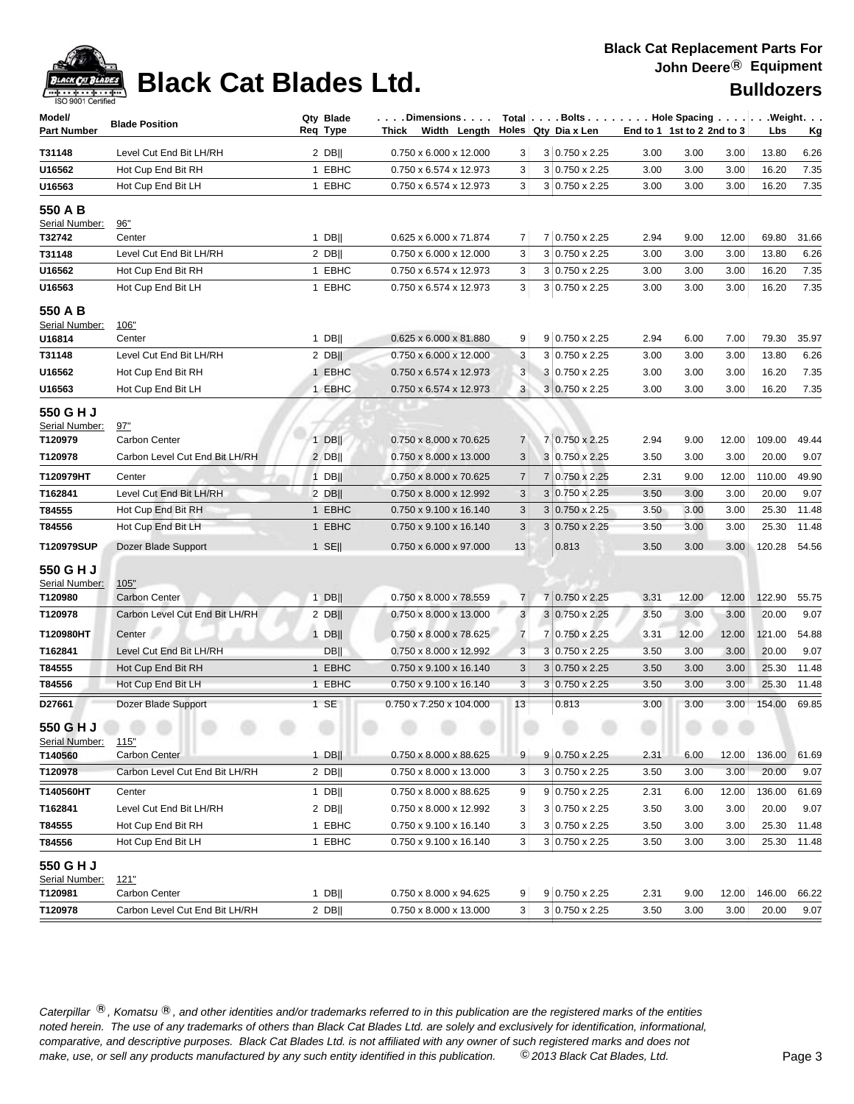### **Black Cat Replacement Parts For John Deere**® **Equipment**

| Model/                              |                                                        | Qty Blade             | . Dimensions                                     |                     | Total Bolts Hole Spacing Weight.               |                            |               |               |                 |               |
|-------------------------------------|--------------------------------------------------------|-----------------------|--------------------------------------------------|---------------------|------------------------------------------------|----------------------------|---------------|---------------|-----------------|---------------|
| <b>Part Number</b>                  | <b>Blade Position</b>                                  | Req Type              | Width Length<br>Thick                            |                     | Holes Qty Dia x Len                            | End to 1 1st to 2 2nd to 3 |               |               | Lbs             | Кg            |
| T31148                              | Level Cut End Bit LH/RH                                | $2$ DB                | 0.750 x 6.000 x 12.000                           | 3                   | 3 0.750 x 2.25                                 | 3.00                       | 3.00          | 3.00          | 13.80           | 6.26          |
| U16562                              | Hot Cup End Bit RH                                     | 1 EBHC                | 0.750 x 6.574 x 12.973                           | 3                   | $3 0.750 \times 2.25$                          | 3.00                       | 3.00          | 3.00          | 16.20           | 7.35          |
| U16563                              | Hot Cup End Bit LH                                     | 1 EBHC                | 0.750 x 6.574 x 12.973                           | 3                   | 3 0.750 x 2.25                                 | 3.00                       | 3.00          | 3.00          | 16.20           | 7.35          |
| 550 A B                             |                                                        |                       |                                                  |                     |                                                |                            |               |               |                 |               |
| Serial Number:                      | 96"                                                    |                       |                                                  |                     |                                                |                            |               |               |                 |               |
| T32742                              | Center                                                 | $1$ DB                | 0.625 x 6.000 x 71.874                           | 7                   | 7 0.750 x 2.25                                 | 2.94                       | 9.00          | 12.00         | 69.80           | 31.66         |
| T31148                              | Level Cut End Bit LH/RH                                | $2$ DB                | 0.750 x 6.000 x 12.000                           | 3                   | 3 0.750 x 2.25                                 | 3.00                       | 3.00          | 3.00          | 13.80           | 6.26          |
| U16562                              | Hot Cup End Bit RH                                     | 1 EBHC                | 0.750 x 6.574 x 12.973                           | 3                   | 3 0.750 x 2.25                                 | 3.00                       | 3.00          | 3.00          | 16.20           | 7.35          |
| U16563                              | Hot Cup End Bit LH                                     | 1 EBHC                | 0.750 x 6.574 x 12.973                           | 3                   | $3 0.750 \times 2.25$                          | 3.00                       | 3.00          | 3.00          | 16.20           | 7.35          |
| 550 A B<br>Serial Number:<br>U16814 | <u>106"</u><br>Center                                  | $1$ DB                | 0.625 x 6.000 x 81.880                           | 9                   | 9 0.750 x 2.25                                 | 2.94                       | 6.00          | 7.00          | 79.30           | 35.97         |
| T31148                              | Level Cut End Bit LH/RH                                | $2$ DB                | 0.750 x 6.000 x 12.000                           | 3                   | $3 0.750 \times 2.25$                          | 3.00                       | 3.00          | 3.00          | 13.80           | 6.26          |
| U16562                              | Hot Cup End Bit RH                                     | 1 EBHC                | 0.750 x 6.574 x 12.973                           | 3                   | 3 0.750 x 2.25                                 | 3.00                       | 3.00          | 3.00          | 16.20           | 7.35          |
| U16563                              | Hot Cup End Bit LH                                     | 1 EBHC                | 0.750 x 6.574 x 12.973                           | 3                   | $3 0.750 \times 2.25$                          | 3.00                       | 3.00          | 3.00          | 16.20           | 7.35          |
| 550 G H J<br>Serial Number:         | 97"                                                    |                       |                                                  |                     |                                                |                            |               |               |                 |               |
| T120979                             | Carbon Center                                          | $1$ DB                | 0.750 x 8.000 x 70.625                           | $\overline{7}$      | 7 0.750 x 2.25                                 | 2.94                       | 9.00          | 12.00         | 109.00          | 49.44         |
| T120978                             | Carbon Level Cut End Bit LH/RH                         | $2$ DB                | 0.750 x 8.000 x 13.000                           | 3                   | 3 0.750 x 2.25                                 | 3.50                       | 3.00          | 3.00          | 20.00           | 9.07          |
| T120979HT                           | Center                                                 | $1$ DB                | 0.750 x 8.000 x 70.625                           | $\overline{7}$      | 7 0.750 x 2.25                                 | 2.31                       | 9.00          | 12.00         | 110.00          | 49.90         |
| T162841                             | Level Cut End Bit LH/RH                                | 2 DB                  | 0.750 x 8.000 x 12.992                           | 3                   | 3 0.750 x 2.25                                 | 3.50                       | 3.00          | 3.00          | 20.00           | 9.07          |
| T84555                              | Hot Cup End Bit RH                                     | 1 EBHC                | 0.750 x 9.100 x 16.140                           | 3                   | $3 0.750 \times 2.25$                          | 3.50                       | 3.00          | 3.00          | 25.30           | 11.48         |
| T84556                              | Hot Cup End Bit LH                                     | 1 EBHC                | 0.750 x 9.100 x 16.140                           | 3                   | $3 0.750 \times 2.25$                          | 3.50                       | 3.00          | 3.00          | 25.30           | 11.48         |
| T120979SUP                          | Dozer Blade Support                                    | $1$ SE                | 0.750 x 6.000 x 97.000                           | 13                  | 0.813                                          | 3.50                       | 3.00          | 3.00          | 120.28          | 54.56         |
| 550 G H J<br>Serial Number:         | 105"                                                   |                       |                                                  |                     |                                                |                            |               |               |                 |               |
| T120980<br>T120978                  | <b>Carbon Center</b><br>Carbon Level Cut End Bit LH/RH | $1$ DB  <br>$2$ DB    | 0.750 x 8.000 x 78.559<br>0.750 x 8.000 x 13.000 | $\overline{7}$<br>3 | 7 0.750 x 2.25<br>$3 0.750 \times 2.25$        | 3.31<br>3.50               | 12.00<br>3.00 | 12.00<br>3.00 | 122.90<br>20.00 | 55.75<br>9.07 |
|                                     |                                                        |                       |                                                  |                     |                                                |                            |               |               |                 |               |
| T120980HT                           | Center<br>Level Cut End Bit LH/RH                      | $1$ DB                | 0.750 x 8.000 x 78.625<br>0.750 x 8.000 x 12.992 | $\overline{7}$<br>3 | 7 0.750 x 2.25                                 | 3.31                       | 12.00         | 12.00         | 121.00          | 54.88         |
| T162841<br>T84555                   | Hot Cup End Bit RH                                     | <b>DBII</b><br>1 EBHC | 0.750 x 9.100 x 16.140                           | 3                   | $3 0.750 \times 2.25$<br>$3 0.750 \times 2.25$ | 3.50<br>3.50               | 3.00<br>3.00  | 3.00<br>3.00  | 20.00<br>25.30  | 9.07<br>11.48 |
| T84556                              | Hot Cup End Bit LH                                     | 1 EBHC                | 0.750 x 9.100 x 16.140                           | 3                   | $3 0.750 \times 2.25$                          | 3.50                       | 3.00          | 3.00          | 25.30           | 11.48         |
| D27661                              | Dozer Blade Support                                    | 1 SE                  | 0.750 x 7.250 x 104.000                          | 13                  | 0.813                                          | 3.00                       | 3.00          | 3.00          | 154.00          | 69.85         |
| 550 G H J<br>Serial Number:         | 115"                                                   |                       |                                                  |                     |                                                |                            |               | $\sim$        |                 |               |
| T140560                             | <b>Carbon Center</b>                                   | 1 DB                  | 0.750 x 8.000 x 88.625                           | 9                   | $9 0.750 \times 2.25$                          | 2.31                       | 6.00          | 12.00         | 136.00          | 61.69         |
| T120978                             | Carbon Level Cut End Bit LH/RH                         | $2$ DB                | 0.750 x 8.000 x 13.000                           | 3                   | 3 0.750 x 2.25                                 | 3.50                       | 3.00          | 3.00          | 20.00           | 9.07          |
| T140560HT                           | Center                                                 | $1$ DB                | 0.750 x 8.000 x 88.625                           | 9                   | $9 0.750 \times 2.25$                          | 2.31                       | 6.00          | 12.00         | 136.00          | 61.69         |
| T162841                             | Level Cut End Bit LH/RH                                | $2$ DB                | 0.750 x 8.000 x 12.992                           | 3                   | $3 0.750 \times 2.25$                          | 3.50                       | 3.00          | 3.00          | 20.00           | 9.07          |
| T84555                              | Hot Cup End Bit RH                                     | 1 EBHC                | 0.750 x 9.100 x 16.140                           | 3                   | 3 0.750 x 2.25                                 | 3.50                       | 3.00          | 3.00          | 25.30           | 11.48         |
| T84556                              | Hot Cup End Bit LH                                     | 1 EBHC                | 0.750 x 9.100 x 16.140                           | 3                   | 3 0.750 x 2.25                                 | 3.50                       | 3.00          | 3.00          | 25.30           | 11.48         |
| 550 G H J<br>Serial Number:         | 121"                                                   |                       |                                                  |                     |                                                |                            |               |               |                 |               |
| T120981                             | Carbon Center                                          | 1 DB                  | 0.750 x 8.000 x 94.625                           | 9                   | $9 0.750 \times 2.25$                          | 2.31                       | 9.00          | 12.00         | 146.00          | 66.22         |
| T120978                             | Carbon Level Cut End Bit LH/RH                         | $2$ DB                | 0.750 x 8.000 x 13.000                           | 3 <sup>1</sup>      | 3 0.750 x 2.25                                 | 3.50                       | 3.00          | 3.00          | 20.00           | 9.07          |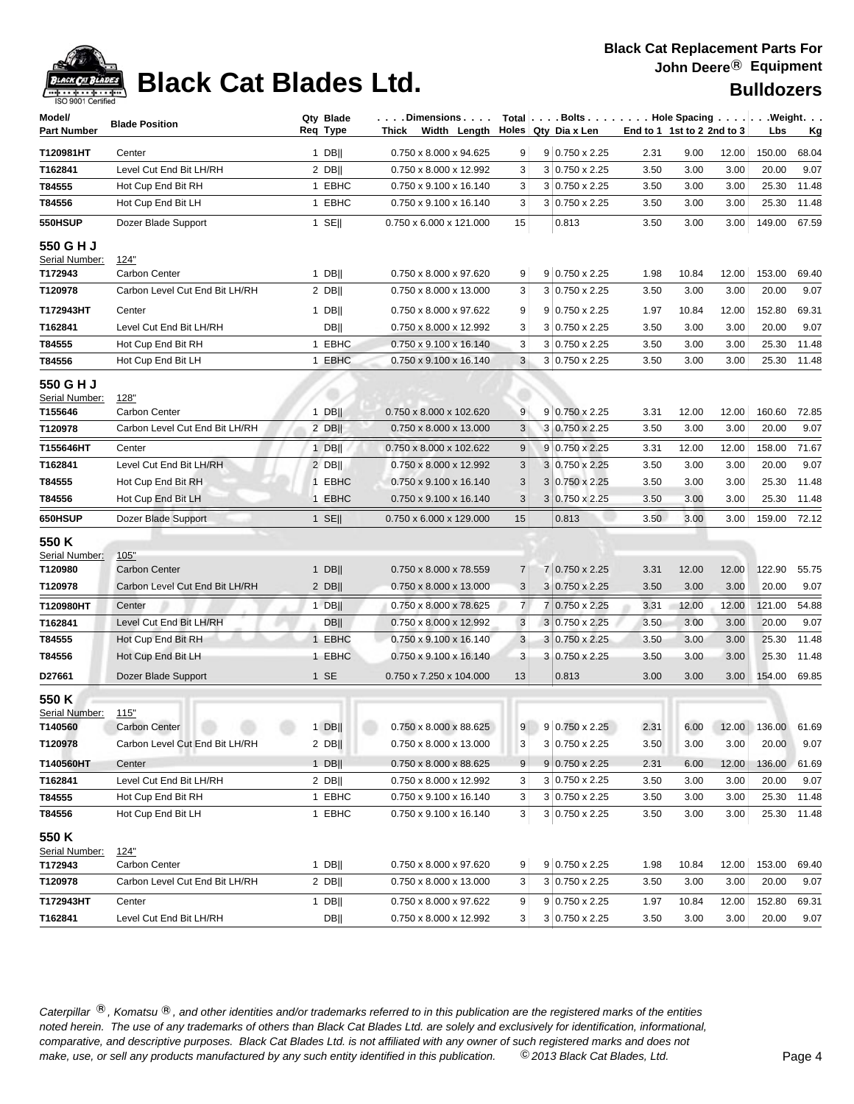### **Black Cat Replacement Parts For John Deere**® **Equipment**

| Model/             |                                   | Qty Blade        | . Dimensions                       |                |   | Total $\vert \ldots$ Bolts $\ldots \vert \ldots$ Hole Spacing $\ldots \vert \ldots$ Weight. $\ldots$ |                            |       |       |                            |       |
|--------------------|-----------------------------------|------------------|------------------------------------|----------------|---|------------------------------------------------------------------------------------------------------|----------------------------|-------|-------|----------------------------|-------|
| <b>Part Number</b> | <b>Blade Position</b>             | Req Type         | Width Length<br>Thick              |                |   | Holes   Qty Dia x Len                                                                                | End to 1 1st to 2 2nd to 3 |       |       | Lbs                        | Кg    |
| T120981HT          | Center                            | $1$ DB           | 0.750 x 8.000 x 94.625             | 9              |   | 9 0.750 x 2.25                                                                                       | 2.31                       | 9.00  | 12.00 | 150.00                     | 68.04 |
| T162841            | Level Cut End Bit LH/RH           | $2$ DB           | 0.750 x 8.000 x 12.992             | 3              |   | $3 0.750 \times 2.25$                                                                                | 3.50                       | 3.00  | 3.00  | 20.00                      | 9.07  |
| T84555             | Hot Cup End Bit RH                | 1 EBHC           | 0.750 x 9.100 x 16.140             | 3              |   | $3 0.750 \times 2.25$                                                                                | 3.50                       | 3.00  | 3.00  | 25.30                      | 11.48 |
| T84556             | Hot Cup End Bit LH                | 1 EBHC           | 0.750 x 9.100 x 16.140             | 3              |   | $3 0.750 \times 2.25$                                                                                | 3.50                       | 3.00  | 3.00  | 25.30                      | 11.48 |
| 550HSUP            | Dozer Blade Support               | 1 SE $\parallel$ | 0.750 x 6.000 x 121.000            | 15             |   | 0.813                                                                                                | 3.50                       | 3.00  | 3.00  | 149.00                     | 67.59 |
| 550 G H J          |                                   |                  |                                    |                |   |                                                                                                      |                            |       |       |                            |       |
| Serial Number:     | 124"                              |                  |                                    |                |   |                                                                                                      |                            |       |       |                            |       |
| T172943            | <b>Carbon Center</b>              | $1$ DB           | 0.750 x 8.000 x 97.620             | 9              |   | $9 0.750 \times 2.25$                                                                                | 1.98                       | 10.84 | 12.00 | 153.00                     | 69.40 |
| T120978            | Carbon Level Cut End Bit LH/RH    | $2$ DB           | 0.750 x 8.000 x 13.000             | 3              |   | 3 0.750 x 2.25                                                                                       | 3.50                       | 3.00  | 3.00  | 20.00                      | 9.07  |
| T172943HT          | Center                            | $1$ DB           | 0.750 x 8.000 x 97.622             | 9              |   | 9 0.750 x 2.25                                                                                       | 1.97                       | 10.84 | 12.00 | 152.80                     | 69.31 |
| T162841            | Level Cut End Bit LH/RH           | <b>DBII</b>      | 0.750 x 8.000 x 12.992             | 3              |   | $3 0.750 \times 2.25$                                                                                | 3.50                       | 3.00  | 3.00  | 20.00                      | 9.07  |
| T84555             | Hot Cup End Bit RH                | 1 EBHC           | 0.750 x 9.100 x 16.140             | 3              |   | $3 0.750 \times 2.25$                                                                                | 3.50                       | 3.00  | 3.00  | 25.30                      | 11.48 |
| T84556             | Hot Cup End Bit LH                | 1 EBHC           | 0.750 x 9.100 x 16.140             | 3              |   | $3 0.750 \times 2.25$                                                                                | 3.50                       | 3.00  | 3.00  | 25.30                      | 11.48 |
| 550 G H J          |                                   |                  |                                    |                |   |                                                                                                      |                            |       |       |                            |       |
| Serial Number:     | <u>128"</u>                       |                  |                                    |                |   |                                                                                                      |                            |       |       |                            |       |
| T155646            | Carbon Center                     | $1$ DB           | 0.750 x 8.000 x 102.620            | 9              |   | $9 0.750 \times 2.25$                                                                                | 3.31                       | 12.00 | 12.00 | 160.60                     | 72.85 |
| T120978            | Carbon Level Cut End Bit LH/RH    | $2$ DB           | $0.750 \times 8.000 \times 13.000$ | 3              |   | 3 0.750 x 2.25                                                                                       | 3.50                       | 3.00  | 3.00  | 20.00                      | 9.07  |
| T155646HT          | Center                            | $1$ DB           | 0.750 x 8.000 x 102.622            | 9              |   | $9 0.750 \times 2.25$                                                                                | 3.31                       | 12.00 | 12.00 | 158.00                     | 71.67 |
| T162841            | Level Cut End Bit LH/RH           | $2$ DB           | 0.750 x 8.000 x 12.992             | 3              |   | 3 0.750 x 2.25                                                                                       | 3.50                       | 3.00  | 3.00  | 20.00                      | 9.07  |
| T84555             | Hot Cup End Bit RH                | 1 EBHC           | 0.750 x 9.100 x 16.140             | 3              |   | $3 0.750 \times 2.25$                                                                                | 3.50                       | 3.00  | 3.00  | 25.30                      | 11.48 |
| T84556             | Hot Cup End Bit LH                | 1 EBHC           | 0.750 x 9.100 x 16.140             | 3              |   | $3 0.750 \times 2.25$                                                                                | 3.50                       | 3.00  | 3.00  | 25.30                      | 11.48 |
| 650HSUP            | Dozer Blade Support               | $1$ SE           | 0.750 x 6.000 x 129.000            | 15             |   | 0.813                                                                                                | 3.50                       | 3.00  | 3.00  | 159.00                     | 72.12 |
| 550 K              |                                   |                  |                                    |                |   |                                                                                                      |                            |       |       |                            |       |
| Serial Number:     | 105"                              |                  |                                    |                |   |                                                                                                      |                            |       |       |                            |       |
| T120980            | <b>Carbon Center</b>              | $1$ DB           | 0.750 x 8.000 x 78.559             | 7              |   | 7 0.750 x 2.25                                                                                       | 3.31                       | 12.00 | 12.00 | 122.90                     | 55.75 |
| T120978            | Carbon Level Cut End Bit LH/RH    | $2$ DB           | 0.750 x 8.000 x 13.000             | 3              |   | 3 0.750 x 2.25                                                                                       | 3.50                       | 3.00  | 3.00  | 20.00                      | 9.07  |
| T120980HT          | Center                            | 1 $DB$           | 0.750 x 8.000 x 78.625             | $\overline{7}$ | 7 | 0.750 x 2.25                                                                                         | 3.31                       | 12.00 | 12.00 | 121.00                     | 54.88 |
| T162841            | Level Cut End Bit LH/RH           | <b>DBII</b>      | 0.750 x 8.000 x 12.992             | 3              |   | $3 0.750 \times 2.25$                                                                                | 3.50                       | 3.00  | 3.00  | 20.00                      | 9.07  |
| T84555             | Hot Cup End Bit RH                | 1 EBHC           | 0.750 x 9.100 x 16.140             | 3              |   | $3 0.750 \times 2.25$                                                                                | 3.50                       | 3.00  | 3.00  | 25.30                      | 11.48 |
| T84556             | Hot Cup End Bit LH                | 1 EBHC           | 0.750 x 9.100 x 16.140             | 3              |   | $3 0.750 \times 2.25$                                                                                | 3.50                       | 3.00  | 3.00  | 25.30                      | 11.48 |
| D27661             | Dozer Blade Support               | 1 SE             | 0.750 x 7.250 x 104.000            | 13             |   | 0.813                                                                                                | 3.00                       | 3.00  | 3.00  | 154.00                     | 69.85 |
| 550 K              |                                   |                  |                                    |                |   |                                                                                                      |                            |       |       |                            |       |
| Serial Number:     | 115"                              |                  |                                    |                |   |                                                                                                      |                            |       |       |                            |       |
| T140560            | $00 - 00$<br><b>Carbon Center</b> |                  | 1 DB   0.750 x 8.000 x 88.625      |                |   | $9   9   0.750 \times 2.25$                                                                          | 2.31                       |       |       | 6.00  12.00  136.00  61.69 |       |
| T120978            | Carbon Level Cut End Bit LH/RH    | 2 DB $\parallel$ | 0.750 x 8.000 x 13.000             | 3              |   | $3 0.750 \times 2.25$                                                                                | 3.50                       | 3.00  | 3.00  | 20.00                      | 9.07  |
| T140560HT          | Center                            | $1$ DB           | 0.750 x 8.000 x 88.625             | 9              |   | $9 0.750 \times 2.25$                                                                                | 2.31                       | 6.00  | 12.00 | 136.00                     | 61.69 |
| T162841            | Level Cut End Bit LH/RH           | $2$ DB           | 0.750 x 8.000 x 12.992             | 3              |   | 3 0.750 x 2.25                                                                                       | 3.50                       | 3.00  | 3.00  | 20.00                      | 9.07  |
| T84555             | Hot Cup End Bit RH                | 1 EBHC           | 0.750 x 9.100 x 16.140             | 3              |   | 3 0.750 x 2.25                                                                                       | 3.50                       | 3.00  | 3.00  | 25.30                      | 11.48 |
| T84556             | Hot Cup End Bit LH                | 1 EBHC           | 0.750 x 9.100 x 16.140             | 3              |   | 3 0.750 x 2.25                                                                                       | 3.50                       | 3.00  | 3.00  | 25.30                      | 11.48 |
| 550 K              |                                   |                  |                                    |                |   |                                                                                                      |                            |       |       |                            |       |
| Serial Number:     | <u>124"</u>                       |                  |                                    |                |   |                                                                                                      |                            |       |       |                            |       |
| T172943            | Carbon Center                     | 1 DB             | 0.750 x 8.000 x 97.620             | 9              |   | 9 0.750 x 2.25                                                                                       | 1.98                       | 10.84 | 12.00 | 153.00                     | 69.40 |
| T120978            | Carbon Level Cut End Bit LH/RH    | $2$ DB           | 0.750 x 8.000 x 13.000             | $3\vert$       |   | 3 0.750 x 2.25                                                                                       | 3.50                       | 3.00  | 3.00  | 20.00                      | 9.07  |
| T172943HT          | Center                            | 1 DB             | 0.750 x 8.000 x 97.622             | 9              |   | $9 0.750 \times 2.25$                                                                                | 1.97                       | 10.84 | 12.00 | 152.80                     | 69.31 |
| T162841            | Level Cut End Bit LH/RH           | <b>DB</b>        | 0.750 x 8.000 x 12.992             | 3 <sup>2</sup> |   | 3 0.750 x 2.25                                                                                       | 3.50                       | 3.00  | 3.00  | 20.00                      | 9.07  |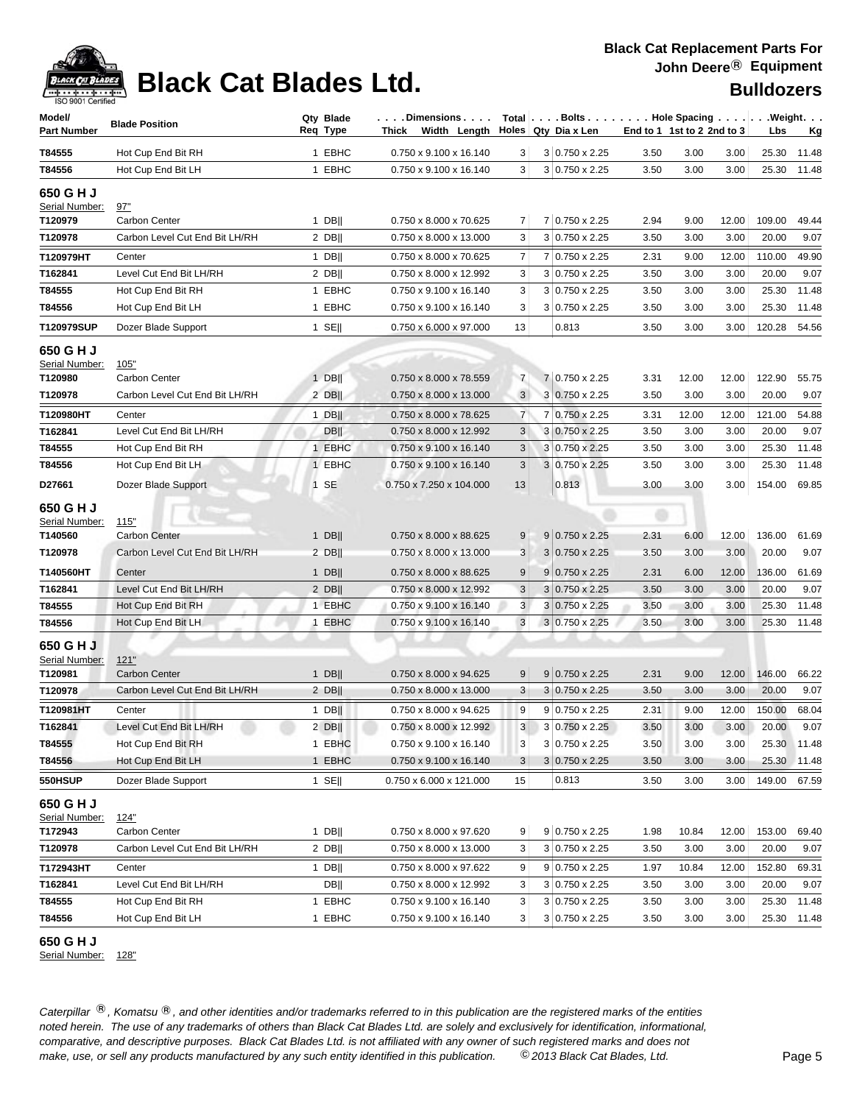

### **Black Cat Replacement Parts For John Deere**® **Equipment**

| Model/                      | <b>Blade Position</b>                           | Qty Blade                   | $\ldots$ . Dimensions $\ldots$ .                 |                |                                                      | $Total   \ldots$ Bolts $\ldots   \ldots$ . Hole Spacing $\ldots   \ldots$ . Weight. $\ldots$<br>End to 1 1st to 2 2nd to 3 |                               |                 |                      |
|-----------------------------|-------------------------------------------------|-----------------------------|--------------------------------------------------|----------------|------------------------------------------------------|----------------------------------------------------------------------------------------------------------------------------|-------------------------------|-----------------|----------------------|
| <b>Part Number</b>          |                                                 | Reg Type                    | Thick Width Length                               |                | Holes Qty Dia x Len                                  |                                                                                                                            |                               | Lbs             | <u>Kg</u>            |
| T84555                      | Hot Cup End Bit RH                              | 1 EBHC                      | 0.750 x 9.100 x 16.140                           | 3              | 3 0.750 x 2.25                                       | 3.50                                                                                                                       | 3.00<br>3.00                  | 25.30           | 11.48                |
| T84556                      | Hot Cup End Bit LH                              | 1 EBHC                      | 0.750 x 9.100 x 16.140                           | 3              | 3 0.750 x 2.25                                       | 3.50                                                                                                                       | 3.00<br>3.00                  | 25.30           | 11.48                |
| 650 G H J                   |                                                 |                             |                                                  |                |                                                      |                                                                                                                            |                               |                 |                      |
| Serial Number:              | 97"                                             |                             |                                                  |                |                                                      |                                                                                                                            |                               |                 |                      |
| T120979<br>T120978          | Carbon Center<br>Carbon Level Cut End Bit LH/RH | $1$ DB  <br>$2$ DB          | 0.750 x 8.000 x 70.625<br>0.750 x 8.000 x 13.000 | 7<br>3         | 7 0.750 x 2.25<br>$3 0.750 \times 2.25$              | 2.94<br>3.50                                                                                                               | 9.00<br>12.00<br>3.00<br>3.00 | 109.00<br>20.00 | 49.44<br>9.07        |
|                             |                                                 |                             |                                                  |                |                                                      |                                                                                                                            |                               |                 |                      |
| T120979HT                   | Center                                          | $1$ DB                      | 0.750 x 8.000 x 70.625                           | $\overline{7}$ | $0.750 \times 2.25$<br>7                             | 2.31                                                                                                                       | 9.00<br>12.00                 | 110.00          | 49.90                |
| T162841<br>T84555           | Level Cut End Bit LH/RH                         | $2$ DB  <br>1 EBHC          | 0.750 x 8.000 x 12.992<br>0.750 x 9.100 x 16.140 | 3<br>3         | 3<br>$0.750 \times 2.25$<br>3<br>$0.750 \times 2.25$ | 3.50<br>3.50                                                                                                               | 3.00<br>3.00<br>3.00<br>3.00  | 20.00<br>25.30  | 9.07<br>11.48        |
| T84556                      | Hot Cup End Bit RH<br>Hot Cup End Bit LH        | 1 EBHC                      | 0.750 x 9.100 x 16.140                           | 3              | 3 0.750 x 2.25                                       | 3.50                                                                                                                       | 3.00<br>3.00                  | 25.30           | 11.48                |
|                             |                                                 |                             |                                                  |                |                                                      |                                                                                                                            |                               |                 |                      |
| T120979SUP                  | Dozer Blade Support                             | $1$ SE                      | 0.750 x 6.000 x 97.000                           | 13             | 0.813                                                | 3.50                                                                                                                       | 3.00<br>3.00                  | 120.28          | 54.56                |
| 650 G H J                   |                                                 |                             |                                                  |                |                                                      |                                                                                                                            |                               |                 |                      |
| Serial Number:<br>T120980   | 105"<br>Carbon Center                           | $1$ DB                      | 0.750 x 8.000 x 78.559                           | $\overline{7}$ | 7 0.750 x 2.25                                       | 3.31                                                                                                                       | 12.00<br>12.00                | 122.90          | 55.75                |
| T120978                     | Carbon Level Cut End Bit LH/RH                  | $2$ DB                      | 0.750 x 8.000 x 13.000                           | 3              | 3 0.750 x 2.25                                       | 3.50                                                                                                                       | 3.00<br>3.00                  | 20.00           | 9.07                 |
| T120980HT                   | Center                                          | $1$ DB                      | 0.750 x 8.000 x 78.625                           | $\overline{7}$ | $0.750 \times 2.25$<br>7                             | 3.31                                                                                                                       | 12.00<br>12.00                | 121.00          | 54.88                |
| T162841                     | Level Cut End Bit LH/RH                         | <b>DB</b>                   | 0.750 x 8.000 x 12.992                           | 3              | 3 0.750 x 2.25                                       | 3.50                                                                                                                       | 3.00<br>3.00                  | 20.00           | 9.07                 |
| T84555                      | Hot Cup End Bit RH                              | 1 EBHC                      | 0.750 x 9.100 x 16.140                           | 3              | 3 0.750 x 2.25                                       | 3.50                                                                                                                       | 3.00<br>3.00                  | 25.30           | 11.48                |
| T84556                      | Hot Cup End Bit LH                              | 1 EBHC                      | 0.750 x 9.100 x 16.140                           | 3              | 3 0.750 x 2.25                                       | 3.50                                                                                                                       | 3.00<br>3.00                  | 25.30           | 11.48                |
| D27661                      | Dozer Blade Support                             | $1$ SE                      | 0.750 x 7.250 x 104.000                          | 13             | 0.813                                                | 3.00                                                                                                                       | 3.00<br>3.00                  | 154.00          | 69.85                |
|                             |                                                 |                             |                                                  |                |                                                      |                                                                                                                            |                               |                 |                      |
| 650 G H J<br>Serial Number: | 115"                                            |                             |                                                  |                |                                                      |                                                                                                                            |                               |                 |                      |
| T140560                     | <b>Carbon Center</b>                            | $1$ DB                      | 0.750 x 8.000 x 88.625                           | 9              | $9 0.750 \times 2.25$                                | 2.31                                                                                                                       | 6.00<br>12.00                 | 136.00          | 61.69                |
| T120978                     | Carbon Level Cut End Bit LH/RH                  | $2$ DB                      | 0.750 x 8.000 x 13.000                           | 3              | $3 0.750 \times 2.25$                                | 3.50                                                                                                                       | 3.00<br>3.00                  | 20.00           | 9.07                 |
| T140560HT                   | Center                                          | $1$ DB                      | 0.750 x 8.000 x 88.625                           | 9              | 9<br>$0.750 \times 2.25$                             | 2.31                                                                                                                       | 6.00<br>12.00                 | 136.00          | 61.69                |
| T162841                     | Level Cut End Bit LH/RH                         | $2$ DB                      | 0.750 x 8.000 x 12.992                           | $\mathbf{3}$   | $3 0.750 \times 2.25$                                | 3.50                                                                                                                       | 3.00<br>3.00                  | 20.00           | 9.07                 |
| T84555                      | Hot Cup End Bit RH                              | 1 EBHC                      | 0.750 x 9.100 x 16.140                           | 3              | $0.750 \times 2.25$<br>3                             | 3.50                                                                                                                       | 3.00<br>3.00                  | 25.30           | 11.48                |
| T84556                      | Hot Cup End Bit LH                              | <b>EBHC</b><br>$\mathbf{1}$ | 0.750 x 9.100 x 16.140                           | 3              | $3 0.750 \times 2.25$                                | 3.50                                                                                                                       | 3.00<br>3.00                  | 25.30           | 11.48                |
| 650 G H J                   |                                                 |                             |                                                  |                |                                                      |                                                                                                                            |                               |                 |                      |
| Serial Number:              | 121"                                            |                             |                                                  |                |                                                      |                                                                                                                            |                               |                 |                      |
| T120981                     | <b>Carbon Center</b>                            | $1$ DB                      | 0.750 x 8.000 x 94.625                           | 9              | $9 0.750 \times 2.25$                                | 2.31                                                                                                                       | 9.00<br>12.00                 | 146.00          | 66.22                |
| T120978                     | Carbon Level Cut End Bit LH/RH                  | $2$ DB                      | 0.750 x 8.000 x 13.000                           | 3              | 3 0.750 x 2.25                                       | 3.50                                                                                                                       | 3.00<br>3.00                  | 20.00           | 9.07                 |
| T120981HT                   | Center                                          | $1$ DB                      | 0.750 x 8.000 x 94.625                           | 9              | $9 0.750 \times 2.25$                                | 2.31                                                                                                                       | 9.00<br>12.00                 | 150.00          | 68.04                |
| T162841                     | Level Cut End Bit LH/RH                         | $2$ DB                      | 0.750 x 8.000 x 12.992                           | 3 <sup>1</sup> | 3 0.750 x 2.25                                       | 3.50                                                                                                                       | 3.00<br>3.00                  | 20.00           | 9.07                 |
| T84555                      | Hot Cup End Bit RH                              | 1 EBHC                      | 0.750 x 9.100 x 16.140                           | 3              | $3 0.750 \times 2.25$                                | 3.50                                                                                                                       | 3.00<br>3.00                  |                 | 25.30 11.48          |
| T84556                      | Hot Cup End Bit LH                              | 1 EBHC                      | 0.750 x 9.100 x 16.140                           | 3              | $3 0.750 \times 2.25$                                | 3.50                                                                                                                       | 3.00<br>3.00                  | 25.30           | 11.48                |
| 550HSUP                     | Dozer Blade Support                             | 1 SE $\parallel$            | 0.750 x 6.000 x 121.000                          | 15             | 0.813                                                | 3.50                                                                                                                       | 3.00<br>3.00                  | 149.00          | 67.59                |
| 650 G H J                   |                                                 |                             |                                                  |                |                                                      |                                                                                                                            |                               |                 |                      |
| Serial Number:              | <u>124"</u>                                     |                             |                                                  |                |                                                      |                                                                                                                            |                               |                 |                      |
| T172943                     | Carbon Center                                   | 1 DB                        | 0.750 x 8.000 x 97.620                           | 9              | $9 0.750 \times 2.25$                                | 1.98                                                                                                                       | 10.84<br>12.00                | 153.00          | 69.40                |
| T120978                     | Carbon Level Cut End Bit LH/RH                  | $2$ DB                      | 0.750 x 8.000 x 13.000                           | 3              | 3 0.750 x 2.25                                       | 3.50                                                                                                                       | 3.00<br>3.00                  | 20.00           | 9.07                 |
| T172943HT<br>T162841        | Center                                          | 1 DB                        | 0.750 x 8.000 x 97.622                           | 9              | 9 0.750 x 2.25                                       | 1.97                                                                                                                       | 10.84<br>12.00                | 152.80          | 69.31                |
|                             | Level Cut End Bit LH/RH                         | <b>DB</b><br>1 EBHC         | 0.750 x 8.000 x 12.992<br>0.750 x 9.100 x 16.140 | 3              | 3 0.750 x 2.25                                       | 3.50                                                                                                                       | 3.00<br>3.00                  | 20.00           | 9.07                 |
| T84555<br>T84556            | Hot Cup End Bit RH<br>Hot Cup End Bit LH        | 1 EBHC                      | 0.750 x 9.100 x 16.140                           | 3<br>3         | $0.750 \times 2.25$<br>3<br>3 0.750 x 2.25           | 3.50<br>3.50                                                                                                               | 3.00<br>3.00<br>3.00<br>3.00  | 25.30           | 11.48<br>25.30 11.48 |
|                             |                                                 |                             |                                                  |                |                                                      |                                                                                                                            |                               |                 |                      |

### **650 G H J**

Serial Number: 128"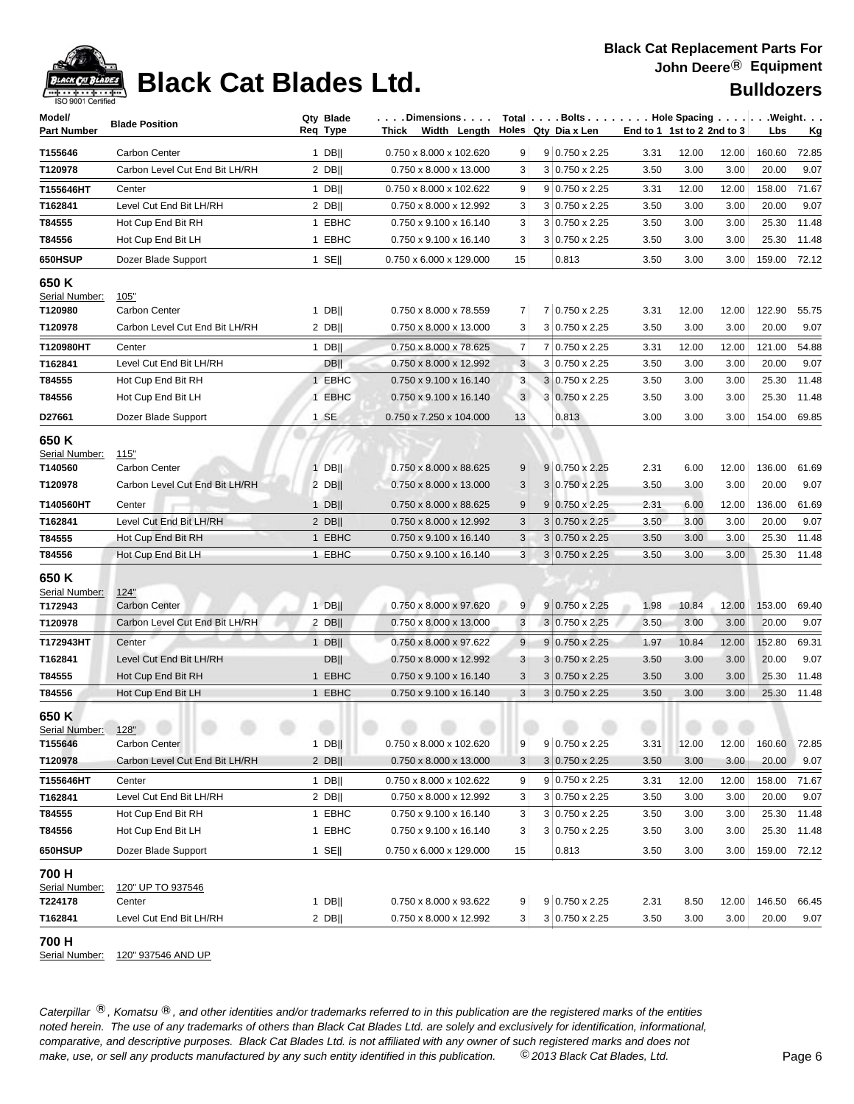

### **Black Cat Replacement Parts For John Deere**® **Equipment**

| Model/                                  | <b>Blade Position</b>          | Qty Blade        | .Dimensions                        |                | Total $\ldots$ Bolts $\ldots$ $\ldots$ . Hole Spacing $\ldots$ . |      |                            |       |        | .Weight.  |
|-----------------------------------------|--------------------------------|------------------|------------------------------------|----------------|------------------------------------------------------------------|------|----------------------------|-------|--------|-----------|
| <b>Part Number</b>                      |                                | Req Type         | Width Length<br>Thick              |                | Holes Qty Dia x Len                                              |      | End to 1 1st to 2 2nd to 3 |       | Lbs    | <u>Kg</u> |
| T155646                                 | Carbon Center                  | $1$ DB           | 0.750 x 8.000 x 102.620            | 9              | $9 0.750 \times 2.25$                                            | 3.31 | 12.00                      | 12.00 | 160.60 | 72.85     |
| T120978                                 | Carbon Level Cut End Bit LH/RH | $2$ DB           | 0.750 x 8.000 x 13.000             | 3              | $3 0.750 \times 2.25$                                            | 3.50 | 3.00                       | 3.00  | 20.00  | 9.07      |
| T155646HT                               | Center                         | $1$ DB           | 0.750 x 8.000 x 102.622            | 9              | $9 0.750 \times 2.25$                                            | 3.31 | 12.00                      | 12.00 | 158.00 | 71.67     |
| T162841                                 | Level Cut End Bit LH/RH        | $2$ DB           | 0.750 x 8.000 x 12.992             | 3              | $3 0.750 \times 2.25$                                            | 3.50 | 3.00                       | 3.00  | 20.00  | 9.07      |
| T84555                                  | Hot Cup End Bit RH             | 1 EBHC           | 0.750 x 9.100 x 16.140             | 3              | $3 0.750 \times 2.25$                                            | 3.50 | 3.00                       | 3.00  | 25.30  | 11.48     |
| T84556                                  | Hot Cup End Bit LH             | 1 EBHC           | 0.750 x 9.100 x 16.140             | 3              | $3 0.750 \times 2.25$                                            | 3.50 | 3.00                       | 3.00  | 25.30  | 11.48     |
| 650HSUP                                 | Dozer Blade Support            | $1$ SE           | 0.750 x 6.000 x 129.000            | 15             | 0.813                                                            | 3.50 | 3.00                       | 3.00  | 159.00 | 72.12     |
| 650 K<br>Serial Number:                 |                                |                  |                                    |                |                                                                  |      |                            |       |        |           |
| T120980                                 | 105"<br><b>Carbon Center</b>   | $1$ DB           | 0.750 x 8.000 x 78.559             | 7              | 7 0.750 x 2.25                                                   | 3.31 | 12.00                      | 12.00 | 122.90 | 55.75     |
| T120978                                 | Carbon Level Cut End Bit LH/RH | $2$ DB           | 0.750 x 8.000 x 13.000             | 3              | $3 0.750 \times 2.25$                                            | 3.50 | 3.00                       | 3.00  | 20.00  | 9.07      |
| T120980HT                               | Center                         | $1$ DB           | 0.750 x 8.000 x 78.625             | 7              | 7 0.750 x 2.25                                                   | 3.31 | 12.00                      | 12.00 | 121.00 | 54.88     |
| T162841                                 | Level Cut End Bit LH/RH        | <b>DBII</b>      | 0.750 x 8.000 x 12.992             | 3              | $3 0.750 \times 2.25$                                            | 3.50 | 3.00                       | 3.00  | 20.00  | 9.07      |
| T84555                                  | Hot Cup End Bit RH             | 1 EBHC           | 0.750 x 9.100 x 16.140             | 3              | $3 0.750 \times 2.25$                                            | 3.50 | 3.00                       | 3.00  | 25.30  | 11.48     |
| T84556                                  | Hot Cup End Bit LH             | 1 EBHC           | 0.750 x 9.100 x 16.140             | 3 <sup>1</sup> | 3 0.750 x 2.25                                                   | 3.50 | 3.00                       | 3.00  | 25.30  | 11.48     |
| D27661                                  | Dozer Blade Support            | 1 SE             | 0.750 x 7.250 x 104.000            | 13             | 0.813                                                            | 3.00 | 3.00                       | 3.00  | 154.00 | 69.85     |
| 650 K<br>Serial Number:                 | 115"                           |                  |                                    |                |                                                                  |      |                            |       |        |           |
| T140560                                 | Carbon Center                  | $1$ DB           | 0.750 x 8.000 x 88.625             | 9              | 9 0.750 x 2.25                                                   | 2.31 | 6.00                       | 12.00 | 136.00 | 61.69     |
| T120978                                 | Carbon Level Cut End Bit LH/RH | $2$ DB           | 0.750 x 8.000 x 13.000             | 3              | $3 0.750 \times 2.25$                                            | 3.50 | 3.00                       | 3.00  | 20.00  | 9.07      |
| T140560HT                               | Center                         | $1$ DB           | 0.750 x 8.000 x 88.625             | 9              | $9 0.750 \times 2.25$                                            | 2.31 | 6.00                       | 12.00 | 136.00 | 61.69     |
| T162841                                 | Level Cut End Bit LH/RH        | $2$ DB           | 0.750 x 8.000 x 12.992             | 3              | $3 0.750 \times 2.25$                                            | 3.50 | 3.00                       | 3.00  | 20.00  | 9.07      |
| T84555                                  | Hot Cup End Bit RH             | 1 EBHC           | $0.750 \times 9.100 \times 16.140$ | 3              | $3 0.750 \times 2.25$                                            | 3.50 | 3.00                       | 3.00  | 25.30  | 11.48     |
| T84556                                  | Hot Cup End Bit LH             | 1 EBHC           | 0.750 x 9.100 x 16.140             | 3              | $3 0.750 \times 2.25$                                            | 3.50 | 3.00                       | 3.00  | 25.30  | 11.48     |
| 650 K<br>Serial Number:<br>T172943      | 124"<br><b>Carbon Center</b>   | $1$ DB           | 0.750 x 8.000 x 97.620             | 9 <sup>°</sup> | $9 0.750 \times 2.25$                                            | 1.98 | 10.84                      | 12.00 | 153.00 | 69.40     |
| T120978                                 | Carbon Level Cut End Bit LH/RH | $2$ DB           | 0.750 x 8.000 x 13.000             | 3              | $3 0.750 \times 2.25$                                            | 3.50 | 3.00                       | 3.00  | 20.00  | 9.07      |
| T172943HT                               | Center                         | $1$ DB           | 0.750 x 8.000 x 97.622             | 9              | $9 0.750 \times 2.25$                                            | 1.97 |                            | 12.00 | 152.80 | 69.31     |
| T162841                                 | Level Cut End Bit LH/RH        | <b>DB</b>        | 0.750 x 8.000 x 12.992             | 3              | $3 0.750 \times 2.25$                                            | 3.50 | 10.84<br>3.00              | 3.00  | 20.00  | 9.07      |
| T84555                                  | Hot Cup End Bit RH             | 1 EBHC           | 0.750 x 9.100 x 16.140             | 3              | $3 0.750 \times 2.25$                                            | 3.50 | 3.00                       | 3.00  | 25.30  | 11.48     |
| T84556                                  | Hot Cup End Bit LH             | 1 EBHC           | $0.750 \times 9.100 \times 16.140$ | 3              | $3 0.750 \times 2.25$                                            | 3.50 | 3.00                       | 3.00  | 25.30  | 11.48     |
| 650 K<br>Serial Number: 128"<br>T155646 | Carbon Center                  | $1$ DB           | 0.750 x 8.000 x 102.620            | 9              | $9 0.750 \times 2.25$                                            | 3.31 | 12.00                      | 12.00 | 160.60 | 72.85     |
| T120978                                 | Carbon Level Cut End Bit LH/RH | $2$ DB           | 0.750 x 8.000 x 13.000             | 3              | $3 0.750 \times 2.25$                                            | 3.50 | 3.00                       | 3.00  | 20.00  | 9.07      |
| T155646HT                               | Center                         | 1 DBII           | 0.750 x 8.000 x 102.622            | 9              | $9 0.750 \times 2.25$                                            | 3.31 | 12.00                      | 12.00 | 158.00 | 71.67     |
| T162841                                 | Level Cut End Bit LH/RH        | $2$ DB           | 0.750 x 8.000 x 12.992             | 3              | 3 0.750 x 2.25                                                   | 3.50 | 3.00                       | 3.00  | 20.00  | 9.07      |
| T84555                                  | Hot Cup End Bit RH             | 1 EBHC           | 0.750 x 9.100 x 16.140             | 3              | $3 0.750 \times 2.25$                                            | 3.50 | 3.00                       | 3.00  | 25.30  | 11.48     |
| T84556                                  | Hot Cup End Bit LH             | 1 EBHC           | 0.750 x 9.100 x 16.140             | 3              | $3 0.750 \times 2.25$                                            | 3.50 | 3.00                       | 3.00  | 25.30  | 11.48     |
| 650HSUP                                 | Dozer Blade Support            | 1 SE $\parallel$ | 0.750 x 6.000 x 129.000            | 15             | 0.813                                                            | 3.50 | 3.00                       | 3.00  | 159.00 | 72.12     |
| 700 H<br>Serial Number:                 | 120" UP TO 937546              |                  |                                    |                |                                                                  |      |                            |       |        |           |
| T224178                                 | Center                         | $1$ DB           | 0.750 x 8.000 x 93.622             | 9              | 9 0.750 x 2.25                                                   | 2.31 | 8.50                       | 12.00 | 146.50 | 66.45     |
| T162841                                 | Level Cut End Bit LH/RH        | $2$ DB           | 0.750 x 8.000 x 12.992             | 3 <sup>2</sup> | 3 0.750 x 2.25                                                   | 3.50 | 3.00                       | 3.00  | 20.00  | 9.07      |

**700 H** 

Serial Number: 120" 937546 AND UP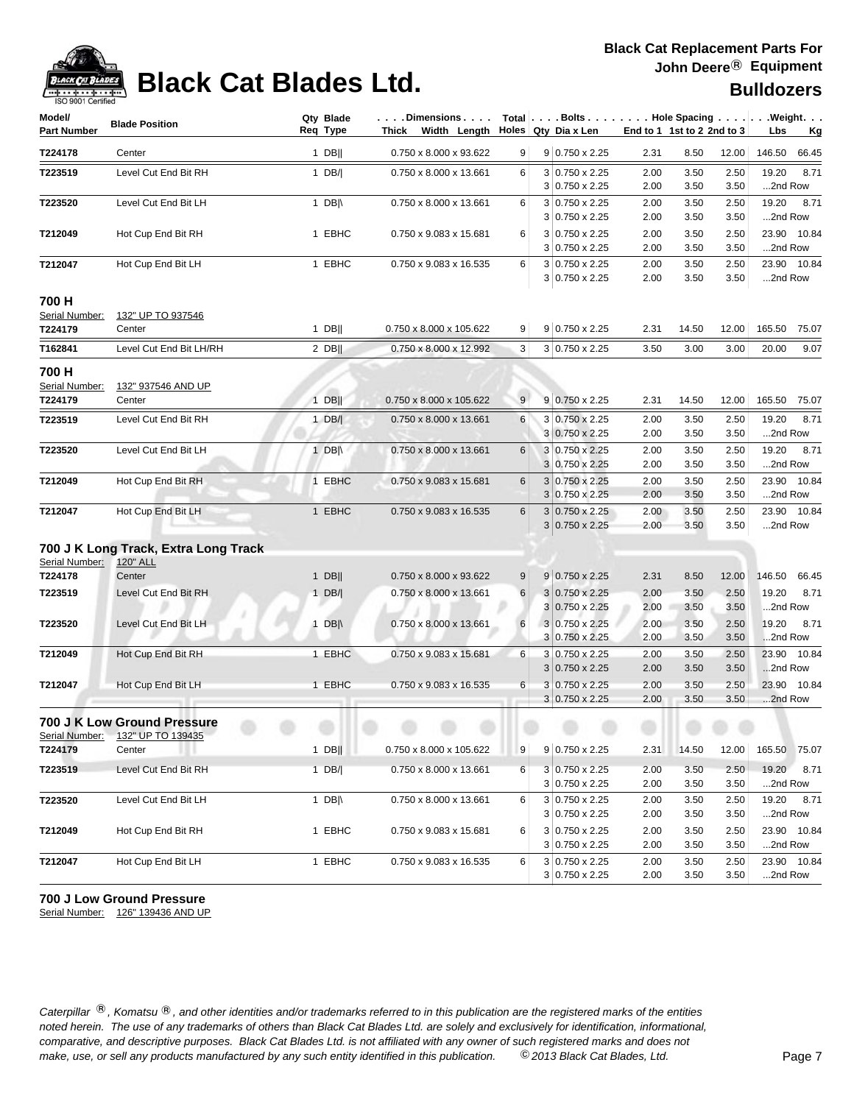

# **Black Cat Blades Ltd. Black Cat Blades Ltd. Black Cat Blades Ltd. Bulldozers**

| Model/<br><b>Part Number</b>       | <b>Blade Position</b>                            | Qty Blade<br>Req Type | . Dimensions<br>Thick Width Length Holes Qty Dia x Len |   | $Total   \ldots$ Bolts $\ldots   \ldots$ . Hole Spacing $\ldots   \ldots$ . Weight. $\ldots$ |              | End to 1 1st to 2 2nd to 3 |              | Lbs<br><u>Kg</u>         |
|------------------------------------|--------------------------------------------------|-----------------------|--------------------------------------------------------|---|----------------------------------------------------------------------------------------------|--------------|----------------------------|--------------|--------------------------|
| T224178                            | Center                                           | $1$ DB                | 0.750 x 8.000 x 93.622                                 | 9 | 9 0.750 x 2.25                                                                               | 2.31         | 8.50                       | 12.00        | 146.50<br>66.45          |
| T223519                            | Level Cut End Bit RH                             | 1 $DB/ $              | 0.750 x 8.000 x 13.661                                 | 6 | $3 0.750 \times 2.25$<br>$3 0.750 \times 2.25$                                               | 2.00<br>2.00 | 3.50<br>3.50               | 2.50<br>3.50 | 19.20<br>8.71<br>2nd Row |
| T223520                            | Level Cut End Bit LH                             | 1 DB $\parallel$      | 0.750 x 8.000 x 13.661                                 | 6 | 3 0.750 x 2.25<br>3<br>$0.750 \times 2.25$                                                   | 2.00<br>2.00 | 3.50<br>3.50               | 2.50<br>3.50 | 19.20<br>8.71<br>2nd Row |
| T212049                            | Hot Cup End Bit RH                               | 1 EBHC                | 0.750 x 9.083 x 15.681                                 | 6 | $3 0.750 \times 2.25$<br>$3 0.750 \times 2.25$                                               | 2.00<br>2.00 | 3.50<br>3.50               | 2.50<br>3.50 | 23.90 10.84<br>2nd Row   |
| T212047                            | Hot Cup End Bit LH                               | 1 EBHC                | 0.750 x 9.083 x 16.535                                 | 6 | 3 0.750 x 2.25<br>3 0.750 x 2.25                                                             | 2.00<br>2.00 | 3.50<br>3.50               | 2.50<br>3.50 | 23.90 10.84<br>2nd Row   |
| 700 H<br>Serial Number:<br>T224179 | 132" UP TO 937546<br>Center                      | $1$ DB                | 0.750 x 8.000 x 105.622                                | 9 | 9 0.750 x 2.25                                                                               | 2.31         | 14.50                      | 12.00        | 165.50<br>75.07          |
| T162841                            | Level Cut End Bit LH/RH                          | $2$ DB                | 0.750 x 8.000 x 12.992                                 | 3 | 3 0.750 x 2.25                                                                               | 3.50         | 3.00                       | 3.00         | 20.00<br>9.07            |
| 700 H<br>Serial Number:<br>T224179 | 132" 937546 AND UP<br>Center                     | $1$ DB                | 0.750 x 8.000 x 105.622                                | 9 | 9 0.750 x 2.25                                                                               | 2.31         | 14.50                      | 12.00        | 165.50<br>75.07          |
| T223519                            | Level Cut End Bit RH                             | $1$ DB/               | 0.750 x 8.000 x 13.661                                 | 6 | 3 0.750 x 2.25<br>$3 0.750 \times 2.25$                                                      | 2.00<br>2.00 | 3.50<br>3.50               | 2.50<br>3.50 | 19.20<br>8.71<br>2nd Row |
| T223520                            | Level Cut End Bit LH                             | 1 DB $\parallel$      | 0.750 x 8.000 x 13.661                                 | 6 | 3 0.750 x 2.25<br>3 0.750 x 2.25                                                             | 2.00<br>2.00 | 3.50<br>3.50               | 2.50<br>3.50 | 8.71<br>19.20<br>2nd Row |
| T212049                            | Hot Cup End Bit RH                               | 1 EBHC                | 0.750 x 9.083 x 15.681                                 | 6 | 3 0.750 x 2.25<br>$3 0.750 \times 2.25$                                                      | 2.00<br>2.00 | 3.50<br>3.50               | 2.50<br>3.50 | 23.90 10.84<br>2nd Row   |
| T212047                            | Hot Cup End Bit LH                               | 1 EBHC                | 0.750 x 9.083 x 16.535                                 | 6 | $0.750 \times 2.25$<br>3<br>$3 0.750 \times 2.25$                                            | 2.00<br>2.00 | 3.50<br>3.50               | 2.50<br>3.50 | 23.90 10.84<br>2nd Row   |
|                                    | 700 J K Long Track, Extra Long Track             |                       |                                                        |   |                                                                                              |              |                            |              |                          |
| Serial Number:<br>T224178          | 120" ALL<br>Center                               | $1$ DB                | 0.750 x 8.000 x 93.622                                 | 9 | $9 0.750 \times 2.25$                                                                        | 2.31         | 8.50                       | 12.00        | 146.50<br>66.45          |
| T223519                            | Level Cut End Bit RH                             | 1 DB/                 | 0.750 x 8.000 x 13.661                                 | 6 | $3 0.750 \times 2.25$<br>$3 0.750 \times 2.25$                                               | 2.00<br>2.00 | 3.50<br>3.50               | 2.50<br>3.50 | 19.20<br>8.71<br>2nd Row |
| T223520                            | Level Cut End Bit LH                             | 1 DB $\parallel$      | 0.750 x 8.000 x 13.661                                 | 6 | $3 0.750 \times 2.25$<br>$3 0.750 \times 2.25$                                               | 2.00<br>2.00 | 3.50<br>3.50               | 2.50<br>3.50 | 19.20<br>8.71<br>2nd Row |
| T212049                            | Hot Cup End Bit RH                               | 1 EBHC                | 0.750 x 9.083 x 15.681                                 | 6 | $3 0.750 \times 2.25$<br>$0.750 \times 2.25$<br>3                                            | 2.00<br>2.00 | 3.50<br>3.50               | 2.50<br>3.50 | 23.90 10.84<br>2nd Row   |
| T212047                            | Hot Cup End Bit LH                               | 1 EBHC                | 0.750 x 9.083 x 16.535                                 | 6 | $3 0.750 \times 2.25$<br>$3 0.750 \times 2.25$                                               | 2.00<br>2.00 | 3.50<br>3.50               | 2.50<br>3.50 | 23.90 10.84<br>2nd Row   |
| Serial Number:                     | 700 J K Low Ground Pressure<br>132" UP TO 139435 |                       |                                                        |   |                                                                                              |              |                            |              |                          |
| T224179                            | Center                                           | $1$ DB                | $0.750 \times 8.000 \times 105.622$                    | 9 | 9 0.750 x 2.25                                                                               | 2.31         | 14.50                      | 12.00        | 165.50 75.07             |
| T223519                            | Level Cut End Bit RH                             | 1 $DB/$               | 0.750 x 8.000 x 13.661                                 | 6 | $3 0.750 \times 2.25$<br>$3 0.750 \times 2.25$                                               | 2.00<br>2.00 | 3.50<br>3.50               | 2.50<br>3.50 | 19.20 8.71<br>2nd Row    |
| T223520                            | Level Cut End Bit LH                             | 1 DB $\parallel$      | 0.750 x 8.000 x 13.661                                 | 6 | 3 0.750 x 2.25<br>$3 0.750 \times 2.25$                                                      | 2.00<br>2.00 | 3.50<br>3.50               | 2.50<br>3.50 | 19.20 8.71<br>2nd Row    |
| T212049                            | Hot Cup End Bit RH                               | 1 EBHC                | 0.750 x 9.083 x 15.681                                 | 6 | 3 0.750 x 2.25<br>$3 0.750 \times 2.25$                                                      | 2.00<br>2.00 | 3.50<br>3.50               | 2.50<br>3.50 | 23.90 10.84<br>2nd Row   |
| T212047                            | Hot Cup End Bit LH                               | 1 EBHC                | 0.750 x 9.083 x 16.535                                 | 6 | $3 0.750 \times 2.25$<br>$3 0.750 \times 2.25$                                               | 2.00<br>2.00 | 3.50<br>3.50               | 2.50<br>3.50 | 23.90 10.84<br>2nd Row   |

**700 J Low Ground Pressure**

Serial Number: 126" 139436 AND UP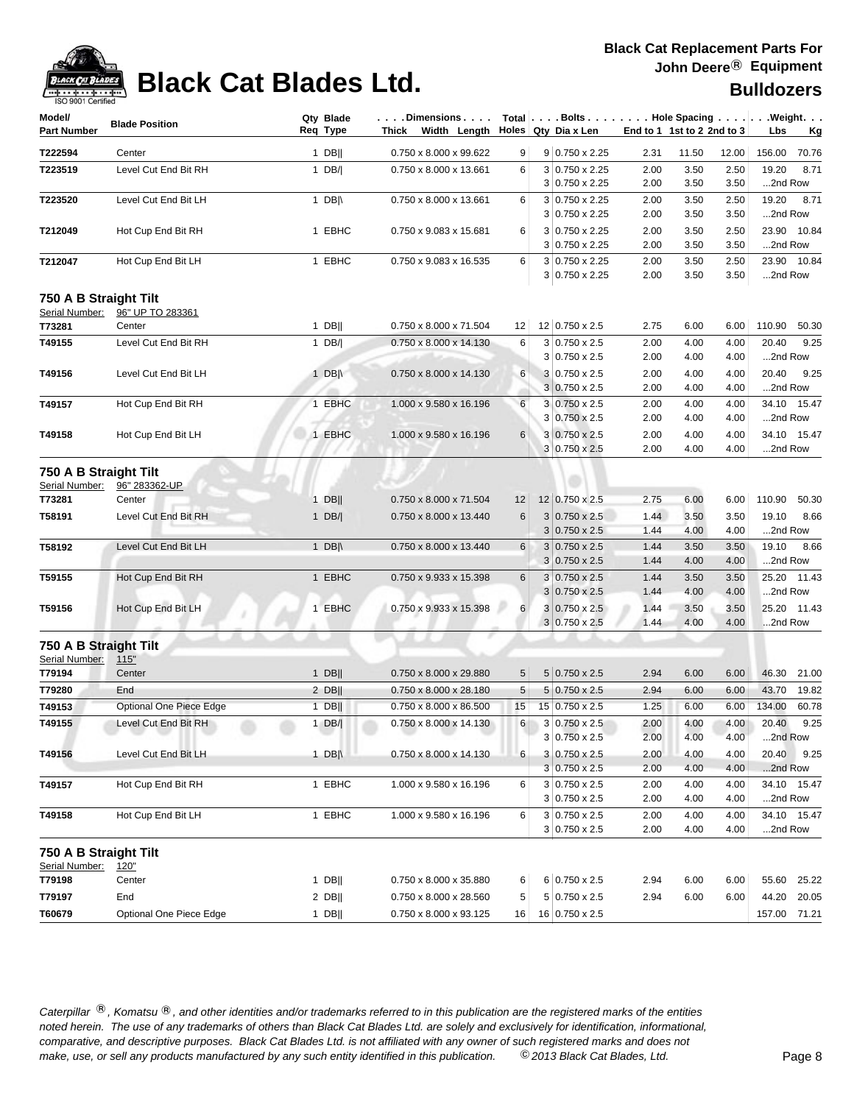

# **Black Cat Blades Ltd. Black Cat Blades Ltd. Black Cat Blades Ltd.**

| Model/<br><b>Part Number</b>            | <b>Blade Position</b>   | Qty Blade<br>Reg Type | $\dots$ . Dimensions $\dots$ .<br>Thick Width Length |    | Total $\vert \ldots$ Bolts $\ldots \vert \ldots$ Hole Spacing $\ldots \vert \ldots$ Weight. $\ldots$<br>Holes Qty Dia x Len | End to 1 1st to 2 2nd to 3 |              |              | Lbs              | <u>Kg</u>   |
|-----------------------------------------|-------------------------|-----------------------|------------------------------------------------------|----|-----------------------------------------------------------------------------------------------------------------------------|----------------------------|--------------|--------------|------------------|-------------|
| T222594                                 | Center                  | 1 DB $  $             | 0.750 x 8.000 x 99.622                               | 9  | 9 0.750 x 2.25                                                                                                              | 2.31                       | 11.50        | 12.00        | 156.00           | 70.76       |
| T223519                                 | Level Cut End Bit RH    | 1 $DB/ $              | 0.750 x 8.000 x 13.661                               | 6  | 3 0.750 x 2.25                                                                                                              | 2.00                       | 3.50         | 2.50         | 19.20            | 8.71        |
|                                         |                         |                       |                                                      |    | $3 0.750 \times 2.25$                                                                                                       | 2.00                       | 3.50         | 3.50         | 2nd Row          |             |
| T223520                                 | Level Cut End Bit LH    | 1 DB $\parallel$      | 0.750 x 8.000 x 13.661                               | 6  | $3 0.750 \times 2.25$                                                                                                       | 2.00                       | 3.50         | 2.50         | 19.20            | 8.71        |
|                                         |                         |                       |                                                      |    | $3 0.750 \times 2.25$                                                                                                       | 2.00                       | 3.50         | 3.50         | 2nd Row          |             |
| T212049                                 | Hot Cup End Bit RH      | 1 EBHC                | 0.750 x 9.083 x 15.681                               | 6  | $3 0.750 \times 2.25$<br>$3 0.750 \times 2.25$                                                                              | 2.00<br>2.00               | 3.50<br>3.50 | 2.50<br>3.50 | 2nd Row          | 23.90 10.84 |
| T212047                                 | Hot Cup End Bit LH      | 1 EBHC                | 0.750 x 9.083 x 16.535                               | 6  | 3 0.750 x 2.25<br>3 0.750 x 2.25                                                                                            | 2.00<br>2.00               | 3.50<br>3.50 | 2.50<br>3.50 | 23.90<br>2nd Row | 10.84       |
| 750 A B Straight Tilt                   |                         |                       |                                                      |    |                                                                                                                             |                            |              |              |                  |             |
| Serial Number:                          | 96" UP TO 283361        |                       |                                                      |    |                                                                                                                             |                            |              |              |                  |             |
| T73281                                  | Center                  | $1$ DB                | 0.750 x 8.000 x 71.504                               | 12 | 12 0.750 x 2.5                                                                                                              | 2.75                       | 6.00         | 6.00         | 110.90           | 50.30       |
| T49155                                  | Level Cut End Bit RH    | 1 $DB/$               | 0.750 x 8.000 x 14.130                               | 6  | $3 0.750 \times 2.5$<br>$3 0.750 \times 2.5$                                                                                | 2.00<br>2.00               | 4.00<br>4.00 | 4.00<br>4.00 | 20.40<br>2nd Row | 9.25        |
| T49156                                  | Level Cut End Bit LH    | 1 DB $\parallel$      | 0.750 x 8.000 x 14.130                               | 6  | $3 0.750 \times 2.5$                                                                                                        | 2.00                       | 4.00         | 4.00         | 20.40            | 9.25        |
|                                         |                         |                       |                                                      |    | $3 0.750 \times 2.5$                                                                                                        | 2.00                       | 4.00         | 4.00         | 2nd Row          |             |
| T49157                                  | Hot Cup End Bit RH      | 1 EBHC                | 1.000 x 9.580 x 16.196                               | 6  | $3 0.750 \times 2.5$                                                                                                        | 2.00                       | 4.00         | 4.00         |                  | 34.10 15.47 |
|                                         |                         |                       |                                                      |    | 3 0.750 x 2.5                                                                                                               | 2.00                       | 4.00         | 4.00         | 2nd Row          |             |
| T49158                                  | Hot Cup End Bit LH      | 1 EBHC                | 1.000 x 9.580 x 16.196                               | 6  | $3 0.750 \times 2.5$                                                                                                        | 2.00                       | 4.00         | 4.00         |                  | 34.10 15.47 |
|                                         |                         |                       |                                                      |    | $3 0.750 \times 2.5$                                                                                                        | 2.00                       | 4.00         | 4.00         | 2nd Row          |             |
| 750 A B Straight Tilt<br>Serial Number: | 96" 283362-UP           |                       |                                                      |    |                                                                                                                             |                            |              |              |                  |             |
| T73281                                  | Center                  | $1$ DB                | 0.750 x 8.000 x 71.504                               | 12 | 12 0.750 x 2.5                                                                                                              | 2.75                       | 6.00         | 6.00         | 110.90           | 50.30       |
| T58191                                  | Level Cut End Bit RH    | 1 $DB/ $              | 0.750 x 8.000 x 13.440                               | 6  | $3 0.750 \times 2.5$                                                                                                        | 1.44                       | 3.50         | 3.50         | 19.10            | 8.66        |
|                                         |                         |                       |                                                      |    | $3 0.750 \times 2.5$                                                                                                        | 1.44                       | 4.00         | 4.00         | 2nd Row          |             |
| T58192                                  | Level Cut End Bit LH    | 1 DB $\parallel$      | 0.750 x 8.000 x 13.440                               | 6  | $3 0.750 \times 2.5$                                                                                                        | 1.44                       | 3.50         | 3.50         | 19.10            | 8.66        |
|                                         |                         |                       |                                                      |    | $3 0.750 \times 2.5$                                                                                                        | 1.44                       | 4.00         | 4.00         | 2nd Row          |             |
| T59155                                  | Hot Cup End Bit RH      | 1 EBHC                | 0.750 x 9.933 x 15.398                               | 6  | $3 0.750 \times 2.5$                                                                                                        | 1.44                       | 3.50         | 3.50         | 25.20            | 11.43       |
|                                         |                         |                       |                                                      |    | $3 0.750 \times 2.5$                                                                                                        | 1.44                       | 4.00         | 4.00         | 2nd Row          |             |
| T59156                                  | Hot Cup End Bit LH      | 1 EBHC                | 0.750 x 9.933 x 15.398                               | 6  | $3 0.750 \times 2.5$<br>$3 0.750 \times 2.5$                                                                                | 1.44<br>1.44               | 3.50<br>4.00 | 3.50<br>4.00 | 25.20<br>2nd Row | 11.43       |
| 750 A B Straight Tilt                   |                         |                       |                                                      |    |                                                                                                                             |                            |              |              |                  |             |
| Serial Number:                          | 115"                    |                       |                                                      |    |                                                                                                                             |                            |              |              |                  |             |
| T79194                                  | Center                  | $1$ DB                | 0.750 x 8.000 x 29.880                               | 5  | $5 0.750 \times 2.5$                                                                                                        | 2.94                       | 6.00         | 6.00         | 46.30            | 21.00       |
| T79280                                  | End                     | $2$ DB                | 0.750 x 8.000 x 28.180                               | 5  | $5 0.750 \times 2.5$                                                                                                        | 2.94                       | 6.00         | 6.00         | 43.70            | 19.82       |
| T49153                                  | Optional One Piece Edge | $1$ DB                | 0.750 x 8.000 x 86.500                               | 15 | 15 0.750 x 2.5                                                                                                              | 1.25                       | 6.00         | 6.00         | 134.00           | 60.78       |
| T49155                                  | Level Cut End Bit RH    | $1$ DB/               | 0.750 x 8.000 x 14.130                               | 6  | 3 0.750 x 2.5                                                                                                               | 2.00                       | 4.00         | 4.00         | 20.40            | 9.25        |
|                                         |                         |                       |                                                      |    | 3 0.750 x 2.5                                                                                                               | 2.00                       | 4.00         | 4.00         | 2nd Row          |             |
| T49156                                  | Level Cut End Bit LH    | 1 DB $\parallel$      | 0.750 x 8.000 x 14.130                               | 6  | $3 0.750 \times 2.5$                                                                                                        | 2.00                       | 4.00         | 4.00         | 20.40            | 9.25        |
|                                         |                         | 1 EBHC                | 1.000 x 9.580 x 16.196                               | 6  | $3 0.750 \times 2.5$<br>$3 0.750 \times 2.5$                                                                                | 2.00                       | 4.00         | 4.00<br>4.00 | 2nd Row          | 34.10 15.47 |
| T49157                                  | Hot Cup End Bit RH      |                       |                                                      |    | $3 0.750 \times 2.5$                                                                                                        | 2.00<br>2.00               | 4.00<br>4.00 | 4.00         | 2nd Row          |             |
| T49158                                  | Hot Cup End Bit LH      | 1 EBHC                | 1.000 x 9.580 x 16.196                               | 6  | $3 0.750 \times 2.5$                                                                                                        | 2.00                       | 4.00         | 4.00         |                  | 34.10 15.47 |
|                                         |                         |                       |                                                      |    | $3 0.750 \times 2.5$                                                                                                        | 2.00                       | 4.00         | 4.00         | 2nd Row          |             |
| 750 A B Straight Tilt                   |                         |                       |                                                      |    |                                                                                                                             |                            |              |              |                  |             |
| Serial Number:<br>T79198                | <u>120"</u><br>Center   | $1$ DB                | 0.750 x 8.000 x 35.880                               | 6  | $6 0.750 \times 2.5$                                                                                                        | 2.94                       | 6.00         | 6.00         | 55.60            | 25.22       |
| T79197                                  | End                     | $2$ DB                | 0.750 x 8.000 x 28.560                               | 5  | $5 0.750 \times 2.5$                                                                                                        | 2.94                       | 6.00         | 6.00         | 44.20            | 20.05       |
| T60679                                  | Optional One Piece Edge |                       |                                                      | 16 | 16 0.750 x 2.5                                                                                                              |                            |              |              |                  |             |
|                                         |                         | 1 DB                  | 0.750 x 8.000 x 93.125                               |    |                                                                                                                             |                            |              |              | 157.00 71.21     |             |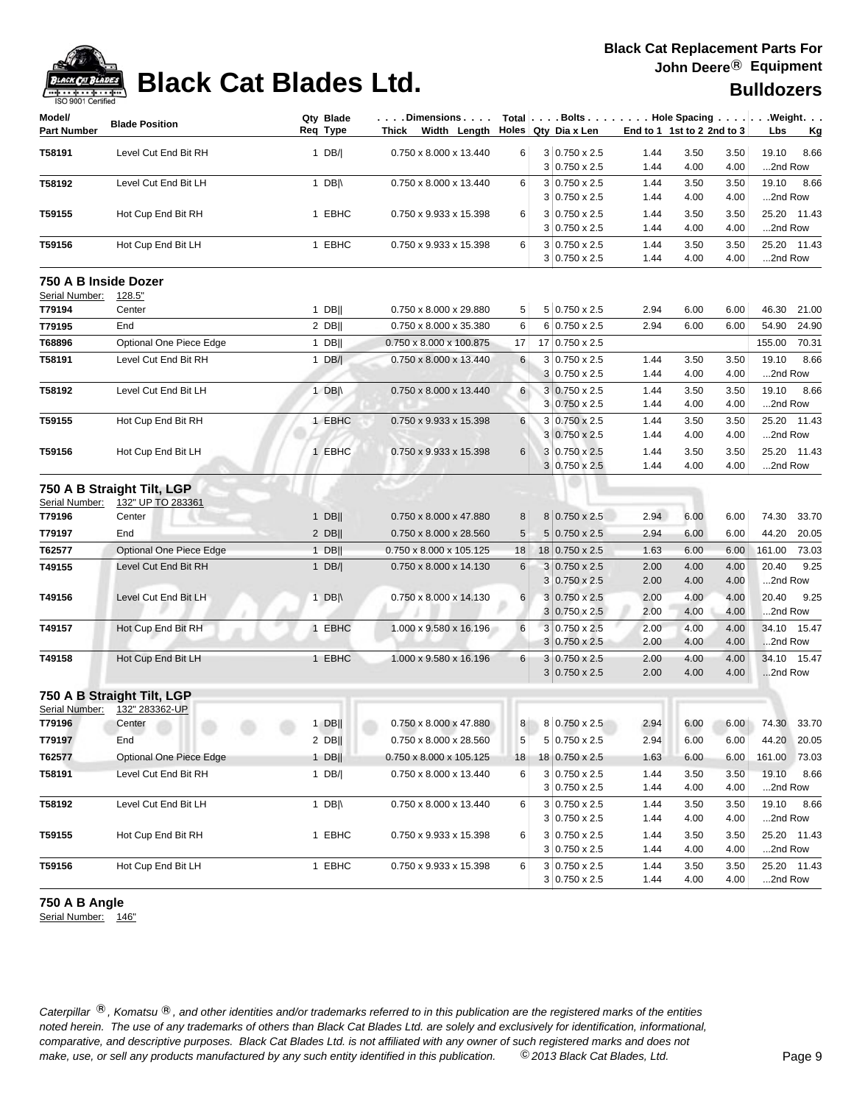

| ISO 9001 Certified                     |                                |          |                  |                                                                |    |   |                                              |              |                            |              |                  |           |
|----------------------------------------|--------------------------------|----------|------------------|----------------------------------------------------------------|----|---|----------------------------------------------|--------------|----------------------------|--------------|------------------|-----------|
| Model/<br><b>Part Number</b>           | <b>Blade Position</b>          | Req Type | Qty Blade        | . Dimensions<br>Thick Width Length $\vert$ Holes Qty Dia x Len |    |   | Total Bolts Hole Spacing Weight.             |              | End to 1 1st to 2 2nd to 3 |              | Lbs              | <u>Kg</u> |
| T58191                                 | Level Cut End Bit RH           |          | 1 DB/            | 0.750 x 8.000 x 13.440                                         | 6  |   | $3 0.750 \times 2.5$                         | 1.44         | 3.50                       | 3.50         | 19.10            | 8.66      |
|                                        |                                |          |                  |                                                                |    |   | $3 0.750 \times 2.5$                         | 1.44         | 4.00                       | 4.00         | 2nd Row          |           |
| T58192                                 | Level Cut End Bit LH           |          | 1 $DB \wedge$    | 0.750 x 8.000 x 13.440                                         | 6  |   | $3 0.750 \times 2.5$<br>$3 0.750 \times 2.5$ | 1.44<br>1.44 | 3.50<br>4.00               | 3.50<br>4.00 | 19.10<br>2nd Row | 8.66      |
|                                        |                                |          |                  |                                                                |    |   |                                              |              |                            |              | 25.20            | 11.43     |
| T59155                                 | Hot Cup End Bit RH             |          | 1 EBHC           | 0.750 x 9.933 x 15.398                                         | 6  |   | $3 0.750 \times 2.5$<br>$3 0.750 \times 2.5$ | 1.44<br>1.44 | 3.50<br>4.00               | 3.50<br>4.00 | 2nd Row          |           |
| T59156                                 | Hot Cup End Bit LH             |          | 1 EBHC           | 0.750 x 9.933 x 15.398                                         | 6  |   | $3 0.750 \times 2.5$                         | 1.44         | 3.50                       | 3.50         | 25.20            | 11.43     |
|                                        |                                |          |                  |                                                                |    |   | $3 0.750 \times 2.5$                         | 1.44         | 4.00                       | 4.00         | 2nd Row          |           |
| 750 A B Inside Dozer<br>Serial Number: |                                |          |                  |                                                                |    |   |                                              |              |                            |              |                  |           |
| T79194                                 | <u>128.5"</u><br>Center        |          | $1$ DB           | 0.750 x 8.000 x 29.880                                         | 5  |   | 5 0.750 x 2.5                                | 2.94         | 6.00                       | 6.00         | 46.30            | 21.00     |
| T79195                                 | End                            |          | $2$ DB           | 0.750 x 8.000 x 35.380                                         | 6  |   | $6 0.750 \times 2.5$                         | 2.94         | 6.00                       | 6.00         | 54.90            | 24.90     |
| T68896                                 | Optional One Piece Edge        |          | $1$ DB           | 0.750 x 8.000 x 100.875                                        | 17 |   | 17 0.750 x 2.5                               |              |                            |              | 155.00           | 70.31     |
| T58191                                 | Level Cut End Bit RH           |          | 1 $DB/$          | 0.750 x 8.000 x 13.440                                         | 6  |   | $3 0.750 \times 2.5$                         | 1.44         | 3.50                       | 3.50         | 19.10            | 8.66      |
|                                        |                                |          |                  |                                                                |    |   | $3 0.750 \times 2.5$                         | 1.44         | 4.00                       | 4.00         | 2nd Row          |           |
| T58192                                 | Level Cut End Bit LH           |          | 1 DB $\parallel$ | 0.750 x 8.000 x 13.440                                         | 6  |   | $3 0.750 \times 2.5$                         | 1.44         | 3.50                       | 3.50         | 19.10            | 8.66      |
|                                        |                                |          |                  |                                                                |    |   | $3 0.750 \times 2.5$                         | 1.44         | 4.00                       | 4.00         | 2nd Row          |           |
| T59155                                 | Hot Cup End Bit RH             |          | 1 EBHC           | 0.750 x 9.933 x 15.398                                         | 6  |   | 3 0.750 x 2.5                                | 1.44         | 3.50                       | 3.50         | 25.20 11.43      |           |
|                                        |                                |          |                  |                                                                |    |   | $3 0.750 \times 2.5$                         | 1.44         | 4.00                       | 4.00         | 2nd Row          |           |
| T59156                                 | Hot Cup End Bit LH             |          | 1 EBHC           | 0.750 x 9.933 x 15.398                                         | 6  |   | $3 0.750 \times 2.5$                         | 1.44         | 3.50                       | 3.50         | 25.20 11.43      |           |
|                                        |                                |          |                  |                                                                |    |   | $3 0.750 \times 2.5$                         | 1.44         | 4.00                       | 4.00         | 2nd Row          |           |
|                                        | 750 A B Straight Tilt, LGP     |          |                  |                                                                |    |   |                                              |              |                            |              |                  |           |
| Serial Number:                         | 132" UP TO 283361              |          |                  |                                                                |    |   |                                              |              |                            |              |                  |           |
| T79196                                 | Center                         |          | $1$ DB           | 0.750 x 8.000 x 47.880                                         | 8  |   | 8 0.750 x 2.5                                | 2.94         | 6.00                       | 6.00         | 74.30            | 33.70     |
| T79197                                 | End                            |          | $2$ DB           | 0.750 x 8.000 x 28.560                                         | 5  |   | $5 0.750 \times 2.5$                         | 2.94         | 6.00                       | 6.00         | 44.20            | 20.05     |
| T62577                                 | Optional One Piece Edge        |          | $1$ DB           | 0.750 x 8.000 x 105.125                                        | 18 |   | 18 0.750 x 2.5                               | 1.63         | 6.00                       | 6.00         | 161.00           | 73.03     |
| T49155                                 | Level Cut End Bit RH           |          | $1$ DB/          | 0.750 x 8.000 x 14.130                                         | 6  |   | $3 0.750 \times 2.5$                         | 2.00         | 4.00                       | 4.00         | 20.40            | 9.25      |
|                                        |                                |          |                  |                                                                |    | 3 | $0.750 \times 2.5$                           | 2.00         | 4.00                       | 4.00         | 2nd Row          |           |
| T49156                                 | Level Cut End Bit LH           |          | 1 DB $\parallel$ | 0.750 x 8.000 x 14.130                                         | 6  |   | $3 0.750 \times 2.5$                         | 2.00         | 4.00                       | 4.00         | 20.40            | 9.25      |
|                                        |                                |          |                  |                                                                |    |   | $3 0.750 \times 2.5$                         | 2.00         | 4.00                       | 4.00         | 2nd Row          |           |
| T49157                                 | Hot Cup End Bit RH             |          | 1 EBHC           | 1.000 x 9.580 x 16.196                                         | 6  |   | $3 0.750 \times 2.5$                         | 2.00         | 4.00                       | 4.00         | 34.10 15.47      |           |
|                                        |                                |          |                  |                                                                |    |   | $3 0.750 \times 2.5$                         | 2.00         | 4.00                       | 4.00         | 2nd Row          |           |
| T49158                                 | Hot Cup End Bit LH             |          | 1 EBHC           | 1.000 x 9.580 x 16.196                                         | 6  |   | $3 0.750 \times 2.5$                         | 2.00         | 4.00                       | 4.00         | 34.10 15.47      |           |
|                                        |                                |          |                  |                                                                |    |   | $3 0.750 \times 2.5$                         | 2.00         | 4.00                       | 4.00         | 2nd Row          |           |
|                                        | 750 A B Straight Tilt, LGP     |          |                  |                                                                |    |   |                                              |              |                            |              |                  |           |
|                                        | Serial Number: 132" 283362-UP  |          |                  |                                                                |    |   |                                              |              |                            |              |                  |           |
| T79196                                 | Center                         |          | $1$ DB           | 0.750 x 8.000 x 47.880                                         | 8  |   | $8 0.750 \times 2.5$                         | 2.94         | 6.00                       | 6.00         | 74.30            | 33.70     |
| T79197                                 | End                            |          | $2$ DB           | 0.750 x 8.000 x 28.560                                         | 5  |   | $5 0.750 \times 2.5$                         | 2.94         | 6.00                       | 6.00         | 44.20            | 20.05     |
| T62577                                 | <b>Optional One Piece Edge</b> |          | $1$ DB           | 0.750 x 8.000 x 105.125                                        | 18 |   | 18 0.750 x 2.5                               | 1.63         | 6.00                       | 6.00         | 161.00 73.03     |           |
| T58191                                 | Level Cut End Bit RH           |          | $1$ DB/          | 0.750 x 8.000 x 13.440                                         | 6  |   | $3 0.750 \times 2.5$                         | 1.44         | 3.50                       | 3.50         | 19.10            | 8.66      |
|                                        |                                |          |                  |                                                                |    |   | $3 0.750 \times 2.5$                         | 1.44         | 4.00                       | 4.00         | 2nd Row          |           |
| T58192                                 | Level Cut End Bit LH           |          | 1 DB $\parallel$ | 0.750 x 8.000 x 13.440                                         | 6  |   | $3 0.750 \times 2.5$                         | 1.44         | 3.50                       | 3.50         | 19.10            | 8.66      |
|                                        |                                |          |                  |                                                                |    |   | $3 0.750 \times 2.5$                         | 1.44         | 4.00                       | 4.00         | 2nd Row          |           |
| T59155                                 | Hot Cup End Bit RH             |          | 1 EBHC           | 0.750 x 9.933 x 15.398                                         | 6  |   | $3 0.750 \times 2.5$                         | 1.44         | 3.50                       | 3.50         | 25.20 11.43      |           |
|                                        |                                |          |                  |                                                                |    |   | $3 0.750 \times 2.5$                         | 1.44         | 4.00                       | 4.00         | 2nd Row          |           |
| T59156                                 | Hot Cup End Bit LH             |          | 1 EBHC           | 0.750 x 9.933 x 15.398                                         | 6  |   | $3 0.750 \times 2.5$                         | 1.44         | 3.50                       | 3.50         | 25.20 11.43      |           |
|                                        |                                |          |                  |                                                                |    |   | $3 0.750 \times 2.5$                         | 1.44         | 4.00                       | 4.00         | 2nd Row          |           |

**750 A B Angle**

Serial Number: 146"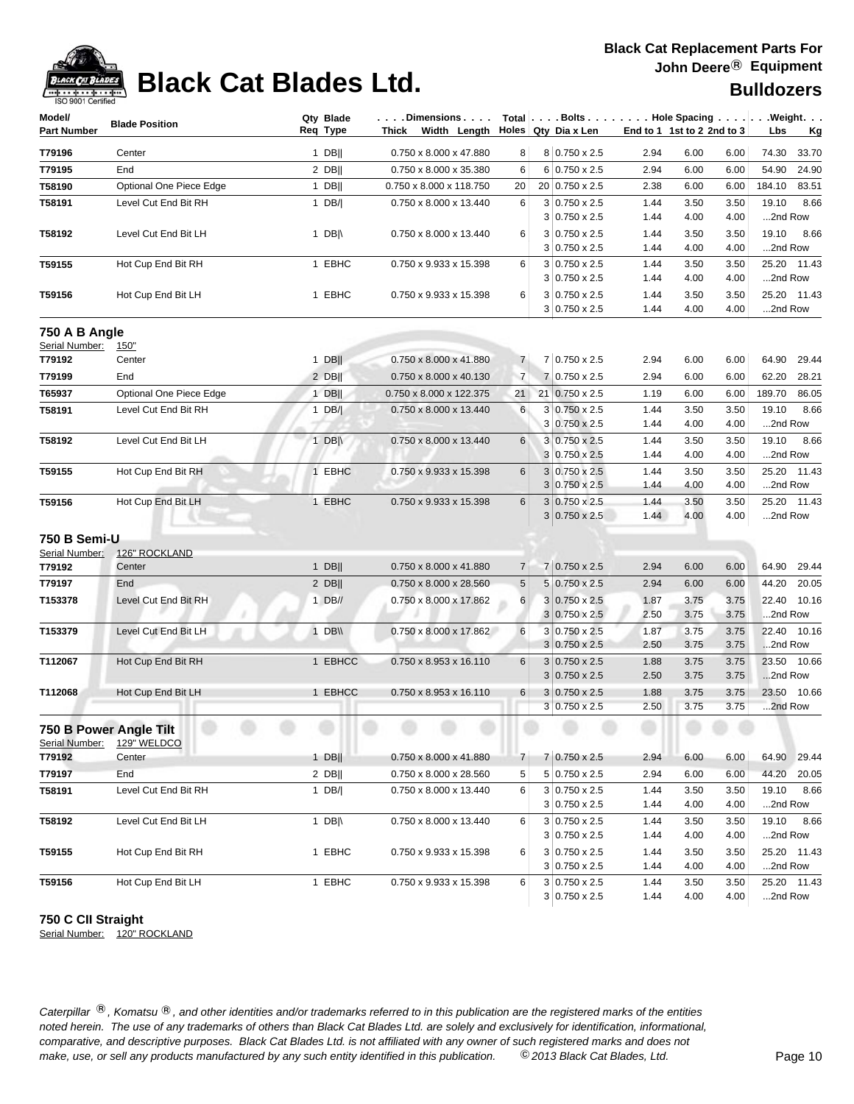

# **Black Cat Blades Ltd. Black Cat Blades Ltd. Black Cat Blades Ltd.**

| Model/<br><b>Part Number</b> | <b>Blade Position</b>        | Qty Blade<br>Req Type | Dimensions<br>Thick Width Length   |                | Holes   Qtv Dia x Len                        |              | End to 1 1st to 2 2nd to 3 |              | Total   Bolts Hole Spacing Weight.<br>Lbs<br>Kg |
|------------------------------|------------------------------|-----------------------|------------------------------------|----------------|----------------------------------------------|--------------|----------------------------|--------------|-------------------------------------------------|
|                              |                              |                       |                                    |                |                                              |              |                            |              |                                                 |
| T79196                       | Center                       | $1$ DB                | 0.750 x 8.000 x 47.880             | 8              | 8 0.750 x 2.5                                | 2.94         | 6.00                       | 6.00         | 74.30<br>33.70                                  |
| T79195                       | End                          | $2$ DB                | 0.750 x 8.000 x 35.380             | 6              | 6 0.750 x 2.5                                | 2.94         | 6.00                       | 6.00         | 54.90<br>24.90                                  |
| T58190                       | Optional One Piece Edge      | $1$ DB                | 0.750 x 8.000 x 118.750            | 20             | 20 0.750 x 2.5                               | 2.38         | 6.00                       | 6.00         | 184.10<br>83.51                                 |
| T58191                       | Level Cut End Bit RH         | 1 $DB/$               | 0.750 x 8.000 x 13.440             | 6              | $3 0.750 \times 2.5$                         | 1.44         | 3.50                       | 3.50         | 19.10<br>8.66                                   |
|                              |                              |                       |                                    |                | $3 0.750 \times 2.5$                         | 1.44         | 4.00                       | 4.00         | 2nd Row                                         |
| T58192                       | Level Cut End Bit LH         | 1 DB $\parallel$      | 0.750 x 8.000 x 13.440             | 6              | 3 0.750 x 2.5<br>$3 0.750 \times 2.5$        | 1.44<br>1.44 | 3.50<br>4.00               | 3.50<br>4.00 | 19.10<br>8.66<br>2nd Row                        |
| T59155                       | Hot Cup End Bit RH           | 1 EBHC                | 0.750 x 9.933 x 15.398             | 6              | $3 0.750 \times 2.5$                         | 1.44         | 3.50                       | 3.50         | 25.20 11.43                                     |
|                              |                              |                       |                                    |                | $3 0.750 \times 2.5$                         | 1.44         | 4.00                       | 4.00         | 2nd Row                                         |
| T59156                       | Hot Cup End Bit LH           | 1 EBHC                | 0.750 x 9.933 x 15.398             | 6              | $3 0.750 \times 2.5$                         | 1.44         | 3.50                       | 3.50         | 25.20 11.43                                     |
|                              |                              |                       |                                    |                | $3 0.750 \times 2.5$                         | 1.44         | 4.00                       | 4.00         | 2nd Row                                         |
| 750 A B Angle                |                              |                       |                                    |                |                                              |              |                            |              |                                                 |
| Serial Number:               | <u>150"</u>                  |                       |                                    |                |                                              |              |                            |              |                                                 |
| T79192                       | Center                       | $1$ DB                | 0.750 x 8.000 x 41.880             | $\overline{7}$ | 7 0.750 x 2.5                                | 2.94         | 6.00                       | 6.00         | 64.90<br>29.44                                  |
| T79199                       | End                          | $2$ DB                | 0.750 x 8.000 x 40.130             | $\overline{7}$ | 7 0.750 x 2.5                                | 2.94         | 6.00                       | 6.00         | 62.20<br>28.21                                  |
| T65937                       | Optional One Piece Edge      | $1$ DB                | 0.750 x 8.000 x 122.375            | 21             | 21 0.750 x 2.5                               | 1.19         | 6.00                       | 6.00         | 189.70<br>86.05                                 |
| T58191                       | Level Cut End Bit RH         | 1 $DB/$               | 0.750 x 8.000 x 13.440             | 6              | $3 0.750 \times 2.5$                         | 1.44         | 3.50                       | 3.50         | 8.66<br>19.10                                   |
|                              |                              |                       |                                    |                | 3 0.750 x 2.5                                | 1.44         | 4.00                       | 4.00         | 2nd Row                                         |
| T58192                       | Level Cut End Bit LH         | 1 DB $\parallel$      | 0.750 x 8.000 x 13.440             | 6              | $3 0.750 \times 2.5$                         | 1.44         | 3.50                       | 3.50         | 19.10<br>8.66                                   |
|                              |                              |                       |                                    |                | 3 0.750 x 2.5                                | 1.44         | 4.00                       | 4.00         | 2nd Row                                         |
| T59155                       | Hot Cup End Bit RH           | 1 EBHC                | 0.750 x 9.933 x 15.398             | 6              | $3 0.750 \times 2.5$                         | 1.44         | 3.50                       | 3.50         | 25.20 11.43                                     |
|                              |                              |                       |                                    |                | $3 0.750 \times 2.5$                         | 1.44         | 4.00                       | 4.00         | 2nd Row                                         |
| T59156                       | Hot Cup End Bit LH           | 1 EBHC                | 0.750 x 9.933 x 15.398             | 6              | $3 0.750 \times 2.5$<br>$3 0.750 \times 2.5$ | 1.44<br>1.44 | 3.50<br>4.00               | 3.50<br>4.00 | 25.20 11.43<br>2nd Row                          |
| 750 B Semi-U                 |                              |                       |                                    |                |                                              |              |                            |              |                                                 |
| Serial Number:               | 126" ROCKLAND                |                       |                                    |                |                                              |              |                            |              |                                                 |
| T79192                       | Center                       | $1$ DB                | 0.750 x 8.000 x 41.880             | $\overline{7}$ | 7 0.750 x 2.5                                | 2.94         | 6.00                       | 6.00         | 29.44<br>64.90                                  |
| T79197                       | End                          | $2$ DB                | 0.750 x 8.000 x 28.560             | 5              | 5 0.750 x 2.5                                | 2.94         | 6.00                       | 6.00         | 44.20<br>20.05                                  |
| T153378                      | Level Cut End Bit RH         | $1$ DB//              | 0.750 x 8.000 x 17.862             | $6 \mid$       | $3 0.750 \times 2.5$                         | 1.87         | 3.75                       | 3.75         | 22.40 10.16                                     |
|                              |                              |                       |                                    |                | $3 0.750 \times 2.5$                         | 2.50         | 3.75                       | 3.75         | 2nd Row                                         |
| T153379                      | Level Cut End Bit LH         | 1 DB\\                | 0.750 x 8.000 x 17.862             | 6              | $3 0.750 \times 2.5$                         | 1.87         | 3.75                       | 3.75         | 22.40 10.16                                     |
|                              |                              |                       |                                    |                | $3 0.750 \times 2.5$                         | 2.50         | 3.75                       | 3.75         | 2nd Row                                         |
| T112067                      | Hot Cup End Bit RH           | 1 EBHCC               | $0.750 \times 8.953 \times 16.110$ | 6              | $3 0.750 \times 2.5$                         | 1.88         | 3.75                       | 3.75         | 23.50 10.66                                     |
|                              |                              |                       |                                    |                | $3 0.750 \times 2.5$                         | 2.50         | 3.75                       | 3.75         | 2nd Row                                         |
| T112068                      | Hot Cup End Bit LH           | 1 EBHCC               | 0.750 x 8.953 x 16.110             | $6 \mid$       | $3 0.750 \times 2.5$                         | 1.88         | 3.75                       | 3.75         | 23.50 10.66                                     |
|                              |                              |                       |                                    |                | $3 0.750 \times 2.5$                         | 2.50         | 3.75                       | 3.75         | 2nd Row                                         |
| 750 B Power Angle Tilt       |                              |                       |                                    |                |                                              |              |                            |              |                                                 |
| Serial Number:<br>T79192     | <b>129" WELDCO</b><br>Center | $1$ DB                | 0.750 x 8.000 x 41.880             | $\overline{7}$ | 7 0.750 x 2.5                                | 2.94         | 6.00                       | 6.00         | 64.90 29.44                                     |
|                              |                              |                       |                                    |                |                                              |              |                            |              |                                                 |
| T79197                       | End                          | $2$ DB                | 0.750 x 8.000 x 28.560             | 5              | 5 0.750 x 2.5                                | 2.94         | 6.00                       | 6.00         | 44.20 20.05                                     |
| T58191                       | Level Cut End Bit RH         | 1 $DB/ $              | 0.750 x 8.000 x 13.440             | 6              | $3 0.750 \times 2.5$<br>$3 0.750 \times 2.5$ | 1.44<br>1.44 | 3.50<br>4.00               | 3.50<br>4.00 | 19.10 8.66<br>2nd Row                           |
| T58192                       | Level Cut End Bit LH         | 1 DB $\parallel$      | 0.750 x 8.000 x 13.440             | 6              | $3 0.750 \times 2.5$                         | 1.44         | 3.50                       | 3.50         | 19.10 8.66                                      |
|                              |                              |                       |                                    |                | $3 0.750 \times 2.5$                         | 1.44         | 4.00                       | 4.00         | 2nd Row                                         |
| T59155                       | Hot Cup End Bit RH           | 1 EBHC                | 0.750 x 9.933 x 15.398             | 6              | $3 0.750 \times 2.5$                         | 1.44         | 3.50                       | 3.50         | 25.20 11.43                                     |
|                              |                              |                       |                                    |                | $3 0.750 \times 2.5$                         | 1.44         | 4.00                       | 4.00         | 2nd Row                                         |
| T59156                       | Hot Cup End Bit LH           | 1 EBHC                | 0.750 x 9.933 x 15.398             | 6              | $3 0.750 \times 2.5$                         | 1.44         | 3.50                       | 3.50         | 25.20 11.43                                     |
|                              |                              |                       |                                    |                | $3 0.750 \times 2.5$                         | 1.44         | 4.00                       | 4.00         | 2nd Row                                         |

### **750 C CII Straight**

Serial Number: 120" ROCKLAND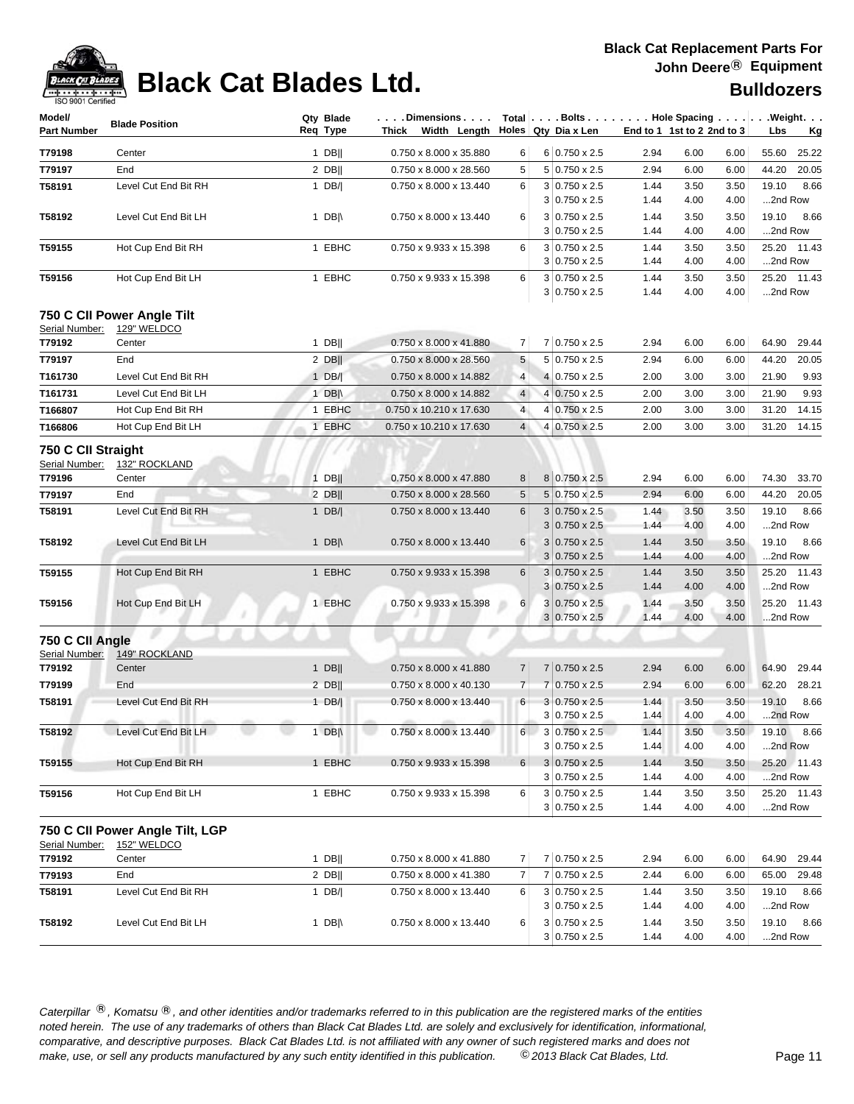

# **Black Cat Blades Ltd. Black Cat Blades Ltd. Black Cat Blades Ltd.**

| Model/<br><b>Part Number</b>         | <b>Blade Position</b>                            | Qty Blade<br>Reg Type | $ \ldots$ . Dimensions $\ldots$ . $ \hspace{0.1cm}$ Total $ \ldots$ . Bolts $\ldots$ . $ \ldots$ . Hole Spacing $\ldots$ . $ \ldots$ . Weight. $\ldots$ | Thick Width Length Holes Qty Dia x Len |          |                                              | End to 1 1st to 2 2nd to 3 |              |              | Lbs              | <u>Kg</u>     |
|--------------------------------------|--------------------------------------------------|-----------------------|---------------------------------------------------------------------------------------------------------------------------------------------------------|----------------------------------------|----------|----------------------------------------------|----------------------------|--------------|--------------|------------------|---------------|
|                                      |                                                  |                       |                                                                                                                                                         |                                        |          |                                              |                            |              |              |                  |               |
| T79198                               | Center                                           | $1$ DB                | 0.750 x 8.000 x 35.880                                                                                                                                  | 6                                      |          | $6 0.750 \times 2.5$                         | 2.94                       | 6.00         | 6.00         | 55.60            | 25.22         |
| T79197                               | End                                              | $2$ DB                | 0.750 x 8.000 x 28.560                                                                                                                                  | 5                                      |          | 5 0.750 x 2.5                                | 2.94                       | 6.00         | 6.00         | 44.20            | 20.05         |
| T58191                               | Level Cut End Bit RH                             | 1 $DB/$               | 0.750 x 8.000 x 13.440                                                                                                                                  | 6                                      |          | $3 0.750 \times 2.5$<br>3 0.750 x 2.5        | 1.44<br>1.44               | 3.50<br>4.00 | 3.50<br>4.00 | 19.10<br>2nd Row | 8.66          |
| T58192                               | Level Cut End Bit LH                             | 1 DB $\parallel$      | 0.750 x 8.000 x 13.440                                                                                                                                  | 6                                      |          | 3 0.750 x 2.5                                | 1.44                       | 3.50         | 3.50         | 19.10            | 8.66          |
|                                      |                                                  |                       |                                                                                                                                                         |                                        |          | $3 0.750 \times 2.5$                         | 1.44                       | 4.00         | 4.00         | 2nd Row          |               |
| T59155                               | Hot Cup End Bit RH                               | 1 EBHC                | 0.750 x 9.933 x 15.398                                                                                                                                  | 6                                      |          | $3 0.750 \times 2.5$                         | 1.44                       | 3.50         | 3.50         |                  | 25.20 11.43   |
|                                      |                                                  |                       |                                                                                                                                                         |                                        |          | $3 0.750 \times 2.5$                         | 1.44                       | 4.00         | 4.00         | 2nd Row          |               |
| T59156                               | Hot Cup End Bit LH                               | 1 EBHC                | 0.750 x 9.933 x 15.398                                                                                                                                  | 6                                      |          | $3 0.750 \times 2.5$<br>$3 0.750 \times 2.5$ | 1.44<br>1.44               | 3.50<br>4.00 | 3.50<br>4.00 | 2nd Row          | 25.20 11.43   |
| Serial Number:                       | 750 C CII Power Angle Tilt<br><b>129" WELDCO</b> |                       |                                                                                                                                                         |                                        |          |                                              |                            |              |              |                  |               |
| T79192                               | Center                                           | 1 DB                  | $0.750 \times 8.000 \times 41.880$                                                                                                                      | 7                                      |          | 7 0.750 x 2.5                                | 2.94                       | 6.00         | 6.00         | 64.90            | 29.44         |
| T79197                               | End                                              | $2$ DB                | 0.750 x 8.000 x 28.560                                                                                                                                  | 5                                      |          | 5 0.750 x 2.5                                | 2.94                       | 6.00         | 6.00         | 44.20            | 20.05         |
| T161730                              | Level Cut End Bit RH                             | $1$ DB/               | 0.750 x 8.000 x 14.882                                                                                                                                  | $\overline{4}$                         |          | 4 0.750 x 2.5                                | 2.00                       | 3.00         | 3.00         | 21.90            | 9.93          |
| T161731                              | Level Cut End Bit LH                             | 1 DB $\parallel$      | 0.750 x 8.000 x 14.882                                                                                                                                  | $\overline{4}$                         |          | $4 0.750 \times 2.5$                         | 2.00                       | 3.00         | 3.00         | 21.90            | 9.93          |
| T166807                              | Hot Cup End Bit RH                               | 1 EBHC                | 0.750 x 10.210 x 17.630                                                                                                                                 | $\overline{4}$                         |          | 4 0.750 x 2.5                                | 2.00                       | 3.00         | 3.00         | 31.20            | 14.15         |
| T166806                              | Hot Cup End Bit LH                               | 1 EBHC                | 0.750 x 10.210 x 17.630                                                                                                                                 | $\overline{4}$                         |          | 4 0.750 x 2.5                                | 2.00                       | 3.00         | 3.00         | 31.20            | 14.15         |
| 750 C CII Straight<br>Serial Number: | 132" ROCKLAND                                    |                       |                                                                                                                                                         |                                        |          |                                              |                            |              |              |                  |               |
| T79196                               | Center                                           | $1$ DB                | 0.750 x 8.000 x 47.880                                                                                                                                  | 8                                      |          | 8 0.750 x 2.5                                | 2.94                       | 6.00         | 6.00         | 74.30            | 33.70         |
| T79197                               | End                                              | $2$ DB                | 0.750 x 8.000 x 28.560                                                                                                                                  | 5<br>6                                 |          | 5 0.750 x 2.5<br>$3 0.750 \times 2.5$        | 2.94                       | 6.00         | 6.00         | 44.20<br>19.10   | 20.05<br>8.66 |
| T58191                               | Level Cut End Bit RH                             | 1 $DB/ $              | 0.750 x 8.000 x 13.440                                                                                                                                  |                                        |          | $3 0.750 \times 2.5$                         | 1.44<br>1.44               | 3.50<br>4.00 | 3.50<br>4.00 | 2nd Row          |               |
| T58192                               | Level Cut End Bit LH                             | 1 DB $\parallel$      | 0.750 x 8.000 x 13.440                                                                                                                                  | $6\phantom{.}6$                        |          | $3 0.750 \times 2.5$                         | 1.44                       | 3.50         | 3.50         | 19.10            | 8.66          |
|                                      |                                                  |                       |                                                                                                                                                         |                                        |          | $3 0.750 \times 2.5$                         | 1.44                       | 4.00         | 4.00         | 2nd Row          |               |
| T59155                               | Hot Cup End Bit RH                               | 1 EBHC                | 0.750 x 9.933 x 15.398                                                                                                                                  | 6                                      |          | $3 0.750 \times 2.5$                         | 1.44                       | 3.50         | 3.50         | 25.20            | 11.43         |
|                                      |                                                  |                       |                                                                                                                                                         |                                        |          | $3 0.750 \times 2.5$                         | 1.44                       | 4.00         | 4.00         | 2nd Row          |               |
| T59156                               | Hot Cup End Bit LH                               | 1 EBHC                | 0.750 x 9.933 x 15.398                                                                                                                                  | 6                                      |          | $3 0.750 \times 2.5$<br>$3 0.750 \times 2.5$ | 1.44<br>1.44               | 3.50<br>4.00 | 3.50<br>4.00 | 25.20<br>2nd Row | 11.43         |
| 750 C CII Angle                      |                                                  |                       |                                                                                                                                                         |                                        |          |                                              |                            |              |              |                  |               |
| Serial Number:<br>T79192             | 149" ROCKLAND<br>Center                          | $1$ DB                | 0.750 x 8.000 x 41.880                                                                                                                                  | $\overline{7}$                         |          | 7 0.750 x 2.5                                | 2.94                       | 6.00         | 6.00         | 64.90            | 29.44         |
| T79199                               | End                                              | 2 DB                  | $0.750 \times 8.000 \times 40.130$                                                                                                                      | $\overline{7}$                         |          | $7 0.750 \times 2.5$                         | 2.94                       | 6.00         | 6.00         | 62.20            | 28.21         |
| T58191                               | Level Cut End Bit RH                             | $1$ DB/               | 0.750 x 8.000 x 13.440                                                                                                                                  | 6                                      |          | $3 0.750 \times 2.5$                         | 1.44                       | 3.50         | 3.50         | 19.10            | 8.66          |
|                                      |                                                  |                       |                                                                                                                                                         |                                        |          | $3 0.750 \times 2.5$                         | 1.44                       | 4.00         | 4.00         | 2nd Row          |               |
| T58192                               | Level Cut End Bit LH                             | 1 DB $\parallel$      | 0.750 x 8.000 x 13.440                                                                                                                                  |                                        | $6 \mid$ | $3 0.750 \times 2.5$                         | 1.44                       | 3.50         | 3.50         |                  | 19.10 8.66    |
|                                      |                                                  |                       |                                                                                                                                                         |                                        |          | 3 0.750 x 2.5                                | 1.44                       | 4.00         | 4.00         | 2nd Row          |               |
| T59155                               | Hot Cup End Bit RH                               | 1 EBHC                | 0.750 x 9.933 x 15.398                                                                                                                                  | $6 \mid$                               |          | $3 0.750 \times 2.5$<br>$3 0.750 \times 2.5$ | 1.44<br>1.44               | 3.50<br>4.00 | 3.50<br>4.00 | 2nd Row          | 25.20 11.43   |
| T59156                               | Hot Cup End Bit LH                               | 1 EBHC                | 0.750 x 9.933 x 15.398                                                                                                                                  | 6                                      |          | $3 0.750 \times 2.5$                         | 1.44                       | 3.50         | 3.50         |                  | 25.20 11.43   |
|                                      |                                                  |                       |                                                                                                                                                         |                                        |          | $3 0.750 \times 2.5$                         | 1.44                       | 4.00         | 4.00         | 2nd Row          |               |
| Serial Number:                       | 750 C CII Power Angle Tilt, LGP<br>152" WELDCO   |                       |                                                                                                                                                         |                                        |          |                                              |                            |              |              |                  |               |
| T79192                               | Center                                           | $1$ DB                | 0.750 x 8.000 x 41.880                                                                                                                                  | 7                                      |          | 7 0.750 x 2.5                                | 2.94                       | 6.00         | 6.00         | 64.90            | 29.44         |
| T79193                               | End                                              | $2$ DB                | 0.750 x 8.000 x 41.380                                                                                                                                  | 7                                      |          | 7 0.750 x 2.5                                | 2.44                       | 6.00         | 6.00         | 65.00            | 29.48         |
| T58191                               | Level Cut End Bit RH                             | 1 DB/                 | 0.750 x 8.000 x 13.440                                                                                                                                  | 6                                      |          | $3 0.750 \times 2.5$                         | 1.44                       | 3.50         | 3.50         | 19.10            | 8.66          |
|                                      |                                                  |                       |                                                                                                                                                         |                                        |          | $3 0.750 \times 2.5$                         | 1.44                       | 4.00         | 4.00         | 2nd Row          |               |
| T58192                               | Level Cut End Bit LH                             | 1 DB $\parallel$      | 0.750 x 8.000 x 13.440                                                                                                                                  | 6                                      |          | $3 0.750 \times 2.5$                         | 1.44                       | 3.50         | 3.50         | 19.10            | 8.66          |
|                                      |                                                  |                       |                                                                                                                                                         |                                        |          | $3 0.750 \times 2.5$                         | 1.44                       | 4.00         | 4.00         | 2nd Row          |               |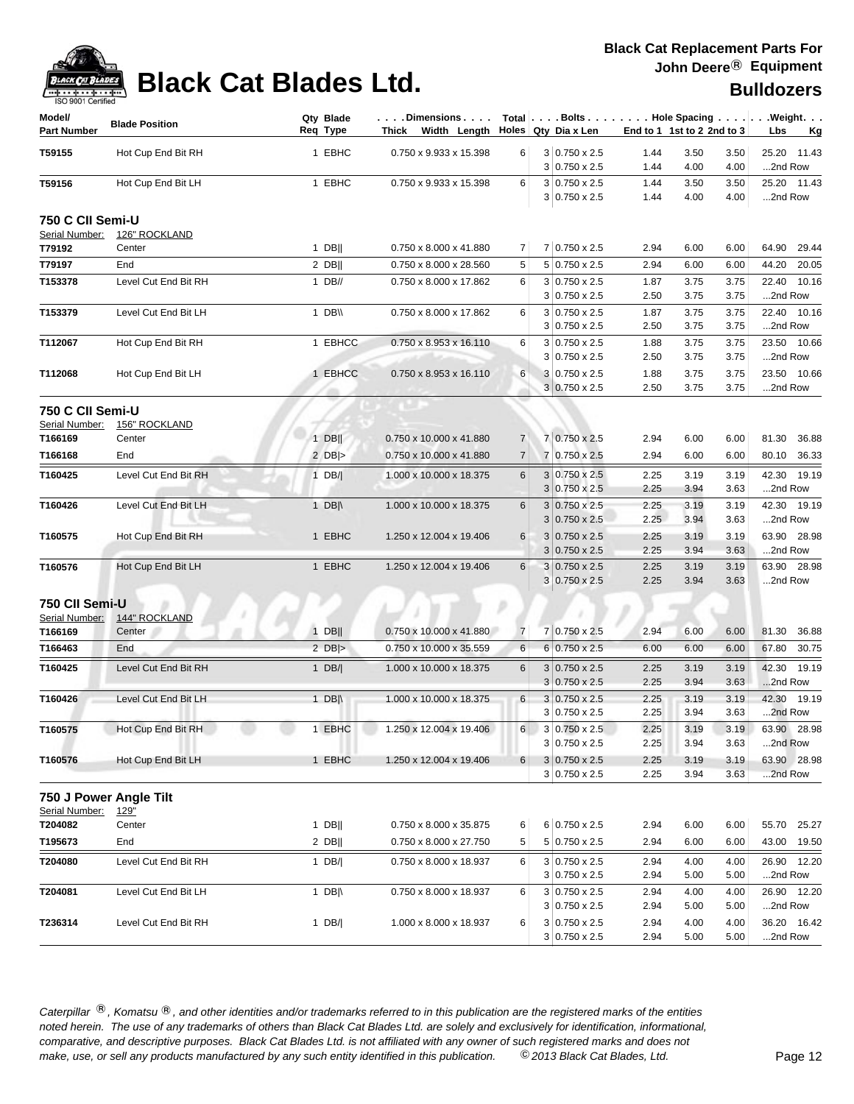

# **Black Cat Blades Ltd. Black Cat Blades Ltd. Bulldozers**

| <b>190 anni Ceimied</b>      |                       |                       |                                                                                                                                                                            |                |                                              |              |                            |              |                        |
|------------------------------|-----------------------|-----------------------|----------------------------------------------------------------------------------------------------------------------------------------------------------------------------|----------------|----------------------------------------------|--------------|----------------------------|--------------|------------------------|
| Model/<br><b>Part Number</b> | <b>Blade Position</b> | Qty Blade<br>Req Type | $ \ldots$ . Dimensions $\ldots $ Total $ \ldots$ . Bolts $\ldots $ $\ldots$ . Hole Spacing $\ldots $ $\ldots$ . Weight. $\ldots$<br>Thick Width Length Holes Qty Dia x Len |                |                                              |              | End to 1 1st to 2 2nd to 3 |              | Lbs<br><u>Kg</u>       |
| T59155                       | Hot Cup End Bit RH    | 1 EBHC                | 0.750 x 9.933 x 15.398                                                                                                                                                     | 6              | $3 0.750 \times 2.5$                         | 1.44         | 3.50                       | 3.50         | 25.20 11.43            |
|                              |                       |                       |                                                                                                                                                                            |                | $3 0.750 \times 2.5$                         | 1.44         | 4.00                       | 4.00         | 2nd Row                |
| T59156                       | Hot Cup End Bit LH    | 1 EBHC                | 0.750 x 9.933 x 15.398                                                                                                                                                     | 6              | $3 0.750 \times 2.5$<br>$3 0.750 \times 2.5$ | 1.44<br>1.44 | 3.50<br>4.00               | 3.50<br>4.00 | 25.20 11.43<br>2nd Row |
| 750 C CII Semi-U             |                       |                       |                                                                                                                                                                            |                |                                              |              |                            |              |                        |
| Serial Number:               | 126" ROCKLAND         |                       |                                                                                                                                                                            |                |                                              |              |                            |              |                        |
| T79192                       | Center                | $1$ DB                | 0.750 x 8.000 x 41.880                                                                                                                                                     | 7              | 7 0.750 x 2.5                                | 2.94         | 6.00                       | 6.00         | 64.90 29.44            |
| T79197                       | End                   | $2$ DB                | 0.750 x 8.000 x 28.560                                                                                                                                                     | 5              | 5 0.750 x 2.5                                | 2.94         | 6.00                       | 6.00         | 44.20<br>20.05         |
| T153378                      | Level Cut End Bit RH  | $1$ DB//              | 0.750 x 8.000 x 17.862                                                                                                                                                     | 6              | $3 0.750 \times 2.5$<br>$3 0.750 \times 2.5$ | 1.87<br>2.50 | 3.75<br>3.75               | 3.75<br>3.75 | 22.40 10.16<br>2nd Row |
| T153379                      | Level Cut End Bit LH  | 1 $DB \vee$           | 0.750 x 8.000 x 17.862                                                                                                                                                     | 6              | $3 0.750 \times 2.5$                         | 1.87         | 3.75                       | 3.75         | 22.40 10.16            |
|                              |                       |                       |                                                                                                                                                                            |                | $3 0.750 \times 2.5$                         | 2.50         | 3.75                       | 3.75         | 2nd Row                |
| T112067                      | Hot Cup End Bit RH    | 1 EBHCC               | $0.750 \times 8.953 \times 16.110$                                                                                                                                         | 6              | $3 0.750 \times 2.5$<br>$3 0.750 \times 2.5$ | 1.88<br>2.50 | 3.75<br>3.75               | 3.75<br>3.75 | 23.50 10.66<br>2nd Row |
| T112068                      | Hot Cup End Bit LH    | 1 EBHCC               | 0.750 x 8.953 x 16.110                                                                                                                                                     | 6              | 3 0.750 x 2.5                                | 1.88         | 3.75                       | 3.75         | 23.50 10.66            |
|                              |                       |                       |                                                                                                                                                                            |                | $3 0.750 \times 2.5$                         | 2.50         | 3.75                       | 3.75         | 2nd Row                |
| 750 C CII Semi-U             |                       |                       |                                                                                                                                                                            |                |                                              |              |                            |              |                        |
| Serial Number:               | 156" ROCKLAND         |                       |                                                                                                                                                                            |                |                                              |              |                            |              |                        |
| T166169                      | Center                | $1$ DB                | 0.750 x 10.000 x 41.880                                                                                                                                                    | 7              | 7 0.750 x 2.5                                | 2.94         | 6.00                       | 6.00         | 81.30 36.88            |
| T166168                      | End                   | $2$ DB >              | 0.750 x 10.000 x 41.880                                                                                                                                                    | 7              | 7 0.750 x 2.5                                | 2.94         | 6.00                       | 6.00         | 80.10 36.33            |
| T160425                      | Level Cut End Bit RH  | $1$ DB/               | 1.000 x 10.000 x 18.375                                                                                                                                                    | 6              | $3 0.750 \times 2.5$                         | 2.25         | 3.19                       | 3.19         | 42.30 19.19            |
|                              |                       |                       |                                                                                                                                                                            |                | $3 0.750 \times 2.5$                         | 2.25         | 3.94                       | 3.63         | 2nd Row                |
| T160426                      | Level Cut End Bit LH  | 1 DB $\parallel$      | 1.000 x 10.000 x 18.375                                                                                                                                                    | 6              | $3 0.750 \times 2.5$<br>$3 0.750 \times 2.5$ | 2.25<br>2.25 | 3.19<br>3.94               | 3.19<br>3.63 | 42.30 19.19<br>2nd Row |
| T160575                      | Hot Cup End Bit RH    | 1 EBHC                | 1.250 x 12.004 x 19.406                                                                                                                                                    | 6              | $3 0.750 \times 2.5$                         | 2.25         | 3.19                       | 3.19         | 63.90 28.98            |
|                              |                       |                       |                                                                                                                                                                            |                | $3 0.750 \times 2.5$                         | 2.25         | 3.94                       | 3.63         | 2nd Row                |
| T160576                      | Hot Cup End Bit LH    | 1 EBHC                | 1.250 x 12.004 x 19.406                                                                                                                                                    | 6              | $3 0.750 \times 2.5$<br>$3 0.750 \times 2.5$ | 2.25<br>2.25 | 3.19<br>3.94               | 3.19<br>3.63 | 63.90 28.98<br>2nd Row |
|                              |                       |                       |                                                                                                                                                                            |                |                                              |              |                            |              |                        |
| 750 CII Semi-U               |                       |                       |                                                                                                                                                                            |                |                                              |              |                            |              |                        |
| Serial Number:               | 144" ROCKLAND         |                       |                                                                                                                                                                            |                |                                              |              |                            |              |                        |
| T166169                      | Center<br><b>End</b>  | $1$ DB                | $0.750 \times 10.000 \times 41.880$                                                                                                                                        | $\overline{7}$ | 7 0.750 x 2.5<br>6 0.750 x 2.5               | 2.94         | 6.00                       | 6.00         | 81.30 36.88            |
| T166463                      |                       | $2$ DB >              | 0.750 x 10.000 x 35.559                                                                                                                                                    | 6              |                                              | 6.00         | 6.00                       | 6.00         | 67.80 30.75            |
| T160425                      | Level Cut End Bit RH  | 1 $DB/ $              | 1.000 x 10.000 x 18.375                                                                                                                                                    | 6              | $3 0.750 \times 2.5$                         | 2.25         | 3.19                       | 3.19         | 42.30<br>19.19         |
|                              |                       |                       |                                                                                                                                                                            |                | $3 0.750 \times 2.5$                         | 2.25         | 3.94                       | 3.63         | 2nd Row                |
| T160426                      | Level Cut End Bit LH  | 1 $DB \land$          | 1.000 x 10.000 x 18.375                                                                                                                                                    | 6              | $3 0.750 \times 2.5$                         | 2.25         | 3.19                       | 3.19         | 42.30 19.19            |
|                              |                       |                       |                                                                                                                                                                            |                | $3 0.750 \times 2.5$                         | 2.25         | 3.94                       | 3.63         | 2nd Row                |
| T160575                      | Hot Cup End Bit RH    | 1 EBHC                | 1.250 x 12.004 x 19.406                                                                                                                                                    |                | 3 0.750 x 2.5<br>$3 0.750 \times 2.5$        | 2.25<br>2.25 | 3.19<br>3.94               | 3.19<br>3.63 | 63.90 28.98<br>2nd Row |
|                              |                       |                       |                                                                                                                                                                            |                |                                              |              |                            |              |                        |
| T160576                      | Hot Cup End Bit LH    | 1 EBHC                | 1.250 x 12.004 x 19.406                                                                                                                                                    | $6 \mid$       | $3 0.750 \times 2.5$<br>$3 0.750 \times 2.5$ | 2.25<br>2.25 | 3.19<br>3.94               | 3.19<br>3.63 | 63.90 28.98<br>2nd Row |
| 750 J Power Angle Tilt       |                       |                       |                                                                                                                                                                            |                |                                              |              |                            |              |                        |
| Serial Number:               | 129"                  |                       |                                                                                                                                                                            |                |                                              |              |                            |              |                        |
| T204082                      | Center                | $1$ DB                | 0.750 x 8.000 x 35.875                                                                                                                                                     | 6              | 6 0.750 x 2.5                                | 2.94         | 6.00                       | 6.00         | 55.70 25.27            |
| T195673                      | End                   | $2$ DB                | 0.750 x 8.000 x 27.750                                                                                                                                                     | 5              | $5 0.750 \times 2.5$                         | 2.94         | 6.00                       | 6.00         | 43.00 19.50            |
| T204080                      | Level Cut End Bit RH  | 1 $DB/$               | 0.750 x 8.000 x 18.937                                                                                                                                                     | 6              | $3 0.750 \times 2.5$                         | 2.94         | 4.00                       | 4.00         | 26.90 12.20            |
|                              |                       |                       |                                                                                                                                                                            |                | $3 0.750 \times 2.5$                         | 2.94         | 5.00                       | 5.00         | 2nd Row                |
| T204081                      | Level Cut End Bit LH  | 1 DB $\parallel$      | 0.750 x 8.000 x 18.937                                                                                                                                                     | 6              | $3 0.750 \times 2.5$                         | 2.94         | 4.00                       | 4.00         | 26.90 12.20            |
|                              |                       |                       |                                                                                                                                                                            |                | $3 0.750 \times 2.5$                         | 2.94         | 5.00                       | 5.00         | 2nd Row                |
| T236314                      | Level Cut End Bit RH  | 1 DB/                 | 1.000 x 8.000 x 18.937                                                                                                                                                     | 6              | $3 0.750 \times 2.5$                         | 2.94         | 4.00                       | 4.00         | 36.20 16.42            |
|                              |                       |                       |                                                                                                                                                                            |                | $3 0.750 \times 2.5$                         | 2.94         | 5.00                       | 5.00         | 2nd Row                |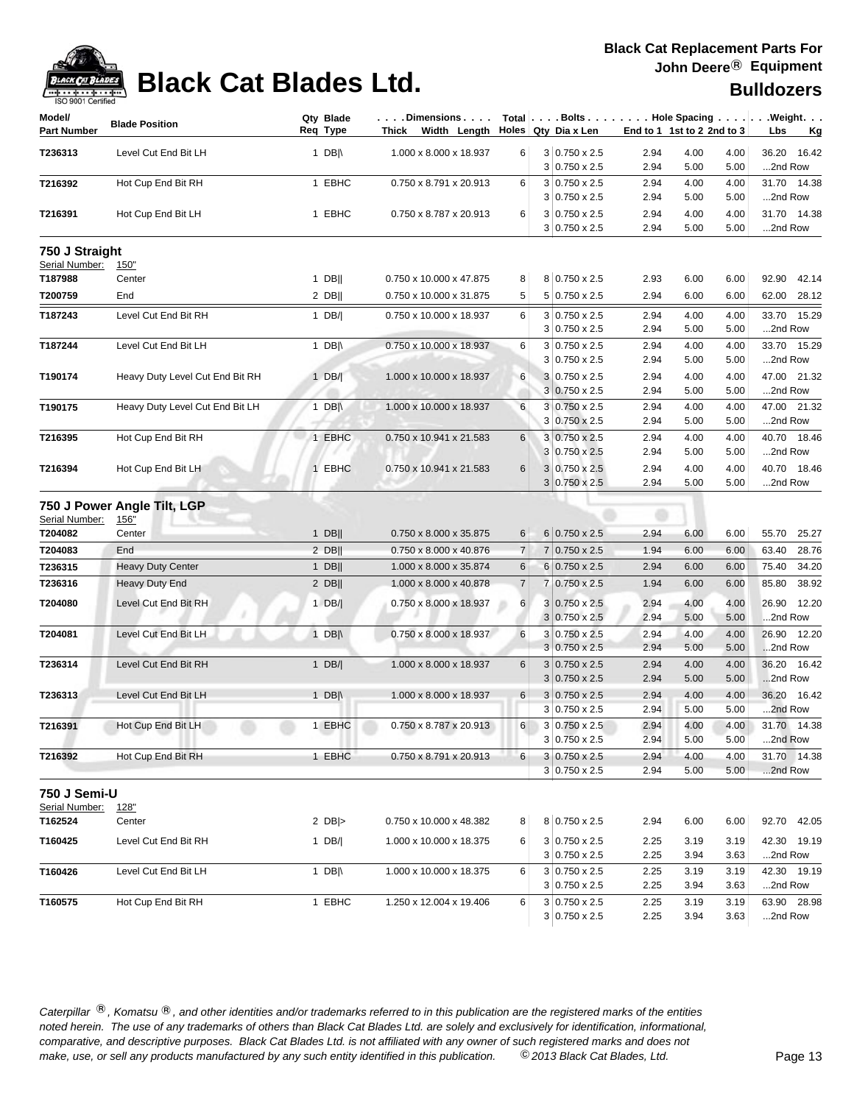

| Model/         | <b>Blade Position</b>           | Qty Blade        | $\ldots$ . Dimensions $\ldots$ . |                | Total $\vert \ldots$ Bolts $\ldots \vert \ldots$ Hole Spacing $\ldots \vert \ldots$ Weight. $\ldots$ |              |                              |                           |
|----------------|---------------------------------|------------------|----------------------------------|----------------|------------------------------------------------------------------------------------------------------|--------------|------------------------------|---------------------------|
| Part Number    |                                 | Req Type         | Thick Width Length               |                | Holes Qty Dia x Len                                                                                  |              | End to 1 1st to 2 2nd to 3   | Lbs<br><u>Kg</u>          |
| T236313        | Level Cut End Bit LH            | 1 DB $\parallel$ | 1.000 x 8.000 x 18.937           | 6              | $3 0.750 \times 2.5$                                                                                 | 2.94         | 4.00<br>4.00                 | 36.20<br>16.42            |
|                |                                 |                  |                                  |                | $3 0.750 \times 2.5$                                                                                 | 2.94         | 5.00<br>5.00                 | 2nd Row                   |
| T216392        | Hot Cup End Bit RH              | 1 EBHC           | 0.750 x 8.791 x 20.913           | 6              | $3 0.750 \times 2.5$                                                                                 | 2.94         | 4.00<br>4.00                 | 31.70 14.38               |
|                |                                 |                  |                                  |                | $3 0.750 \times 2.5$                                                                                 | 2.94         | 5.00<br>5.00                 | 2nd Row                   |
| T216391        | Hot Cup End Bit LH              | 1 EBHC           | 0.750 x 8.787 x 20.913           | 6              | $3 0.750 \times 2.5$<br>$3 0.750 \times 2.5$                                                         | 2.94<br>2.94 | 4.00<br>4.00<br>5.00<br>5.00 | 31.70 14.38<br>2nd Row    |
| 750 J Straight |                                 |                  |                                  |                |                                                                                                      |              |                              |                           |
| Serial Number: | <u>150"</u>                     |                  |                                  |                |                                                                                                      |              |                              |                           |
| T187988        | Center                          | 1 DBII           | 0.750 x 10.000 x 47.875          | 8              | 8 0.750 x 2.5                                                                                        | 2.93         | 6.00<br>6.00                 | 92.90<br>42.14            |
| T200759        | End                             | $2$ DB           | 0.750 x 10.000 x 31.875          | 5              | $5 0.750 \times 2.5$                                                                                 | 2.94         | 6.00<br>6.00                 | 62.00 28.12               |
| T187243        | Level Cut End Bit RH            | 1 $DB/$          | 0.750 x 10.000 x 18.937          | 6              | $3 0.750 \times 2.5$                                                                                 | 2.94         | 4.00<br>4.00                 | 33.70 15.29               |
|                |                                 |                  |                                  |                | $3 0.750 \times 2.5$                                                                                 | 2.94         | 5.00<br>5.00                 | 2nd Row                   |
| T187244        | Level Cut End Bit LH            | 1 DB $\parallel$ | 0.750 x 10.000 x 18.937          | 6              | $3 0.750 \times 2.5$                                                                                 | 2.94         | 4.00<br>4.00                 | 33.70 15.29               |
|                |                                 |                  |                                  |                | $3 0.750 \times 2.5$                                                                                 | 2.94         | 5.00<br>5.00                 | 2nd Row                   |
| T190174        | Heavy Duty Level Cut End Bit RH | $1$ DB/          | 1.000 x 10.000 x 18.937          | 6              | 3 0.750 x 2.5                                                                                        | 2.94         | 4.00<br>4.00                 | 47.00 21.32               |
|                |                                 | m                |                                  |                | $3 0.750 \times 2.5$                                                                                 | 2.94         | 5.00<br>5.00                 | 2nd Row                   |
| T190175        | Heavy Duty Level Cut End Bit LH | 1 DB $\parallel$ | 1.000 x 10.000 x 18.937          | 6              | $3 0.750 \times 2.5$                                                                                 | 2.94         | 4.00<br>4.00                 | 47.00 21.32               |
|                |                                 |                  |                                  |                | $3 0.750 \times 2.5$                                                                                 | 2.94         | 5.00<br>5.00                 | 2nd Row                   |
| T216395        | Hot Cup End Bit RH              | 1 EBHC           | 0.750 x 10.941 x 21.583          | 6              | $3 0.750 \times 2.5$<br>3 0.750 x 2.5                                                                | 2.94<br>2.94 | 4.00<br>4.00<br>5.00<br>5.00 | 40.70 18.46<br>2nd Row    |
| T216394        | Hot Cup End Bit LH              | 1 EBHC           | 0.750 x 10.941 x 21.583          | 6              | $3 0.750 \times 2.5$                                                                                 | 2.94         | 4.00<br>4.00                 | 40.70 18.46               |
|                |                                 |                  |                                  |                | $3 0.750 \times 2.5$                                                                                 | 2.94         | 5.00<br>5.00                 | 2nd Row                   |
|                | 750 J Power Angle Tilt, LGP     |                  |                                  |                |                                                                                                      |              |                              |                           |
| Serial Number: | <u>156"</u>                     |                  |                                  |                |                                                                                                      |              |                              |                           |
| T204082        | Center                          | $1$ DB           | 0.750 x 8.000 x 35.875           | 6              | $6 0.750 \times 2.5$                                                                                 | 2.94         | 6.00<br>6.00                 | 55.70 25.27               |
| T204083        | End                             | 2 DB             | 0.750 x 8.000 x 40.876           | $\overline{7}$ | $7 0.750 \times 2.5$                                                                                 | 1.94         | 6.00<br>6.00                 | 63.40<br>28.76            |
| T236315        | <b>Heavy Duty Center</b>        | $1$ DB           | 1.000 x 8.000 x 35.874           | 6              | $6 0.750 \times 2.5$                                                                                 | 2.94         | 6.00<br>6.00                 | 34.20<br>75.40            |
| T236316        | Heavy Duty End                  | $2$ DB           | 1.000 x 8.000 x 40.878           | $\overline{7}$ | 7 0.750 x 2.5                                                                                        | 1.94         | 6.00<br>6.00                 | 85.80<br>38.92            |
| T204080        | Level Cut End Bit RH            | $1$ DB/          | 0.750 x 8.000 x 18.937           | 6              | 3<br>$0.750 \times 2.5$<br>$3 0.750 \times 2.5$                                                      | 2.94<br>2.94 | 4.00<br>4.00<br>5.00<br>5.00 | 26.90<br>12.20<br>2nd Row |
| T204081        |                                 |                  |                                  | 6              |                                                                                                      |              |                              | 26.90 12.20               |
|                | Level Cut End Bit LH            | 1 $DB \wedge$    | 0.750 x 8.000 x 18.937           |                | $3 0.750 \times 2.5$<br>$3 0.750 \times 2.5$                                                         | 2.94<br>2.94 | 4.00<br>4.00<br>5.00<br>5.00 | 2nd Row                   |
| T236314        | Level Cut End Bit RH            | $1$ DB/          | 1.000 x 8.000 x 18.937           | 6              | $3 0.750 \times 2.5$                                                                                 | 2.94         | 4.00<br>4.00                 | 16.42<br>36.20            |
|                |                                 |                  |                                  |                | $3 0.750 \times 2.5$                                                                                 | 2.94         | 5.00<br>5.00                 | 2nd Row                   |
| T236313        | Level Cut End Bit LH            | 1 DB $\parallel$ | 1.000 x 8.000 x 18.937           | $6 \mid$       | $3 0.750 \times 2.5$                                                                                 | 2.94         | 4.00<br>4.00                 | 36.20 16.42               |
|                |                                 |                  |                                  |                | $3 0.750 \times 2.5$                                                                                 | 2.94         | 5.00<br>5.00                 | 2nd Row                   |
| T216391        | Hot Cup End Bit LH              | 1 EBHC           | 0.750 x 8.787 x 20.913           | 6              | $3 0.750 \times 2.5$                                                                                 | 2.94         | 4.00<br>4.00                 | 31.70 14.38               |
|                |                                 |                  |                                  |                | 3 0.750 x 2.5                                                                                        | 2.94         | 5.00<br>5.00                 | 2nd Row                   |
| T216392        | Hot Cup End Bit RH              | 1 EBHC           | 0.750 x 8.791 x 20.913           | 6              | $3 0.750 \times 2.5$                                                                                 | 2.94         | 4.00<br>4.00                 | 31.70 14.38               |
|                |                                 |                  |                                  |                | $3 0.750 \times 2.5$                                                                                 | 2.94         | 5.00<br>5.00                 | 2nd Row                   |
| 750 J Semi-U   |                                 |                  |                                  |                |                                                                                                      |              |                              |                           |
| Serial Number: | <u>128"</u>                     |                  |                                  |                |                                                                                                      |              |                              |                           |
| T162524        | Center                          | $2$ DB >         | 0.750 x 10.000 x 48.382          | 8              | 8 0.750 x 2.5                                                                                        | 2.94         | 6.00<br>6.00                 | 92.70 42.05               |
| T160425        | Level Cut End Bit RH            | $1$ DB/          | 1.000 x 10.000 x 18.375          | 6              | $3 0.750 \times 2.5$                                                                                 | 2.25         | 3.19<br>3.19                 | 42.30 19.19               |
|                |                                 |                  |                                  |                | $3 0.750 \times 2.5$                                                                                 | 2.25         | 3.94<br>3.63                 | 2nd Row                   |
| T160426        | Level Cut End Bit LH            | 1 DB $\parallel$ | 1.000 x 10.000 x 18.375          | 6              | $3 0.750 \times 2.5$                                                                                 | 2.25         | 3.19<br>3.19                 | 42.30 19.19               |
|                |                                 |                  |                                  |                | $3 0.750 \times 2.5$                                                                                 | 2.25         | 3.94<br>3.63                 | 2nd Row                   |
| T160575        | Hot Cup End Bit RH              | 1 EBHC           | 1.250 x 12.004 x 19.406          | 6              | $3 0.750 \times 2.5$                                                                                 | 2.25         | 3.19<br>3.19                 | 63.90 28.98               |
|                |                                 |                  |                                  |                | $3 0.750 \times 2.5$                                                                                 | 2.25         | 3.94<br>3.63                 | 2nd Row                   |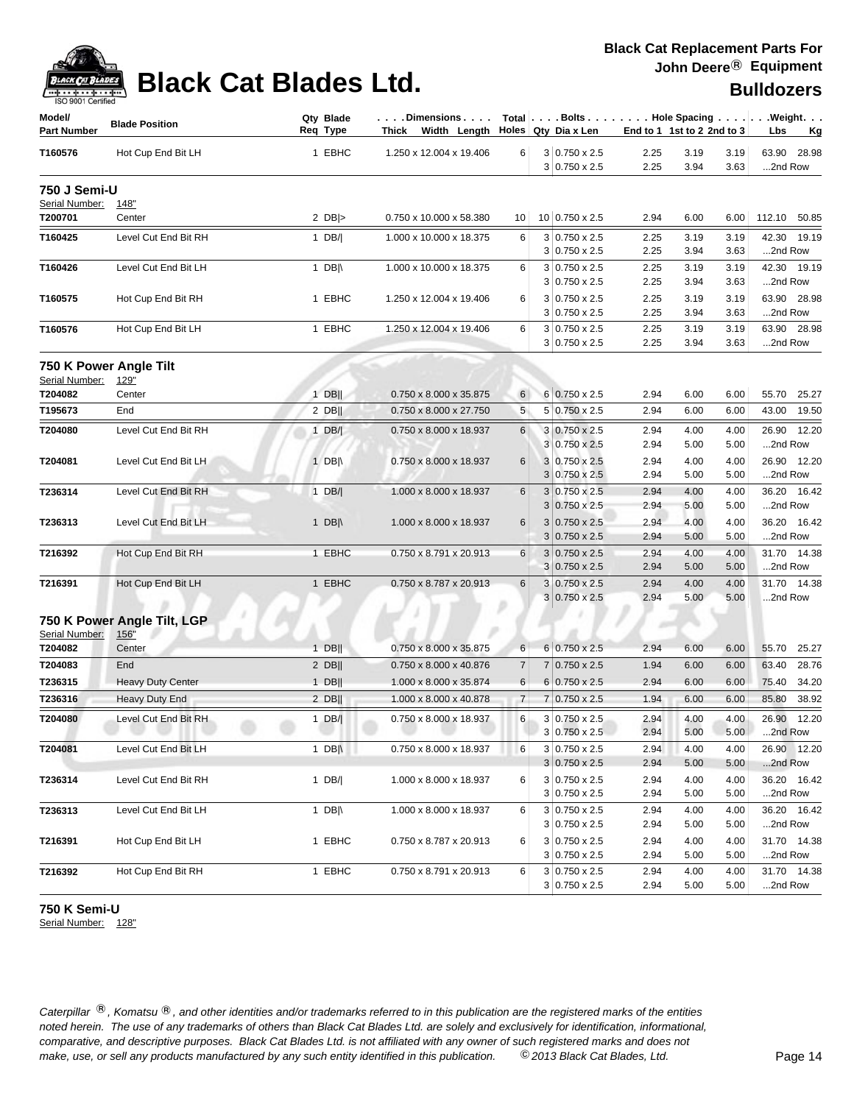

| Model/<br><b>Part Number</b>   | <b>Blade Position</b>                      | Qty Blade<br>Req Type | Dimensions<br>Thick Width Length Holes Qty Diax Len |                |   |                                              | End to 1 1st to 2 2nd to 3 |              |              | Total   Bolts   Hole Spacing   Weight.<br>Lbs<br>Kg |
|--------------------------------|--------------------------------------------|-----------------------|-----------------------------------------------------|----------------|---|----------------------------------------------|----------------------------|--------------|--------------|-----------------------------------------------------|
| T160576                        | Hot Cup End Bit LH                         | 1 EBHC                | 1.250 x 12.004 x 19.406                             | 6              |   | $3 0.750 \times 2.5$                         | 2.25                       | 3.19         | 3.19         | 63.90<br>28.98                                      |
|                                |                                            |                       |                                                     |                |   | $3 0.750 \times 2.5$                         | 2.25                       | 3.94         | 3.63         | 2nd Row                                             |
| 750 J Semi-U<br>Serial Number: | 148"                                       |                       |                                                     |                |   |                                              |                            |              |              |                                                     |
| T200701                        | Center                                     | 2 $DB$ $>$            | 0.750 x 10.000 x 58.380                             | 10             |   | 10 0.750 x 2.5                               | 2.94                       | 6.00         | 6.00         | 112.10 50.85                                        |
| T160425                        | Level Cut End Bit RH                       | 1 $DB/$               | 1.000 x 10.000 x 18.375                             | 6              |   | $3 0.750 \times 2.5$                         | 2.25                       | 3.19         | 3.19         | 42.30 19.19                                         |
|                                |                                            |                       |                                                     |                |   | $3 0.750 \times 2.5$                         | 2.25                       | 3.94         | 3.63         | 2nd Row                                             |
| T160426                        | Level Cut End Bit LH                       | 1 DB $\parallel$      | 1.000 x 10.000 x 18.375                             | 6              |   | $3 0.750 \times 2.5$<br>$3 0.750 \times 2.5$ | 2.25<br>2.25               | 3.19<br>3.94 | 3.19         | 42.30 19.19<br>2nd Row                              |
| T160575                        | Hot Cup End Bit RH                         | 1 EBHC                | 1.250 x 12.004 x 19.406                             | 6              |   | $3 0.750 \times 2.5$                         | 2.25                       | 3.19         | 3.63<br>3.19 | 63.90 28.98                                         |
|                                |                                            |                       |                                                     |                |   | $3 0.750 \times 2.5$                         | 2.25                       | 3.94         | 3.63         | 2nd Row                                             |
| T160576                        | Hot Cup End Bit LH                         | 1 EBHC                | 1.250 x 12.004 x 19.406                             | 6              |   | $3 0.750 \times 2.5$                         | 2.25                       | 3.19         | 3.19         | 63.90 28.98                                         |
|                                |                                            |                       |                                                     |                |   | $3 0.750 \times 2.5$                         | 2.25                       | 3.94         | 3.63         | 2nd Row                                             |
| Serial Number:                 | 750 K Power Angle Tilt<br>129"             |                       |                                                     |                |   |                                              |                            |              |              |                                                     |
| T204082                        | Center                                     | $1$ DB                | 0.750 x 8.000 x 35.875                              | 6              |   | 6 0.750 x 2.5                                | 2.94                       | 6.00         | 6.00         | 25.27<br>55.70                                      |
| T195673                        | End                                        | $2$ DB                | 0.750 x 8.000 x 27.750                              | 5              |   | $5 0.750 \times 2.5$                         | 2.94                       | 6.00         | 6.00         | 43.00<br>19.50                                      |
| T204080                        | Level Cut End Bit RH                       | 1 DB/                 | 0.750 x 8.000 x 18.937                              | 6              |   | $3 0.750 \times 2.5$                         | 2.94                       | 4.00         | 4.00         | 26.90 12.20                                         |
|                                |                                            |                       |                                                     |                |   | $3 0.750 \times 2.5$                         | 2.94                       | 5.00         | 5.00         | 2nd Row                                             |
| T204081                        | Level Cut End Bit LH                       | 1 DB $\parallel$      | 0.750 x 8.000 x 18.937                              | 6              |   | $3 0.750 \times 2.5$                         | 2.94                       | 4.00         | 4.00         | 26.90 12.20                                         |
|                                |                                            |                       |                                                     |                |   | $3 0.750 \times 2.5$                         | 2.94                       | 5.00         | 5.00         | 2nd Row                                             |
| T236314                        | Level Cut End Bit RH                       | $1$ DB/               | 1.000 x 8.000 x 18.937                              | 6              |   | $3 0.750 \times 2.5$                         | 2.94                       | 4.00         | 4.00         | 36.20 16.42                                         |
|                                |                                            |                       |                                                     |                | 3 | $0.750 \times 2.5$                           | 2.94                       | 5.00         | 5.00         | 2nd Row                                             |
| T236313                        | Level Cut End Bit LH                       | 1 DB $\parallel$      | 1.000 x 8.000 x 18.937                              | 6              | 3 | $0.750 \times 2.5$<br>$3 0.750 \times 2.5$   | 2.94<br>2.94               | 4.00<br>5.00 | 4.00<br>5.00 | 36.20 16.42<br>2nd Row                              |
| T216392                        | Hot Cup End Bit RH                         | 1 EBHC                | 0.750 x 8.791 x 20.913                              | 6              |   | $3 0.750 \times 2.5$                         | 2.94                       | 4.00         | 4.00         | 31.70 14.38                                         |
|                                |                                            |                       |                                                     |                |   | $3 0.750 \times 2.5$                         | 2.94                       | 5.00         | 5.00         | 2nd Row                                             |
| T216391                        | Hot Cup End Bit LH                         | 1 EBHC                | 0.750 x 8.787 x 20.913                              | 6              |   | $3 0.750 \times 2.5$                         | 2.94                       | 4.00         | 4.00         | 31.70 14.38                                         |
|                                |                                            |                       |                                                     |                |   | $3 0.750 \times 2.5$                         | 2.94                       | 5.00         | 5.00         | 2nd Row                                             |
| Serial Number:                 | 750 K Power Angle Tilt, LGP<br><u>156"</u> |                       |                                                     |                |   |                                              |                            |              |              |                                                     |
| T204082                        | Center                                     | $1$ DB                | 0.750 x 8.000 x 35.875                              | 6              |   | $6 0.750 \times 2.5$                         | 2.94                       | 6.00         | 6.00         | 55.70<br>25.27                                      |
| T204083                        | End                                        | $2$ DB                | 0.750 x 8.000 x 40.876                              | $\overline{7}$ | 7 | $0.750 \times 2.5$                           | 1.94                       | 6.00         | 6.00         | 63.40<br>28.76                                      |
| T236315                        | <b>Heavy Duty Center</b>                   | $1$ DB                | 1.000 x 8.000 x 35.874                              | 6              |   | $6 0.750 \times 2.5$                         | 2.94                       | 6.00         | 6.00         | 75.40<br>34.20                                      |
| T236316                        | Heavy Duty End                             | $2$ DB                | 1.000 x 8.000 x 40.878                              | $\overline{7}$ | 7 | $0.750 \times 2.5$                           | 1.94                       | 6.00         | 6.00         | 38.92<br>85.80                                      |
| T204080                        | Level Cut End Bit RH                       | $1$ DB/               | 0.750 x 8.000 x 18.937                              | 6              |   | $3 0.750 \times 2.5$<br>$3 0.750 \times 2.5$ | 2.94<br>2.94               | 4.00<br>5.00 | 4.00<br>5.00 | 26.90<br>12.20<br>2nd Row                           |
| T204081                        | Level Cut End Bit LH                       | 1 DB $\parallel$      | 0.750 x 8.000 x 18.937                              | 6              |   | $3 0.750 \times 2.5$                         | 2.94                       | 4.00         | 4.00         | 26.90 12.20                                         |
|                                |                                            |                       |                                                     |                |   | $3 0.750 \times 2.5$                         | 2.94                       | 5.00         | 5.00         | 2nd Row                                             |
| T236314                        | Level Cut End Bit RH                       | $1$ DB/               | 1.000 x 8.000 x 18.937                              | 6              |   | $3 0.750 \times 2.5$<br>$3 0.750 \times 2.5$ | 2.94<br>2.94               | 4.00<br>5.00 | 4.00<br>5.00 | 36.20 16.42<br>2nd Row                              |
| T236313                        | Level Cut End Bit LH                       | 1 DB $\parallel$      | 1.000 x 8.000 x 18.937                              | 6              |   | $3 0.750 \times 2.5$                         | 2.94                       | 4.00         | 4.00         | 36.20 16.42                                         |
|                                |                                            |                       |                                                     |                |   | $3 0.750 \times 2.5$                         | 2.94                       | 5.00         | 5.00         | 2nd Row                                             |
| T216391                        | Hot Cup End Bit LH                         | 1 EBHC                | 0.750 x 8.787 x 20.913                              | 6              |   | $3 0.750 \times 2.5$                         | 2.94                       | 4.00         | 4.00         | 31.70 14.38                                         |
|                                |                                            |                       |                                                     |                |   | $3 0.750 \times 2.5$                         | 2.94                       | 5.00         | 5.00         | 2nd Row                                             |
| T216392                        | Hot Cup End Bit RH                         | 1 EBHC                | 0.750 x 8.791 x 20.913                              | 6              |   | $3 0.750 \times 2.5$<br>$3 0.750 \times 2.5$ | 2.94<br>2.94               | 4.00<br>5.00 | 4.00<br>5.00 | 31.70 14.38<br>2nd Row                              |

### **750 K Semi-U**

Serial Number: 128"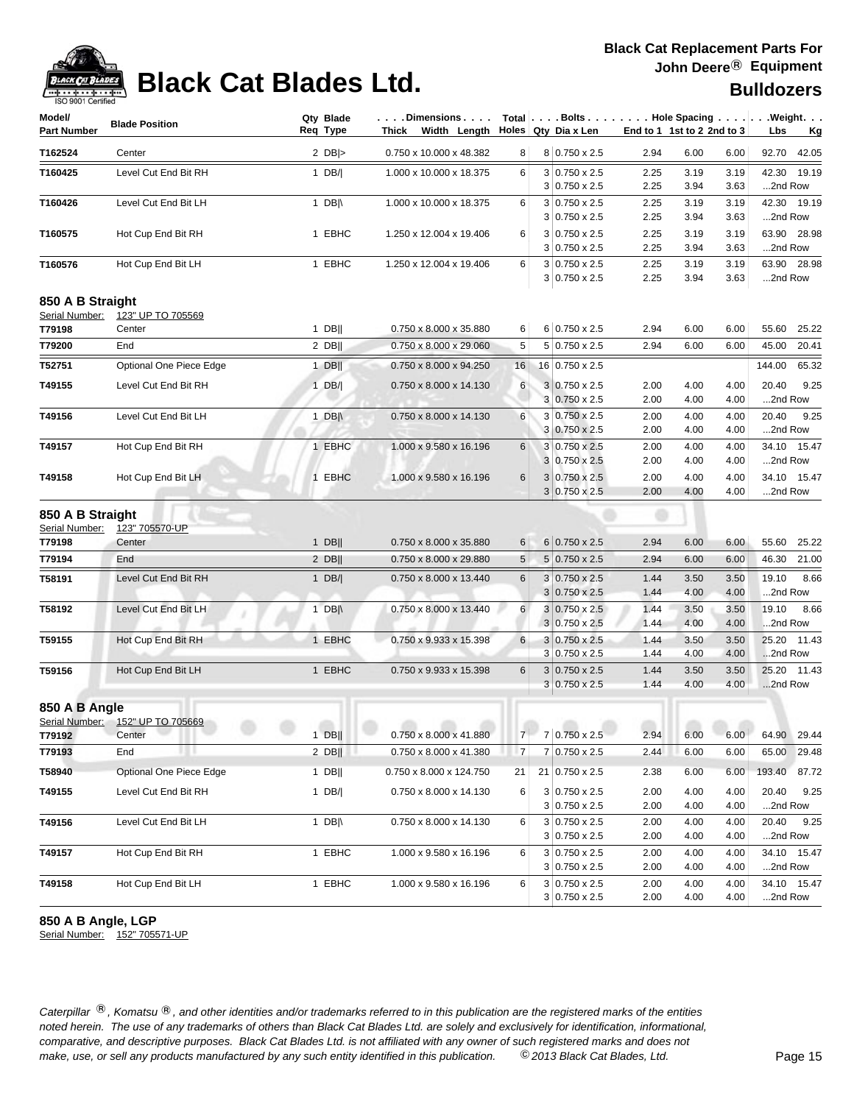

# **Black Cat Blades Ltd. Black Cat Blades Ltd. Black Cat Blades Ltd.**

| Model/<br><b>Part Number</b>                 | <b>Blade Position</b>                      | Qty Blade<br>Req Type | . Dimensions<br>Thick Width Length Holes Qty Dia x Len          |                |                                              |              | End to 1 1st to 2 2nd to 3 |              | Total Bolts Hole Spacing Weight.<br>Lbs<br><u>Kg</u> |
|----------------------------------------------|--------------------------------------------|-----------------------|-----------------------------------------------------------------|----------------|----------------------------------------------|--------------|----------------------------|--------------|------------------------------------------------------|
| T162524                                      | Center                                     | 2 $DB$ $>$            | 0.750 x 10.000 x 48.382                                         | 8 <sup>1</sup> | 8 0.750 x 2.5                                | 2.94         | 6.00                       | 6.00         | 92.70 42.05                                          |
| T160425                                      | Level Cut End Bit RH                       | 1 $DB/ $              | 1.000 x 10.000 x 18.375                                         | 6              | $3 0.750 \times 2.5$                         | 2.25         | 3.19                       | 3.19         | 42.30 19.19                                          |
|                                              |                                            |                       |                                                                 |                | $3 0.750 \times 2.5$                         | 2.25         | 3.94                       | 3.63         | 2nd Row                                              |
| T160426                                      | Level Cut End Bit LH                       | 1 DB $\parallel$      | 1.000 x 10.000 x 18.375                                         | 6              | $3 0.750 \times 2.5$                         | 2.25         | 3.19                       | 3.19         | 42.30 19.19                                          |
|                                              |                                            |                       |                                                                 |                | $3 0.750 \times 2.5$                         | 2.25         | 3.94                       | 3.63         | 2nd Row                                              |
| T160575                                      | Hot Cup End Bit RH                         | 1 EBHC                | 1.250 x 12.004 x 19.406                                         | 6              | $3 0.750 \times 2.5$<br>$3 0.750 \times 2.5$ | 2.25<br>2.25 | 3.19<br>3.94               | 3.19<br>3.63 | 63.90 28.98<br>2nd Row                               |
|                                              |                                            | 1 EBHC                | 1.250 x 12.004 x 19.406                                         | 6              | $3 0.750 \times 2.5$                         |              | 3.19                       |              | 63.90 28.98                                          |
| T160576                                      | Hot Cup End Bit LH                         |                       |                                                                 |                | $3 0.750 \times 2.5$                         | 2.25<br>2.25 | 3.94                       | 3.19<br>3.63 | 2nd Row                                              |
| 850 A B Straight                             |                                            |                       |                                                                 |                |                                              |              |                            |              |                                                      |
| Serial Number:                               | 123" UP TO 705569                          |                       |                                                                 |                |                                              |              |                            |              |                                                      |
| T79198                                       | Center                                     | $1$ DB                | 0.750 x 8.000 x 35.880                                          | 6              | 6 0.750 x 2.5                                | 2.94         | 6.00                       | 6.00         | 55.60<br>25.22                                       |
| T79200                                       | End                                        | $2$ DB                | 0.750 x 8.000 x 29.060                                          | 5              | 5 0.750 x 2.5                                | 2.94         | 6.00                       | 6.00         | 45.00<br>20.41                                       |
| T52751                                       | Optional One Piece Edge                    | 1 DB $\parallel$      | 0.750 x 8.000 x 94.250                                          | 16             | 16 0.750 x 2.5                               |              |                            |              | 144.00<br>65.32                                      |
| T49155                                       | Level Cut End Bit RH                       | $1$ DB/               | 0.750 x 8.000 x 14.130                                          | 6              | $3 0.750 \times 2.5$                         | 2.00         | 4.00                       | 4.00         | 9.25<br>20.40                                        |
|                                              |                                            |                       |                                                                 |                | $3 0.750 \times 2.5$                         | 2.00         | 4.00                       | 4.00         | 2nd Row                                              |
| T49156                                       | Level Cut End Bit LH                       | 1 DB $\parallel$      | 0.750 x 8.000 x 14.130                                          | 6              | 3 0.750 x 2.5                                | 2.00         | 4.00                       | 4.00         | 20.40<br>9.25                                        |
|                                              |                                            |                       |                                                                 |                | $3 0.750 \times 2.5$                         | 2.00         | 4.00                       | 4.00         | 2nd Row                                              |
| T49157                                       | Hot Cup End Bit RH                         | 1 EBHC                | 1.000 x 9.580 x 16.196                                          | 6              | $3 0.750 \times 2.5$                         | 2.00         | 4.00                       | 4.00         | 34.10 15.47                                          |
|                                              |                                            |                       |                                                                 |                | 3 0.750 x 2.5                                | 2.00         | 4.00                       | 4.00         | 2nd Row                                              |
| T49158                                       | Hot Cup End Bit LH                         | 1 EBHC                | 1.000 x 9.580 x 16.196                                          | 6              | $3 0.750 \times 2.5$<br>$3 0.750 \times 2.5$ | 2.00<br>2.00 | 4.00<br>4.00               | 4.00<br>4.00 | 34.10 15.47<br>2nd Row                               |
| 850 A B Straight<br>Serial Number:<br>T79198 | 123" 705570-UP<br>Center                   | $1$ DB                | 0.750 x 8.000 x 35.880                                          | 6              | $6 0.750 \times 2.5$                         | 2.94         | 6.00                       | 6.00         | 55.60<br>25.22                                       |
| T79194                                       | End                                        | $2$ DB                | 0.750 x 8.000 x 29.880                                          | 5              | 5 0.750 x 2.5                                | 2.94         | 6.00                       | 6.00         | 46.30<br>21.00                                       |
| T58191                                       | Level Cut End Bit RH                       | 1 $DB/ $              | 0.750 x 8.000 x 13.440                                          | 6              | $3 0.750 \times 2.5$                         | 1.44         | 3.50                       | 3.50         | 8.66<br>19.10                                        |
|                                              |                                            |                       |                                                                 |                | $3 0.750 \times 2.5$                         | 1.44         | 4.00                       | 4.00         | 2nd Row                                              |
| T58192                                       | Level Cut End Bit LH                       | 1 DB $\parallel$      | 0.750 x 8.000 x 13.440                                          | 6              | $3 0.750 \times 2.5$                         | 1.44         | 3.50                       | 3.50         | 19.10<br>8.66                                        |
|                                              |                                            |                       |                                                                 |                | $3 0.750 \times 2.5$                         | 1.44         | 4.00                       | 4.00         | 2nd Row                                              |
| T59155                                       | Hot Cup End Bit RH                         | 1 EBHC                | 0.750 x 9.933 x 15.398                                          | 6              | $3 0.750 \times 2.5$                         | 1.44         | 3.50                       | 3.50         | 25.20 11.43                                          |
|                                              |                                            |                       |                                                                 |                | $3 0.750 \times 2.5$                         | 1.44         | 4.00                       | 4.00         | 2nd Row                                              |
| T59156                                       | Hot Cup End Bit LH                         | 1 EBHC                | 0.750 x 9.933 x 15.398                                          | 6              | $3 0.750 \times 2.5$                         | 1.44         | 3.50                       | 3.50         | 25.20 11.43                                          |
|                                              |                                            |                       |                                                                 |                | $3 0.750 \times 2.5$                         | 1.44         | 4.00                       | 4.00         | 2nd Row                                              |
| 850 A B Angle                                |                                            |                       |                                                                 |                |                                              |              |                            |              |                                                      |
| T79192                                       | Serial Number: 152" UP TO 705669<br>Center | 1 DB                  | $0.750 \times 8.000 \times 41.880$ $7 \times 70.750 \times 2.5$ |                |                                              | 2.94         | 6.00                       | 6.00         | 64.90<br>29.44                                       |
| T79193                                       | End                                        | $2$ DB                | 0.750 x 8.000 x 41.380                                          | $\overline{7}$ | 7 0.750 x 2.5                                | 2.44         | 6.00                       | 6.00         | 29.48<br>65.00                                       |
| T58940                                       | Optional One Piece Edge                    | 1 DB                  | 0.750 x 8.000 x 124.750                                         | 21             | 21 0.750 x 2.5                               | 2.38         | 6.00                       | 6.00         | 193.40<br>87.72                                      |
|                                              | Level Cut End Bit RH                       |                       |                                                                 |                |                                              |              |                            |              |                                                      |
| T49155                                       |                                            | 1 DB/                 | 0.750 x 8.000 x 14.130                                          | 6              | $3 0.750 \times 2.5$<br>$3 0.750 \times 2.5$ | 2.00<br>2.00 | 4.00<br>4.00               | 4.00<br>4.00 | 9.25<br>20.40<br>2nd Row                             |
| T49156                                       | Level Cut End Bit LH                       | 1 DB $\parallel$      | 0.750 x 8.000 x 14.130                                          | 6              | $3 0.750 \times 2.5$                         | 2.00         | 4.00                       | 4.00         | 9.25<br>20.40                                        |
|                                              |                                            |                       |                                                                 |                | $3 0.750 \times 2.5$                         | 2.00         | 4.00                       | 4.00         | 2nd Row                                              |
| T49157                                       | Hot Cup End Bit RH                         | 1 EBHC                | 1.000 x 9.580 x 16.196                                          | 6              | $3 0.750 \times 2.5$                         | 2.00         | 4.00                       | 4.00         | 34.10 15.47                                          |
|                                              |                                            |                       |                                                                 |                | $3 0.750 \times 2.5$                         | 2.00         | 4.00                       | 4.00         | 2nd Row                                              |
| T49158                                       | Hot Cup End Bit LH                         | 1 EBHC                | 1.000 x 9.580 x 16.196                                          | 6              | $3 0.750 \times 2.5$                         | 2.00         | 4.00                       | 4.00         | 34.10 15.47                                          |
|                                              |                                            |                       |                                                                 |                | $3 0.750 \times 2.5$                         | 2.00         | 4.00                       | 4.00         | 2nd Row                                              |

### **850 A B Angle, LGP**

Serial Number: 152" 705571-UP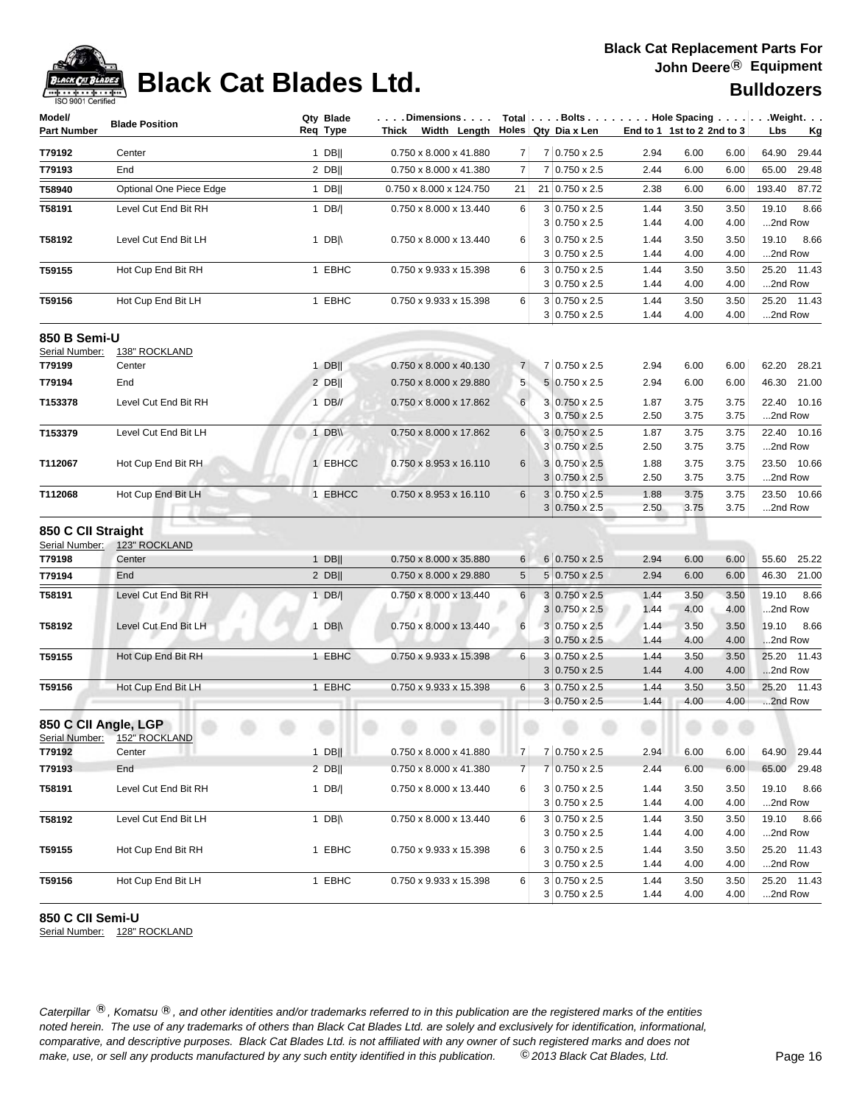

# **Black Cat Blades Ltd. Black Cat Blades Ltd. Black Cat Blades Ltd.**

| Model/<br><b>Part Number</b>           | <b>Blade Position</b>   | Qty Blade<br>Req Type | . Dimensions<br><b>Thick</b><br>Width Length |                |   | Holes Qty Dia x Len                          | End to 1 1st to 2 2nd to 3 |              |              | Total Bolts Hole Spacing Weight.<br>Lbs<br>Kg |
|----------------------------------------|-------------------------|-----------------------|----------------------------------------------|----------------|---|----------------------------------------------|----------------------------|--------------|--------------|-----------------------------------------------|
| T79192                                 | Center                  | $1$ DB                | 0.750 x 8.000 x 41.880                       | 7 <sup>1</sup> |   | 7 0.750 x 2.5                                | 2.94                       | 6.00         | 6.00         | 64.90<br>29.44                                |
| T79193                                 | End                     | $2$ DB                | 0.750 x 8.000 x 41.380                       | 7              |   | 7 0.750 x 2.5                                | 2.44                       | 6.00         | 6.00         | 65.00<br>29.48                                |
| T58940                                 | Optional One Piece Edge | $1$ DB                | 0.750 x 8.000 x 124.750                      | 21             |   | 21 0.750 x 2.5                               | 2.38                       | 6.00         | 6.00         | 193.40<br>87.72                               |
| T58191                                 | Level Cut End Bit RH    | $1$ DB/               | 0.750 x 8.000 x 13.440                       | 6              |   | $3 0.750 \times 2.5$<br>$3 0.750 \times 2.5$ | 1.44<br>1.44               | 3.50<br>4.00 | 3.50<br>4.00 | 19.10<br>8.66<br>2nd Row                      |
| T58192                                 | Level Cut End Bit LH    | 1 DB $\parallel$      | 0.750 x 8.000 x 13.440                       | 6              |   | $3 0.750 \times 2.5$<br>$3 0.750 \times 2.5$ | 1.44<br>1.44               | 3.50<br>4.00 | 3.50<br>4.00 | 19.10<br>8.66<br>2nd Row                      |
| T59155                                 | Hot Cup End Bit RH      | 1 EBHC                | 0.750 x 9.933 x 15.398                       | 6              |   | $3 0.750 \times 2.5$<br>$3 0.750 \times 2.5$ | 1.44<br>1.44               | 3.50<br>4.00 | 3.50<br>4.00 | 25.20 11.43<br>2nd Row                        |
| T59156                                 | Hot Cup End Bit LH      | 1 EBHC                | 0.750 x 9.933 x 15.398                       | 6              |   | $3 0.750 \times 2.5$<br>$3 0.750 \times 2.5$ | 1.44<br>1.44               | 3.50<br>4.00 | 3.50<br>4.00 | 25.20 11.43<br>2nd Row                        |
| 850 B Semi-U<br>Serial Number:         | 138" ROCKLAND           |                       |                                              |                |   |                                              |                            |              |              |                                               |
| T79199                                 | Center                  | $1$ DB                | 0.750 x 8.000 x 40.130                       | 7 <sup>1</sup> |   | 7 0.750 x 2.5                                | 2.94                       | 6.00         | 6.00         | 62.20<br>28.21                                |
| T79194                                 | End                     | $2$ DB                | 0.750 x 8.000 x 29.880                       | 5              |   | $5 0.750 \times 2.5$                         | 2.94                       | 6.00         | 6.00         | 46.30<br>21.00                                |
| T153378                                | Level Cut End Bit RH    | $1$ DB//              | 0.750 x 8.000 x 17.862                       | 6              |   | 3 0.750 x 2.5<br>3 0.750 x 2.5               | 1.87<br>2.50               | 3.75<br>3.75 | 3.75<br>3.75 | 22.40<br>10.16<br>2nd Row                     |
| T153379                                | Level Cut End Bit LH    | 1 DB\\                | 0.750 x 8.000 x 17.862                       | 6              |   | $3 0.750 \times 2.5$                         | 1.87                       | 3.75         | 3.75         | 22.40 10.16                                   |
|                                        |                         |                       |                                              |                |   | $3 0.750 \times 2.5$                         | 2.50                       | 3.75         | 3.75         | 2nd Row                                       |
| T112067                                | Hot Cup End Bit RH      | 1 EBHCC               | 0.750 x 8.953 x 16.110                       | 6              |   | 3 0.750 x 2.5<br>$3 0.750 \times 2.5$        | 1.88<br>2.50               | 3.75<br>3.75 | 3.75<br>3.75 | 23.50 10.66<br>2nd Row                        |
| T112068                                | Hot Cup End Bit LH      | 1 EBHCC               | 0.750 x 8.953 x 16.110                       | 6              |   | $3 0.750 \times 2.5$                         | 1.88                       | 3.75         | 3.75         | 23.50 10.66                                   |
| 850 C CII Straight<br>Serial Number:   | 123" ROCKLAND           |                       |                                              |                |   | $3 0.750 \times 2.5$                         | 2.50                       | 3.75         | 3.75         | 2nd Row                                       |
| T79198                                 | Center                  | $1$ DB                | 0.750 x 8.000 x 35.880                       | 6              |   | 6 0.750 x 2.5                                | 2.94                       | 6.00         | 6.00         | 55.60<br>25.22                                |
| T79194                                 | End                     | $2$ DB                | 0.750 x 8.000 x 29.880                       | 5              |   | $5 0.750 \times 2.5$                         | 2.94                       | 6.00         | 6.00         | 46.30<br>21.00                                |
| T58191                                 | Level Cut End Bit RH    | 1 $DB/ $              | 0.750 x 8.000 x 13.440                       | 6              | 3 | $3 0.750 \times 2.5$<br>$0.750 \times 2.5$   | 1.44<br>1.44               | 3.50<br>4.00 | 3.50<br>4.00 | 19.10<br>8.66<br>2nd Row                      |
| T58192                                 | Level Cut End Bit LH    | 1 DB $\parallel$      | 0.750 x 8.000 x 13.440                       | 6              |   | $3 0.750 \times 2.5$<br>$3 0.750 \times 2.5$ | 1.44<br>1.44               | 3.50<br>4.00 | 3.50<br>4.00 | 19.10<br>8.66<br>2nd Row                      |
| T59155                                 | Hot Cup End Bit RH      | 1 EBHC                | 0.750 x 9.933 x 15.398                       | 6              |   | $3 0.750 \times 2.5$<br>$3 0.750 \times 2.5$ | 1.44<br>1.44               | 3.50<br>4.00 | 3.50<br>4.00 | 25.20<br>11.43<br>2nd Row                     |
| T59156                                 | Hot Cup End Bit LH      | 1 EBHC                | 0.750 x 9.933 x 15.398                       | 6              |   | $3 0.750 \times 2.5$<br>$3 0.750 \times 2.5$ | 1.44<br>1.44               | 3.50<br>4.00 | 3.50<br>4.00 | 11.43<br>25.20<br>2nd Row                     |
| 850 C CII Angle, LGP<br>Serial Number: | 152" ROCKLAND           |                       | $\sim$                                       |                |   | . .                                          |                            |              |              |                                               |
| T79192                                 | Center                  | $1$ DB                | 0.750 x 8.000 x 41.880                       | 7 <sup>1</sup> |   | $7 0.750 \times 2.5$                         | 2.94                       | 6.00         | 6.00         | 64.90 29.44                                   |
| T79193                                 | End                     | $2$ DB                | 0.750 x 8.000 x 41.380                       | $\overline{7}$ |   | 7 0.750 x 2.5                                | 2.44                       | 6.00         | 6.00         | 65.00 29.48                                   |
| T58191                                 | Level Cut End Bit RH    | 1 $DB/ $              | 0.750 x 8.000 x 13.440                       | 6              |   | $3 0.750 \times 2.5$<br>$3 0.750 \times 2.5$ | 1.44<br>1.44               | 3.50<br>4.00 | 3.50<br>4.00 | 19.10<br>8.66<br>2nd Row                      |
| T58192                                 | Level Cut End Bit LH    | 1 DB $\parallel$      | 0.750 x 8.000 x 13.440                       | 6              |   | $3 0.750 \times 2.5$<br>$3 0.750 \times 2.5$ | 1.44<br>1.44               | 3.50<br>4.00 | 3.50<br>4.00 | 19.10<br>8.66<br>2nd Row                      |
| T59155                                 | Hot Cup End Bit RH      | 1 EBHC                | 0.750 x 9.933 x 15.398                       | 6              |   | $3 0.750 \times 2.5$<br>$3 0.750 \times 2.5$ | 1.44<br>1.44               | 3.50<br>4.00 | 3.50<br>4.00 | 25.20 11.43<br>2nd Row                        |
| T59156                                 | Hot Cup End Bit LH      | 1 EBHC                | 0.750 x 9.933 x 15.398                       | 6              |   | $3 0.750 \times 2.5$<br>$3 0.750 \times 2.5$ | 1.44<br>1.44               | 3.50<br>4.00 | 3.50<br>4.00 | 25.20 11.43<br>2nd Row                        |

### **850 C CII Semi-U**

Serial Number: 128" ROCKLAND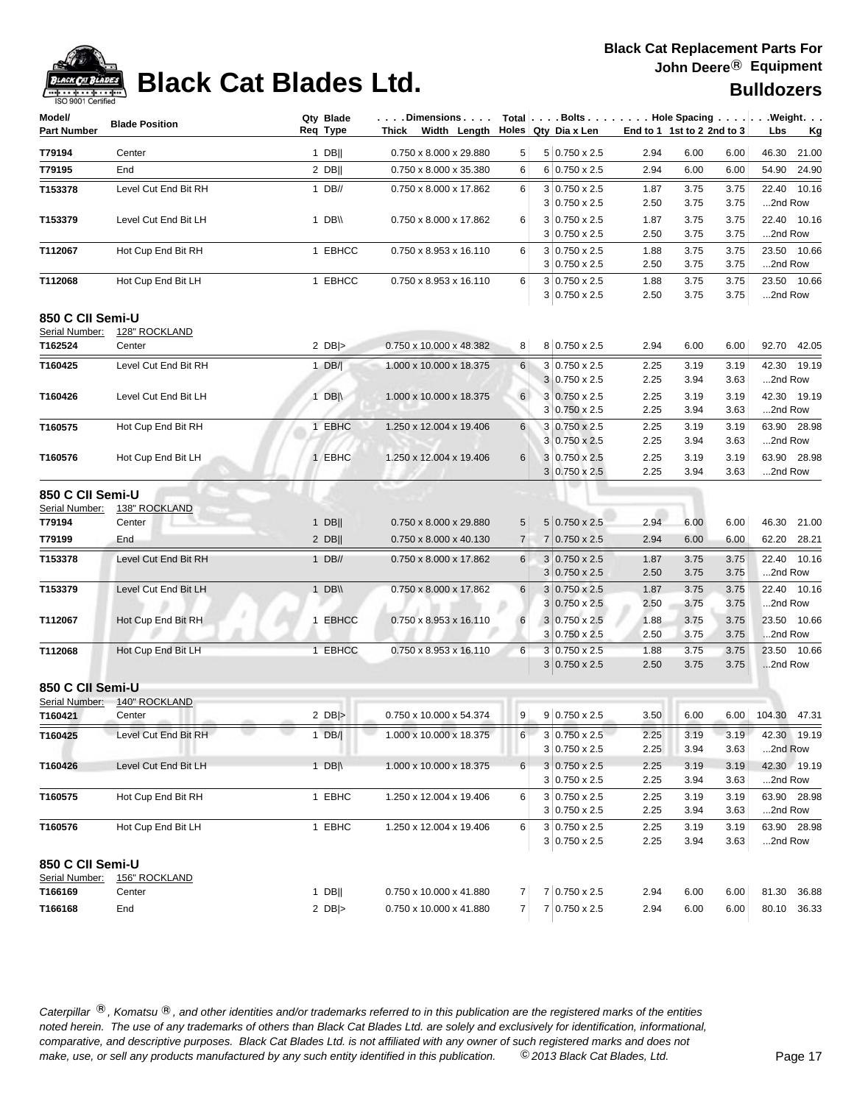| Model/                   | <b>Blade Position</b>          | Qty Blade        | . Dimensions   Total  . Bolts Hole Spacing  . Weight. |                |   |                                       |                            |              |              |                        |
|--------------------------|--------------------------------|------------------|-------------------------------------------------------|----------------|---|---------------------------------------|----------------------------|--------------|--------------|------------------------|
| <b>Part Number</b>       |                                | Req Type         | Thick Width Length Holes Qty Dia x Len                |                |   |                                       | End to 1 1st to 2 2nd to 3 |              |              | Lbs<br><u>Kg</u>       |
| T79194                   | Center                         | $1$ DB           | 0.750 x 8.000 x 29.880                                | 5              |   | $5 0.750 \times 2.5$                  | 2.94                       | 6.00         | 6.00         | 46.30<br>21.00         |
| T79195                   | End                            | $2$ DB           | 0.750 x 8.000 x 35.380                                | 6              |   | $6 0.750 \times 2.5$                  | 2.94                       | 6.00         | 6.00         | 54.90<br>24.90         |
| T153378                  | Level Cut End Bit RH           | $1$ DB//         | 0.750 x 8.000 x 17.862                                | 6              |   | $3 0.750 \times 2.5$                  | 1.87                       | 3.75         | 3.75         | 22.40 10.16            |
|                          |                                |                  |                                                       |                |   | $3 0.750 \times 2.5$                  | 2.50                       | 3.75         | 3.75         | 2nd Row                |
| T153379                  | Level Cut End Bit LH           | 1 $DB \vee$      | 0.750 x 8.000 x 17.862                                | 6              |   | $3 0.750 \times 2.5$                  | 1.87                       | 3.75         | 3.75         | 22.40 10.16            |
|                          |                                |                  |                                                       |                |   | $3 0.750 \times 2.5$                  | 2.50                       | 3.75         | 3.75         | 2nd Row                |
| T112067                  | Hot Cup End Bit RH             | 1 EBHCC          | 0.750 x 8.953 x 16.110                                | 6              |   | $3 0.750 \times 2.5$                  | 1.88                       | 3.75         | 3.75         | 23.50 10.66            |
|                          |                                |                  |                                                       |                |   | $3 0.750 \times 2.5$                  | 2.50                       | 3.75         | 3.75         | 2nd Row                |
| T112068                  | Hot Cup End Bit LH             | 1 EBHCC          | 0.750 x 8.953 x 16.110                                | 6              |   | $3 0.750 \times 2.5$                  | 1.88                       | 3.75         | 3.75         | 23.50 10.66            |
|                          |                                |                  |                                                       |                |   | $3 0.750 \times 2.5$                  | 2.50                       | 3.75         | 3.75         | 2nd Row                |
| 850 C CII Semi-U         |                                |                  |                                                       |                |   |                                       |                            |              |              |                        |
| Serial Number:           | 128" ROCKLAND                  |                  |                                                       |                |   |                                       |                            |              |              |                        |
| T162524                  | Center                         | 2 $DB$ $>$       | 0.750 x 10.000 x 48.382                               | 8              |   | $8 0.750 \times 2.5$                  | 2.94                       | 6.00         | 6.00         | 92.70 42.05            |
| T160425                  | Level Cut End Bit RH           | 1 $DB/$          | 1.000 x 10.000 x 18.375                               | 6              |   | $3 0.750 \times 2.5$                  | 2.25                       | 3.19         | 3.19         | 42.30 19.19            |
|                          |                                |                  |                                                       |                |   | $3 0.750 \times 2.5$                  | 2.25                       | 3.94         | 3.63         | 2nd Row                |
| T160426                  | Level Cut End Bit LH           | 1 DB $\parallel$ | 1.000 x 10.000 x 18.375                               | 6              |   | $3 0.750 \times 2.5$                  | 2.25                       | 3.19         | 3.19         | 42.30 19.19            |
|                          |                                |                  |                                                       |                |   | $3 0.750 \times 2.5$                  | 2.25                       | 3.94         | 3.63         | 2nd Row                |
| T160575                  | Hot Cup End Bit RH             | 1 EBHC           | 1.250 x 12.004 x 19.406                               | 6              |   | 3 0.750 x 2.5<br>$3 0.750 \times 2.5$ | 2.25                       | 3.19         | 3.19         | 63.90 28.98            |
|                          |                                |                  |                                                       |                |   |                                       | 2.25                       | 3.94         | 3.63         | 2nd Row                |
| T160576                  | Hot Cup End Bit LH             | 1 EBHC           | 1.250 x 12.004 x 19.406                               | 6              |   | 3 0.750 x 2.5<br>$3 0.750 \times 2.5$ | 2.25<br>2.25               | 3.19<br>3.94 | 3.19<br>3.63 | 63.90 28.98<br>2nd Row |
|                          |                                |                  |                                                       |                |   |                                       |                            |              |              |                        |
| 850 C CII Semi-U         |                                |                  |                                                       |                |   |                                       |                            |              |              |                        |
| Serial Number:<br>T79194 | <b>138" ROCKLAND</b><br>Center | $1$ DB           | 0.750 x 8.000 x 29.880                                | 5              |   | $5 0.750 \times 2.5$                  | 2.94                       | 6.00         | 6.00         | 46.30 21.00            |
| T79199                   | End                            | $2$ DB           | 0.750 x 8.000 x 40.130                                | $\overline{7}$ |   | $7 0.750 \times 2.5$                  | 2.94                       | 6.00         | 6.00         | 62.20 28.21            |
|                          |                                |                  |                                                       |                |   |                                       |                            |              |              |                        |
| T153378                  | Level Cut End Bit RH           | $1$ DB//         | 0.750 x 8.000 x 17.862                                | 6              |   | 3 0.750 x 2.5<br>$3 0.750 \times 2.5$ | 1.87<br>2.50               | 3.75<br>3.75 | 3.75         | 22.40 10.16<br>2nd Row |
|                          | Level Cut End Bit LH           | $1$ DB\\         | 0.750 x 8.000 x 17.862                                | 6              |   | $3 0.750 \times 2.5$                  | 1.87                       | 3.75         | 3.75<br>3.75 | 22.40 10.16            |
| T153379                  |                                |                  |                                                       |                | 3 | $0.750 \times 2.5$                    | 2.50                       | 3.75         | 3.75         | 2nd Row                |
| T112067                  | Hot Cup End Bit RH             | 1 EBHCC          | 0.750 x 8.953 x 16.110                                | 6              |   | $3 0.750 \times 2.5$                  | 1.88                       | 3.75         | 3.75         | 23.50 10.66            |
|                          |                                |                  |                                                       |                |   | $3 0.750 \times 2.5$                  | 2.50                       | 3.75         | 3.75         | 2nd Row                |
| T112068                  | Hot Cup End Bit LH             | 1 EBHCC          | 0.750 x 8.953 x 16.110                                | 6              |   | $3 0.750 \times 2.5$                  | 1.88                       | 3.75         | 3.75         | 23.50 10.66            |
|                          |                                |                  |                                                       |                |   | $3 0.750 \times 2.5$                  | 2.50                       | 3.75         | 3.75         | 2nd Row                |
| 850 C CII Semi-U         |                                |                  |                                                       |                |   |                                       |                            |              |              |                        |
| Serial Number:           | 140" ROCKLAND                  |                  |                                                       |                |   |                                       |                            |              |              |                        |
| T160421                  | Center                         | 2 $DB$ $>$       | 0.750 x 10.000 x 54.374                               | 9              |   | $9 0.750 \times 2.5$                  | 3.50                       | 6.00         | 6.00         | 104.30 47.31           |
| T160425                  | Level Cut End Bit RH           | 1 $DB/ $         | 1.000 x 10.000 x 18.375                               | 6              |   | $3 0.750 \times 2.5$                  | 2.25                       | 3.19         | 3.19         | 42.30 19.19            |
|                          |                                |                  |                                                       |                |   | $3 0.750 \times 2.5$                  | 2.25                       | 3.94         | 3.63         | 2nd Row                |
| T160426                  | Level Cut End Bit LH           | 1 $DB \wedge$    | 1.000 x 10.000 x 18.375                               | 6              |   | $3 0.750 \times 2.5$                  | 2.25                       | 3.19         | 3.19         | 42.30 19.19            |
|                          |                                |                  |                                                       |                |   | $3 0.750 \times 2.5$                  | 2.25                       | 3.94         | 3.63         | 2nd Row                |
| T160575                  | Hot Cup End Bit RH             | 1 EBHC           | 1.250 x 12.004 x 19.406                               | 6              |   | $3 0.750 \times 2.5$                  | 2.25                       | 3.19         | 3.19         | 63.90 28.98            |
|                          |                                |                  |                                                       |                |   | $3 0.750 \times 2.5$                  | 2.25                       | 3.94         | 3.63         | 2nd Row                |
| T160576                  | Hot Cup End Bit LH             | 1 EBHC           | 1.250 x 12.004 x 19.406                               | 6              |   | $3 0.750 \times 2.5$                  | 2.25                       | 3.19         | 3.19         | 63.90 28.98            |
|                          |                                |                  |                                                       |                |   | $3 0.750 \times 2.5$                  | 2.25                       | 3.94         | 3.63         | 2nd Row                |
| 850 C CII Semi-U         |                                |                  |                                                       |                |   |                                       |                            |              |              |                        |
| Serial Number:           | 156" ROCKLAND                  |                  |                                                       |                |   |                                       |                            |              |              |                        |
| T166169                  | Center                         | $1$ DB           | 0.750 x 10.000 x 41.880                               | 7              |   | 7 0.750 x 2.5                         | 2.94                       | 6.00         | 6.00         | 81.30 36.88            |
| T166168                  | End                            | 2 $DB$ $>$       | 0.750 x 10.000 x 41.880                               | $\overline{7}$ |   | 7 0.750 x 2.5                         | 2.94                       | 6.00         | 6.00         | 80.10 36.33            |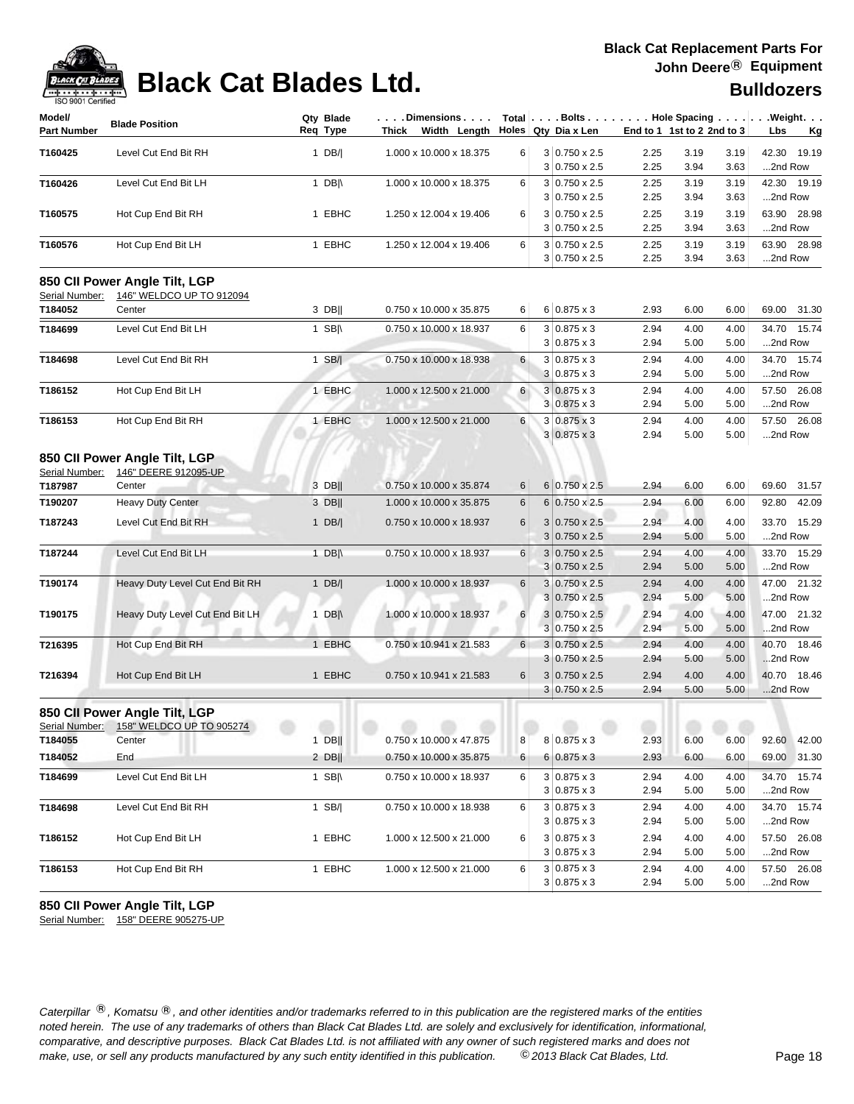

| Model/                    |                                         | Qty Blade        | .Dimensions             |                |                       |      |                            |      | $Total   \ldots$ Bolts $\ldots   \ldots$ . Hole Spacing $\ldots   \ldots$ . Weight. $\ldots$ |
|---------------------------|-----------------------------------------|------------------|-------------------------|----------------|-----------------------|------|----------------------------|------|----------------------------------------------------------------------------------------------|
| <b>Part Number</b>        | <b>Blade Position</b>                   | Reg Type         | Thick Width Length      |                | Holes Qty Dia x Len   |      | End to 1 1st to 2 2nd to 3 |      | Lbs<br><u>Kg</u>                                                                             |
| T160425                   | Level Cut End Bit RH                    | 1 $DB/ $         | 1.000 x 10.000 x 18.375 | 6              | $3 0.750 \times 2.5$  | 2.25 | 3.19                       | 3.19 | 42.30 19.19                                                                                  |
|                           |                                         |                  |                         |                | 3 0.750 x 2.5         | 2.25 | 3.94                       | 3.63 | 2nd Row                                                                                      |
| T160426                   | Level Cut End Bit LH                    | 1 DB $\parallel$ | 1.000 x 10.000 x 18.375 | 6              | $3 0.750 \times 2.5$  | 2.25 | 3.19                       | 3.19 | 42.30 19.19                                                                                  |
|                           |                                         |                  |                         |                | $3 0.750 \times 2.5$  | 2.25 | 3.94                       | 3.63 | 2nd Row                                                                                      |
| T160575                   | Hot Cup End Bit RH                      | 1 EBHC           | 1.250 x 12.004 x 19.406 | 6              | 3 0.750 x 2.5         | 2.25 | 3.19                       | 3.19 | 63.90 28.98                                                                                  |
|                           |                                         |                  |                         |                | $3 0.750 \times 2.5$  | 2.25 | 3.94                       | 3.63 | 2nd Row                                                                                      |
| T160576                   | Hot Cup End Bit LH                      | 1 EBHC           | 1.250 x 12.004 x 19.406 | 6              | $3 0.750 \times 2.5$  | 2.25 | 3.19                       | 3.19 | 63.90 28.98                                                                                  |
|                           |                                         |                  |                         |                | $3 0.750 \times 2.5$  | 2.25 | 3.94                       | 3.63 | 2nd Row                                                                                      |
|                           | 850 CII Power Angle Tilt, LGP           |                  |                         |                |                       |      |                            |      |                                                                                              |
| Serial Number:<br>T184052 | 146" WELDCO UP TO 912094<br>Center      | $3$ DB           | 0.750 x 10.000 x 35.875 | 6              | $6 0.875 \times 3$    | 2.93 | 6.00                       | 6.00 | 69.00 31.30                                                                                  |
| T184699                   | Level Cut End Bit LH                    | 1 $SB$           | 0.750 x 10.000 x 18.937 | 6              | $3 0.875 \times 3$    | 2.94 | 4.00                       | 4.00 | 34.70 15.74                                                                                  |
|                           |                                         |                  |                         |                | $3 0.875 \times 3$    | 2.94 | 5.00                       | 5.00 | 2nd Row                                                                                      |
| T184698                   | Level Cut End Bit RH                    | $1$ SB/          | 0.750 x 10.000 x 18.938 | 6              | $3 0.875 \times 3$    | 2.94 | 4.00                       | 4.00 | 34.70 15.74                                                                                  |
|                           |                                         |                  |                         |                | $3 0.875 \times 3$    | 2.94 | 5.00                       | 5.00 | 2nd Row                                                                                      |
| T186152                   | Hot Cup End Bit LH                      | 1 EBHC           | 1.000 x 12.500 x 21.000 | 6              | $3 0.875 \times 3$    | 2.94 | 4.00                       | 4.00 | 57.50 26.08                                                                                  |
|                           |                                         |                  |                         |                | $3 0.875 \times 3$    | 2.94 | 5.00                       | 5.00 | 2nd Row                                                                                      |
| T186153                   | Hot Cup End Bit RH                      | 1 EBHC           | 1.000 x 12.500 x 21.000 | 6              | $3 0.875 \times 3$    | 2.94 | 4.00                       | 4.00 | 57.50 26.08                                                                                  |
|                           |                                         |                  |                         |                | $3 0.875 \times 3$    | 2.94 | 5.00                       | 5.00 | 2nd Row                                                                                      |
|                           | 850 CII Power Angle Tilt, LGP           |                  |                         |                |                       |      |                            |      |                                                                                              |
| Serial Number:            | 146" DEERE 912095-UP                    |                  |                         |                |                       |      |                            |      |                                                                                              |
| T187987                   | Center                                  | 3 DB             | 0.750 x 10.000 x 35.874 | 6              | $6 0.750 \times 2.5$  | 2.94 | 6.00                       | 6.00 | 69.60 31.57                                                                                  |
| T190207                   | <b>Heavy Duty Center</b>                | 3 DB             | 1.000 x 10.000 x 35.875 | 6              | 6 0.750 x 2.5         | 2.94 | 6.00                       | 6.00 | 92.80 42.09                                                                                  |
|                           |                                         |                  |                         | 6              | $3 0.750 \times 2.5$  | 2.94 | 4.00                       | 4.00 | 33.70 15.29                                                                                  |
| T187243                   | Level Cut End Bit RH                    | 1 $DB/ $         | 0.750 x 10.000 x 18.937 |                | $3 0.750 \times 2.5$  | 2.94 | 5.00                       | 5.00 | 2nd Row                                                                                      |
| T187244                   | Level Cut End Bit LH                    | 1 $DB \wedge$    | 0.750 x 10.000 x 18.937 | 6              | $3 0.750 \times 2.5$  | 2.94 | 4.00                       | 4.00 | 33.70 15.29                                                                                  |
|                           |                                         |                  |                         |                | $3 0.750 \times 2.5$  | 2.94 | 5.00                       | 5.00 | 2nd Row                                                                                      |
| T190174                   | Heavy Duty Level Cut End Bit RH         | 1 $DB/ $         | 1.000 x 10.000 x 18.937 | 6              | $3 0.750 \times 2.5$  | 2.94 | 4.00                       | 4.00 | 47.00 21.32                                                                                  |
|                           |                                         |                  |                         |                | $3 0.750 \times 2.5$  | 2.94 | 5.00                       | 5.00 | 2nd Row                                                                                      |
| T190175                   | Heavy Duty Level Cut End Bit LH         | 1 DB $\parallel$ | 1.000 x 10.000 x 18.937 | 6              | $3 0.750 \times 2.5 $ | 2.94 | 4.00                       | 4.00 | 47.00 21.32                                                                                  |
|                           |                                         |                  |                         |                | $3 0.750 \times 2.5$  | 2.94 | 5.00                       | 5.00 | 2nd Row                                                                                      |
| T216395                   | Hot Cup End Bit RH                      | 1 EBHC           | 0.750 x 10.941 x 21.583 | $6 \mid$       | $3 0.750 \times 2.5$  | 2.94 | 4.00                       | 4.00 | 40.70 18.46                                                                                  |
|                           |                                         |                  |                         |                | $3 0.750 \times 2.5$  | 2.94 | 5.00                       | 5.00 | 2nd Row                                                                                      |
| T216394                   | Hot Cup End Bit LH                      | 1 EBHC           | 0.750 x 10.941 x 21.583 | $6\phantom{1}$ | $3 0.750 \times 2.5$  | 2.94 | 4.00                       | 4.00 | 40.70 18.46                                                                                  |
|                           |                                         |                  |                         |                | $3 0.750 \times 2.5$  | 2.94 | 5.00                       | 5.00 | 2nd Row                                                                                      |
|                           | 850 CII Power Angle Tilt, LGP           |                  |                         |                |                       |      |                            |      |                                                                                              |
|                           | Serial Number: 158" WELDCO UP TO 905274 |                  |                         |                |                       |      |                            |      |                                                                                              |
| T184055                   | Center                                  | $1$ DB           | 0.750 x 10.000 x 47.875 | 8              | 8 0.875 x 3           | 2.93 | 6.00                       | 6.00 | 92.60 42.00                                                                                  |
| T184052                   | End                                     | $2$ DB           | 0.750 x 10.000 x 35.875 | 6              | $6 0.875 \times 3$    | 2.93 | 6.00                       | 6.00 | 69.00 31.30                                                                                  |
| T184699                   | Level Cut End Bit LH                    | 1 $SB$           | 0.750 x 10.000 x 18.937 | 6              | $3 0.875 \times 3$    | 2.94 | 4.00                       | 4.00 | 34.70 15.74                                                                                  |
|                           |                                         |                  |                         |                | $3 0.875 \times 3$    | 2.94 | 5.00                       | 5.00 | 2nd Row                                                                                      |
| T184698                   | Level Cut End Bit RH                    | 1 SB/            | 0.750 x 10.000 x 18.938 | 6              | $3 0.875 \times 3$    | 2.94 | 4.00                       | 4.00 | 34.70 15.74                                                                                  |
|                           |                                         |                  |                         |                | $3 0.875 \times 3$    | 2.94 | 5.00                       | 5.00 | 2nd Row                                                                                      |
| T186152                   | Hot Cup End Bit LH                      | 1 EBHC           | 1.000 x 12.500 x 21.000 | 6              | $3 0.875 \times 3$    | 2.94 | 4.00                       | 4.00 | 57.50 26.08                                                                                  |
|                           |                                         |                  |                         |                | $3 0.875 \times 3$    | 2.94 | 5.00                       | 5.00 | 2nd Row                                                                                      |
| T186153                   | Hot Cup End Bit RH                      | 1 EBHC           | 1.000 x 12.500 x 21.000 | 6              | $3 0.875 \times 3$    | 2.94 | 4.00                       | 4.00 | 57.50 26.08                                                                                  |
|                           |                                         |                  |                         |                | $3 0.875 \times 3$    | 2.94 | 5.00                       | 5.00 | 2nd Row                                                                                      |
|                           |                                         |                  |                         |                |                       |      |                            |      |                                                                                              |

**850 CII Power Angle Tilt, LGP**

Serial Number: 158" DEERE 905275-UP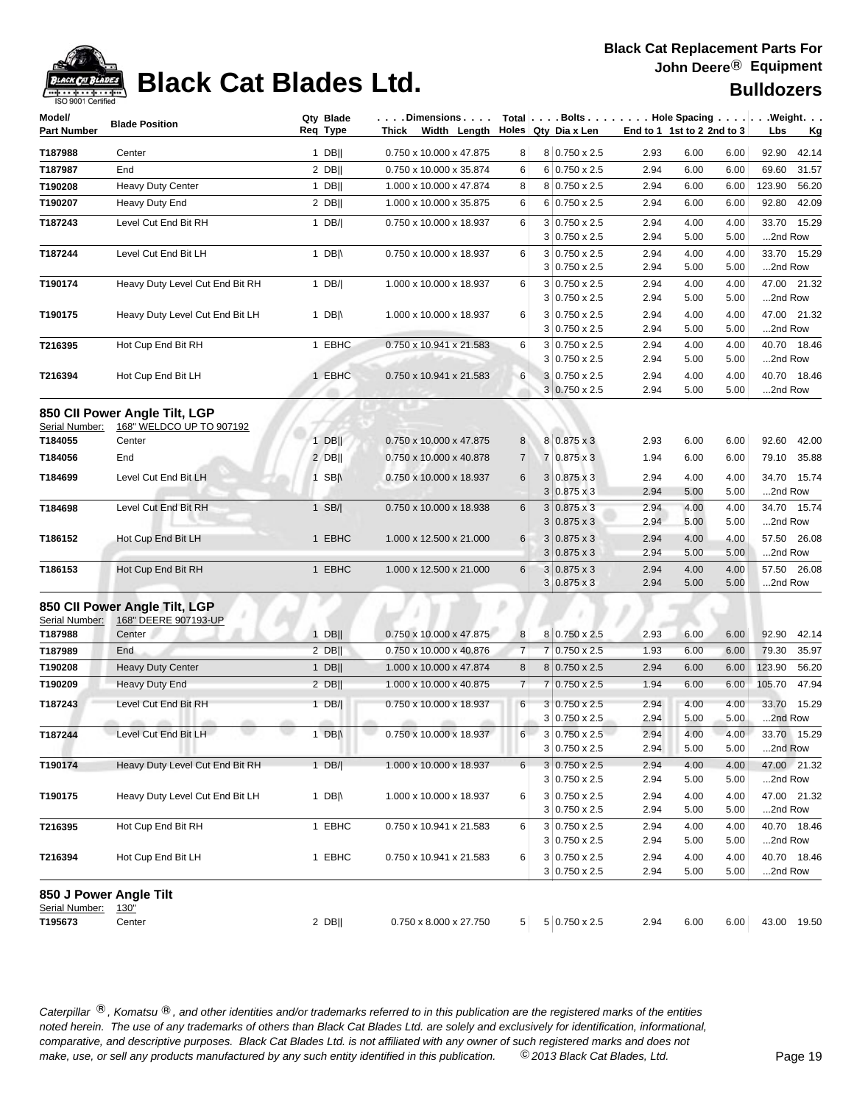

## **Black Cat Blades Ltd. Black Cat Blades Ltd. Black Cat Blades Ltd.**

| Model/                    | <b>Blade Position</b>              | Qty Blade        | . Dimensions                           |                | Total $\vert \ldots$ Bolts $\ldots \vert \ldots$ . Hole Spacing $\ldots \vert \ldots$ Weight. $\ldots$ |              |                            |              |                        |
|---------------------------|------------------------------------|------------------|----------------------------------------|----------------|--------------------------------------------------------------------------------------------------------|--------------|----------------------------|--------------|------------------------|
| <b>Part Number</b>        |                                    | Req Type         | Thick Width Length Holes Qty Dia x Len |                |                                                                                                        |              | End to 1 1st to 2 2nd to 3 |              | Lbs<br><u>Kg</u>       |
| T187988                   | Center                             | $1$ DB           | 0.750 x 10.000 x 47.875                | 8              | 8 0.750 x 2.5                                                                                          | 2.93         | 6.00                       | 6.00         | 92.90<br>42.14         |
| T187987                   | End                                | $2$ DB           | 0.750 x 10.000 x 35.874                | 6              | $6 0.750 \times 2.5$                                                                                   | 2.94         | 6.00                       | 6.00         | 69.60<br>31.57         |
| T190208                   | <b>Heavy Duty Center</b>           | $1$ DB           | 1.000 x 10.000 x 47.874                | 8              | $8 0.750 \times 2.5$                                                                                   | 2.94         | 6.00                       | 6.00         | 56.20<br>123.90        |
| T190207                   | Heavy Duty End                     | $2$ DB           | 1.000 x 10.000 x 35.875                | 6              | $6 0.750 \times 2.5$                                                                                   | 2.94         | 6.00                       | 6.00         | 42.09<br>92.80         |
| T187243                   | Level Cut End Bit RH               | 1 $DB/ $         | 0.750 x 10.000 x 18.937                | 6              | $3 0.750 \times 2.5$                                                                                   | 2.94         | 4.00                       | 4.00         | 33.70 15.29            |
|                           |                                    |                  |                                        |                | $3 0.750 \times 2.5$                                                                                   | 2.94         | 5.00                       | 5.00         | 2nd Row                |
| T187244                   | Level Cut End Bit LH               | 1 $DB \wedge$    | 0.750 x 10.000 x 18.937                | 6              | $3 0.750 \times 2.5$                                                                                   | 2.94         | 4.00                       | 4.00         | 33.70 15.29            |
|                           |                                    |                  |                                        |                | $3 0.750 \times 2.5$                                                                                   | 2.94         | 5.00                       | 5.00         | 2nd Row                |
| T190174                   | Heavy Duty Level Cut End Bit RH    | 1 $DB/ $         | 1.000 x 10.000 x 18.937                | 6              | $3 0.750 \times 2.5$                                                                                   | 2.94         | 4.00                       | 4.00         | 47.00 21.32            |
|                           |                                    |                  |                                        |                | 3<br>$0.750 \times 2.5$                                                                                | 2.94         | 5.00                       | 5.00         | 2nd Row                |
| T190175                   | Heavy Duty Level Cut End Bit LH    | 1 DB $\parallel$ | 1.000 x 10.000 x 18.937                | 6              | $3 0.750 \times 2.5$                                                                                   | 2.94         | 4.00                       | 4.00         | 47.00 21.32            |
|                           |                                    |                  |                                        |                | $3 0.750 \times 2.5$                                                                                   | 2.94         | 5.00                       | 5.00         | 2nd Row                |
| T216395                   | Hot Cup End Bit RH                 | 1 EBHC           | 0.750 x 10.941 x 21.583                | 6              | 3<br>$0.750 \times 2.5$<br>$3 0.750 \times 2.5$                                                        | 2.94<br>2.94 | 4.00<br>5.00               | 4.00<br>5.00 | 40.70 18.46<br>2nd Row |
| T216394                   | Hot Cup End Bit LH                 | 1 EBHC           | 0.750 x 10.941 x 21.583                | 6              | $3 0.750 \times 2.5$                                                                                   | 2.94         | 4.00                       | 4.00         | 40.70 18.46            |
|                           |                                    |                  |                                        |                | $3 0.750 \times 2.5$                                                                                   | 2.94         | 5.00                       | 5.00         | 2nd Row                |
|                           |                                    |                  |                                        |                |                                                                                                        |              |                            |              |                        |
|                           | 850 CII Power Angle Tilt, LGP      |                  |                                        |                |                                                                                                        |              |                            |              |                        |
| Serial Number:<br>T184055 | 168" WELDCO UP TO 907192<br>Center | $1$ DB           | 0.750 x 10.000 x 47.875                | 8              | $8 0.875 \times 3$                                                                                     | 2.93         | 6.00                       | 6.00         | 92.60 42.00            |
| T184056                   | End                                | $2$ DB           | 0.750 x 10.000 x 40.878                | $\overline{7}$ | 7 0.875 x 3                                                                                            | 1.94         | 6.00                       | 6.00         | 79.10 35.88            |
|                           |                                    |                  |                                        |                |                                                                                                        |              |                            |              |                        |
| T184699                   | Level Cut End Bit LH               | 1 SB $\parallel$ | 0.750 x 10.000 x 18.937                | 6              | 3<br>$0.875 \times 3$<br>$3 0.875 \times 3$                                                            | 2.94<br>2.94 | 4.00                       | 4.00         | 34.70 15.74<br>2nd Row |
|                           |                                    |                  |                                        |                |                                                                                                        |              | 5.00                       | 5.00         | 34.70 15.74            |
| T184698                   | Level Cut End Bit RH               | $1$ SB/          | 0.750 x 10.000 x 18.938                | 6              | $3 0.875 \times 3$<br>3<br>$0.875 \times 3$                                                            | 2.94<br>2.94 | 4.00<br>5.00               | 4.00<br>5.00 | 2nd Row                |
| T186152                   | Hot Cup End Bit LH                 | 1 EBHC           | 1.000 x 12.500 x 21.000                | 6              | $3 0.875 \times 3$                                                                                     | 2.94         | 4.00                       | 4.00         | 57.50 26.08            |
|                           |                                    |                  |                                        |                | $0.875 \times 3$<br>3                                                                                  | 2.94         | 5.00                       | 5.00         | 2nd Row                |
| T186153                   | Hot Cup End Bit RH                 | 1 EBHC           | 1.000 x 12.500 x 21.000                | 6              | $3 0.875 \times 3$                                                                                     | 2.94         | 4.00                       | 4.00         | 57.50 26.08            |
|                           |                                    |                  |                                        |                | $3 0.875 \times 3$                                                                                     | 2.94         | 5.00                       | 5.00         | 2nd Row                |
|                           | 850 CII Power Angle Tilt, LGP      |                  |                                        |                |                                                                                                        |              |                            |              |                        |
| Serial Number:            | 168" DEERE 907193-UP               |                  |                                        |                |                                                                                                        |              |                            |              |                        |
| T187988                   | Center                             | $1$ DB           | 0.750 x 10.000 x 47.875                | 8              | 8 0.750 x 2.5                                                                                          | 2.93         | 6.00                       | 6.00         | 92.90<br>42.14         |
| T187989                   | End                                | $2$ DB           | 0.750 x 10.000 x 40.876                | $\overline{7}$ | $0.750 \times 2.5$<br>$\overline{7}$                                                                   | 1.93         | 6.00                       | 6.00         | 79.30<br>35.97         |
| T190208                   | <b>Heavy Duty Center</b>           | $1$ DB           | 1.000 x 10.000 x 47.874                | 8              | $8 0.750 \times 2.5$                                                                                   | 2.94         | 6.00                       | 6.00         | 123.90<br>56.20        |
| T190209                   | <b>Heavy Duty End</b>              | $2$ DB           | 1.000 x 10.000 x 40.875                | $\overline{7}$ | $0.750 \times 2.5$<br>7                                                                                | 1.94         | 6.00                       | 6.00         | 47.94<br>105.70        |
| T187243                   | Level Cut End Bit RH               | $1$ DB/          | 0.750 x 10.000 x 18.937                | 6              | $3 0.750 \times 2.5$                                                                                   | 2.94         | 4.00                       | 4.00         | 33.70<br>15.29         |
|                           | $-200$                             |                  | affin.                                 |                | $3 0.750 \times 2.5$                                                                                   | 2.94         | 5.00                       | 5.00         | 2nd Row                |
| T187244                   | Level Cut End Bit LH               | 1 $DB \mid \mid$ | 0.750 x 10.000 x 18.937                | 6 <sup>1</sup> | $3 0.750 \times 2.5 $                                                                                  | 2.94         | 4.00                       | 4.00         | 33.70 15.29            |
|                           |                                    |                  |                                        |                | $3 0.750 \times 2.5$                                                                                   | 2.94         | 5.00                       | 5.00         | 2nd Row                |
| T190174                   | Heavy Duty Level Cut End Bit RH    | $1$ DB/          | 1.000 x 10.000 x 18.937                | 6              | $3 0.750 \times 2.5$                                                                                   | 2.94         | 4.00                       | 4.00         | 47.00 21.32            |
|                           |                                    |                  |                                        |                | $3 0.750 \times 2.5$                                                                                   | 2.94         | 5.00                       | 5.00         | 2nd Row                |
| T190175                   | Heavy Duty Level Cut End Bit LH    | 1 DB $\parallel$ | 1.000 x 10.000 x 18.937                | 6              | $3 0.750 \times 2.5$                                                                                   | 2.94         | 4.00                       | 4.00         | 47.00 21.32            |
|                           |                                    |                  |                                        |                | $3 0.750 \times 2.5$                                                                                   | 2.94         | 5.00                       | 5.00         | 2nd Row                |
| T216395                   | Hot Cup End Bit RH                 | 1 EBHC           | 0.750 x 10.941 x 21.583                | 6              | $3 0.750 \times 2.5$                                                                                   | 2.94         | 4.00                       | 4.00         | 40.70 18.46            |
|                           |                                    |                  |                                        |                | $3 0.750 \times 2.5$                                                                                   | 2.94         | 5.00                       | 5.00         | 2nd Row                |
| T216394                   | Hot Cup End Bit LH                 | 1 EBHC           | 0.750 x 10.941 x 21.583                | 6              | $3 0.750 \times 2.5$                                                                                   | 2.94         | 4.00                       | 4.00         | 40.70 18.46            |
|                           |                                    |                  |                                        |                | $3 0.750 \times 2.5$                                                                                   | 2.94         | 5.00                       | 5.00         | 2nd Row                |
|                           | 850 J Power Angle Tilt             |                  |                                        |                |                                                                                                        |              |                            |              |                        |
| Serial Number:            | 130 <sup>"</sup>                   |                  |                                        |                |                                                                                                        |              |                            |              |                        |
| T195673                   | Center                             | $2$ DB           | 0.750 x 8.000 x 27.750                 | 5 <sup>2</sup> | $5 0.750 \times 2.5$                                                                                   | 2.94         | 6.00                       | 6.00         | 43.00 19.50            |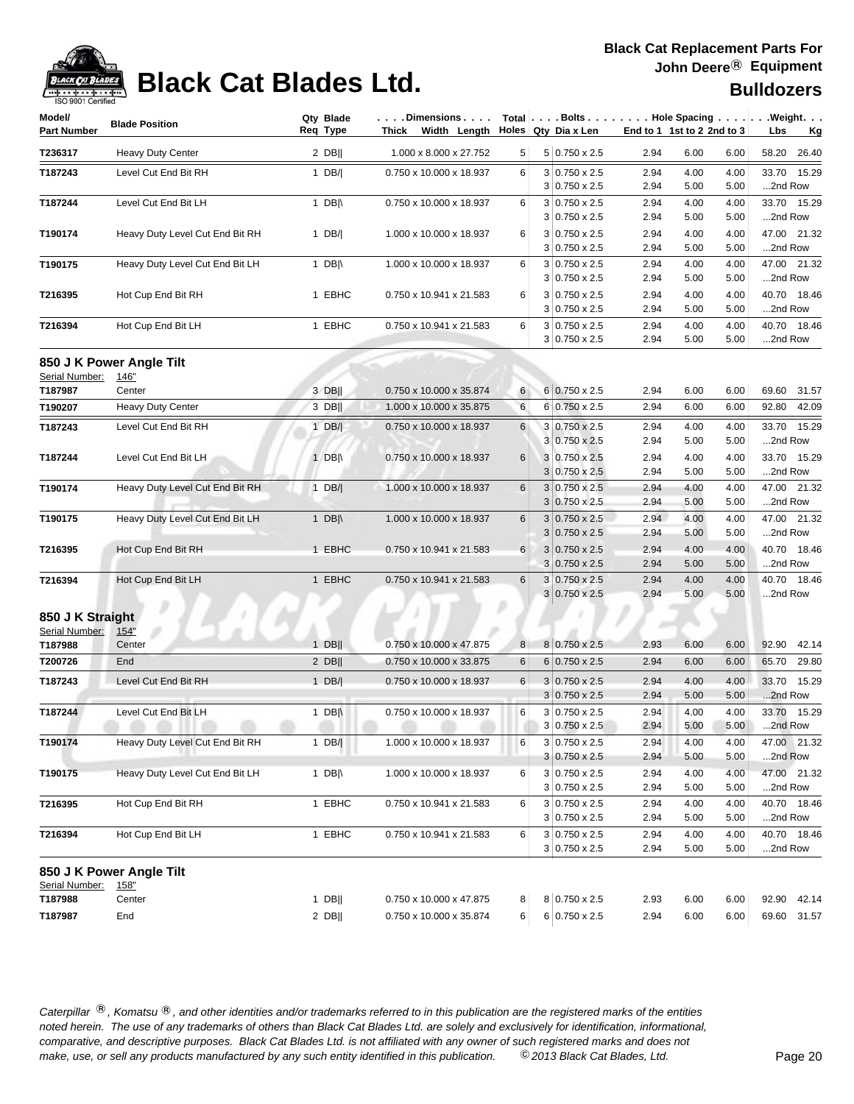

## **Black Cat Blades Ltd. Black Cat Blades Ltd. Black Cat Blades Ltd. Bulldozers**

| Model/<br><b>Part Number</b> | <b>Blade Position</b>           | Qty Blade<br>Req Type | .Dimensions<br>Thick<br>Width Length |   | Total $\vert \ldots$ Bolts $\ldots \vert \ldots$ Hole Spacing $\ldots \vert \ldots$ Weight. $\ldots$<br>Holes Qty Dia x Len |              | End to 1 1st to 2 2nd to 3   | Lbs<br>Kg              |
|------------------------------|---------------------------------|-----------------------|--------------------------------------|---|-----------------------------------------------------------------------------------------------------------------------------|--------------|------------------------------|------------------------|
| T236317                      | Heavy Duty Center               | $2$ DB                | 1.000 x 8.000 x 27.752               | 5 | 5 0.750 x 2.5                                                                                                               | 2.94         | 6.00<br>6.00                 | 58.20<br>26.40         |
| T187243                      | Level Cut End Bit RH            | 1 $DB/$               | 0.750 x 10.000 x 18.937              | 6 | $3 0.750 \times 2.5$                                                                                                        | 2.94         | 4.00<br>4.00                 | 33.70<br>15.29         |
|                              |                                 |                       |                                      |   | $3 0.750 \times 2.5$                                                                                                        | 2.94         | 5.00<br>5.00                 | 2nd Row                |
| T187244                      | Level Cut End Bit LH            | 1 DB $\parallel$      | 0.750 x 10.000 x 18.937              | 6 | $3 0.750 \times 2.5$                                                                                                        | 2.94         | 4.00<br>4.00                 | 33.70 15.29            |
|                              |                                 |                       |                                      |   | $3 0.750 \times 2.5$                                                                                                        | 2.94         | 5.00<br>5.00                 | 2nd Row                |
| T190174                      | Heavy Duty Level Cut End Bit RH | 1 $DB/$               | 1.000 x 10.000 x 18.937              | 6 | $3 0.750 \times 2.5$                                                                                                        | 2.94         | 4.00<br>4.00                 | 47.00 21.32            |
|                              |                                 |                       |                                      |   | $3 0.750 \times 2.5$                                                                                                        | 2.94         | 5.00<br>5.00                 | 2nd Row                |
| T190175                      | Heavy Duty Level Cut End Bit LH | 1 DB $\parallel$      | 1.000 x 10.000 x 18.937              | 6 | $3 0.750 \times 2.5$<br>$3 0.750 \times 2.5$                                                                                | 2.94<br>2.94 | 4.00<br>4.00<br>5.00<br>5.00 | 47.00 21.32<br>2nd Row |
| T216395                      | Hot Cup End Bit RH              | 1 EBHC                | 0.750 x 10.941 x 21.583              | 6 | $3 0.750 \times 2.5$                                                                                                        | 2.94         | 4.00<br>4.00                 | 40.70 18.46            |
|                              |                                 |                       |                                      |   | $3 0.750 \times 2.5$                                                                                                        | 2.94         | 5.00<br>5.00                 | 2nd Row                |
| T216394                      | Hot Cup End Bit LH              | 1 EBHC                | 0.750 x 10.941 x 21.583              | 6 | $3 0.750 \times 2.5$                                                                                                        | 2.94         | 4.00<br>4.00                 | 40.70 18.46            |
|                              |                                 |                       |                                      |   | $3 0.750 \times 2.5$                                                                                                        | 2.94         | 5.00<br>5.00                 | 2nd Row                |
|                              | 850 J K Power Angle Tilt        |                       |                                      |   |                                                                                                                             |              |                              |                        |
| Serial Number:               | 146"                            |                       |                                      |   |                                                                                                                             |              |                              |                        |
| T187987                      | Center                          | 3 DB                  | 0.750 x 10.000 x 35.874              | 6 | $6 0.750 \times 2.5$                                                                                                        | 2.94         | 6.00<br>6.00                 | 31.57<br>69.60         |
| T190207                      | Heavy Duty Center               | 3 DB                  | 1.000 x 10.000 x 35.875              | 6 | $6 0.750 \times 2.5$                                                                                                        | 2.94         | 6.00<br>6.00                 | 92.80<br>42.09         |
| T187243                      | Level Cut End Bit RH            | $1$ DB/               | 0.750 x 10.000 x 18.937              | 6 | 3 0.750 x 2.5                                                                                                               | 2.94         | 4.00<br>4.00                 | 33.70<br>15.29         |
|                              |                                 |                       |                                      |   | $3 0.750 \times 2.5$                                                                                                        | 2.94         | 5.00<br>5.00                 | 2nd Row                |
| T187244                      | Level Cut End Bit LH            | 1 $DB \parallel$      | 0.750 x 10.000 x 18.937              | 6 | 3 0.750 x 2.5                                                                                                               | 2.94         | 4.00<br>4.00                 | 15.29<br>33.70         |
|                              |                                 |                       |                                      |   | $3 0.750 \times 2.5$                                                                                                        | 2.94         | 5.00<br>5.00                 | 2nd Row                |
| T190174                      | Heavy Duty Level Cut End Bit RH | $1$ DB/               | 1.000 x 10.000 x 18.937              | 6 | $3 0.750 \times 2.5$                                                                                                        | 2.94         | 4.00<br>4.00                 | 47.00 21.32            |
|                              |                                 |                       |                                      |   | $3 0.750 \times 2.5$                                                                                                        | 2.94         | 5.00<br>5.00                 | 2nd Row                |
| T190175                      | Heavy Duty Level Cut End Bit LH | 1 DB $\parallel$      | 1.000 x 10.000 x 18.937              | 6 | $3 0.750 \times 2.5$                                                                                                        | 2.94         | 4.00<br>4.00                 | 47.00 21.32            |
|                              |                                 |                       |                                      |   | $0.750 \times 2.5$<br>3                                                                                                     | 2.94         | 5.00<br>5.00                 | 2nd Row                |
| T216395                      | Hot Cup End Bit RH              | 1 EBHC                | 0.750 x 10.941 x 21.583              | 6 | $3 0.750 \times 2.5$                                                                                                        | 2.94         | 4.00<br>4.00                 | 40.70 18.46            |
|                              |                                 |                       |                                      |   | $3 0.750 \times 2.5$                                                                                                        | 2.94         | 5.00<br>5.00                 | 2nd Row                |
| T216394                      | Hot Cup End Bit LH              | 1 EBHC                | 0.750 x 10.941 x 21.583              | 6 | $3 0.750 \times 2.5$<br>$3 0.750 \times 2.5$                                                                                | 2.94<br>2.94 | 4.00<br>4.00<br>5.00<br>5.00 | 40.70 18.46<br>2nd Row |
| 850 J K Straight             |                                 |                       |                                      |   |                                                                                                                             |              |                              |                        |
| Serial Number:               | 154"                            |                       |                                      |   |                                                                                                                             |              |                              |                        |
| T187988                      | Center                          | $1$ DB                | 0.750 x 10.000 x 47.875              | 8 | 8 0.750 x 2.5                                                                                                               | 2.93         | 6.00<br>6.00                 | 92.90<br>42.14         |
| T200726                      | End                             | $2$ DB                | 0.750 x 10.000 x 33.875              | 6 | $6 0.750 \times 2.5$                                                                                                        | 2.94         | 6.00<br>6.00                 | 65.70<br>29.80         |
| T187243                      | Level Cut End Bit RH            | $1$ DB/               | 0.750 x 10.000 x 18.937              | 6 | $3 0.750 \times 2.5$                                                                                                        | 2.94         | 4.00<br>4.00                 | 33.70<br>15.29         |
|                              |                                 |                       |                                      |   | $3 0.750 \times 2.5$                                                                                                        | 2.94         | 5.00<br>5.00                 | 2nd Row                |
| T187244                      | Level Cut End Bit LH            | 1 DB $\parallel$      | 0.750 x 10.000 x 18.937              | 6 | $3 0.750 \times 2.5$                                                                                                        | 2.94         | 4.00<br>4.00                 | 33.70<br>15.29         |
|                              |                                 |                       |                                      |   | $3 0.750 \times 2.5$                                                                                                        | 2.94         | 5.00<br>5.00                 | .2nd Row               |
| T190174                      | Heavy Duty Level Cut End Bit RH | $1$ DB/               | 1.000 x 10.000 x 18.937              | 6 | $3 0.750 \times 2.5$                                                                                                        | 2.94         | 4.00<br>4.00                 | 47.00 21.32            |
|                              |                                 |                       |                                      |   | $3 0.750 \times 2.5$                                                                                                        | 2.94         | 5.00<br>5.00                 | 2nd Row                |
| T190175                      | Heavy Duty Level Cut End Bit LH | 1 DB $\parallel$      | 1.000 x 10.000 x 18.937              | 6 | $3 0.750 \times 2.5$                                                                                                        | 2.94         | 4.00<br>4.00                 | 47.00 21.32            |
|                              |                                 |                       |                                      |   | $3 0.750 \times 2.5$                                                                                                        | 2.94         | 5.00<br>5.00                 | 2nd Row                |
| T216395                      | Hot Cup End Bit RH              | 1 EBHC                | 0.750 x 10.941 x 21.583              | 6 | $3 0.750 \times 2.5$<br>$3 0.750 \times 2.5$                                                                                | 2.94<br>2.94 | 4.00<br>4.00<br>5.00<br>5.00 | 40.70 18.46<br>2nd Row |
| T216394                      | Hot Cup End Bit LH              | 1 EBHC                | 0.750 x 10.941 x 21.583              | 6 | $3 0.750 \times 2.5$                                                                                                        | 2.94         | 4.00<br>4.00                 | 40.70 18.46            |
|                              |                                 |                       |                                      |   | $3 0.750 \times 2.5$                                                                                                        | 2.94         | 5.00<br>5.00                 | 2nd Row                |
|                              |                                 |                       |                                      |   |                                                                                                                             |              |                              |                        |
|                              | 850 J K Power Angle Tilt        |                       |                                      |   |                                                                                                                             |              |                              |                        |
| Serial Number:<br>T187988    | 158"<br>Center                  | $1$ DB                | 0.750 x 10.000 x 47.875              | 8 | 8 0.750 x 2.5                                                                                                               | 2.93         | 6.00<br>6.00                 | 92.90 42.14            |
| T187987                      | End                             | $2$ DB                | 0.750 x 10.000 x 35.874              | 6 | $6 0.750 \times 2.5$                                                                                                        | 2.94         | 6.00<br>6.00                 | 69.60 31.57            |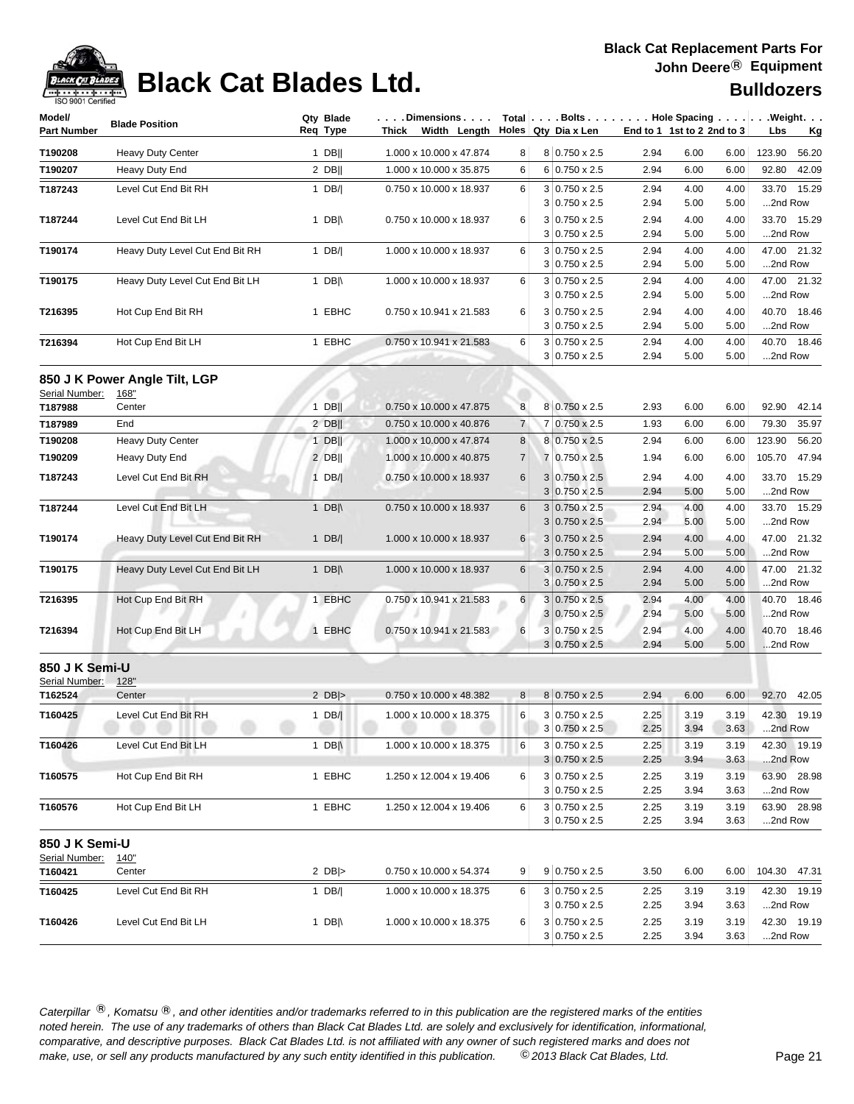

## **Black Cat Blades Ltd. Black Cat Blades Ltd. Black Cat Blades Ltd.**

| Model/             | <b>Blade Position</b>                 | Qty Blade        | . Dimensions            |                |                                              |              |                            |              | Total $\vert \ldots$ Bolts $\ldots \vert \ldots$ Hole Spacing $\ldots \vert \ldots$ Weight. $\ldots$ |
|--------------------|---------------------------------------|------------------|-------------------------|----------------|----------------------------------------------|--------------|----------------------------|--------------|------------------------------------------------------------------------------------------------------|
| <b>Part Number</b> |                                       | Reg Type         | Width Length<br>Thick   |                | Holes Qty Dia x Len                          |              | End to 1 1st to 2 2nd to 3 |              | Lbs<br><u>Kg</u>                                                                                     |
| T190208            | <b>Heavy Duty Center</b>              | $1$ DB           | 1.000 x 10.000 x 47.874 | 8 <sup>1</sup> | 8 0.750 x 2.5                                | 2.94         | 6.00                       | 6.00         | 123.90<br>56.20                                                                                      |
| T190207            | Heavy Duty End                        | $2$ DB           | 1.000 x 10.000 x 35.875 | 6              | 6 0.750 x 2.5                                | 2.94         | 6.00                       | 6.00         | 92.80<br>42.09                                                                                       |
| T187243            | Level Cut End Bit RH                  | 1 $DB/$          | 0.750 x 10.000 x 18.937 | 6              | $3 0.750 \times 2.5$                         | 2.94         | 4.00                       | 4.00         | 33.70 15.29                                                                                          |
|                    |                                       |                  |                         |                | $3 0.750 \times 2.5$                         | 2.94         | 5.00                       | 5.00         | 2nd Row                                                                                              |
| T187244            | Level Cut End Bit LH                  | 1 DB $\parallel$ | 0.750 x 10.000 x 18.937 | 6              | $3 0.750 \times 2.5$                         | 2.94         | 4.00                       | 4.00         | 33.70 15.29                                                                                          |
|                    |                                       |                  |                         |                | $3 0.750 \times 2.5$                         | 2.94         | 5.00                       | 5.00         | 2nd Row                                                                                              |
| T190174            | Heavy Duty Level Cut End Bit RH       | 1 $DB/$          | 1.000 x 10.000 x 18.937 | 6              | 3 0.750 x 2.5                                | 2.94         | 4.00                       | 4.00         | 47.00 21.32                                                                                          |
|                    |                                       |                  |                         |                | $3 0.750 \times 2.5$                         | 2.94         | 5.00                       | 5.00         | 2nd Row                                                                                              |
| T190175            | Heavy Duty Level Cut End Bit LH       | 1 DB $\parallel$ | 1.000 x 10.000 x 18.937 | 6              | $3 0.750 \times 2.5$<br>$3 0.750 \times 2.5$ | 2.94<br>2.94 | 4.00<br>5.00               | 4.00<br>5.00 | 47.00 21.32<br>2nd Row                                                                               |
| T216395            |                                       | 1 EBHC           | 0.750 x 10.941 x 21.583 | 6              | $3 0.750 \times 2.5$                         | 2.94         | 4.00                       | 4.00         | 40.70 18.46                                                                                          |
|                    | Hot Cup End Bit RH                    |                  |                         |                | $3 0.750 \times 2.5$                         | 2.94         | 5.00                       | 5.00         | 2nd Row                                                                                              |
| T216394            | Hot Cup End Bit LH                    | 1 EBHC           | 0.750 x 10.941 x 21.583 | 6              | $3 0.750 \times 2.5$                         | 2.94         | 4.00                       | 4.00         | 40.70 18.46                                                                                          |
|                    |                                       |                  |                         |                | $3 0.750 \times 2.5$                         | 2.94         | 5.00                       | 5.00         | 2nd Row                                                                                              |
|                    |                                       |                  |                         |                |                                              |              |                            |              |                                                                                                      |
| Serial Number:     | 850 J K Power Angle Tilt, LGP<br>168" |                  |                         |                |                                              |              |                            |              |                                                                                                      |
| T187988            | Center                                | $1$ DB           | 0.750 x 10.000 x 47.875 | 8              | 8 0.750 x 2.5                                | 2.93         | 6.00                       | 6.00         | 92.90<br>42.14                                                                                       |
| T187989            | End                                   | $2$ DB           | 0.750 x 10.000 x 40.876 | 7              | 7 0.750 x 2.5                                | 1.93         | 6.00                       | 6.00         | 79.30<br>35.97                                                                                       |
| T190208            | Heavy Duty Center                     | $1$ DB           | 1.000 x 10.000 x 47.874 | 8              | 8 0.750 x 2.5                                | 2.94         | 6.00                       | 6.00         | 123.90<br>56.20                                                                                      |
| T190209            | Heavy Duty End                        | $2$ DB           | 1.000 x 10.000 x 40.875 | 7              | 7 0.750 x 2.5                                | 1.94         | 6.00                       | 6.00         | 105.70<br>47.94                                                                                      |
|                    |                                       |                  |                         |                |                                              |              |                            |              |                                                                                                      |
| T187243            | Level Cut End Bit RH                  | $1$ DB/          | 0.750 x 10.000 x 18.937 | 6              | $3 0.750 \times 2.5$                         | 2.94         | 4.00                       | 4.00         | 33.70<br>15.29                                                                                       |
|                    | Level Cut End Bit LH                  |                  |                         |                | $3 0.750 \times 2.5$                         | 2.94         | 5.00                       | 5.00         | 2nd Row                                                                                              |
| T187244            |                                       | 1 DB $\parallel$ | 0.750 x 10.000 x 18.937 | 6              | $3 0.750 \times 2.5$<br>$3 0.750 \times 2.5$ | 2.94<br>2.94 | 4.00<br>5.00               | 4.00<br>5.00 | 15.29<br>33.70<br>2nd Row                                                                            |
| T190174            | Heavy Duty Level Cut End Bit RH       | 1 $DB/ $         | 1.000 x 10.000 x 18.937 | $6 \mid$       | $3 0.750 \times 2.5$                         | 2.94         | 4.00                       | 4.00         | 47.00 21.32                                                                                          |
|                    |                                       |                  |                         |                | $3 0.750 \times 2.5$                         | 2.94         | 5.00                       | 5.00         | 2nd Row                                                                                              |
| T190175            | Heavy Duty Level Cut End Bit LH       | 1 DB $\parallel$ | 1.000 x 10.000 x 18.937 | 6              | $3 0.750 \times 2.5$                         | 2.94         | 4.00                       | 4.00         | 47.00 21.32                                                                                          |
|                    |                                       |                  |                         |                | $3 0.750 \times 2.5$                         | 2.94         | 5.00                       | 5.00         | 2nd Row                                                                                              |
| T216395            | Hot Cup End Bit RH                    | 1 EBHC           | 0.750 x 10.941 x 21.583 | 6              | $3 0.750 \times 2.5$                         | 2.94         | 4.00                       | 4.00         | 40.70 18.46                                                                                          |
|                    |                                       |                  |                         |                | $3 0.750 \times 2.5 $                        | 2.94         | 5.00                       | 5.00         | 2nd Row                                                                                              |
| T216394            | Hot Cup End Bit LH                    | 1 EBHC           | 0.750 x 10.941 x 21.583 | 6              | $3 0.750 \times 2.5$                         | 2.94         | 4.00                       | 4.00         | 40.70 18.46                                                                                          |
|                    |                                       |                  |                         |                | $3 0.750 \times 2.5$                         | 2.94         | 5.00                       | 5.00         | 2nd Row                                                                                              |
| 850 J K Semi-U     |                                       |                  |                         |                |                                              |              |                            |              |                                                                                                      |
| Serial Number:     | 128"                                  |                  |                         |                |                                              |              |                            |              |                                                                                                      |
| T162524            | Center                                | 2 $DB$ $>$       | 0.750 x 10.000 x 48.382 | 8 <sup>1</sup> | 8 0.750 x 2.5                                | 2.94         | 6.00                       | 6.00         | 92.70<br>42.05                                                                                       |
| T160425            | Level Cut End Bit RH                  | $1$ DB/          | 1.000 x 10.000 x 18.375 | 6              | $3 0.750 \times 2.5$                         | 2.25         | 3.19                       | 3.19         | 42.30 19.19                                                                                          |
|                    | ----                                  |                  |                         |                | $3 0.750 \times 2.5 $                        | 2.25         | 3.94                       | 3.63         | 2nd Row                                                                                              |
| T160426            | Level Cut End Bit LH                  | 1 DB $\parallel$ | 1.000 x 10.000 x 18.375 | 6              | $3 0.750 \times 2.5$                         | 2.25         | 3.19                       | 3.19         | 42.30 19.19                                                                                          |
|                    |                                       |                  |                         |                | $3 0.750 \times 2.5$                         | 2.25         | 3.94                       | 3.63         | 2nd Row                                                                                              |
| T160575            | Hot Cup End Bit RH                    | 1 EBHC           | 1.250 x 12.004 x 19.406 | 6              | 3 0.750 x 2.5                                | 2.25         | 3.19                       | 3.19         | 63.90 28.98                                                                                          |
|                    |                                       |                  |                         |                | $3 0.750 \times 2.5$                         | 2.25         | 3.94                       | 3.63         | 2nd Row                                                                                              |
| T160576            | Hot Cup End Bit LH                    | 1 EBHC           | 1.250 x 12.004 x 19.406 | 6              | 3 0.750 x 2.5                                | 2.25         | 3.19                       | 3.19         | 63.90 28.98                                                                                          |
|                    |                                       |                  |                         |                | $3 0.750 \times 2.5$                         | 2.25         | 3.94                       | 3.63         | 2nd Row                                                                                              |
| 850 J K Semi-U     |                                       |                  |                         |                |                                              |              |                            |              |                                                                                                      |
| Serial Number:     | <u>140"</u>                           |                  |                         |                |                                              |              |                            |              |                                                                                                      |
| T160421            | Center                                | 2 $DB$ $>$       | 0.750 x 10.000 x 54.374 | 9 <sup>°</sup> | $9 0.750 \times 2.5$                         | 3.50         | 6.00                       | 6.00         | 104.30 47.31                                                                                         |
| T160425            | Level Cut End Bit RH                  | 1 $DB/$          | 1.000 x 10.000 x 18.375 | 6              | $3 0.750 \times 2.5$                         | 2.25         | 3.19                       | 3.19         | 42.30 19.19                                                                                          |
|                    |                                       |                  |                         |                | $3 0.750 \times 2.5$                         | 2.25         | 3.94                       | 3.63         | 2nd Row                                                                                              |
| T160426            | Level Cut End Bit LH                  | 1 $DB \parallel$ | 1.000 x 10.000 x 18.375 | 6              | $3 0.750 \times 2.5$                         | 2.25         | 3.19                       | 3.19         | 42.30 19.19                                                                                          |
|                    |                                       |                  |                         |                | $3 0.750 \times 2.5$                         | 2.25         | 3.94                       | 3.63         | 2nd Row                                                                                              |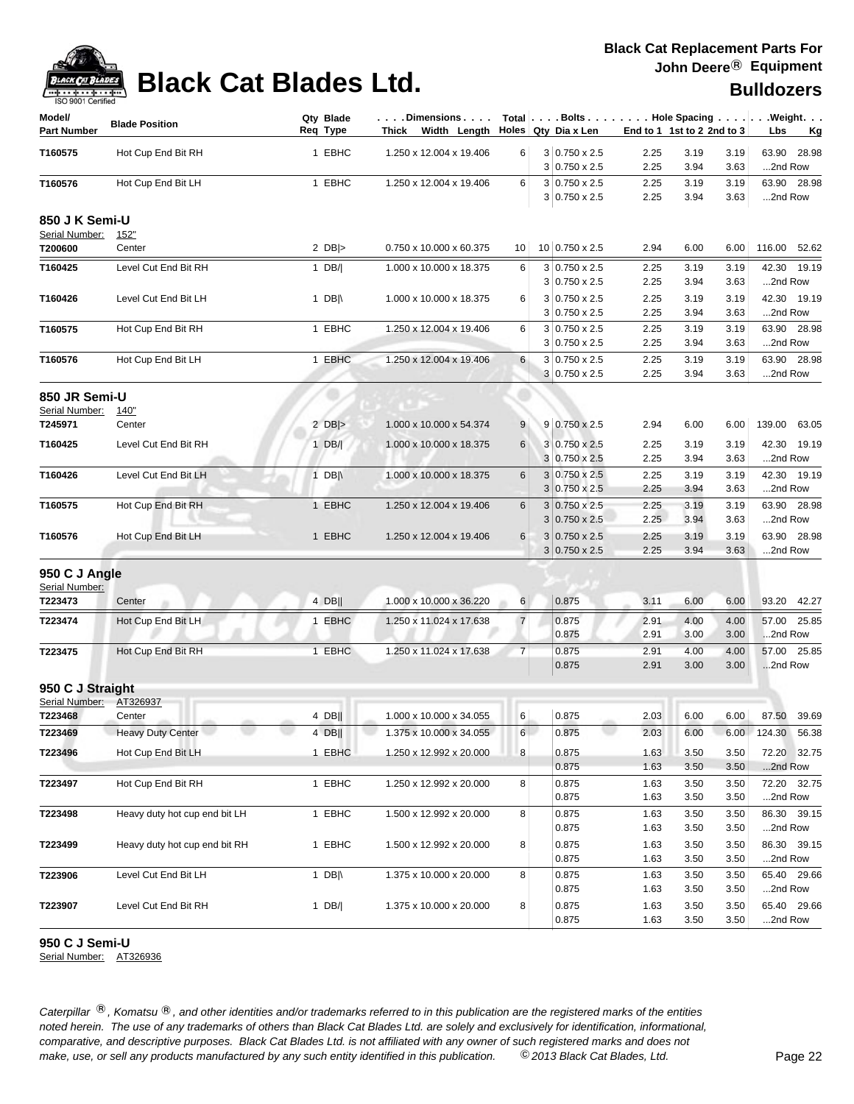| ISO 9001 Certified<br>Model/     |                               | Qty Blade        |        | . Dimensions                          |                | Total   Bolts Hole Spacing                   |              |                            |              | . Weight.                 |
|----------------------------------|-------------------------------|------------------|--------|---------------------------------------|----------------|----------------------------------------------|--------------|----------------------------|--------------|---------------------------|
| <b>Part Number</b>               | <b>Blade Position</b>         | Req Type         |        | Thick Width Length Holes Qty Diax Len |                |                                              |              | End to 1 1st to 2 2nd to 3 |              | Lbs<br><u>Kg</u>          |
| T160575                          | Hot Cup End Bit RH            |                  | 1 EBHC | 1.250 x 12.004 x 19.406               | 6              | $3 0.750 \times 2.5$<br>$3 0.750 \times 2.5$ | 2.25<br>2.25 | 3.19<br>3.94               | 3.19<br>3.63 | 63.90<br>28.98<br>2nd Row |
| T160576                          | Hot Cup End Bit LH            |                  | 1 EBHC | 1.250 x 12.004 x 19.406               | 6              | $3 0.750 \times 2.5$                         | 2.25         | 3.19                       | 3.19         | 63.90 28.98               |
|                                  |                               |                  |        |                                       |                | $3 0.750 \times 2.5$                         | 2.25         | 3.94                       | 3.63         | 2nd Row                   |
| 850 J K Semi-U<br>Serial Number: | <u>152"</u>                   |                  |        |                                       |                |                                              |              |                            |              |                           |
| T200600                          | Center                        | 2 $DB$ $>$       |        | 0.750 x 10.000 x 60.375               | 10             | 10 0.750 x 2.5                               | 2.94         | 6.00                       | 6.00         | 116.00 52.62              |
| T160425                          | Level Cut End Bit RH          | 1 $DB/$          |        | 1.000 x 10.000 x 18.375               | 6              | $3 0.750 \times 2.5$                         | 2.25         | 3.19                       | 3.19         | 42.30 19.19               |
|                                  |                               |                  |        |                                       |                | $3 0.750 \times 2.5$                         | 2.25         | 3.94                       | 3.63         | 2nd Row                   |
| T160426                          | Level Cut End Bit LH          | 1 DB $\parallel$ |        | 1.000 x 10.000 x 18.375               | 6              | $3 0.750 \times 2.5$                         | 2.25         | 3.19                       | 3.19         | 42.30 19.19               |
|                                  |                               |                  |        |                                       |                | $3 0.750 \times 2.5$                         | 2.25         | 3.94                       | 3.63         | 2nd Row                   |
| T160575                          | Hot Cup End Bit RH            |                  | 1 EBHC | 1.250 x 12.004 x 19.406               | 6              | $3 0.750 \times 2.5$<br>$3 0.750 \times 2.5$ | 2.25<br>2.25 | 3.19<br>3.94               | 3.19<br>3.63 | 63.90 28.98<br>2nd Row    |
| T160576                          | Hot Cup End Bit LH            |                  | 1 EBHC | 1.250 x 12.004 x 19.406               | 6              | 3 0.750 x 2.5                                | 2.25         | 3.19                       | 3.19         | 63.90 28.98               |
|                                  |                               |                  |        |                                       |                | $3 0.750 \times 2.5$                         | 2.25         | 3.94                       | 3.63         | 2nd Row                   |
| 850 JR Semi-U                    |                               |                  |        |                                       |                |                                              |              |                            |              |                           |
| Serial Number:                   | 140"                          |                  |        |                                       |                |                                              |              |                            |              |                           |
| T245971                          | Center                        | 2 $DB$ $>$       |        | 1.000 x 10.000 x 54.374               | 9              | 9 0.750 x 2.5                                | 2.94         | 6.00                       | 6.00         | 139.00 63.05              |
| T160425                          | Level Cut End Bit RH          | $1$ DB/          |        | 1.000 x 10.000 x 18.375               | 6              | $3 0.750 \times 2.5$                         | 2.25         | 3.19                       | 3.19         | 42.30 19.19               |
|                                  |                               |                  |        |                                       |                | 3 0.750 x 2.5                                | 2.25         | 3.94                       | 3.63         | 2nd Row                   |
| T160426                          | Level Cut End Bit LH          | 1 DB $\parallel$ |        | 1.000 x 10.000 x 18.375               | 6              | $3 0.750 \times 2.5$                         | 2.25         | 3.19                       | 3.19         | 42.30 19.19               |
|                                  |                               |                  |        |                                       |                | $3 0.750 \times 2.5$                         | 2.25         | 3.94                       | 3.63         | 2nd Row                   |
| T160575                          | Hot Cup End Bit RH            |                  | 1 EBHC | 1.250 x 12.004 x 19.406               | 6              | $3 0.750 \times 2.5$                         | 2.25         | 3.19                       | 3.19         | 63.90 28.98               |
|                                  |                               |                  |        |                                       |                | $3 0.750 \times 2.5$                         | 2.25         | 3.94                       | 3.63         | 2nd Row                   |
| T160576                          | Hot Cup End Bit LH            |                  | 1 EBHC | 1.250 x 12.004 x 19.406               | $\,6$          | $3 0.750 \times 2.5$<br>$3 0.750 \times 2.5$ | 2.25<br>2.25 | 3.19<br>3.94               | 3.19<br>3.63 | 63.90 28.98<br>2nd Row    |
|                                  |                               |                  |        |                                       |                |                                              |              |                            |              |                           |
| 950 C J Angle<br>Serial Number:  |                               |                  |        |                                       |                |                                              |              |                            |              |                           |
| T223473                          | Center                        | 4 DB             |        | 1.000 x 10.000 x 36.220               | $6 \mid$       | 0.875                                        | 3.11         | 6.00                       | 6.00         | 93.20 42.27               |
| T223474                          | Hot Cup End Bit LH            |                  | 1 EBHC | 1.250 x 11.024 x 17.638               | $\overline{7}$ | 0.875                                        | 2.91         | 4.00                       | 4.00         | 57.00 25.85               |
|                                  |                               |                  |        |                                       |                | 0.875                                        | 2.91         | 3.00                       | 3.00         | 2nd Row                   |
| T223475                          | Hot Cup End Bit RH            |                  | 1 EBHC | 1.250 x 11.024 x 17.638               | $\overline{7}$ | 0.875                                        | 2.91         | 4.00                       | 4.00         | 57.00 25.85               |
|                                  |                               |                  |        |                                       |                | 0.875                                        | 2.91         | 3.00                       | 3.00         | 2nd Row                   |
| 950 C J Straight                 |                               |                  |        |                                       |                |                                              |              |                            |              |                           |
| Serial Number:                   | AT326937                      |                  |        |                                       |                |                                              |              |                            |              |                           |
| T223468                          | Center                        | 4 DB             |        | 1.000 x 10.000 x 34.055               | 6              | 0.875                                        | 2.03         | 6.00                       | 6.00         | 87.50 39.69               |
| T223469                          | <b>Heavy Duty Center</b>      | $4$ DB           |        | 1.375 x 10.000 x 34.055               | 6              | 0.875                                        | 2.03         | 6.00                       | 6.00         | 124.30 56.38              |
| T223496                          | Hot Cup End Bit LH            |                  | 1 EBHC | 1.250 x 12.992 x 20.000               | 8              | 0.875                                        | 1.63         | 3.50                       | 3.50         | 72.20 32.75               |
|                                  |                               |                  |        |                                       |                | 0.875                                        | 1.63         | 3.50                       | 3.50         | 2nd Row                   |
| T223497                          | Hot Cup End Bit RH            |                  | 1 EBHC | 1.250 x 12.992 x 20.000               | 8              | 0.875<br>0.875                               | 1.63<br>1.63 | 3.50<br>3.50               | 3.50<br>3.50 | 72.20 32.75<br>2nd Row    |
| T223498                          | Heavy duty hot cup end bit LH |                  | 1 EBHC | 1.500 x 12.992 x 20.000               | 8              | 0.875                                        | 1.63         | 3.50                       | 3.50         | 86.30 39.15               |
|                                  |                               |                  |        |                                       |                | 0.875                                        | 1.63         | 3.50                       | 3.50         | 2nd Row                   |
| T223499                          | Heavy duty hot cup end bit RH |                  | 1 EBHC | 1.500 x 12.992 x 20.000               | 8              | 0.875                                        | 1.63         | 3.50                       | 3.50         | 86.30 39.15               |
|                                  |                               |                  |        |                                       |                | 0.875                                        | 1.63         | 3.50                       | 3.50         | 2nd Row                   |
| T223906                          | Level Cut End Bit LH          | 1 $DB \wedge$    |        | 1.375 x 10.000 x 20.000               | 8              | 0.875                                        | 1.63         | 3.50                       | 3.50         | 65.40 29.66               |
|                                  |                               |                  |        |                                       |                | 0.875                                        | 1.63         | 3.50                       | 3.50         | 2nd Row                   |
| T223907                          | Level Cut End Bit RH          | $1$ DB/          |        | 1.375 x 10.000 x 20.000               | 8              | 0.875                                        | 1.63         | 3.50                       | 3.50         | 65.40 29.66               |
|                                  |                               |                  |        |                                       |                | 0.875                                        | 1.63         | 3.50                       | 3.50         | 2nd Row                   |

**950 C J Semi-U**

Serial Number: AT326936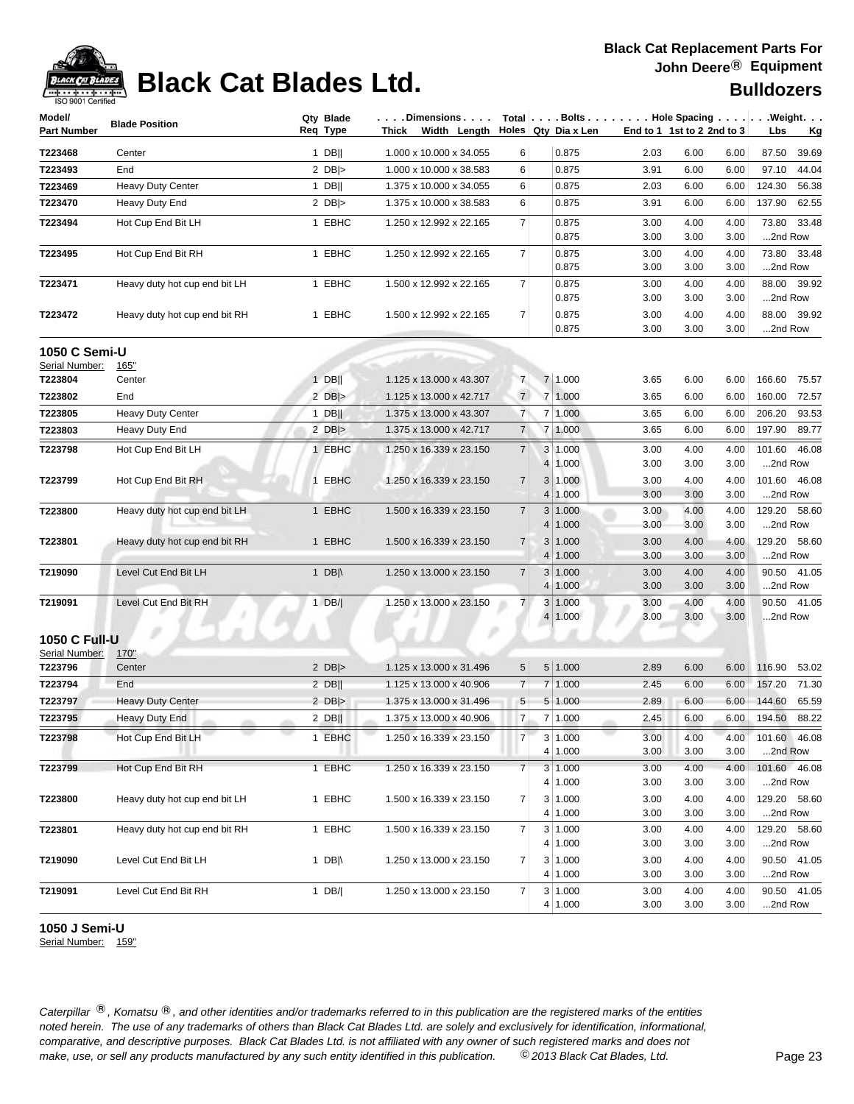

## **Black Cat Blades Ltd. Black Cat Blades Ltd. Black Cat Blades Ltd.**

| Model/<br>Part Number                  | <b>Blade Position</b>         | Qty Blade<br>Req Type | $\ldots$ . Dimensions $\ldots$ .<br>Width Length Holes Qty Dia x Len<br>Thick |                | $Total   \ldots$ Bolts $\ldots   \ldots$ . Hole Spacing $\ldots   \ldots$ . Weight. $\ldots$ |              | End to 1 1st to 2 2nd to 3   | Lbs<br>Кg               |
|----------------------------------------|-------------------------------|-----------------------|-------------------------------------------------------------------------------|----------------|----------------------------------------------------------------------------------------------|--------------|------------------------------|-------------------------|
| T223468                                | Center                        | $1$ DB                | 1.000 x 10.000 x 34.055                                                       | 6              | 0.875                                                                                        | 2.03         | 6.00<br>6.00                 | 87.50<br>39.69          |
| T223493                                | End                           | 2 $DB$ $>$            | 1.000 x 10.000 x 38.583                                                       | 6              | 0.875                                                                                        | 3.91         | 6.00<br>6.00                 | 97.10<br>44.04          |
| T223469                                | <b>Heavy Duty Center</b>      | $1$ DB                | 1.375 x 10.000 x 34.055                                                       | 6              | 0.875                                                                                        | 2.03         | 6.00<br>6.00                 | 124.30<br>56.38         |
| T223470                                | Heavy Duty End                | 2 $DB$ $>$            | 1.375 x 10.000 x 38.583                                                       | 6              | 0.875                                                                                        | 3.91         | 6.00<br>6.00                 | 137.90<br>62.55         |
| T223494                                | Hot Cup End Bit LH            | 1 EBHC                | 1.250 x 12.992 x 22.165                                                       | 7              | 0.875                                                                                        | 3.00         | 4.00<br>4.00                 | 33.48<br>73.80          |
|                                        |                               |                       |                                                                               |                | 0.875                                                                                        | 3.00         | 3.00<br>3.00                 | 2nd Row                 |
| T223495                                | Hot Cup End Bit RH            | 1 EBHC                | 1.250 x 12.992 x 22.165                                                       | $\overline{7}$ | 0.875                                                                                        | 3.00         | 4.00<br>4.00                 | 73.80 33.48             |
|                                        |                               |                       |                                                                               |                | 0.875                                                                                        | 3.00         | 3.00<br>3.00                 | 2nd Row                 |
| T223471                                | Heavy duty hot cup end bit LH | 1 EBHC                | 1.500 x 12.992 x 22.165                                                       | 7              | 0.875                                                                                        | 3.00         | 4.00<br>4.00                 | 88.00 39.92             |
|                                        |                               |                       |                                                                               |                | 0.875                                                                                        | 3.00         | 3.00<br>3.00                 | 2nd Row                 |
| T223472                                | Heavy duty hot cup end bit RH | 1 EBHC                | 1.500 x 12.992 x 22.165                                                       | $\overline{7}$ | 0.875                                                                                        | 3.00         | 4.00<br>4.00                 | 88.00 39.92             |
|                                        |                               |                       |                                                                               |                | 0.875                                                                                        | 3.00         | 3.00<br>3.00                 | 2nd Row                 |
| 1050 C Semi-U                          |                               |                       |                                                                               |                |                                                                                              |              |                              |                         |
| Serial Number:                         | 165"                          |                       |                                                                               |                |                                                                                              |              |                              |                         |
| T223804                                | Center                        | $1$ DB                | 1.125 x 13.000 x 43.307                                                       | $\overline{7}$ | 7 1.000                                                                                      | 3.65         | 6.00<br>6.00                 | 166.60<br>75.57         |
| T223802                                | End                           | 2 $DB$ $>$            | 1.125 x 13.000 x 42.717                                                       | $\overline{7}$ | 7 1.000                                                                                      | 3.65         | 6.00<br>6.00                 | 160.00<br>72.57         |
| T223805                                | <b>Heavy Duty Center</b>      | 1 DB $\parallel$      | 1.375 x 13.000 x 43.307                                                       | $\overline{7}$ | 7 1.000                                                                                      | 3.65         | 6.00<br>6.00                 | 206.20<br>93.53         |
| T223803                                | Heavy Duty End                | 2 $DB$ $>$            | 1.375 x 13.000 x 42.717                                                       | $\overline{7}$ | 7 1.000                                                                                      | 3.65         | 6.00<br>6.00                 | 197.90<br>89.77         |
| T223798                                | Hot Cup End Bit LH            | 1 EBHC                | 1.250 x 16.339 x 23.150                                                       | $\overline{7}$ | 3 1.000                                                                                      | 3.00         | 4.00<br>4.00                 | 46.08<br>101.60         |
|                                        |                               |                       |                                                                               |                | 1.000<br>$\overline{4}$                                                                      | 3.00         | 3.00<br>3.00                 | 2nd Row                 |
| T223799                                | Hot Cup End Bit RH            | 1 EBHC                | 1.250 x 16.339 x 23.150                                                       | $\overline{7}$ | 3 <sup>1</sup><br>1.000                                                                      | 3.00         | 4.00<br>4.00                 | 46.08<br>101.60         |
|                                        |                               |                       |                                                                               |                | 4<br>1.000                                                                                   | 3.00         | 3.00<br>3.00                 | 2nd Row                 |
| T223800                                | Heavy duty hot cup end bit LH | 1 EBHC                | 1.500 x 16.339 x 23.150                                                       | $\overline{7}$ | 3<br>1.000                                                                                   | 3.00         | 4.00<br>4.00                 | 129.20 58.60            |
|                                        |                               |                       |                                                                               |                | 1.000<br>4                                                                                   | 3.00         | 3.00<br>3.00                 | 2nd Row                 |
| T223801                                | Heavy duty hot cup end bit RH | 1 EBHC                | 1.500 x 16.339 x 23.150                                                       | $\overline{7}$ | 3<br>1.000                                                                                   | 3.00         | 4.00<br>4.00                 | 129.20<br>58.60         |
|                                        |                               |                       |                                                                               |                | 1.000<br>4                                                                                   | 3.00         | 3.00<br>3.00                 | 2nd Row                 |
| T219090                                | Level Cut End Bit LH          | 1 DB $\parallel$      | 1.250 x 13.000 x 23.150                                                       | $\overline{7}$ | 3<br>1.000                                                                                   | 3.00         | 4.00<br>4.00                 | 90.50 41.05             |
|                                        |                               |                       |                                                                               |                | 1.000<br>4                                                                                   | 3.00         | 3.00<br>3.00                 | 2nd Row                 |
| T219091                                | Level Cut End Bit RH          | $1$ DB/               | 1.250 x 13.000 x 23.150                                                       | $\overline{7}$ | 3<br>1.000<br>1.000<br>4                                                                     | 3.00<br>3.00 | 4.00<br>4.00<br>3.00<br>3.00 | 90.50 41.05<br>2nd Row  |
|                                        |                               |                       |                                                                               |                |                                                                                              |              |                              |                         |
| <b>1050 C Full-U</b><br>Serial Number: | 170"                          |                       |                                                                               |                |                                                                                              |              |                              |                         |
| T223796                                | Center                        | 2 $DB$ $>$            | 1.125 x 13.000 x 31.496                                                       | 5              | 5 1.000                                                                                      | 2.89         | 6.00<br>6.00                 | 53.02<br>116.90         |
| T223794                                | End                           | $2$ DB                | 1.125 x 13.000 x 40.906                                                       | $\overline{7}$ | 7 1.000                                                                                      | 2.45         | 6.00<br>6.00                 | 157.20<br>71.30         |
| T223797                                | <b>Heavy Duty Center</b>      | 2 $DB$ $>$            | 1.375 x 13.000 x 31.496                                                       | 5              | 5 1.000                                                                                      | 2.89         | 6.00<br>6.00                 | 144.60<br>65.59         |
| T223795                                | Heavy Duty End                | $2$ DB                | 1.375 x 13.000 x 40.906                                                       | $\overline{7}$ | 7 1.000                                                                                      | 2.45         | 6.00<br>6.00                 | 194.50<br>88.22         |
|                                        |                               |                       |                                                                               |                |                                                                                              |              |                              |                         |
| T223798                                | Hot Cup End Bit LH            | 1 EBHC                | 1.250 x 16.339 x 23.150                                                       | 7              | 3 1.000<br>4<br>1.000                                                                        | 3.00<br>3.00 | 4.00<br>4.00<br>3.00<br>3.00 | 101.60 46.08<br>2nd Row |
| T223799                                | Hot Cup End Bit RH            | 1 EBHC                | 1.250 x 16.339 x 23.150                                                       | $\overline{7}$ | 3 <br>1.000                                                                                  | 3.00         | 4.00<br>4.00                 | 101.60 46.08            |
|                                        |                               |                       |                                                                               |                | 4 1.000                                                                                      | 3.00         | 3.00<br>3.00                 | 2nd Row                 |
| T223800                                | Heavy duty hot cup end bit LH | 1 EBHC                | 1.500 x 16.339 x 23.150                                                       | $\overline{7}$ | 3 1.000                                                                                      | 3.00         | 4.00<br>4.00                 | 129.20 58.60            |
|                                        |                               |                       |                                                                               |                | 4  <br>1.000                                                                                 | 3.00         | 3.00<br>3.00                 | 2nd Row                 |
| T223801                                | Heavy duty hot cup end bit RH | 1 EBHC                | 1.500 x 16.339 x 23.150                                                       | $\overline{7}$ | 3 1.000                                                                                      | 3.00         | 4.00<br>4.00                 | 129.20 58.60            |
|                                        |                               |                       |                                                                               |                | 4<br>1.000                                                                                   | 3.00         | 3.00<br>3.00                 | 2nd Row                 |
| T219090                                | Level Cut End Bit LH          | 1 DB $\parallel$      | 1.250 x 13.000 x 23.150                                                       | $\overline{7}$ | 3 1.000                                                                                      | 3.00         | 4.00<br>4.00                 | 90.50 41.05             |
|                                        |                               |                       |                                                                               |                | 4  <br>1.000                                                                                 | 3.00         | 3.00<br>3.00                 | 2nd Row                 |
| T219091                                | Level Cut End Bit RH          | 1 DB/                 | 1.250 x 13.000 x 23.150                                                       | $\overline{7}$ | 3 1.000                                                                                      | 3.00         | 4.00<br>4.00                 | 90.50 41.05             |
|                                        |                               |                       |                                                                               |                | 4 1.000                                                                                      | 3.00         | 3.00<br>3.00                 | 2nd Row                 |

**1050 J Semi-U**

Serial Number: 159"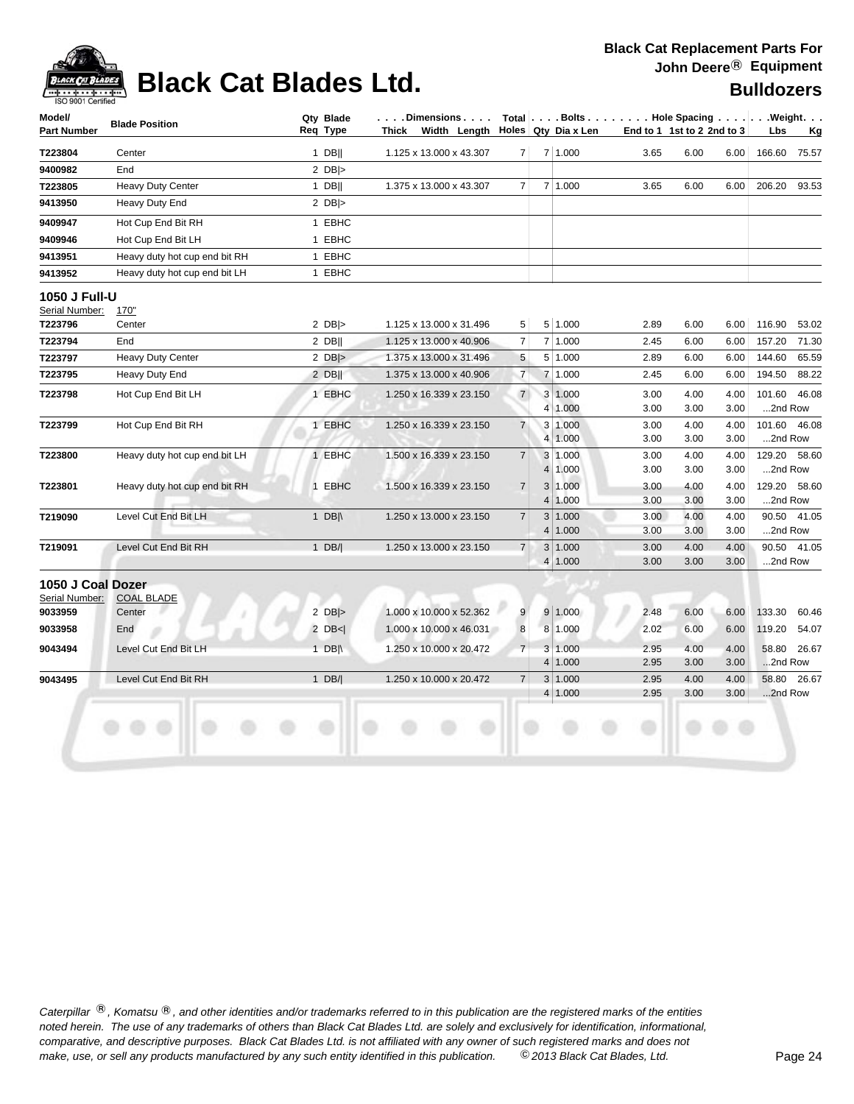

## **Black Cat Blades Ltd. Black Cat Blades Ltd.**

### **Black Cat Replacement Parts For John Deere**® **Equipment**

| <b>Bulldozers</b> |  |
|-------------------|--|
|-------------------|--|

| $1$ DB  <br>$2$ DB ><br>$1$ DB  <br>2 $DB$<br>1 EBHC<br>1 EBHC<br>1 EBHC<br>1 EBHC<br>2 $DB$ $>$<br>$2$ DB  <br>$2$ DB  $>$<br>$2$ DB  <br>1 EBHC<br>1 EBHC | 1.125 x 13.000 x 43.307<br>1.375 x 13.000 x 43.307<br>1.125 x 13.000 x 31.496<br>1.125 x 13.000 x 40.906<br>1.375 x 13.000 x 31.496<br>1.375 x 13.000 x 40.906<br>1.250 x 16.339 x 23.150<br>1.250 x 16.339 x 23.150 | 7<br>7<br>5<br>7<br>5<br>$\overline{7}$<br>$\overline{7}$ |                | 7 1.000<br>7 1.000<br>5 1.000<br>7 1.000<br>5 1.000<br>7 1.000 | End to 1 1st to 2 2nd to 3<br>3.65<br>3.65<br>2.89<br>2.45<br>2.89<br>2.45 | 6.00<br>6.00<br>6.00<br>6.00<br>6.00<br>6.00 | 6.00<br>6.00<br>6.00<br>6.00<br>6.00<br>6.00 | 166.60<br>206.20<br>116.90<br>157.20<br>144.60 | <u>Kg</u><br>75.57<br>93.53<br>65.59   |
|-------------------------------------------------------------------------------------------------------------------------------------------------------------|----------------------------------------------------------------------------------------------------------------------------------------------------------------------------------------------------------------------|-----------------------------------------------------------|----------------|----------------------------------------------------------------|----------------------------------------------------------------------------|----------------------------------------------|----------------------------------------------|------------------------------------------------|----------------------------------------|
|                                                                                                                                                             |                                                                                                                                                                                                                      |                                                           |                |                                                                |                                                                            |                                              |                                              |                                                |                                        |
|                                                                                                                                                             |                                                                                                                                                                                                                      |                                                           |                |                                                                |                                                                            |                                              |                                              |                                                |                                        |
|                                                                                                                                                             |                                                                                                                                                                                                                      |                                                           |                |                                                                |                                                                            |                                              |                                              |                                                |                                        |
|                                                                                                                                                             |                                                                                                                                                                                                                      |                                                           |                |                                                                |                                                                            |                                              |                                              |                                                |                                        |
|                                                                                                                                                             |                                                                                                                                                                                                                      |                                                           |                |                                                                |                                                                            |                                              |                                              |                                                |                                        |
|                                                                                                                                                             |                                                                                                                                                                                                                      |                                                           |                |                                                                |                                                                            |                                              |                                              |                                                |                                        |
|                                                                                                                                                             |                                                                                                                                                                                                                      |                                                           |                |                                                                |                                                                            |                                              |                                              |                                                |                                        |
|                                                                                                                                                             |                                                                                                                                                                                                                      |                                                           |                |                                                                |                                                                            |                                              |                                              |                                                | 53.02<br>71.30                         |
|                                                                                                                                                             |                                                                                                                                                                                                                      |                                                           |                |                                                                |                                                                            |                                              |                                              |                                                |                                        |
|                                                                                                                                                             |                                                                                                                                                                                                                      |                                                           |                |                                                                |                                                                            |                                              |                                              |                                                |                                        |
|                                                                                                                                                             |                                                                                                                                                                                                                      |                                                           |                |                                                                |                                                                            |                                              |                                              |                                                |                                        |
|                                                                                                                                                             |                                                                                                                                                                                                                      |                                                           |                |                                                                |                                                                            |                                              |                                              |                                                |                                        |
|                                                                                                                                                             |                                                                                                                                                                                                                      |                                                           |                |                                                                |                                                                            |                                              |                                              |                                                |                                        |
|                                                                                                                                                             |                                                                                                                                                                                                                      |                                                           |                |                                                                |                                                                            |                                              |                                              | 194.50                                         | 88.22                                  |
|                                                                                                                                                             |                                                                                                                                                                                                                      |                                                           |                | 3 1.000                                                        | 3.00                                                                       | 4.00                                         | 4.00                                         | 101.60                                         | 46.08                                  |
|                                                                                                                                                             |                                                                                                                                                                                                                      |                                                           |                | 4 1.000                                                        | 3.00                                                                       | 3.00                                         | 3.00                                         | 2nd Row                                        |                                        |
|                                                                                                                                                             |                                                                                                                                                                                                                      | $\overline{7}$                                            |                | 3 1.000                                                        | 3.00                                                                       | 4.00                                         | 4.00                                         | 101.60                                         | 46.08                                  |
|                                                                                                                                                             |                                                                                                                                                                                                                      |                                                           |                | 4 1.000                                                        | 3.00                                                                       | 3.00                                         | 3.00                                         | 2nd Row                                        |                                        |
| 1 EBHC                                                                                                                                                      | 1.500 x 16.339 x 23.150                                                                                                                                                                                              | $\overline{7}$                                            |                | 3 1.000                                                        | 3.00                                                                       | 4.00                                         | 4.00                                         | 129.20 58.60                                   |                                        |
|                                                                                                                                                             |                                                                                                                                                                                                                      |                                                           |                | 4 1.000                                                        | 3.00                                                                       | 3.00                                         | 3.00                                         | 2nd Row                                        |                                        |
| 1 EBHC                                                                                                                                                      | 1.500 x 16.339 x 23.150                                                                                                                                                                                              | $\overline{7}$                                            |                | 3 1.000                                                        | 3.00                                                                       | 4.00                                         | 4.00                                         | 129.20 58.60                                   |                                        |
|                                                                                                                                                             |                                                                                                                                                                                                                      |                                                           |                | 4 1.000                                                        | 3.00                                                                       | 3.00                                         | 3.00                                         | 2nd Row                                        |                                        |
| 1 $DB \wedge$                                                                                                                                               | 1.250 x 13.000 x 23.150                                                                                                                                                                                              | $\overline{7}$                                            | 4              | 3 1.000<br>1.000                                               | 3.00<br>3.00                                                               | 4.00<br>3.00                                 | 4.00<br>3.00                                 | 2nd Row                                        | 90.50 41.05                            |
| $1$ DB/                                                                                                                                                     | 1.250 x 13.000 x 23.150                                                                                                                                                                                              | $\overline{7}$                                            |                | 3 1.000                                                        | 3.00                                                                       | 4.00                                         | 4.00                                         |                                                | 90.50 41.05                            |
|                                                                                                                                                             |                                                                                                                                                                                                                      |                                                           | 4 <sup>1</sup> | 1.000                                                          | 3.00                                                                       | 3.00                                         | 3.00                                         | 2nd Row                                        |                                        |
|                                                                                                                                                             |                                                                                                                                                                                                                      |                                                           |                |                                                                |                                                                            |                                              |                                              |                                                |                                        |
|                                                                                                                                                             |                                                                                                                                                                                                                      |                                                           |                |                                                                |                                                                            |                                              |                                              |                                                |                                        |
| $2$ DB >                                                                                                                                                    | 1.000 x 10.000 x 52.362                                                                                                                                                                                              | 9                                                         |                |                                                                | 2.48                                                                       | 6.00                                         | 6.00                                         |                                                | 60.46                                  |
| $2$ DB $\leq$                                                                                                                                               | 1.000 x 10.000 x 46.031                                                                                                                                                                                              | 8                                                         |                |                                                                | 2.02                                                                       | 6.00                                         | 6.00                                         |                                                | 54.07                                  |
| 1 $DB \land$                                                                                                                                                | 1.250 x 10.000 x 20.472                                                                                                                                                                                              | $\overline{7}$                                            |                |                                                                | 2.95                                                                       | 4.00                                         | 4.00                                         |                                                | 58.80 26.67                            |
|                                                                                                                                                             |                                                                                                                                                                                                                      |                                                           |                |                                                                | 2.95                                                                       | 3.00                                         | 3.00                                         |                                                |                                        |
| 1 $DB/ $                                                                                                                                                    | 1.250 x 10.000 x 20.472                                                                                                                                                                                              | $\overline{7}$                                            |                |                                                                | 2.95                                                                       | 4.00                                         | 4.00                                         |                                                | 58.80 26.67                            |
|                                                                                                                                                             |                                                                                                                                                                                                                      |                                                           |                |                                                                | 2.95                                                                       | 3.00                                         | 3.00                                         |                                                |                                        |
|                                                                                                                                                             |                                                                                                                                                                                                                      |                                                           |                |                                                                | 9 1.000<br>8 1.000<br>3 1.000<br>4 1.000<br>3 1.000<br>4 1.000             |                                              |                                              |                                                | 133.30<br>119.20<br>2nd Row<br>2nd Row |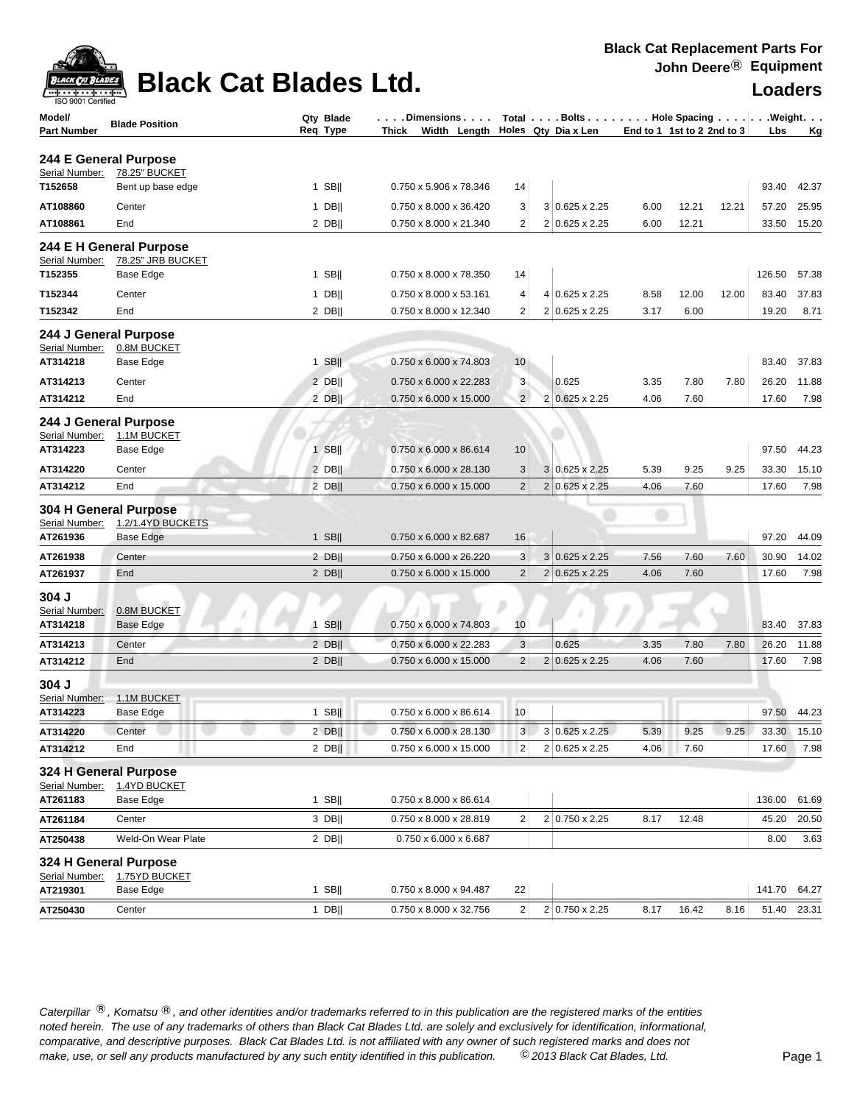

| ISO 9001 Certified           |                                 |                       |                                                                            |                                  |                                        |                            |              |       |                |               |
|------------------------------|---------------------------------|-----------------------|----------------------------------------------------------------------------|----------------------------------|----------------------------------------|----------------------------|--------------|-------|----------------|---------------|
| Model/<br><b>Part Number</b> | <b>Blade Position</b>           | Qty Blade<br>Req Type | . Dimensions<br>$\sim$ $\sim$<br>Width Length Holes Qty Dia x Len<br>Thick |                                  | Total   Bolts   Hole Spacing   Weight. | End to 1 1st to 2 2nd to 3 |              |       | Lbs            | <u>Kg</u>     |
| 244 E General Purpose        |                                 |                       |                                                                            |                                  |                                        |                            |              |       |                |               |
| Serial Number:               | 78.25" BUCKET                   |                       |                                                                            |                                  |                                        |                            |              |       |                |               |
| T152658                      | Bent up base edge               | 1 SBII                | 0.750 x 5.906 x 78.346                                                     | 14                               |                                        |                            |              |       | 93.40          | 42.37         |
| AT108860                     | Center                          | $1$ DB                | 0.750 x 8.000 x 36.420                                                     | 3                                | 3 0.625 x 2.25                         | 6.00                       | 12.21        | 12.21 | 57.20          | 25.95         |
| AT108861                     | End                             | $2$ DB                | 0.750 x 8.000 x 21.340                                                     | $\overline{2}$                   | 2 0.625 x 2.25                         | 6.00                       | 12.21        |       | 33.50          | 15.20         |
|                              | 244 E H General Purpose         |                       |                                                                            |                                  |                                        |                            |              |       |                |               |
| Serial Number:               | 78.25" JRB BUCKET               |                       |                                                                            |                                  |                                        |                            |              |       |                |               |
| T152355                      | Base Edge                       | $1$ SB                | 0.750 x 8.000 x 78.350                                                     | 14                               |                                        |                            |              |       | 126.50         | 57.38         |
| T152344                      | Center                          | $1$ DB                | 0.750 x 8.000 x 53.161                                                     | 4                                | 4 0.625 x 2.25                         | 8.58                       | 12.00        | 12.00 | 83.40          | 37.83         |
| T152342                      | End                             | $2$ DB                | 0.750 x 8.000 x 12.340                                                     | $\overline{2}$                   | 2 0.625 x 2.25                         | 3.17                       | 6.00         |       | 19.20          | 8.71          |
| 244 J General Purpose        |                                 |                       |                                                                            |                                  |                                        |                            |              |       |                |               |
| Serial Number:               | 0.8M BUCKET                     |                       |                                                                            |                                  |                                        |                            |              |       |                |               |
| AT314218                     | Base Edge                       | $1$ SB                | 0.750 x 6.000 x 74.803                                                     | 10                               |                                        |                            |              |       | 83.40          | 37.83         |
| AT314213                     | Center                          | $2$ DB                | 0.750 x 6.000 x 22.283                                                     | 3                                | 0.625                                  | 3.35                       | 7.80         | 7.80  | 26.20          | 11.88         |
| AT314212                     | End                             | 2 DBII                | 0.750 x 6.000 x 15.000                                                     | $\overline{2}$                   | 2 0.625 x 2.25                         | 4.06                       | 7.60         |       | 17.60          | 7.98          |
| 244 J General Purpose        |                                 |                       |                                                                            |                                  |                                        |                            |              |       |                |               |
| Serial Number:               | 1.1M BUCKET                     |                       |                                                                            |                                  |                                        |                            |              |       |                |               |
| AT314223                     | Base Edge                       | $1$ SB                | 0.750 x 6.000 x 86.614                                                     | 10 <sup>°</sup>                  |                                        |                            |              |       | 97.50          | 44.23         |
| AT314220                     | Center                          | $2$ DB                | 0.750 x 6.000 x 28.130                                                     | 3                                | 3 0.625 x 2.25                         | 5.39                       | 9.25         | 9.25  | 33.30          | 15.10         |
| AT314212                     | End                             | $2$ DB                | 0.750 x 6.000 x 15.000                                                     | $\overline{2}$                   | $2 0.625 \times 2.25$                  | 4.06                       | 7.60         |       | 17.60          | 7.98          |
| 304 H General Purpose        |                                 |                       |                                                                            |                                  |                                        |                            |              |       |                |               |
| Serial Number:<br>AT261936   | 1.2/1.4YD BUCKETS               | $1$ SB                | 0.750 x 6.000 x 82.687                                                     | 16                               |                                        |                            |              |       | 97.20          | 44.09         |
|                              | <b>Base Edge</b>                |                       |                                                                            |                                  |                                        |                            |              |       |                |               |
| AT261938                     | Center                          | $2$ DB                | 0.750 x 6.000 x 26.220                                                     | 3                                | $3 0.625 \times 2.25$                  | 7.56                       | 7.60         | 7.60  | 30.90          | 14.02         |
| AT261937                     | End                             | $2$ DB                | 0.750 x 6.000 x 15.000                                                     | $\overline{2}$                   | $2 0.625 \times 2.25$                  | 4.06                       | 7.60         |       | 17.60          | 7.98          |
| 304 J                        |                                 |                       |                                                                            |                                  |                                        |                            |              |       |                |               |
| Serial Number:               | 0.8M BUCKET<br><b>Base Edge</b> | $1$ SB                | 0.750 x 6.000 x 74.803                                                     | 10                               |                                        |                            |              |       | 83.40          | 37.83         |
| AT314218                     |                                 |                       |                                                                            |                                  |                                        |                            |              |       |                |               |
| AT314213                     | Center                          | $2$ DB                | 0.750 x 6.000 x 22.283                                                     | $\mathbf{3}$                     | 0.625                                  | 3.35                       | 7.80         | 7.80  | 26.20          | 11.88         |
| AT314212                     | End                             | $2$ DB                | 0.750 x 6.000 x 15.000                                                     | $\overline{2}$                   | 2 0.625 x 2.25                         | 4.06                       | 7.60         |       | 17.60          | 7.98          |
| 304 J                        |                                 |                       |                                                                            |                                  |                                        |                            |              |       |                |               |
| Serial Number:<br>AT314223   | 1.1M BUCKET<br><b>Base Edge</b> | $1$ SB                | 0.750 x 6.000 x 86.614                                                     | 10                               |                                        |                            |              |       |                | 97.50 44.23   |
|                              |                                 |                       |                                                                            |                                  |                                        |                            |              |       |                |               |
| AT314220<br>AT314212         | Center<br>End                   | $2$ DB  <br>$2$ DB    | 0.750 x 6.000 x 28.130<br>0.750 x 6.000 x 15.000                           | 3 <sup>1</sup><br>$\overline{2}$ | 3 0.625 x 2.25<br>2 0.625 x 2.25       | 5.39<br>4.06               | 9.25<br>7.60 | 9.25  | 33.30<br>17.60 | 15.10<br>7.98 |
|                              |                                 |                       |                                                                            |                                  |                                        |                            |              |       |                |               |
| 324 H General Purpose        |                                 |                       |                                                                            |                                  |                                        |                            |              |       |                |               |
| Serial Number:<br>AT261183   | 1.4YD BUCKET<br>Base Edge       | $1$ SB                | 0.750 x 8.000 x 86.614                                                     |                                  |                                        |                            |              |       | 136.00         | 61.69         |
| AT261184                     | Center                          | 3 DB                  | 0.750 x 8.000 x 28.819                                                     | $\overline{2}$                   | 2 0.750 x 2.25                         | 8.17                       | 12.48        |       | 45.20          | 20.50         |
| AT250438                     |                                 |                       | 0.750 x 6.000 x 6.687                                                      |                                  |                                        |                            |              |       |                |               |
|                              | Weld-On Wear Plate              | $2$ DB                |                                                                            |                                  |                                        |                            |              |       | 8.00           | 3.63          |
| 324 H General Purpose        |                                 |                       |                                                                            |                                  |                                        |                            |              |       |                |               |
| Serial Number:<br>AT219301   | 1.75YD BUCKET<br>Base Edge      | $1$ SB                | 0.750 x 8.000 x 94.487                                                     | 22                               |                                        |                            |              |       | 141.70         | 64.27         |
|                              |                                 |                       |                                                                            |                                  |                                        |                            |              |       |                |               |
| AT250430                     | Center                          | 1 DB                  | 0.750 x 8.000 x 32.756                                                     | $\overline{c}$                   | 2 0.750 x 2.25                         | 8.17                       | 16.42        | 8.16  | 51.40          | 23.31         |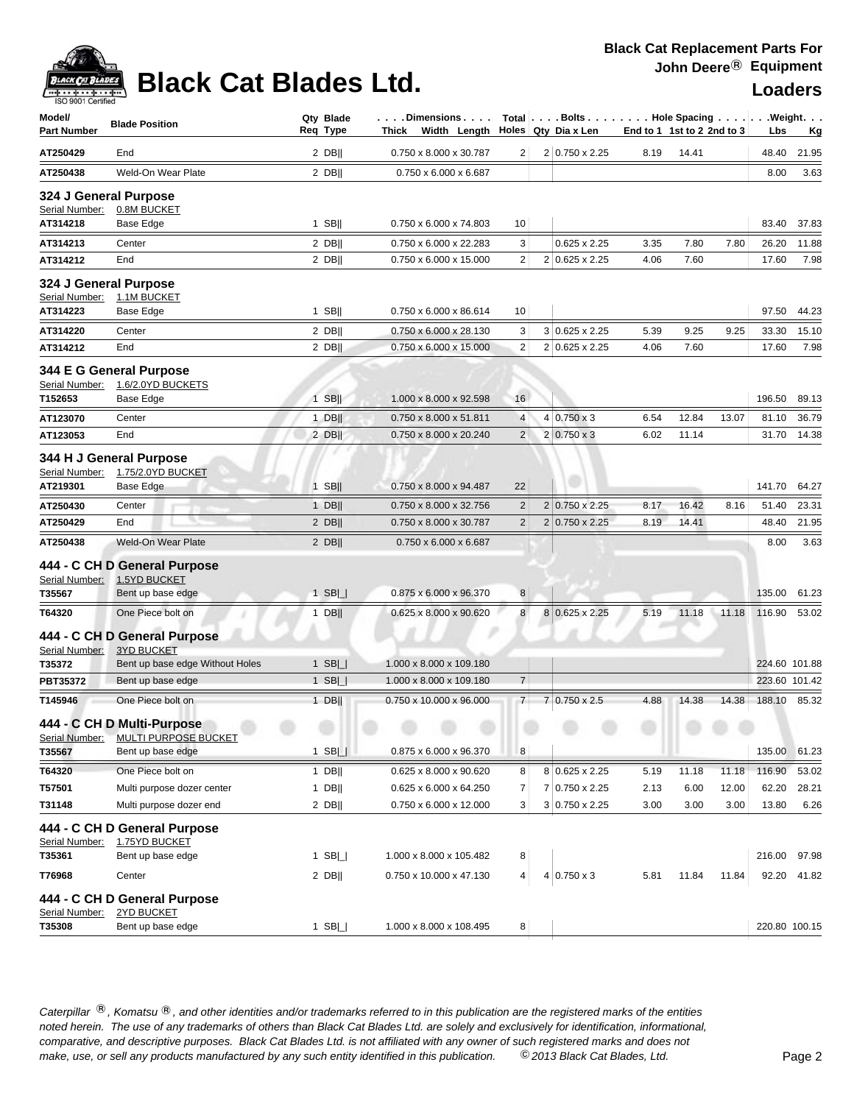

## **Black Cat Blades Ltd. Loaders Loaders**

### **Black Cat Replacement Parts For John Deere**® **Equipment**

| Model/<br><b>Part Number</b>            | <b>Blade Position</b>                                     | Qty Blade<br>Req Type | . Dimensions<br>Thick Width Length |                | Total Bolts Hole Spacing Weight.<br>Holes Qty Dia x Len | End to 1 1st to 2 2nd to 3 |       |       | Lbs           | <u>Kg</u> |
|-----------------------------------------|-----------------------------------------------------------|-----------------------|------------------------------------|----------------|---------------------------------------------------------|----------------------------|-------|-------|---------------|-----------|
| AT250429                                | End                                                       | $2$ DB                | 0.750 x 8.000 x 30.787             | 2              | 2 0.750 x 2.25                                          | 8.19                       | 14.41 |       | 48.40         | 21.95     |
| AT250438                                | Weld-On Wear Plate                                        | 2 DBII                | 0.750 x 6.000 x 6.687              |                |                                                         |                            |       |       | 8.00          | 3.63      |
| 324 J General Purpose<br>Serial Number: | 0.8M BUCKET                                               |                       |                                    |                |                                                         |                            |       |       |               |           |
| AT314218                                | Base Edge                                                 | $1$ SB                | 0.750 x 6.000 x 74.803             | 10             |                                                         |                            |       |       | 83.40         | 37.83     |
| AT314213                                | Center                                                    | $2$ DB                | 0.750 x 6.000 x 22.283             | 3              | $0.625 \times 2.25$                                     | 3.35                       | 7.80  | 7.80  | 26.20         | 11.88     |
| AT314212                                | End                                                       | $2$ DB                | 0.750 x 6.000 x 15.000             | $\overline{2}$ | 2 0.625 x 2.25                                          | 4.06                       | 7.60  |       | 17.60         | 7.98      |
| 324 J General Purpose<br>Serial Number: | 1.1M BUCKET                                               |                       |                                    |                |                                                         |                            |       |       |               |           |
| AT314223                                | Base Edge                                                 | $1$ SB                | 0.750 x 6.000 x 86.614             | 10             |                                                         |                            |       |       | 97.50         | 44.23     |
| AT314220                                | Center                                                    | $2$ DB                | 0.750 x 6.000 x 28.130             | 3              | $3 0.625 \times 2.25$                                   | 5.39                       | 9.25  | 9.25  | 33.30         | 15.10     |
| AT314212                                | End                                                       | $2$ DB                | 0.750 x 6.000 x 15.000             | $\overline{2}$ | 2 0.625 x 2.25                                          | 4.06                       | 7.60  |       | 17.60         | 7.98      |
| Serial Number:<br>T152653               | 344 E G General Purpose<br>1.6/2.0YD BUCKETS<br>Base Edge | $1$ SB                | 1.000 x 8.000 x 92.598             | 16             |                                                         |                            |       |       | 196.50        | 89.13     |
| AT123070                                | Center                                                    | $1$ DB                | 0.750 x 8.000 x 51.811             | $\overline{4}$ | $4 0.750 \times 3$                                      | 6.54                       | 12.84 | 13.07 | 81.10         | 36.79     |
| AT123053                                | End                                                       | $2$ DB                | 0.750 x 8.000 x 20.240             | 2              | $2 0.750 \times 3$                                      | 6.02                       | 11.14 |       | 31.70         | 14.38     |
| Serial Number:<br>AT219301              | 344 H J General Purpose<br>1.75/2.0YD BUCKET<br>Base Edge | $1$ SB                | 0.750 x 8.000 x 94.487             | 22             |                                                         |                            |       |       | 141.70        | 64.27     |
| AT250430                                | Center                                                    | $1$ DB                | 0.750 x 8.000 x 32.756             | $\overline{2}$ | 2 0.750 x 2.25                                          | 8.17                       | 16.42 | 8.16  | 51.40         | 23.31     |
| AT250429                                | End                                                       | $2$ DB                | 0.750 x 8.000 x 30.787             | $\overline{2}$ | 2 0.750 x 2.25                                          | 8.19                       | 14.41 |       | 48.40         | 21.95     |
| AT250438                                | <b>Weld-On Wear Plate</b>                                 | $2$ DB                | 0.750 x 6.000 x 6.687              |                |                                                         |                            |       |       | 8.00          | 3.63      |
| Serial Number:                          | 444 - C CH D General Purpose<br>1.5YD BUCKET              |                       |                                    |                |                                                         |                            |       |       |               |           |
| T35567                                  | Bent up base edge                                         | $1$ SB $  $           | 0.875 x 6.000 x 96.370             | 8              |                                                         |                            |       |       | 135.00        | 61.23     |
| T64320                                  | One Piece bolt on                                         | $1$ DB                | 0.625 x 8.000 x 90.620             | 8              | 8 0.625 x 2.25                                          | 5.19                       | 11.18 | 11.18 | 116.90        | 53.02     |
| Serial Number:                          | 444 - C CH D General Purpose<br><b>3YD BUCKET</b>         |                       |                                    |                |                                                         |                            |       |       |               |           |
| T35372                                  | Bent up base edge Without Holes                           | $1$ SB $\Box$         | 1.000 x 8.000 x 109.180            |                |                                                         |                            |       |       | 224.60 101.88 |           |
| PBT35372                                | Bent up base edge                                         | $1$ SB $  $           | 1.000 x 8.000 x 109.180            | $\overline{7}$ |                                                         |                            |       |       | 223.60 101.42 |           |
| T145946                                 | One Piece bolt on                                         | $1$ DB                | 0.750 x 10.000 x 96.000            | 7              | $7 0.750 \times 2.5$                                    | 4.88                       | 14.38 | 14.38 | 188.10        | 85.32     |
| Serial Number:                          | 444 - C CH D Multi-Purpose<br>MULTI PURPOSE BUCKET        |                       |                                    |                |                                                         |                            |       |       |               |           |
| T35567                                  | Bent up base edge                                         | $1$ SB $ $            | 0.875 x 6.000 x 96.370             | 8              |                                                         |                            |       |       | 135.00        | 61.23     |
| T64320                                  | One Piece bolt on                                         | $1$ DB                | 0.625 x 8.000 x 90.620             | 8              | 8 0.625 x 2.25                                          | 5.19                       | 11.18 | 11.18 | 116.90        | 53.02     |
| T57501                                  | Multi purpose dozer center                                | $1$ DB                | 0.625 x 6.000 x 64.250             | 7              | 7 0.750 x 2.25                                          | 2.13                       | 6.00  | 12.00 | 62.20         | 28.21     |
| T31148                                  | Multi purpose dozer end                                   | $2$ DB                | 0.750 x 6.000 x 12.000             | 3 <sup>2</sup> | 3 0.750 x 2.25                                          | 3.00                       | 3.00  | 3.00  | 13.80         | 6.26      |
| Serial Number:                          | 444 - C CH D General Purpose<br>1.75YD BUCKET             |                       |                                    |                |                                                         |                            |       |       |               |           |
| T35361                                  | Bent up base edge                                         | $1$ SB $ $            | 1.000 x 8.000 x 105.482            | 8              |                                                         |                            |       |       | 216.00        | 97.98     |
| T76968                                  | Center                                                    | $2$ DB                | 0.750 x 10.000 x 47.130            | 4              | $4 0.750 \times 3$                                      | 5.81                       | 11.84 | 11.84 | 92.20         | 41.82     |
|                                         | 444 - C CH D General Purpose                              |                       |                                    |                |                                                         |                            |       |       |               |           |
| Serial Number:<br>T35308                | 2YD BUCKET<br>Bent up base edge                           | $1$ SB $\Box$         | 1.000 x 8.000 x 108.495            | 8 <sup>1</sup> |                                                         |                            |       |       | 220.80 100.15 |           |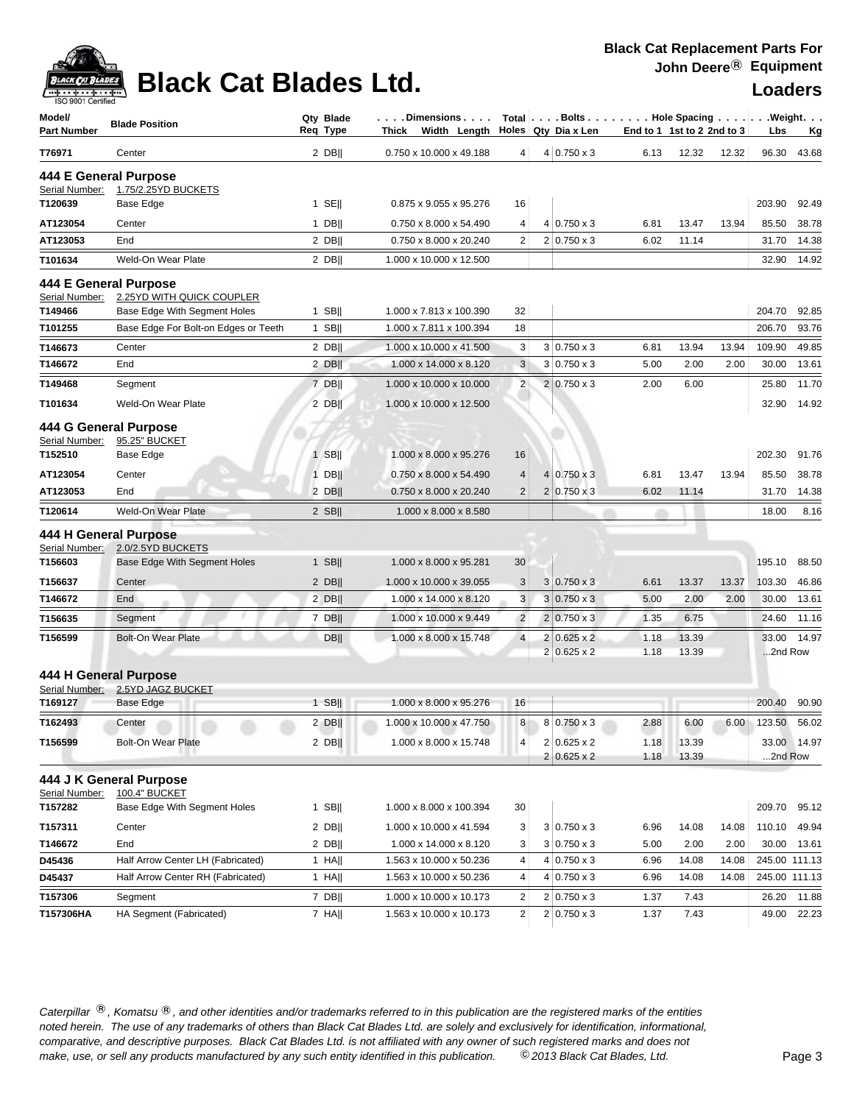

### **Black Cat Blades Ltd. Loaders Ltd. Loaders**

| .<br>ISO 9001 Certified      |                                                    |                       |                                    |                 |                                                                 |                            |                |       |               |             |
|------------------------------|----------------------------------------------------|-----------------------|------------------------------------|-----------------|-----------------------------------------------------------------|----------------------------|----------------|-------|---------------|-------------|
| Model/<br><b>Part Number</b> | <b>Blade Position</b>                              | Qtv Blade<br>Req Type | . Dimensions<br>Thick Width Length |                 | Total   Bolts   Hole Spacing   Weight.<br>Holes   Qty Dia x Len | End to 1 1st to 2 2nd to 3 |                |       | Lbs           | <u>Kg</u>   |
| T76971                       | Center                                             | $2$ DB                | 0.750 x 10.000 x 49.188            | $\vert 4 \vert$ | $4 0.750 \times 3$                                              | 6.13                       | 12.32          | 12.32 | 96.30         | 43.68       |
|                              | 444 E General Purpose                              |                       |                                    |                 |                                                                 |                            |                |       |               |             |
| Serial Number:               | 1.75/2.25YD BUCKETS                                |                       |                                    |                 |                                                                 |                            |                |       |               |             |
| T120639                      | Base Edge                                          | $1$ SE                | 0.875 x 9.055 x 95.276             | 16              |                                                                 |                            |                |       | 203.90        | 92.49       |
| AT123054                     | Center                                             | $1$ DB                | 0.750 x 8.000 x 54.490             | 4               | $4 0.750 \times 3$                                              | 6.81                       | 13.47          | 13.94 | 85.50         | 38.78       |
| AT123053                     | End                                                | 2 DB                  | 0.750 x 8.000 x 20.240             | $\overline{2}$  | $2 0.750 \times 3$                                              | 6.02                       | 11.14          |       | 31.70         | 14.38       |
| T101634                      | Weld-On Wear Plate                                 | $2$ DB                | 1.000 x 10.000 x 12.500            |                 |                                                                 |                            |                |       | 32.90         | 14.92       |
| Serial Number:               | 444 E General Purpose<br>2.25YD WITH QUICK COUPLER |                       |                                    |                 |                                                                 |                            |                |       |               |             |
| T149466                      | Base Edge With Segment Holes                       | 1 SBII                | 1.000 x 7.813 x 100.390            | 32              |                                                                 |                            |                |       | 204.70        | 92.85       |
| T101255                      | Base Edge For Bolt-on Edges or Teeth               | $1$ SB                | 1.000 x 7.811 x 100.394            | 18              |                                                                 |                            |                |       | 206.70        | 93.76       |
| T146673                      | Center                                             | $2$ DB                | 1.000 x 10.000 x 41.500            | 3               | $3 0.750 \times 3$                                              | 6.81                       | 13.94          | 13.94 | 109.90        | 49.85       |
| T146672                      | End                                                | 2 DBII                | 1.000 x 14.000 x 8.120             | 3               | $3 0.750 \times 3$                                              | 5.00                       | 2.00           | 2.00  | 30.00         | 13.61       |
| T149468                      | Segment                                            | 7 DB                  | 1.000 x 10.000 x 10.000            | $\overline{2}$  | $2 0.750 \times 3$                                              | 2.00                       | 6.00           |       | 25.80         | 11.70       |
| T101634                      | Weld-On Wear Plate                                 | $2$ DB                | 1.000 x 10.000 x 12.500            |                 |                                                                 |                            |                |       | 32.90         | 14.92       |
|                              |                                                    |                       |                                    |                 |                                                                 |                            |                |       |               |             |
| Serial Number:               | 444 G General Purpose<br>95.25" BUCKET             |                       |                                    |                 |                                                                 |                            |                |       |               |             |
| T152510                      | Base Edge                                          | $1$ SB                | 1.000 x 8.000 x 95.276             | 16              |                                                                 |                            |                |       | 202.30        | 91.76       |
| AT123054                     | Center                                             | $1$ DB                | 0.750 x 8.000 x 54.490             | $\overline{4}$  | $4 0.750 \times 3$                                              | 6.81                       | 13.47          | 13.94 | 85.50         | 38.78       |
| AT123053                     | End                                                | $2$ DB                | 0.750 x 8.000 x 20.240             | $\overline{2}$  | $2 0.750 \times 3$                                              | 6.02                       | 11.14          |       | 31.70         | 14.38       |
| T120614                      | Weld-On Wear Plate                                 | $2$ SB                | 1.000 x 8.000 x 8.580              |                 |                                                                 |                            |                |       | 18.00         | 8.16        |
|                              | 444 H General Purpose                              |                       |                                    |                 |                                                                 |                            |                |       |               |             |
| Serial Number:               | 2.0/2.5YD BUCKETS                                  |                       |                                    |                 |                                                                 |                            |                |       |               |             |
| T156603                      | <b>Base Edge With Segment Holes</b>                | $1$ SB                | 1.000 x 8.000 x 95.281             | 30              |                                                                 |                            |                |       | 195.10        | 88.50       |
| T156637                      | Center                                             | $2$ DB                | 1.000 x 10.000 x 39.055            | 3               | $3 0.750 \times 3$                                              | 6.61                       | 13.37          | 13.37 | 103.30        | 46.86       |
| T146672                      | End                                                | $2$ DB                | 1.000 x 14.000 x 8.120             | 3               | $3 0.750 \times 3$                                              | 5.00                       | 2.00           | 2.00  | 30.00         | 13.61       |
| T156635                      | Segment                                            | 7 DB                  | 1.000 x 10.000 x 9.449             | $\overline{2}$  | $2 0.750 \times 3$                                              | 1.35                       | 6.75           |       | 24.60         | 11.16       |
| T156599                      | <b>Bolt-On Wear Plate</b>                          | <b>DB</b>             | 1.000 x 8.000 x 15.748             | $\overline{4}$  | $2 0.625 \times 2$                                              | 1.18                       | 13.39          |       | 33.00         | 14.97       |
|                              |                                                    |                       |                                    |                 | $2 0.625 \times 2$                                              | 1.18                       | 13.39          |       | 2nd Row       |             |
|                              | 444 H General Purpose                              |                       |                                    |                 |                                                                 |                            |                |       |               |             |
| Serial Number:<br>T169127    | 2.5YD JAGZ BUCKET<br>Base Edge                     | $1$ SB                | 1.000 x 8.000 x 95.276             | 16              |                                                                 |                            |                |       | 200.40        | 90.90       |
| T162493                      | Center                                             | $2$ DB                | 1.000 x 10.000 x 47.750            | 8 <sup>1</sup>  | 8 0.750 x 3                                                     | 2.88                       | 6.00           | 6.00  | 123.50        | 56.02       |
|                              |                                                    |                       |                                    |                 |                                                                 |                            |                |       |               |             |
| T156599                      | <b>Bolt-On Wear Plate</b>                          | $2$ DB                | 1.000 x 8.000 x 15.748             | 4               | $2 0.625 \times 2$<br>$2 0.625 \times 2$                        | 1.18<br>1.18               | 13.39<br>13.39 |       | 2nd Row       | 33.00 14.97 |
|                              | 444 J K General Purpose                            |                       |                                    |                 |                                                                 |                            |                |       |               |             |
| Serial Number:<br>T157282    | 100.4" BUCKET<br>Base Edge With Segment Holes      | 1 SB $  $             | 1.000 x 8.000 x 100.394            | 30              |                                                                 |                            |                |       | 209.70        | 95.12       |
| T157311                      | Center                                             | 2 DBII                | 1.000 x 10.000 x 41.594            | 3               | $3 0.750 \times 3$                                              | 6.96                       | 14.08          | 14.08 | 110.10        | 49.94       |
| T146672                      | End                                                | $2$ DB                | 1.000 x 14.000 x 8.120             | 3               | $3 0.750 \times 3$                                              | 5.00                       | 2.00           | 2.00  | 30.00         | 13.61       |
| D45436                       | Half Arrow Center LH (Fabricated)                  | $1$ HA                | 1.563 x 10.000 x 50.236            | 4               | $4 0.750 \times 3$                                              | 6.96                       | 14.08          | 14.08 | 245.00 111.13 |             |
| D45437                       | Half Arrow Center RH (Fabricated)                  | $1$ HA                | 1.563 x 10.000 x 50.236            | 4               | $4 0.750 \times 3$                                              | 6.96                       | 14.08          | 14.08 | 245.00 111.13 |             |
| T157306                      | Segment                                            | 7 DB                  | 1.000 x 10.000 x 10.173            | 2               | $2 0.750 \times 3$                                              | 1.37                       | 7.43           |       | 26.20         | 11.88       |
| T157306HA                    | HA Segment (Fabricated)                            | $7$ HA                | 1.563 x 10.000 x 10.173            | $\overline{2}$  | $2 0.750 \times 3$                                              | 1.37                       | 7.43           |       | 49.00         | 22.23       |
|                              |                                                    |                       |                                    |                 |                                                                 |                            |                |       |               |             |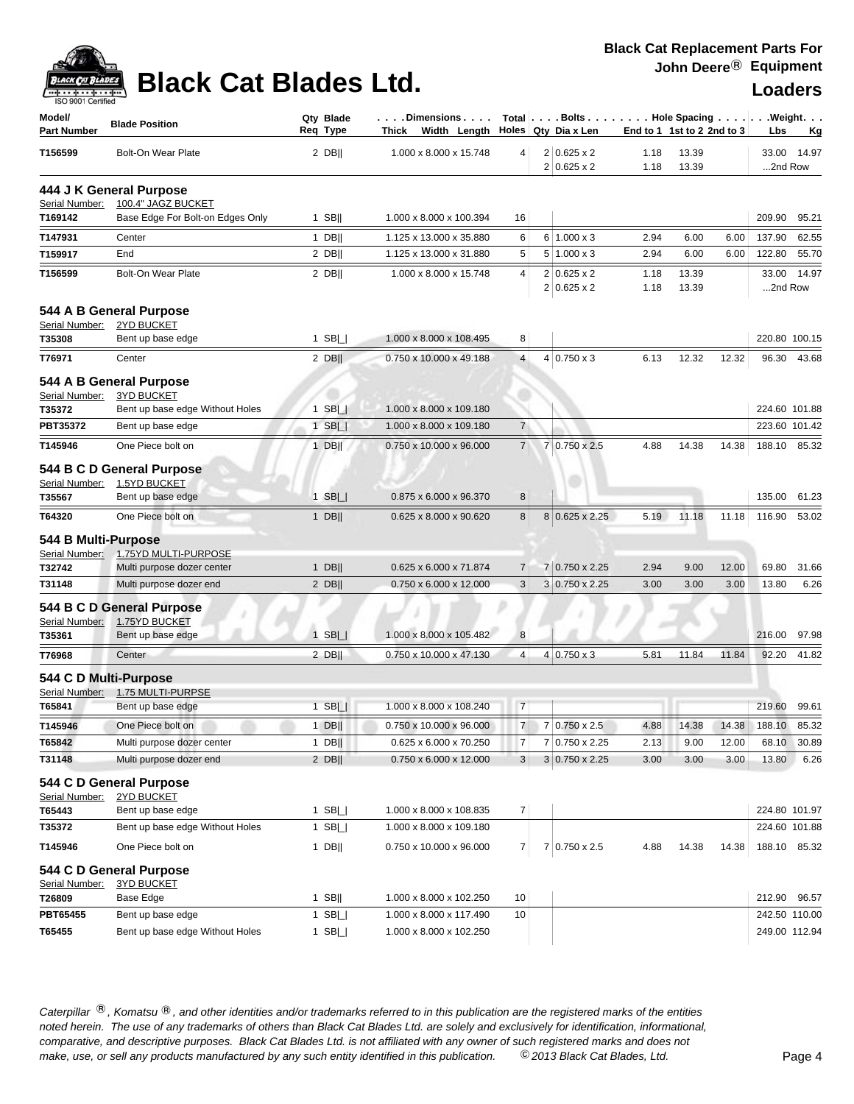

# **Black Cat Blades Ltd. Loaders Loaders**

| Model/<br><b>Part Number</b> | <b>Blade Position</b>                        | Qty Blade<br>Reg Type | . Dimensions<br>Thick Width Length                 |                | Total $\vert \ldots$ Bolts $\ldots \vert \ldots$ Hole Spacing $\ldots \vert \ldots$ Weight. $\ldots$<br>Holes $Qty$ Dia x Len | End to 1 1st to 2 2nd to 3 |                |       | Lbs              | <u>Kg</u> |
|------------------------------|----------------------------------------------|-----------------------|----------------------------------------------------|----------------|-------------------------------------------------------------------------------------------------------------------------------|----------------------------|----------------|-------|------------------|-----------|
| T156599                      | <b>Bolt-On Wear Plate</b>                    | $2$ DB                | 1.000 x 8.000 x 15.748                             | 4              | $2 0.625 \times 2 $<br>$2 0.625 \times 2$                                                                                     | 1.18<br>1.18               | 13.39<br>13.39 |       | 33.00<br>2nd Row | 14.97     |
|                              | 444 J K General Purpose                      |                       |                                                    |                |                                                                                                                               |                            |                |       |                  |           |
| Serial Number:               | 100.4" JAGZ BUCKET                           |                       |                                                    |                |                                                                                                                               |                            |                |       |                  |           |
| T169142                      | Base Edge For Bolt-on Edges Only             | $1$ SB                | 1.000 x 8.000 x 100.394                            | 16             |                                                                                                                               |                            |                |       | 209.90           | 95.21     |
| T147931                      | Center                                       | $1$ DB                | 1.125 x 13.000 x 35.880                            | 6              | $6 1.000 \times 3$                                                                                                            | 2.94                       | 6.00           | 6.00  | 137.90           | 62.55     |
| T159917                      | End                                          | $2$ DB                | 1.125 x 13.000 x 31.880                            | 5              | $5 1.000 \times 3$                                                                                                            | 2.94                       | 6.00           | 6.00  | 122.80           | 55.70     |
| T156599                      | <b>Bolt-On Wear Plate</b>                    | $2$ DB                | 1.000 x 8.000 x 15.748                             | $\overline{4}$ | $2 0.625 \times 2$<br>$2 0.625 \times 2$                                                                                      | 1.18<br>1.18               | 13.39<br>13.39 |       | 33.00<br>2nd Row | 14.97     |
| Serial Number:               | 544 A B General Purpose<br>2YD BUCKET        |                       |                                                    |                |                                                                                                                               |                            |                |       |                  |           |
| T35308                       | Bent up base edge                            | 1 SB $\Box$           | 1.000 x 8.000 x 108.495                            | 8              |                                                                                                                               |                            |                |       | 220.80 100.15    |           |
| T76971                       | Center                                       | $2$ DB                | 0.750 x 10.000 x 49.188                            | $\overline{4}$ | $4 0.750 \times 3$                                                                                                            | 6.13                       | 12.32          | 12.32 | 96.30            | 43.68     |
|                              | 544 A B General Purpose                      |                       |                                                    |                |                                                                                                                               |                            |                |       |                  |           |
| Serial Number:               | <b>3YD BUCKET</b>                            |                       |                                                    |                |                                                                                                                               |                            |                |       |                  |           |
| T35372                       | Bent up base edge Without Holes              | $1$ SB $  $           | 1.000 x 8.000 x 109.180                            |                |                                                                                                                               |                            |                |       | 224.60 101.88    |           |
| PBT35372                     | Bent up base edge                            | $1$ SB $\Box$         | 1.000 x 8.000 x 109.180                            | $\overline{7}$ |                                                                                                                               |                            |                |       | 223.60 101.42    |           |
| T145946                      | One Piece bolt on                            | $1$ DB                | 0.750 x 10.000 x 96.000                            | $\overline{7}$ | 7 0.750 x 2.5                                                                                                                 | 4.88                       | 14.38          | 14.38 | 188.10           | 85.32     |
|                              | 544 B C D General Purpose                    |                       |                                                    |                |                                                                                                                               |                            |                |       |                  |           |
| Serial Number:<br>T35567     | 1.5YD BUCKET<br>Bent up base edge            | $1$ SB $  $           | 0.875 x 6.000 x 96.370                             | 8              |                                                                                                                               |                            |                |       | 135.00           | 61.23     |
| T64320                       | One Piece bolt on                            | $1$ DB                | 0.625 x 8.000 x 90.620                             | 8              | 8 0.625 x 2.25                                                                                                                | 5.19                       | 11.18          | 11.18 | 116.90           | 53.02     |
|                              |                                              |                       |                                                    |                |                                                                                                                               |                            |                |       |                  |           |
| 544 B Multi-Purpose          | Serial Number: 1.75YD MULTI-PURPOSE          |                       |                                                    |                |                                                                                                                               |                            |                |       |                  |           |
| T32742                       | Multi purpose dozer center                   | $1$ DB                | 0.625 x 6.000 x 71.874                             | $\overline{7}$ | 7 0.750 x 2.25                                                                                                                | 2.94                       | 9.00           | 12.00 | 69.80            | 31.66     |
| T31148                       | Multi purpose dozer end                      | $2$ DB                | 0.750 x 6.000 x 12.000                             | 3              | 3 0.750 x 2.25                                                                                                                | 3.00                       | 3.00           | 3.00  | 13.80            | 6.26      |
|                              | 544 B C D General Purpose                    |                       |                                                    |                |                                                                                                                               |                            |                |       |                  |           |
| Serial Number:<br>T35361     | 1.75YD BUCKET<br>Bent up base edge           | $1$ SB $  $           | 1.000 x 8.000 x 105.482                            | 8              |                                                                                                                               |                            |                |       | 216.00           | 97.98     |
| T76968                       | Center                                       | $2$ DB                | 0.750 x 10.000 x 47.130                            | $\overline{4}$ | $4 0.750 \times 3$                                                                                                            | 5.81                       | 11.84          | 11.84 | 92.20            | 41.82     |
|                              | 544 C D Multi-Purpose                        |                       |                                                    |                |                                                                                                                               |                            |                |       |                  |           |
| Serial Number:               | 1.75 MULTI-PURPSE                            |                       |                                                    |                |                                                                                                                               |                            |                |       |                  |           |
| T65841                       | Bent up base edge                            | $1$ SB $ $            | 1.000 x 8.000 x 108.240                            | $\overline{7}$ |                                                                                                                               |                            |                |       | 219.60           | 99.61     |
| T145946                      | One Piece bolt on                            | $1$ DB                | 0.750 x 10.000 x 96.000                            | 7 <sup>1</sup> | 7 0.750 x 2.5                                                                                                                 | 4.88                       | 14.38          | 14.38 | 188.10 85.32     |           |
| T65842                       | Multi purpose dozer center                   | $1$ DB                | 0.625 x 6.000 x 70.250                             | $\overline{7}$ | 7 0.750 x 2.25                                                                                                                | 2.13                       | 9.00           | 12.00 | 68.10            | 30.89     |
| T31148                       | Multi purpose dozer end                      | $2$ DB                | 0.750 x 6.000 x 12.000                             | 3 <sup>1</sup> | 3 0.750 x 2.25                                                                                                                | 3.00                       | 3.00           | 3.00  | 13.80            | 6.26      |
|                              | 544 C D General Purpose                      |                       |                                                    |                |                                                                                                                               |                            |                |       |                  |           |
| Serial Number:               | 2YD BUCKET                                   |                       |                                                    |                |                                                                                                                               |                            |                |       |                  |           |
| T65443<br>T35372             | Bent up base edge                            | 1 SB $\Box$           | 1.000 x 8.000 x 108.835<br>1.000 x 8.000 x 109.180 | $\overline{7}$ |                                                                                                                               |                            |                |       | 224.80 101.97    |           |
|                              | Bent up base edge Without Holes              | 1 SB $\Box$           |                                                    |                |                                                                                                                               |                            |                |       | 224.60 101.88    |           |
| T145946                      | One Piece bolt on                            | 1 DB $  $             | 0.750 x 10.000 x 96.000                            | $\overline{7}$ | 7 0.750 x 2.5                                                                                                                 | 4.88                       | 14.38          | 14.38 | 188.10 85.32     |           |
| Serial Number:               | 544 C D General Purpose<br><b>3YD BUCKET</b> |                       |                                                    |                |                                                                                                                               |                            |                |       |                  |           |
| T26809                       | Base Edge                                    | $1$ SB                | 1.000 x 8.000 x 102.250                            | 10             |                                                                                                                               |                            |                |       | 212.90 96.57     |           |
| PBT65455                     | Bent up base edge                            | 1 $SB$                | 1.000 x 8.000 x 117.490                            | 10             |                                                                                                                               |                            |                |       | 242.50 110.00    |           |
| T65455                       | Bent up base edge Without Holes              | 1 SB $\Box$           | 1.000 x 8.000 x 102.250                            |                |                                                                                                                               |                            |                |       | 249.00 112.94    |           |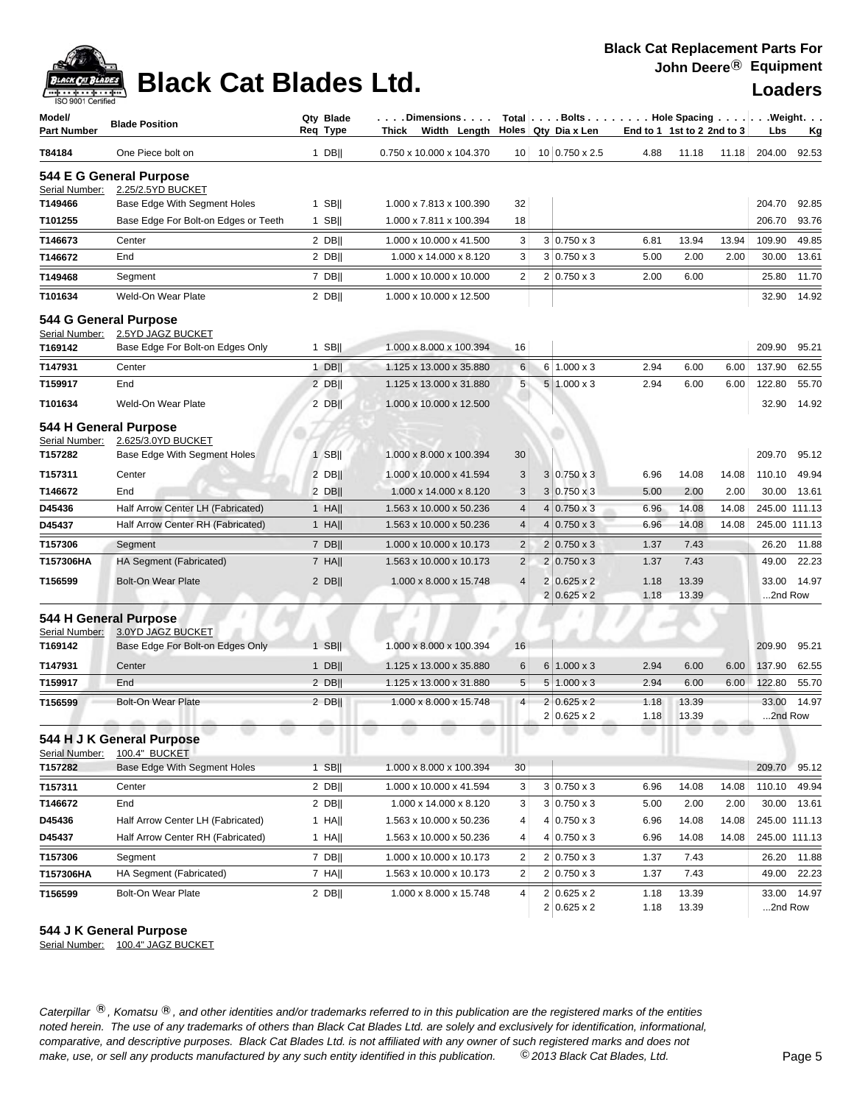

## **Black Cat Blades Ltd. Loaders Loaders**

| Model/<br><b>Part Number</b> | <b>Blade Position</b>                                                          | Qty Blade<br>Reg Type | . Dimensions<br>Thick<br>Width Length |                 | Total Bolts Hole Spacing Weight.<br>Holes Qty Dia x Len | End to 1 1st to 2 2nd to 3 |                |       | Lbs              | Kg          |
|------------------------------|--------------------------------------------------------------------------------|-----------------------|---------------------------------------|-----------------|---------------------------------------------------------|----------------------------|----------------|-------|------------------|-------------|
| T84184                       | One Piece bolt on                                                              | $1$ DB                | 0.750 x 10.000 x 104.370              | 10 <sup>1</sup> | 10 0.750 x 2.5                                          | 4.88                       | 11.18          | 11.18 | 204.00           | 92.53       |
| Serial Number:               | 544 E G General Purpose<br>2.25/2.5YD BUCKET                                   |                       |                                       |                 |                                                         |                            |                |       |                  |             |
| T149466                      | Base Edge With Segment Holes                                                   | $1$ SB                | 1.000 x 7.813 x 100.390               | 32              |                                                         |                            |                |       | 204.70           | 92.85       |
| T101255                      | Base Edge For Bolt-on Edges or Teeth                                           | $1$ SB                | 1.000 x 7.811 x 100.394               | 18              |                                                         |                            |                |       | 206.70           | 93.76       |
| T146673                      | Center                                                                         | $2$ DB                | 1.000 x 10.000 x 41.500               | 3               | $3 0.750 \times 3$                                      | 6.81                       | 13.94          | 13.94 | 109.90           | 49.85       |
| T146672                      | End                                                                            | $2$ DB                | 1.000 x 14.000 x 8.120                | 3               | $3 0.750 \times 3$                                      | 5.00                       | 2.00           | 2.00  | 30.00            | 13.61       |
| T149468                      | Segment                                                                        | 7 DB                  | 1.000 x 10.000 x 10.000               | $\overline{2}$  | $2 0.750 \times 3$                                      | 2.00                       | 6.00           |       | 25.80            | 11.70       |
| T101634                      | Weld-On Wear Plate                                                             | $2$ DB                | 1.000 x 10.000 x 12.500               |                 |                                                         |                            |                |       | 32.90            | 14.92       |
| Serial Number:<br>T169142    | 544 G General Purpose<br>2.5YD JAGZ BUCKET<br>Base Edge For Bolt-on Edges Only | $1$ SB                | 1.000 x 8.000 x 100.394               | 16              |                                                         |                            |                |       | 209.90           | 95.21       |
| T147931                      | Center                                                                         | $1$ DB                | 1.125 x 13.000 x 35.880               | 6               | $6 \mid 1.000 \times 3$                                 | 2.94                       | 6.00           | 6.00  | 137.90           | 62.55       |
| T159917                      | End                                                                            | 2 DB                  | 1.125 x 13.000 x 31.880               | 5               | $5 1.000 \times 3$                                      | 2.94                       | 6.00           | 6.00  | 122.80           | 55.70       |
| T101634                      | Weld-On Wear Plate                                                             | $2$ DB                | 1.000 x 10.000 x 12.500               |                 |                                                         |                            |                |       | 32.90            | 14.92       |
| Serial Number:<br>T157282    | 544 H General Purpose<br>2.625/3.0YD BUCKET<br>Base Edge With Segment Holes    | $1$ SB                | 1.000 x 8.000 x 100.394               | 30              |                                                         |                            |                |       | 209.70           | 95.12       |
| T157311                      | Center                                                                         | $2$ DB                | 1.000 x 10.000 x 41.594               | 3               | $3 0.750 \times 3$                                      | 6.96                       | 14.08          | 14.08 | 110.10           | 49.94       |
| T146672                      | End                                                                            | $2$ DB                | 1.000 x 14.000 x 8.120                | 3               | $3 0.750 \times 3$                                      | 5.00                       | 2.00           | 2.00  | 30.00            | 13.61       |
| D45436                       | Half Arrow Center LH (Fabricated)                                              | $1$ HA                | 1.563 x 10.000 x 50.236               | $\overline{4}$  | $4 0.750 \times 3$                                      | 6.96                       | 14.08          | 14.08 | 245.00 111.13    |             |
| D45437                       | Half Arrow Center RH (Fabricated)                                              | $1$ HA                | 1.563 x 10.000 x 50.236               | $\overline{4}$  | $4 0.750 \times 3$                                      | 6.96                       | 14.08          | 14.08 | 245.00 111.13    |             |
| T157306                      | Segment                                                                        | 7 DB                  | 1.000 x 10.000 x 10.173               | $\overline{2}$  | $2 0.750 \times 3$                                      | 1.37                       | 7.43           |       | 26.20            | 11.88       |
| T157306HA                    | HA Segment (Fabricated)                                                        | $7$ HA                | 1.563 x 10.000 x 10.173               | $\overline{c}$  | $2 0.750 \times 3$                                      | 1.37                       | 7.43           |       | 49.00            | 22.23       |
| T156599                      | <b>Bolt-On Wear Plate</b>                                                      | $2$ DB                | 1.000 x 8.000 x 15.748                | $\overline{4}$  | $2 0.625 \times 2$                                      | 1.18                       | 13.39          |       | 33.00            | 14.97       |
|                              |                                                                                |                       |                                       |                 | $2 0.625 \times 2$                                      | 1.18                       | 13.39          |       | 2nd Row          |             |
| Serial Number:               | 544 H General Purpose<br>3.0YD JAGZ BUCKET                                     |                       |                                       |                 |                                                         |                            |                |       |                  |             |
| T169142                      | Base Edge For Bolt-on Edges Only                                               | 1 SBII                | 1.000 x 8.000 x 100.394               | 16              |                                                         |                            |                |       | 209.90           | 95.21       |
| T147931                      | Center                                                                         | $1$ DB                | 1.125 x 13.000 x 35.880               | 6               | $6 1.000 \times 3$                                      | 2.94                       | 6.00           | 6.00  | 137.90           | 62.55       |
| T159917                      | End                                                                            | 2 DBII                | 1.125 x 13.000 x 31.880               | 5               | $5 1.000 \times 3$                                      | 2.94                       | 6.00           | 6.00  | 122.80           | 55.70       |
| T156599                      | <b>Bolt-On Wear Plate</b>                                                      | $2$ DB                | 1.000 x 8.000 x 15.748                | $\overline{4}$  | $2 0.625 \times 2$<br>$2 0.625 \times 2$                | 1.18<br>1.18               | 13.39<br>13.39 |       | 33.00<br>2nd Row | 14.97       |
| Serial Number:               | 544 H J K General Purpose<br>100.4" BUCKET                                     |                       |                                       |                 |                                                         |                            |                |       |                  |             |
| T157282                      | Base Edge With Segment Holes                                                   | $1$ SB                | 1.000 x 8.000 x 100.394               | 30              |                                                         |                            |                |       | 209.70           | 95.12       |
| T157311                      | Center                                                                         | $2$ DB                | 1.000 x 10.000 x 41.594               | 3               | $3 0.750 \times 3$                                      | 6.96                       | 14.08          | 14.08 | 110.10           | 49.94       |
| T146672                      | End                                                                            | 2 DBII                | 1.000 x 14.000 x 8.120                | 3               | $3 0.750 \times 3$                                      | 5.00                       | 2.00           | 2.00  | 30.00            | 13.61       |
| D45436                       | Half Arrow Center LH (Fabricated)                                              | $1$ HA                | 1.563 x 10.000 x 50.236               | 4               | $4 0.750 \times 3$                                      | 6.96                       | 14.08          | 14.08 | 245.00 111.13    |             |
| D45437                       | Half Arrow Center RH (Fabricated)                                              | $1$ HA                | 1.563 x 10.000 x 50.236               | 4               | $4 0.750 \times 3$                                      | 6.96                       | 14.08          | 14.08 | 245.00 111.13    |             |
| T157306                      | Segment                                                                        | $7$ DB                | 1.000 x 10.000 x 10.173               | 2               | $2 0.750 \times 3$                                      | 1.37                       | 7.43           |       | 26.20            | 11.88       |
| T157306HA                    | HA Segment (Fabricated)                                                        | 7 HA                  | 1.563 x 10.000 x 10.173               | $\overline{2}$  | $2 0.750 \times 3$                                      | 1.37                       | 7.43           |       | 49.00            | 22.23       |
| T156599                      | Bolt-On Wear Plate                                                             | $2$ DB                | 1.000 x 8.000 x 15.748                | 4               | $2 0.625 \times 2$<br>$2 0.625 \times 2$                | 1.18<br>1.18               | 13.39<br>13.39 |       | 2nd Row          | 33.00 14.97 |

### **544 J K General Purpose**

Serial Number: 100.4" JAGZ BUCKET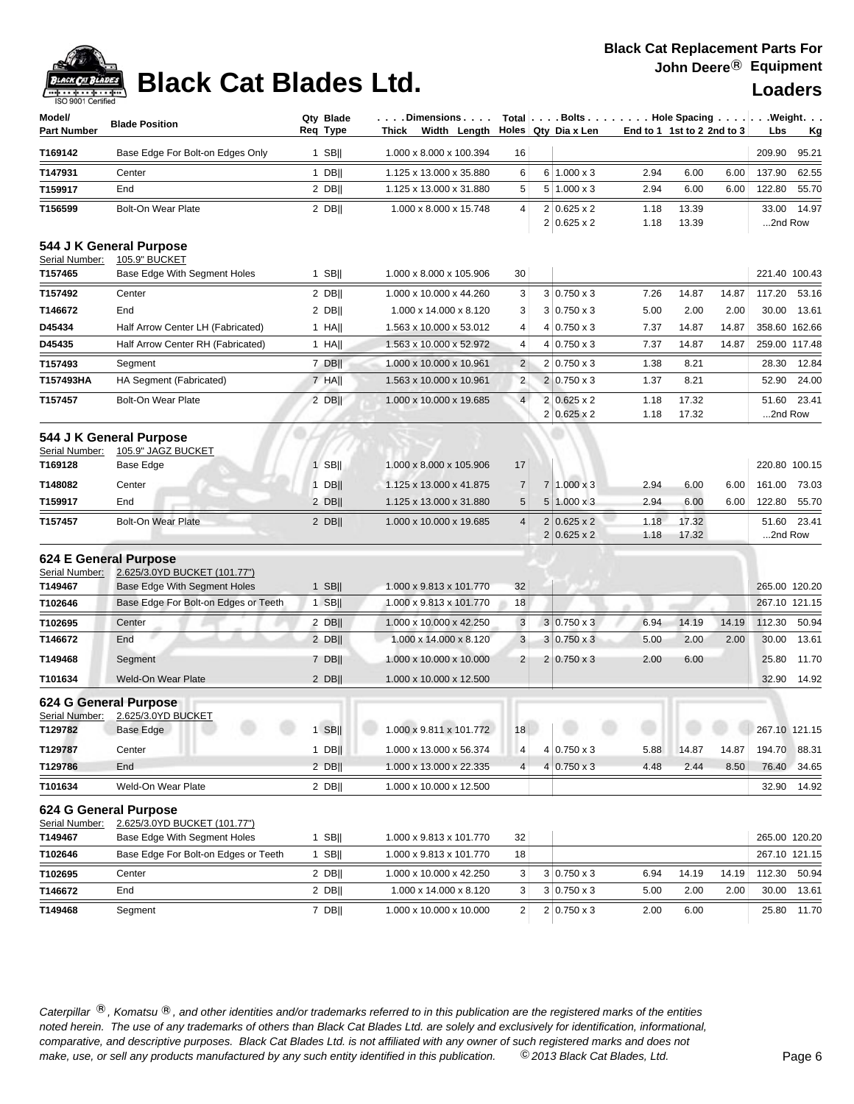# **Black Cat Blades Ltd. Loaders Legand Loaders**

| Model/<br><b>Part Number</b>                                  | <b>Blade Position</b>                                                                                | Qty Blade<br>Req Type | .Dimensions.<br>Width Length<br>Thick              |                | Total Bolts Hole Spacing Weight.<br>Holes Qty Dia x Len | End to 1 1st to 2 2nd to 3 |                |       | Lbs              | <u>Kg</u>                      |
|---------------------------------------------------------------|------------------------------------------------------------------------------------------------------|-----------------------|----------------------------------------------------|----------------|---------------------------------------------------------|----------------------------|----------------|-------|------------------|--------------------------------|
| T169142                                                       | Base Edge For Bolt-on Edges Only                                                                     | $1$ SB                | 1.000 x 8.000 x 100.394                            | 16             |                                                         |                            |                |       | 209.90           | 95.21                          |
| T147931                                                       | Center                                                                                               | $1$ DB                | 1.125 x 13.000 x 35.880                            | 6              | $6 1.000 \times 3$                                      | 2.94                       | 6.00           | 6.00  | 137.90           | 62.55                          |
| T159917                                                       | End                                                                                                  | $2$ DB                | 1.125 x 13.000 x 31.880                            | 5              | $5 1.000 \times 3$                                      | 2.94                       | 6.00           | 6.00  | 122.80           | 55.70                          |
| T156599                                                       | <b>Bolt-On Wear Plate</b>                                                                            | $2$ DB                | 1.000 x 8.000 x 15.748                             | 4              | $2 0.625 \times 2$<br>$2 0.625 \times 2$                | 1.18<br>1.18               | 13.39<br>13.39 |       | 33.00<br>2nd Row | 14.97                          |
| Serial Number:                                                | 544 J K General Purpose<br>105.9" BUCKET                                                             |                       |                                                    |                |                                                         |                            |                |       |                  |                                |
| T157465                                                       | Base Edge With Segment Holes                                                                         | $1$ SB                | 1.000 x 8.000 x 105.906                            | 30             |                                                         |                            |                |       |                  | 221.40 100.43                  |
| T157492                                                       | Center                                                                                               | $2$ DB                | 1.000 x 10.000 x 44.260                            | 3              | $3 0.750 \times 3$                                      | 7.26                       | 14.87          | 14.87 | 117.20           | 53.16                          |
| T146672                                                       | End                                                                                                  | $2$ DB                | 1.000 x 14.000 x 8.120                             | 3              | $3 0.750 \times 3$                                      | 5.00                       | 2.00           | 2.00  | 30.00            | 13.61                          |
| D45434                                                        | Half Arrow Center LH (Fabricated)                                                                    | $1$ HA                | 1.563 x 10.000 x 53.012                            | 4              | $4 0.750 \times 3$                                      | 7.37                       | 14.87          | 14.87 |                  | 358.60 162.66                  |
| D45435                                                        | Half Arrow Center RH (Fabricated)                                                                    | $1$ HA                | 1.563 x 10.000 x 52.972                            | 4              | $4 0.750 \times 3$                                      | 7.37                       | 14.87          | 14.87 |                  | 259.00 117.48                  |
| T157493                                                       | Segment                                                                                              | 7 DBII                | 1.000 x 10.000 x 10.961                            | $\overline{2}$ | $2 0.750 \times 3$                                      | 1.38                       | 8.21           |       | 28.30            | 12.84                          |
| T157493HA                                                     | HA Segment (Fabricated)                                                                              | $7$ HA                | 1.563 x 10.000 x 10.961                            | $\overline{2}$ | $2 0.750 \times 3$                                      | 1.37                       | 8.21           |       | 52.90            | 24.00                          |
| T157457                                                       | <b>Bolt-On Wear Plate</b>                                                                            | $2$ DB                | 1.000 x 10.000 x 19.685                            | $\overline{4}$ | $2 0.625 \times 2 $<br>$2 0.625 \times 2 $              | 1.18<br>1.18               | 17.32<br>17.32 |       | 51.60<br>2nd Row | 23.41                          |
| Serial Number:<br>T169128                                     | 544 J K General Purpose<br>105.9" JAGZ BUCKET<br>Base Edge                                           | $1$ SB                | 1.000 x 8.000 x 105.906                            | 17             |                                                         |                            |                |       |                  | 220.80 100.15                  |
| T148082                                                       | Center                                                                                               | $1$ DB                | 1.125 x 13.000 x 41.875                            | $\overline{7}$ | $7 1.000 \times 3$                                      | 2.94                       | 6.00           | 6.00  | 161.00           | 73.03                          |
| T159917                                                       | End                                                                                                  | $2$ DB                | 1.125 x 13.000 x 31.880                            | 5              | $5 1.000 \times 3$                                      | 2.94                       | 6.00           | 6.00  | 122.80           | 55.70                          |
| T157457                                                       | <b>Bolt-On Wear Plate</b>                                                                            | $2$ DB                | 1.000 x 10.000 x 19.685                            | 4              | $2 0.625 \times 2$<br>$2 0.625 \times 2$                | 1.18<br>1.18               | 17.32<br>17.32 |       | 51.60<br>2nd Row | 23.41                          |
| 624 E General Purpose<br>Serial Number:<br>T149467<br>T102646 | 2.625/3.0YD BUCKET (101.77")<br>Base Edge With Segment Holes<br>Base Edge For Bolt-on Edges or Teeth | $1$ SB<br>$1$ SB      | 1.000 x 9.813 x 101.770<br>1.000 x 9.813 x 101.770 | 32<br>18       |                                                         |                            |                |       |                  | 265.00 120.20<br>267.10 121.15 |
| T102695                                                       | Center                                                                                               | $2$ DB                | 1.000 x 10.000 x 42.250                            | 3              | $3 0.750 \times 3$                                      | 6.94                       | 14.19          | 14.19 | 112.30           | 50.94                          |
| T146672                                                       | End                                                                                                  | $2$ DB                | 1.000 x 14.000 x 8.120                             | 3              | $3 0.750 \times 3$                                      | 5.00                       | 2.00           | 2.00  | 30.00            | 13.61                          |
| T149468                                                       | Segment                                                                                              | $7$ DB                | 1.000 x 10.000 x 10.000                            | 2              | $2 0.750 \times 3$                                      | 2.00                       | 6.00           |       | 25.80            | 11.70                          |
| T101634                                                       | Weld-On Wear Plate                                                                                   | $2$ DB                | 1.000 x 10.000 x 12.500                            |                |                                                         |                            |                |       | 32.90            | 14.92                          |
| Serial Number:<br>T129782                                     | 624 G General Purpose<br>2.625/3.0YD BUCKET<br>Base Edge                                             |                       | 1 SB     1.000 x 9.811 x 101.772   18              |                |                                                         |                            |                |       | 267.10 121.15    |                                |
| T129787                                                       | Center                                                                                               | $1$ DB                | 1.000 x 13.000 x 56.374                            | 4              | $4 0.750 \times 3$                                      | 5.88                       | 14.87          | 14.87 | 194.70           | 88.31                          |
| T129786                                                       | End                                                                                                  | $2$ DB                | 1.000 x 13.000 x 22.335                            | 4              | $4 0.750 \times 3$                                      | 4.48                       | 2.44           | 8.50  | 76.40            | 34.65                          |
| T101634                                                       | Weld-On Wear Plate                                                                                   | $2$ DB                | 1.000 x 10.000 x 12.500                            |                |                                                         |                            |                |       |                  | 32.90 14.92                    |
| Serial Number:<br>T149467                                     | 624 G General Purpose<br>2.625/3.0YD BUCKET (101.77")<br>Base Edge With Segment Holes                | $1$ SB                | 1.000 x 9.813 x 101.770                            | 32             |                                                         |                            |                |       |                  | 265.00 120.20                  |
| T102646                                                       | Base Edge For Bolt-on Edges or Teeth                                                                 | 1 SB                  | 1.000 x 9.813 x 101.770                            | 18             |                                                         |                            |                |       |                  | 267.10 121.15                  |
| T102695                                                       | Center                                                                                               | $2$ DB                | 1.000 x 10.000 x 42.250                            | 3              | $3 0.750 \times 3$                                      | 6.94                       | 14.19          | 14.19 |                  | 112.30 50.94                   |
| T146672                                                       | End                                                                                                  | $2$ DB                | 1.000 x 14.000 x 8.120                             | 3              | $3 0.750 \times 3$                                      | 5.00                       | 2.00           | 2.00  | 30.00            | 13.61                          |
| T149468                                                       | Segment                                                                                              | $7$ DB                | 1.000 x 10.000 x 10.000                            | $\overline{2}$ | $2 0.750 \times 3$                                      | 2.00                       | 6.00           |       |                  | 25.80 11.70                    |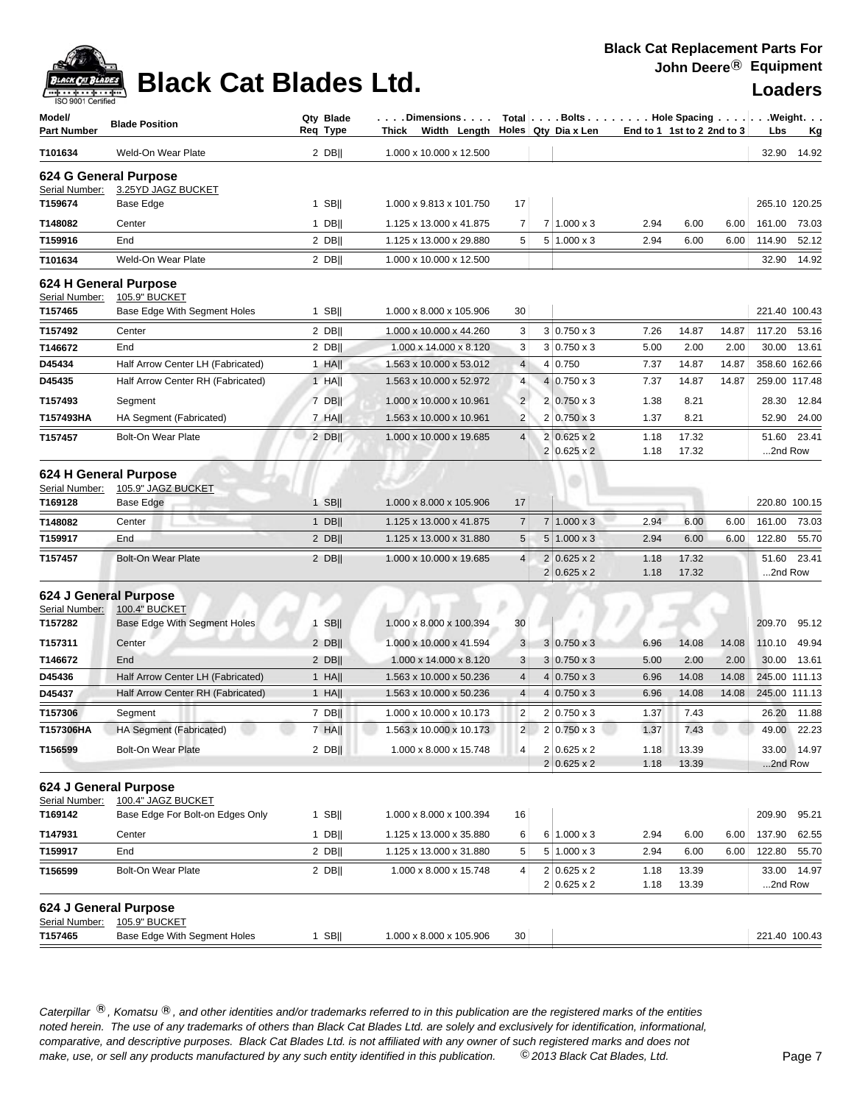

## **Black Cat Blades Ltd. Loaders Loaders**

### **Black Cat Replacement Parts For John Deere**® **Equipment**

| Model/<br><b>Part Number</b>            | <b>Blade Position</b>                                                  | Qty Blade<br>Req Type | $\ldots$ . Dimensions $\ldots$ .<br>Width Length<br>Thick |                     |                | Total $\vert \ldots$ Bolts $\ldots \vert \ldots$ Hole Spacing $\ldots \vert \ldots$ Weight. $\ldots$<br>Holes Qty Dia x Len |              | End to 1 1st to 2 2nd to 3 |                | Lbs                            | <u>Kg</u>   |
|-----------------------------------------|------------------------------------------------------------------------|-----------------------|-----------------------------------------------------------|---------------------|----------------|-----------------------------------------------------------------------------------------------------------------------------|--------------|----------------------------|----------------|--------------------------------|-------------|
| T101634                                 | Weld-On Wear Plate                                                     | $2$ DB                | 1.000 x 10.000 x 12.500                                   |                     |                |                                                                                                                             |              |                            |                | 32.90                          | 14.92       |
|                                         | 624 G General Purpose                                                  |                       |                                                           |                     |                |                                                                                                                             |              |                            |                |                                |             |
| Serial Number:                          | 3.25YD JAGZ BUCKET                                                     |                       |                                                           |                     |                |                                                                                                                             |              |                            |                |                                |             |
| T159674                                 | Base Edge                                                              | 1 SB                  | 1.000 x 9.813 x 101.750                                   | 17                  |                |                                                                                                                             |              |                            |                | 265.10 120.25                  |             |
| T148082                                 | Center                                                                 | $1$ DB                | 1.125 x 13.000 x 41.875                                   | 7                   | 7              | $1.000 \times 3$                                                                                                            | 2.94         | 6.00                       | 6.00           | 161.00                         | 73.03       |
| T159916                                 | End                                                                    | $2$ DB                | 1.125 x 13.000 x 29.880                                   | 5                   | 5 <sup>1</sup> | $1.000 \times 3$                                                                                                            | 2.94         | 6.00                       | 6.00           | 114.90                         | 52.12       |
| T101634                                 | Weld-On Wear Plate                                                     | $2$ DB                | 1.000 x 10.000 x 12.500                                   |                     |                |                                                                                                                             |              |                            |                | 32.90                          | 14.92       |
| Serial Number:                          | 624 H General Purpose<br>105.9" BUCKET                                 |                       |                                                           |                     |                |                                                                                                                             |              |                            |                |                                |             |
| T157465                                 | Base Edge With Segment Holes                                           | $1$ SB                | 1.000 x 8.000 x 105.906                                   | 30                  |                |                                                                                                                             |              |                            |                | 221.40 100.43                  |             |
| T157492                                 | Center                                                                 | $2$ DB                | 1.000 x 10.000 x 44.260                                   | 3                   |                | $3 0.750 \times 3$                                                                                                          | 7.26         | 14.87                      | 14.87          | 117.20                         | 53.16       |
| T146672                                 | End                                                                    | $2$ DB                | 1.000 x 14.000 x 8.120                                    | 3                   |                | $3 0.750 \times 3$                                                                                                          | 5.00         | 2.00                       | 2.00           | 30.00                          | 13.61       |
| D45434                                  | Half Arrow Center LH (Fabricated)                                      | $1$ HA                | 1.563 x 10.000 x 53.012                                   | $\overline{4}$      |                | 4 0.750                                                                                                                     | 7.37         | 14.87                      | 14.87          | 358.60 162.66                  |             |
| D45435                                  | Half Arrow Center RH (Fabricated)                                      | $1$ HA                | 1.563 x 10.000 x 52.972                                   | 4                   | 4 <sup>1</sup> | $0.750 \times 3$                                                                                                            | 7.37         | 14.87                      | 14.87          | 259.00 117.48                  |             |
| T157493                                 | Segment                                                                | 7 DB                  | 1.000 x 10.000 x 10.961                                   | $\overline{2}$      |                | $2 0.750 \times 3$                                                                                                          | 1.38         | 8.21                       |                | 28.30                          | 12.84       |
| T157493HA                               | HA Segment (Fabricated)                                                | $7$ HA                | 1.563 x 10.000 x 10.961                                   | $\overline{2}$      |                | $2 0.750 \times 3$                                                                                                          | 1.37         | 8.21                       |                | 52.90                          | 24.00       |
| T157457                                 | <b>Bolt-On Wear Plate</b>                                              | $2$ DB                | 1.000 x 10.000 x 19.685                                   | $\overline{4}$      |                | $2 0.625 \times 2$<br>$2 0.625 \times 2$                                                                                    | 1.18<br>1.18 | 17.32<br>17.32             |                | 51.60<br>2nd Row               | 23.41       |
| Serial Number:                          | 624 H General Purpose<br>105.9" JAGZ BUCKET                            |                       |                                                           |                     |                |                                                                                                                             |              |                            |                |                                |             |
| T169128                                 | Base Edge                                                              | $1$ SB                | 1.000 x 8.000 x 105.906                                   | 17                  |                |                                                                                                                             |              |                            |                | 220.80 100.15                  |             |
| T148082                                 | Center                                                                 | $1$ DB                | 1.125 x 13.000 x 41.875                                   | $\overline{7}$      |                | $7 1.000 \times 3$                                                                                                          | 2.94         | 6.00                       | 6.00           | 161.00                         | 73.03       |
| T159917                                 | End                                                                    | $2$ DB                | 1.125 x 13.000 x 31.880                                   | 5                   |                | $5 1.000 \times 3$                                                                                                          | 2.94         | 6.00                       | 6.00           | 122.80                         | 55.70       |
| T157457                                 | <b>Bolt-On Wear Plate</b>                                              | $2$ DB                | 1.000 x 10.000 x 19.685                                   | 4                   | 2 <sup>1</sup> | $0.625 \times 2$                                                                                                            | 1.18         | 17.32                      |                | 51.60                          | 23.41       |
|                                         |                                                                        |                       |                                                           |                     |                | $2 0.625 \times 2$                                                                                                          | 1.18         | 17.32                      |                | 2nd Row                        |             |
| 624 J General Purpose<br>Serial Number: | <b>100.4" BUCKET</b>                                                   |                       |                                                           | 30                  |                |                                                                                                                             |              |                            |                | 209.70                         | 95.12       |
| T157282                                 | Base Edge With Segment Holes                                           | $1$ SB                | 1.000 x 8.000 x 100.394                                   |                     |                |                                                                                                                             |              |                            |                |                                |             |
| T157311                                 | Center                                                                 | $2$ DB                | 1.000 x 10.000 x 41.594                                   | 3                   |                | $3 0.750 \times 3$                                                                                                          | 6.96         | 14.08                      | 14.08          | 110.10                         | 49.94       |
| T146672                                 | End                                                                    | $2$ DB                | 1.000 x 14.000 x 8.120                                    | 3                   |                | $3 0.750 \times 3$<br>$4 0.750 \times 3$                                                                                    | 5.00         | 2.00                       | 2.00           | 30.00                          | 13.61       |
| D45436<br>D45437                        | Half Arrow Center LH (Fabricated)<br>Half Arrow Center RH (Fabricated) | $1$ HA  <br>$1$ HA    | 1.563 x 10.000 x 50.236<br>1.563 x 10.000 x 50.236        | 4<br>$\overline{4}$ |                | $4 0.750 \times 3$                                                                                                          | 6.96<br>6.96 | 14.08<br>14.08             | 14.08<br>14.08 | 245.00 111.13<br>245.00 111.13 |             |
|                                         |                                                                        |                       |                                                           |                     |                |                                                                                                                             |              |                            |                |                                |             |
| T157306                                 | Segment                                                                | $7$ DB                | 1.000 x 10.000 x 10.173                                   | 2<br>2              |                | $2 0.750 \times 3$                                                                                                          | 1.37         | 7.43                       |                | 26.20                          | 11.88       |
| T157306HA                               | HA Segment (Fabricated)                                                | 7 HA                  | 1.563 x 10.000 x 10.173                                   |                     |                | $2 0.750 \times 3$                                                                                                          | 1.37         | 7.43                       |                |                                | 49.00 22.23 |
| T156599                                 | <b>Bolt-On Wear Plate</b>                                              | $2$ DB                | 1.000 x 8.000 x 15.748                                    | $\overline{4}$      |                | $2 0.625 \times 2$<br>$2 0.625 \times 2$                                                                                    | 1.18<br>1.18 | 13.39<br>13.39             |                | 2nd Row                        | 33.00 14.97 |
| 624 J General Purpose<br>Serial Number: | 100.4" JAGZ BUCKET                                                     |                       |                                                           |                     |                |                                                                                                                             |              |                            |                |                                |             |
| T169142                                 | Base Edge For Bolt-on Edges Only                                       | 1 SB $  $             | 1.000 x 8.000 x 100.394                                   | 16                  |                |                                                                                                                             |              |                            |                | 209.90 95.21                   |             |
| T147931                                 | Center                                                                 | 1 DB                  | 1.125 x 13.000 x 35.880                                   | 6                   |                | $6 1.000 \times 3$                                                                                                          | 2.94         | 6.00                       | 6.00           | 137.90                         | 62.55       |
| T159917                                 | End                                                                    | $2$ DB                | 1.125 x 13.000 x 31.880                                   | 5                   |                | $5 1.000 \times 3$                                                                                                          | 2.94         | 6.00                       | 6.00           | 122.80 55.70                   |             |
| T156599                                 | Bolt-On Wear Plate                                                     | $2$ DB                | 1.000 x 8.000 x 15.748                                    | 4                   |                | $2 0.625 \times 2$                                                                                                          | 1.18         | 13.39                      |                |                                | 33.00 14.97 |
|                                         |                                                                        |                       |                                                           |                     |                | $2 0.625 \times 2$                                                                                                          | 1.18         | 13.39                      |                | 2nd Row                        |             |
| 624 J General Purpose<br>Serial Number: | 105.9" BUCKET                                                          |                       |                                                           |                     |                |                                                                                                                             |              |                            |                |                                |             |
| T157465                                 | Base Edge With Segment Holes                                           | 1 SB                  | 1.000 x 8.000 x 105.906                                   | 30                  |                |                                                                                                                             |              |                            |                | 221.40 100.43                  |             |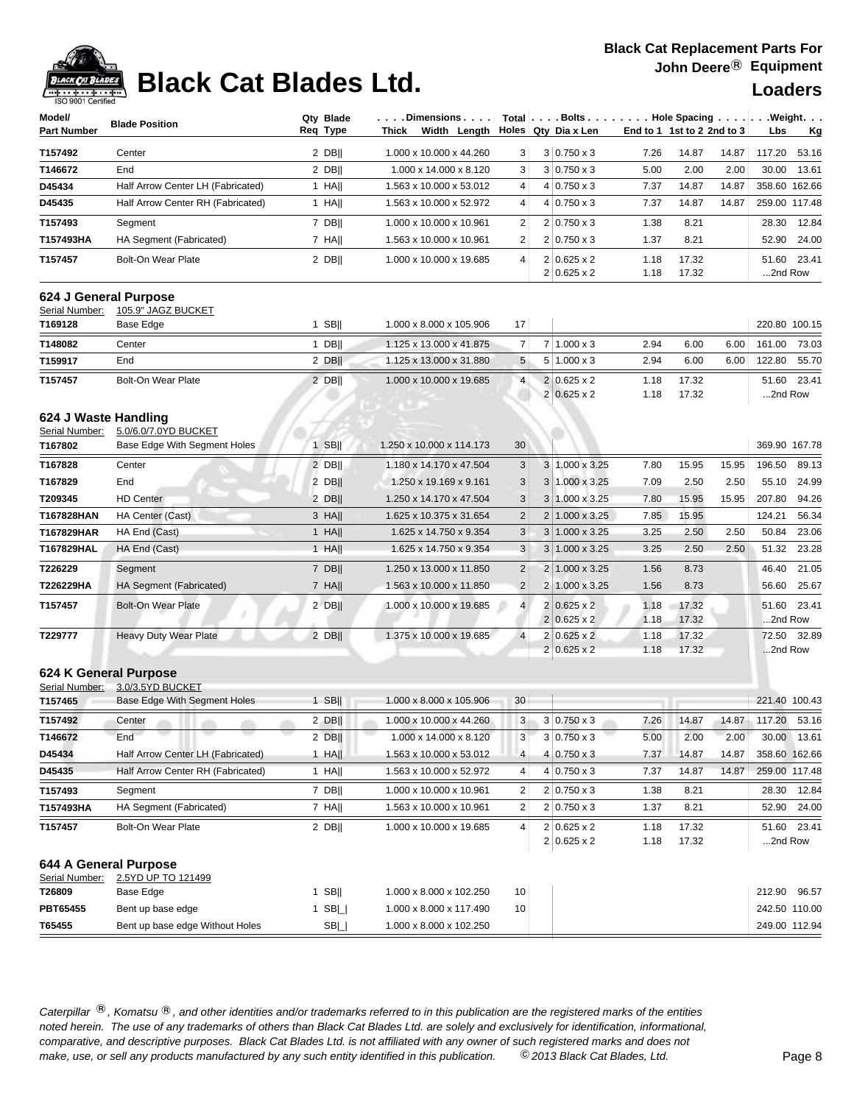

# **Black Cat Blades Ltd. Loaders Loaders**

| <b>190 300 L Celtilied</b>             |                                             |                       |                                                           |                         |                                           |                                                                                                                  |                |                  |                              |
|----------------------------------------|---------------------------------------------|-----------------------|-----------------------------------------------------------|-------------------------|-------------------------------------------|------------------------------------------------------------------------------------------------------------------|----------------|------------------|------------------------------|
| Model/<br><b>Part Number</b>           | <b>Blade Position</b>                       | Qty Blade<br>Req Type | $\ldots$ . Dimensions $\ldots$ .<br>Width Length<br>Thick |                         | Holes Qty Dia x Len                       | Total Bolts Hole Spacing Weight.<br>End to 1 1st to 2 2nd to 3<br>14.87<br>7.26<br>14.87<br>2.00<br>5.00<br>2.00 |                | Lbs<br><u>Kg</u> |                              |
| T157492                                | Center                                      | $2$ DB                | 1.000 x 10.000 x 44.260                                   | 3                       | $3 0.750 \times 3$                        |                                                                                                                  |                |                  | 117.20<br>53.16              |
| T146672                                | End                                         | $2$ DB                | 1.000 x 14.000 x 8.120                                    | 3                       | $3 0.750 \times 3$                        |                                                                                                                  |                |                  | 13.61<br>30.00               |
| D45434                                 | Half Arrow Center LH (Fabricated)           | $1$ HA                | 1.563 x 10.000 x 53.012                                   | 4                       | $4 0.750 \times 3$                        | 7.37                                                                                                             | 14.87          | 14.87            | 358.60 162.66                |
| D45435                                 | Half Arrow Center RH (Fabricated)           | $1$ HA                | 1.563 x 10.000 x 52.972                                   | 4                       | $4 0.750 \times 3$                        | 7.37                                                                                                             | 14.87          | 14.87            | 259.00 117.48                |
| T157493                                | Segment                                     | 7 DB                  | 1.000 x 10.000 x 10.961                                   | $\overline{\mathbf{c}}$ | $2 0.750 \times 3$                        | 1.38                                                                                                             | 8.21           |                  | 28.30<br>12.84               |
| T157493HA                              | HA Segment (Fabricated)                     | 7 HAII                | 1.563 x 10.000 x 10.961                                   | 2                       | $2 0.750 \times 3$                        | 1.37                                                                                                             | 8.21           |                  | 24.00<br>52.90               |
| T157457                                | <b>Bolt-On Wear Plate</b>                   | $2$ DB                | 1.000 x 10.000 x 19.685                                   | 4                       | $2 0.625 \times 2 $<br>$2 0.625 \times 2$ | 1.18<br>1.18                                                                                                     | 17.32<br>17.32 |                  | 23.41<br>51.60<br>2nd Row    |
| Serial Number:                         | 624 J General Purpose<br>105.9" JAGZ BUCKET |                       |                                                           |                         |                                           |                                                                                                                  |                |                  |                              |
| T169128                                | Base Edge                                   | $1$ SB                | 1.000 x 8.000 x 105.906                                   | 17                      |                                           |                                                                                                                  |                |                  | 220.80 100.15                |
| T148082                                | Center                                      | $1$ DB                | 1.125 x 13.000 x 41.875                                   | 7                       | $7 1.000 \times 3$                        | 2.94                                                                                                             | 6.00           | 6.00             | 161.00<br>73.03              |
| T159917                                | End                                         | $2$ DB                | 1.125 x 13.000 x 31.880                                   | 5                       | $5 1.000 \times 3$                        | 2.94                                                                                                             | 6.00           | 6.00             | 122.80<br>55.70              |
| T157457                                | <b>Bolt-On Wear Plate</b>                   | $2$ DB                | 1.000 x 10.000 x 19.685                                   | 4                       | $2 0.625 \times 2$<br>$2 0.625 \times 2$  | 1.18<br>1.18                                                                                                     | 17.32<br>17.32 |                  | 51.60<br>23.41<br>2nd Row    |
| 624 J Waste Handling<br>Serial Number: | 5.0/6.0/7.0YD BUCKET                        |                       |                                                           |                         |                                           |                                                                                                                  |                |                  |                              |
| T167802                                | Base Edge With Segment Holes                | $1$ SB                | 1.250 x 10.000 x 114.173                                  | 30                      |                                           |                                                                                                                  |                |                  | 369.90 167.78                |
| T167828                                | Center                                      | $2$ DB                | 1.180 x 14.170 x 47.504                                   | 3                       | 3 1.000 x 3.25                            | 7.80                                                                                                             | 15.95          | 15.95            | 196.50<br>89.13              |
| T167829                                | End                                         | 2 DBII                | 1.250 x 19.169 x 9.161                                    | 3                       | $3 1.000 \times 3.25$                     | 7.09                                                                                                             | 2.50           | 2.50             | 24.99<br>55.10               |
| T209345                                | <b>HD Center</b>                            | 2 DB                  | 1.250 x 14.170 x 47.504                                   | 3                       | 3 1.000 x 3.25                            | 7.80                                                                                                             | 15.95          | 15.95            | 207.80<br>94.26              |
| T167828HAN                             | HA Center (Cast)                            | 3 HAII                | 1.625 x 10.375 x 31.654                                   | $\overline{c}$          | 2 1.000 x 3.25                            | 7.85                                                                                                             | 15.95          |                  | 124.21<br>56.34              |
| T167829HAR                             | HA End (Cast)                               | $1$ HA                | 1.625 x 14.750 x 9.354                                    | 3                       | 3 1.000 x 3.25                            | 3.25                                                                                                             | 2.50           | 2.50             | 50.84<br>23.06               |
| T167829HAL                             | HA End (Cast)                               | $1$ HA                | 1.625 x 14.750 x 9.354                                    | 3                       | $3 1.000 \times 3.25$                     | 3.25                                                                                                             | 2.50           | 2.50             | 23.28<br>51.32               |
| T226229                                | Segment                                     | 7 DB                  | 1.250 x 13.000 x 11.850                                   | $\overline{\mathbf{c}}$ | 2 1.000 x 3.25                            | 1.56                                                                                                             | 8.73           |                  | 46.40<br>21.05               |
| T226229HA                              | HA Segment (Fabricated)                     | $7$ HA                | 1.563 x 10.000 x 11.850                                   | $\overline{2}$          | 2 1.000 x 3.25                            | 1.56                                                                                                             | 8.73           |                  | 56.60<br>25.67               |
| T157457                                | <b>Bolt-On Wear Plate</b>                   | $2$ DB                | 1.000 x 10.000 x 19.685                                   | $\overline{4}$          | $2 0.625 \times 2$<br>$2 0.625 \times 2$  | 1.18<br>1.18                                                                                                     | 17.32<br>17.32 |                  | 51.60<br>23.41<br>2nd Row    |
| T229777                                | <b>Heavy Duty Wear Plate</b>                | $2$ DB                | 1.375 x 10.000 x 19.685                                   | $\overline{4}$          | $2 0.625 \times 2 $<br>$2 0.625 \times 2$ | 1.18<br>1.18                                                                                                     | 17.32<br>17.32 |                  | 32.89<br>72.50<br>2nd Row    |
| Serial Number:                         | 624 K General Purpose<br>3.0/3.5YD BUCKET   |                       |                                                           |                         |                                           |                                                                                                                  |                |                  |                              |
| T157465                                | Base Edge With Segment Holes                | $1$ SB                | 1.000 x 8.000 x 105.906                                   | 30                      |                                           |                                                                                                                  |                |                  | 221.40 100.43                |
| T157492                                | Center                                      | 2 DBII                | 1.000 x 10.000 x 44.260                                   | 3                       | $3 0.750 \times 3$                        | 7.26                                                                                                             | 14.87          | 14.87            | 117.20<br>53.16              |
| T146672                                | End                                         | 2 DB                  | 1.000 x 14.000 x 8.120                                    | 3                       | $3 0.750 \times 3$                        | 5.00                                                                                                             | 2.00           | 2.00             | 30.00 13.61                  |
| D45434                                 | Half Arrow Center LH (Fabricated)           | $1$ HA                | 1.563 x 10.000 x 53.012                                   | 4                       | $4 0.750 \times 3$                        | 7.37                                                                                                             | 14.87          | 14.87            | 358.60 162.66                |
| D45435                                 | Half Arrow Center RH (Fabricated)           | $1$ HA                | 1.563 x 10.000 x 52.972                                   | 4                       | $4 0.750 \times 3$                        | 7.37                                                                                                             | 14.87          | 14.87            | 259.00 117.48                |
| T157493                                | Segment                                     | 7 DB                  | 1.000 x 10.000 x 10.961                                   | $\overline{c}$          | $2 0.750 \times 3$                        | 1.38                                                                                                             | 8.21           |                  | 28.30<br>12.84               |
| T157493HA                              | HA Segment (Fabricated)                     | $7$ HA                | 1.563 x 10.000 x 10.961                                   | 2                       | $2 0.750 \times 3$                        | 1.37                                                                                                             | 8.21           |                  | 24.00<br>52.90               |
| T157457                                | Bolt-On Wear Plate                          | $2$ DB                | 1.000 x 10.000 x 19.685                                   | 4                       | $2 0.625 \times 2$<br>$2 0.625 \times 2$  | 1.18<br>1.18                                                                                                     | 17.32<br>17.32 |                  | 51.60<br>23.41<br>$$ 2nd Row |
| Serial Number:                         | 644 A General Purpose<br>2.5YD UP TO 121499 |                       |                                                           |                         |                                           |                                                                                                                  |                |                  |                              |
| T26809                                 | Base Edge                                   | $1$ SB                | 1.000 x 8.000 x 102.250                                   | 10                      |                                           |                                                                                                                  |                |                  | 212.90<br>96.57              |
| PBT65455                               | Bent up base edge                           | 1 $SB$ $\Box$         | 1.000 x 8.000 x 117.490                                   | 10                      |                                           |                                                                                                                  |                |                  | 242.50 110.00                |
| T65455                                 | Bent up base edge Without Holes             | SB                    | 1.000 x 8.000 x 102.250                                   |                         |                                           |                                                                                                                  |                |                  | 249.00 112.94                |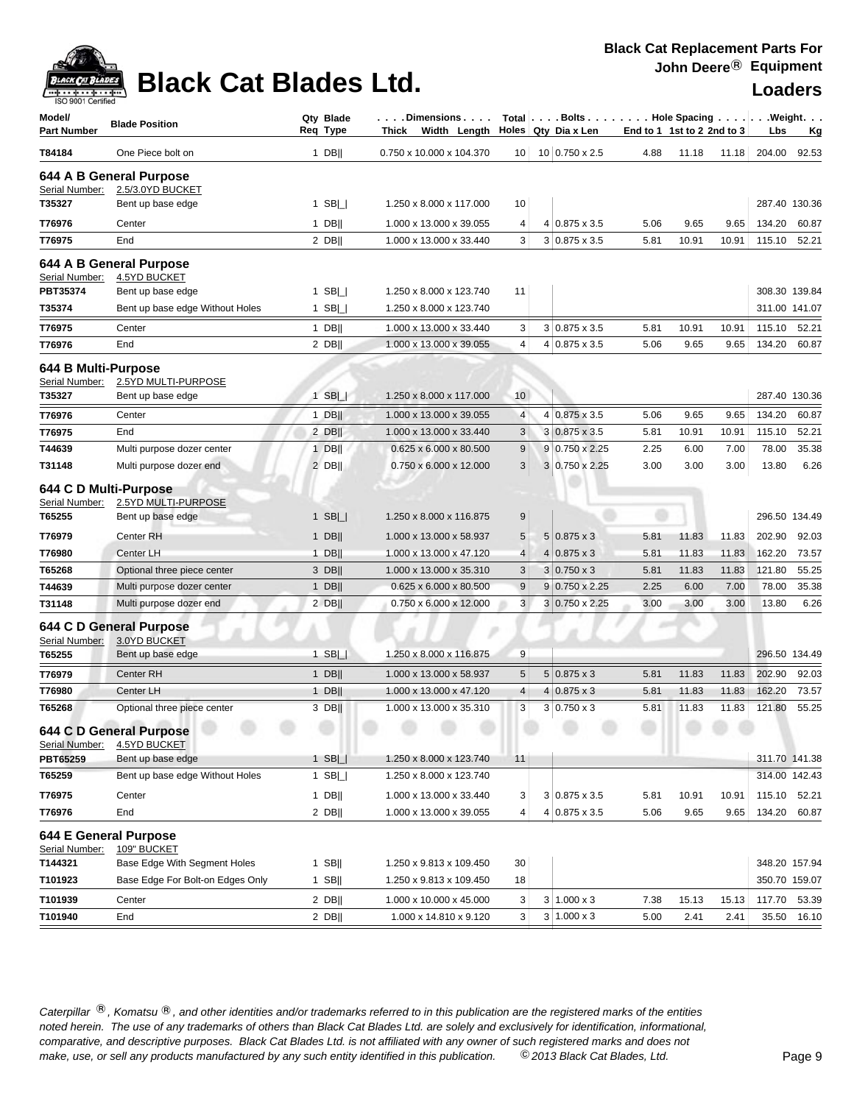

## **Black Cat Blades Ltd. Loaders Loaders**

| Model/<br><b>Part Number</b>            | <b>Blade Position</b>                   | Qty Blade<br>Reg Type |             | . Dimensions<br>Thick Width Length $\vert$ Holes Qty Dia x Len |                 |   | $Total   \ldots$ Bolts $\ldots   \ldots$ . Hole Spacing $\ldots   \ldots$ . Weight. $\ldots$ | End to 1 1st to 2 2nd to 3 |       |       | Lbs    | Кg            |
|-----------------------------------------|-----------------------------------------|-----------------------|-------------|----------------------------------------------------------------|-----------------|---|----------------------------------------------------------------------------------------------|----------------------------|-------|-------|--------|---------------|
| T84184                                  | One Piece bolt on                       |                       | $1$ DB      | 0.750 x 10.000 x 104.370                                       | 10              |   | 10 0.750 x 2.5                                                                               | 4.88                       | 11.18 | 11.18 | 204.00 | 92.53         |
|                                         | 644 A B General Purpose                 |                       |             |                                                                |                 |   |                                                                                              |                            |       |       |        |               |
| Serial Number:                          | 2.5/3.0YD BUCKET                        |                       |             |                                                                |                 |   |                                                                                              |                            |       |       |        |               |
| T35327                                  | Bent up base edge                       |                       | 1 SB $\Box$ | 1.250 x 8.000 x 117.000                                        | 10              |   |                                                                                              |                            |       |       |        | 287.40 130.36 |
| T76976                                  | Center                                  |                       | $1$ DB      | 1.000 x 13.000 x 39.055                                        | 4               |   | $4 0.875 \times 3.5$                                                                         | 5.06                       | 9.65  | 9.65  | 134.20 | 60.87         |
| T76975                                  | End                                     |                       | 2 DB        | 1.000 x 13.000 x 33.440                                        | 3               |   | $3 0.875 \times 3.5$                                                                         | 5.81                       | 10.91 | 10.91 | 115.10 | 52.21         |
| Serial Number:                          | 644 A B General Purpose<br>4.5YD BUCKET |                       |             |                                                                |                 |   |                                                                                              |                            |       |       |        |               |
| PBT35374                                | Bent up base edge                       |                       | 1 SB $\Box$ | 1.250 x 8.000 x 123.740                                        | 11              |   |                                                                                              |                            |       |       |        | 308.30 139.84 |
| T35374                                  | Bent up base edge Without Holes         |                       | 1 SB $\Box$ | 1.250 x 8.000 x 123.740                                        |                 |   |                                                                                              |                            |       |       |        | 311.00 141.07 |
| T76975                                  | Center                                  |                       | $1$ DB      | 1.000 x 13.000 x 33.440                                        | 3               |   | $3 0.875 \times 3.5$                                                                         | 5.81                       | 10.91 | 10.91 | 115.10 | 52.21         |
| T76976                                  | End                                     |                       | $2$ DB      | 1.000 x 13.000 x 39.055                                        | 4               |   | 4 0.875 x 3.5                                                                                | 5.06                       | 9.65  | 9.65  | 134.20 | 60.87         |
| 644 B Multi-Purpose<br>Serial Number:   | 2.5YD MULTI-PURPOSE                     |                       |             |                                                                |                 |   |                                                                                              |                            |       |       |        |               |
| T35327                                  | Bent up base edge                       |                       | $1$ SB $  $ | 1.250 x 8.000 x 117.000                                        | 10              |   |                                                                                              |                            |       |       |        | 287.40 130.36 |
| T76976                                  | Center                                  |                       | $1$ DB      | 1.000 x 13.000 x 39.055                                        | 4               |   | 4 0.875 x 3.5                                                                                | 5.06                       | 9.65  | 9.65  | 134.20 | 60.87         |
| T76975                                  | End                                     | $2$ DB                |             | 1.000 x 13.000 x 33.440                                        | 3               |   | $3 0.875 \times 3.5$                                                                         | 5.81                       | 10.91 | 10.91 | 115.10 | 52.21         |
| T44639                                  | Multi purpose dozer center              |                       | $1$ DB      | $0.625 \times 6.000 \times 80.500$                             | $9\,$           |   | $9 0.750 \times 2.25$                                                                        | 2.25                       | 6.00  | 7.00  | 78.00  | 35.38         |
| T31148                                  | Multi purpose dozer end                 | $2$ DB                |             | 0.750 x 6.000 x 12.000                                         | 3               |   | 3 0.750 x 2.25                                                                               | 3.00                       | 3.00  | 3.00  | 13.80  | 6.26          |
| 644 C D Multi-Purpose<br>Serial Number: | 2.5YD MULTI-PURPOSE                     |                       |             |                                                                |                 |   |                                                                                              |                            |       |       |        |               |
| T65255                                  | Bent up base edge                       |                       | $1$ SB $  $ | 1.250 x 8.000 x 116.875                                        | 9               |   |                                                                                              |                            |       |       |        | 296.50 134.49 |
| T76979                                  | Center RH                               |                       | $1$ DB      | 1.000 x 13.000 x 58.937                                        | $5\phantom{.0}$ |   | $5 0.875 \times 3$                                                                           | 5.81                       | 11.83 | 11.83 | 202.90 | 92.03         |
| T76980                                  | Center LH                               |                       | $1$ DB      | 1.000 x 13.000 x 47.120                                        | 4               |   | $4 0.875 \times 3$                                                                           | 5.81                       | 11.83 | 11.83 | 162.20 | 73.57         |
| T65268                                  | Optional three piece center             |                       | 3 DB        | 1.000 x 13.000 x 35.310                                        | 3               |   | $3 0.750 \times 3$                                                                           | 5.81                       | 11.83 | 11.83 | 121.80 | 55.25         |
| T44639                                  | Multi purpose dozer center              |                       | $1$ DB      | $0.625 \times 6.000 \times 80.500$                             | 9               |   | $9 0.750 \times 2.25$                                                                        | 2.25                       | 6.00  | 7.00  | 78.00  | 35.38         |
| T31148                                  | Multi purpose dozer end                 |                       | 2 DB        | 0.750 x 6.000 x 12.000                                         | 3               |   | $3 0.750 \times 2.25$                                                                        | 3.00                       | 3.00  | 3.00  | 13.80  | 6.26          |
| Serial Number:                          | 644 C D General Purpose<br>3.0YD BUCKET |                       |             |                                                                |                 |   |                                                                                              |                            |       |       |        |               |
| T65255                                  | Bent up base edge                       |                       | 1 SB $\Box$ | 1.250 x 8.000 x 116.875                                        | 9               |   |                                                                                              |                            |       |       |        | 296.50 134.49 |
| T76979                                  | Center RH                               |                       | $1$ DB      | 1.000 x 13.000 x 58.937                                        | $\sqrt{5}$      |   | $5 0.875 \times 3$                                                                           | 5.81                       | 11.83 | 11.83 | 202.90 | 92.03         |
| T76980                                  | Center LH                               | $1$ DB                |             | 1.000 x 13.000 x 47.120                                        | 4               | 4 | $0.875 \times 3$                                                                             | 5.81                       | 11.83 | 11.83 | 162.20 | 73.57         |
| T65268                                  | Optional three piece center             |                       | 3 DB        | 1.000 x 13.000 x 35.310                                        | 3               |   | $3 0.750 \times 3$                                                                           | 5.81                       | 11.83 | 11.83 | 121.80 | 55.25         |
| Serial Number:                          | 644 C D General Purpose<br>4.5YD BUCKET |                       |             |                                                                |                 |   |                                                                                              |                            |       |       |        |               |
| PBT65259                                | Bent up base edge                       |                       | $1$ SB $  $ | 1.250 x 8.000 x 123.740                                        | 11              |   |                                                                                              |                            |       |       |        | 311.70 141.38 |
| T65259                                  | Bent up base edge Without Holes         |                       | $1$ SB $  $ | 1.250 x 8.000 x 123.740                                        |                 |   |                                                                                              |                            |       |       |        | 314.00 142.43 |
| T76975                                  | Center                                  |                       | $1$ DB      | 1.000 x 13.000 x 33.440                                        | 3               |   | $3 0.875 \times 3.5$                                                                         | 5.81                       | 10.91 | 10.91 | 115.10 | 52.21         |
| T76976                                  | End                                     |                       | $2$ DB      | 1.000 x 13.000 x 39.055                                        | $\overline{4}$  |   | 4 0.875 x 3.5                                                                                | 5.06                       | 9.65  | 9.65  | 134.20 | 60.87         |
| Serial Number:                          | 644 E General Purpose<br>109" BUCKET    |                       |             |                                                                |                 |   |                                                                                              |                            |       |       |        |               |
| T144321                                 | Base Edge With Segment Holes            | $1$ SB                |             | 1.250 x 9.813 x 109.450                                        | 30              |   |                                                                                              |                            |       |       |        | 348.20 157.94 |
| T101923                                 | Base Edge For Bolt-on Edges Only        |                       | 1 SB $  $   | 1.250 x 9.813 x 109.450                                        | 18              |   |                                                                                              |                            |       |       |        | 350.70 159.07 |
| T101939                                 | Center                                  |                       | $2$ DB      | 1.000 x 10.000 x 45.000                                        | 3               |   | $3 1.000 \times 3$                                                                           | 7.38                       | 15.13 | 15.13 | 117.70 | 53.39         |
| T101940                                 | End                                     |                       | $2$ DB      | 1.000 x 14.810 x 9.120                                         | 3               |   | $3 1.000 \times 3$                                                                           | 5.00                       | 2.41  | 2.41  |        | 35.50 16.10   |
|                                         |                                         |                       |             |                                                                |                 |   |                                                                                              |                            |       |       |        |               |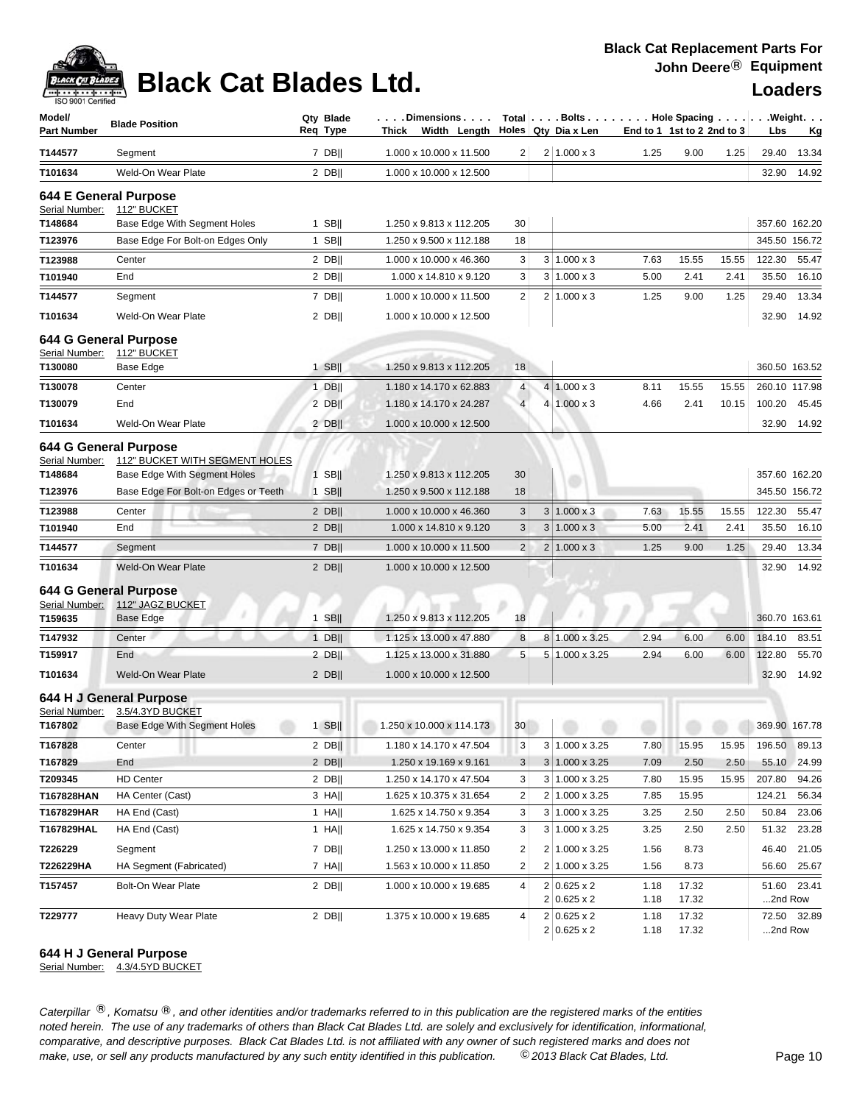## **Black Cat Blades Ltd. Loaders Legand Loaders**

| ISO 9001 Certified<br>Model/                              |                                                                                            | Qty Blade | . Dimensions                                      |                |   | Total   Bolts   Hole Spacing   Weight.    |                            |                |       |                  |               |
|-----------------------------------------------------------|--------------------------------------------------------------------------------------------|-----------|---------------------------------------------------|----------------|---|-------------------------------------------|----------------------------|----------------|-------|------------------|---------------|
| <b>Part Number</b>                                        | <b>Blade Position</b>                                                                      | Req Type  | Thick Width Length                                |                |   | Holes Qty Dia x Len                       | End to 1 1st to 2 2nd to 3 |                |       | Lbs              | <u>Kg</u>     |
| T144577                                                   | Segment                                                                                    | $7$ DB    | 1.000 x 10.000 x 11.500                           | 2              |   | $2 1.000 \times 3$                        | 1.25                       | 9.00           | 1.25  | 29.40            | 13.34         |
| T101634                                                   | Weld-On Wear Plate                                                                         | $2$ DB    | 1.000 x 10.000 x 12.500                           |                |   |                                           |                            |                |       | 32.90            | 14.92         |
| 644 E General Purpose<br>Serial Number:                   | 112" BUCKET                                                                                |           |                                                   |                |   |                                           |                            |                |       |                  |               |
| T148684                                                   | Base Edge With Segment Holes                                                               | $1$ SB    | 1.250 x 9.813 x 112.205                           | 30             |   |                                           |                            |                |       |                  | 357.60 162.20 |
| T123976                                                   | Base Edge For Bolt-on Edges Only                                                           | $1$ SB    | 1.250 x 9.500 x 112.188                           | 18             |   |                                           |                            |                |       |                  | 345.50 156.72 |
| T123988                                                   | Center                                                                                     | $2$ DB    | 1.000 x 10.000 x 46.360                           | 3              |   | $3 1.000 \times 3$                        | 7.63                       | 15.55          | 15.55 | 122.30           | 55.47         |
| T101940                                                   | End                                                                                        | $2$ DB    | 1.000 x 14.810 x 9.120                            | 3              | 3 | $1.000 \times 3$                          | 5.00                       | 2.41           | 2.41  | 35.50            | 16.10         |
| T144577                                                   | Segment                                                                                    | 7 DB      | 1.000 x 10.000 x 11.500                           | $\overline{2}$ |   | $2 1.000 \times 3$                        | 1.25                       | 9.00           | 1.25  | 29.40            | 13.34         |
| T101634                                                   | Weld-On Wear Plate                                                                         | $2$ DB    | 1.000 x 10.000 x 12.500                           |                |   |                                           |                            |                |       | 32.90            | 14.92         |
| 644 G General Purpose                                     |                                                                                            |           |                                                   |                |   |                                           |                            |                |       |                  |               |
| Serial Number:<br>T130080                                 | 112" BUCKET<br>Base Edge                                                                   | 1 SB $  $ | 1.250 x 9.813 x 112.205                           | 18             |   |                                           |                            |                |       |                  | 360.50 163.52 |
| T130078                                                   | Center                                                                                     | $1$ DB    | 1.180 x 14.170 x 62.883                           | $\overline{4}$ |   | $4 1.000 \times 3$                        | 8.11                       | 15.55          | 15.55 |                  | 260.10 117.98 |
| T130079                                                   | End                                                                                        | $2$ DB    | 1.180 x 14.170 x 24.287                           | $\overline{4}$ |   | $4 1.000 \times 3$                        | 4.66                       | 2.41           | 10.15 | 100.20           | 45.45         |
| T101634                                                   | Weld-On Wear Plate                                                                         | $2$ DB    | 1.000 x 10.000 x 12.500                           |                |   |                                           |                            |                |       | 32.90            | 14.92         |
|                                                           |                                                                                            |           |                                                   |                |   |                                           |                            |                |       |                  |               |
| 644 G General Purpose<br>Serial Number:<br>T148684        | 112" BUCKET WITH SEGMENT HOLES<br><b>Base Edge With Segment Holes</b>                      | $1$ SB    | 1.250 x 9.813 x 112.205                           | 30             |   |                                           |                            |                |       |                  | 357.60 162.20 |
| T123976                                                   | Base Edge For Bolt-on Edges or Teeth                                                       | $1$ SB    | 1.250 x 9.500 x 112.188                           | 18             |   |                                           |                            |                |       |                  | 345.50 156.72 |
|                                                           | Center                                                                                     | $2$ DB    |                                                   | 3              | 3 | $1.000 \times 3$                          | 7.63                       | 15.55          | 15.55 | 122.30           | 55.47         |
| T123988<br>T101940                                        | End                                                                                        | $2$ DB    | 1.000 x 10.000 x 46.360<br>1.000 x 14.810 x 9.120 | $\sqrt{3}$     | 3 | $1.000 \times 3$                          | 5.00                       | 2.41           | 2.41  | 35.50            | 16.10         |
|                                                           |                                                                                            |           |                                                   | $\overline{2}$ |   | $2 1.000 \times 3$                        |                            |                |       | 29.40            | 13.34         |
| T144577                                                   | Segment                                                                                    | $7$ DB    | 1.000 x 10.000 x 11.500                           |                |   |                                           | 1.25                       | 9.00           | 1.25  |                  |               |
| T101634                                                   | Weld-On Wear Plate                                                                         | $2$ DB    | 1.000 x 10.000 x 12.500                           |                |   |                                           |                            |                |       | 32.90            | 14.92         |
| <b>644 G General Purpose</b><br>Serial Number:<br>T159635 | 112" JAGZ BUCKET<br>Base Edge                                                              | 1 SBII    | 1.250 x 9.813 x 112.205                           | 18             |   |                                           |                            |                |       |                  | 360.70 163.61 |
| T147932                                                   | Center                                                                                     | $1$ DB    | 1.125 x 13.000 x 47.880                           | 8              | 8 | 1.000 x 3.25                              | 2.94                       | 6.00           | 6.00  | 184.10           | 83.51         |
| T159917                                                   | End                                                                                        | $2$ DB    | 1.125 x 13.000 x 31.880                           | 5              |   | 5 1.000 x 3.25                            | 2.94                       | 6.00           | 6.00  | 122.80           | 55.70         |
| T101634                                                   | Weld-On Wear Plate                                                                         | $2$ DB    | 1.000 x 10.000 x 12.500                           |                |   |                                           |                            |                |       | 32.90            | 14.92         |
|                                                           |                                                                                            |           |                                                   |                |   |                                           |                            |                |       |                  |               |
| T167802                                                   | 644 H J General Purpose<br>Serial Number: 3.5/4.3YD BUCKET<br>Base Edge With Segment Holes | $1$ SB    | $1.250 \times 10.000 \times 114.173$              |                |   | $30$                                      |                            |                |       | 369.90 167.78    |               |
| T167828                                                   | Center                                                                                     | $2$ DB    | 1.180 x 14.170 x 47.504                           | 3              |   | $3 1.000 \times 3.25$                     | 7.80                       | 15.95          | 15.95 | 196.50           | 89.13         |
| T167829                                                   | End                                                                                        | $2$ DB    | 1.250 x 19.169 x 9.161                            | 3              |   | $3 1.000 \times 3.25$                     | 7.09                       | 2.50           | 2.50  | 55.10            | 24.99         |
| T209345                                                   | <b>HD Center</b>                                                                           | $2$ DB    | 1.250 x 14.170 x 47.504                           | 3              |   | 3 1.000 x 3.25                            | 7.80                       | 15.95          | 15.95 | 207.80           | 94.26         |
| T167828HAN                                                | HA Center (Cast)                                                                           | $3$ HA    | 1.625 x 10.375 x 31.654                           | 2              |   | 2 1.000 x 3.25                            | 7.85                       | 15.95          |       | 124.21           | 56.34         |
| T167829HAR                                                | HA End (Cast)                                                                              | 1 HA      | 1.625 x 14.750 x 9.354                            | 3              |   | $3 \mid 1.000 \times 3.25$                | 3.25                       | 2.50           | 2.50  | 50.84            | 23.06         |
| T167829HAL                                                | HA End (Cast)                                                                              | 1 HA      | 1.625 x 14.750 x 9.354                            | 3              |   | $3 1.000 \times 3.25$                     | 3.25                       | 2.50           | 2.50  | 51.32            | 23.28         |
| T226229                                                   | Segment                                                                                    | 7 DB      | 1.250 x 13.000 x 11.850                           | 2              |   | 2 1.000 x 3.25                            | 1.56                       | 8.73           |       | 46.40            | 21.05         |
| T226229HA                                                 | HA Segment (Fabricated)                                                                    | $7$ HA    | 1.563 x 10.000 x 11.850                           | 2              |   | 2 1.000 x 3.25                            | 1.56                       | 8.73           |       | 56.60            | 25.67         |
| T157457                                                   | <b>Bolt-On Wear Plate</b>                                                                  | $2$ DB    | 1.000 x 10.000 x 19.685                           | 4              |   | $2 0.625 \times 2 $<br>$2 0.625 \times 2$ | 1.18<br>1.18               | 17.32<br>17.32 |       | 51.60<br>2nd Row | 23.41         |
| T229777                                                   | Heavy Duty Wear Plate                                                                      | $2$ DB    | 1.375 x 10.000 x 19.685                           | 4              |   | $2 0.625 \times 2 $<br>$2 0.625 \times 2$ | 1.18<br>1.18               | 17.32<br>17.32 |       | 2nd Row          | 72.50 32.89   |

### **644 H J General Purpose**

Serial Number: 4.3/4.5YD BUCKET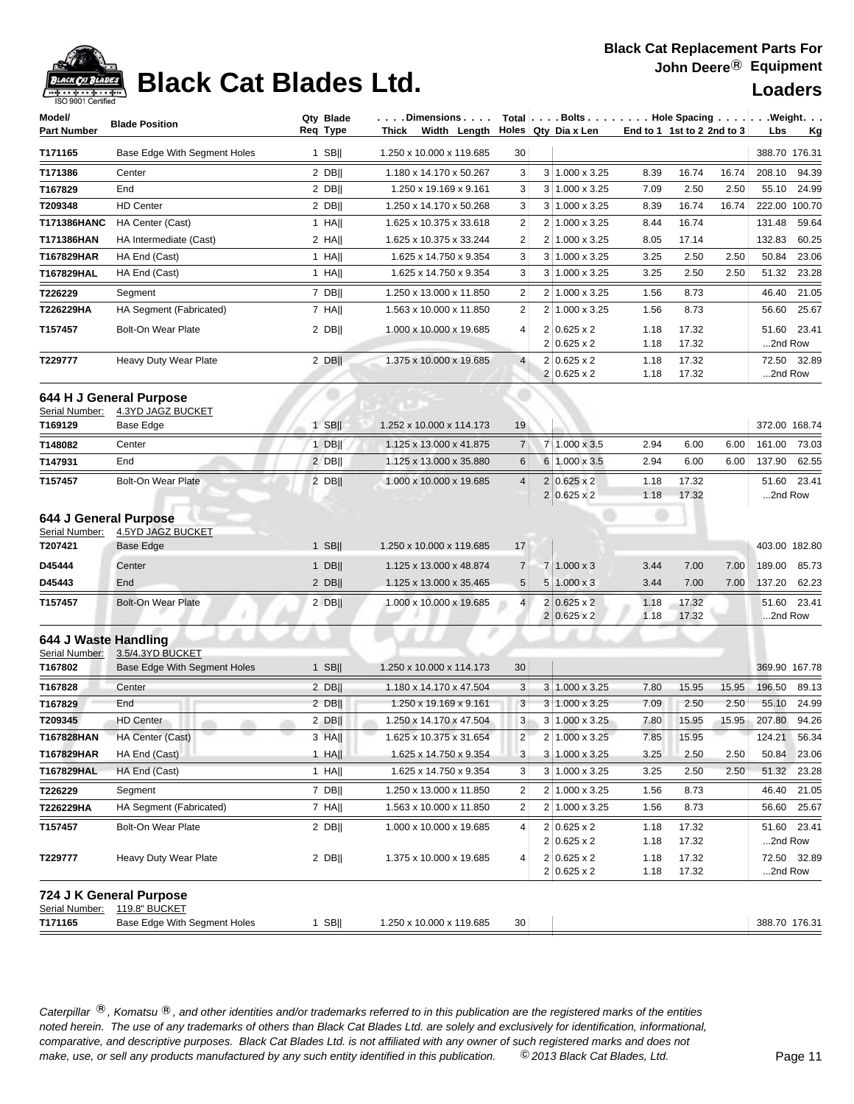

## **Black Cat Blades Ltd. Loaders Loaders**

| Model/                                  | <b>Blade Position</b>                        | Qty Blade | . Dimensions                           |                | Total   Bolts Hole Spacing Weight.         |                            |                |       |                  |               |
|-----------------------------------------|----------------------------------------------|-----------|----------------------------------------|----------------|--------------------------------------------|----------------------------|----------------|-------|------------------|---------------|
| <b>Part Number</b>                      |                                              | Req Type  | Thick Width Length Holes Qty Dia x Len |                |                                            | End to 1 1st to 2 2nd to 3 |                |       | Lbs              | <u>Kg</u>     |
| T171165                                 | Base Edge With Segment Holes                 | $1$ SB    | 1.250 x 10.000 x 119.685               | 30             |                                            |                            |                |       |                  | 388.70 176.31 |
| T171386                                 | Center                                       | $2$ DB    | 1.180 x 14.170 x 50.267                | 3              | $3 1.000 \times 3.25$                      | 8.39                       | 16.74          | 16.74 | 208.10           | 94.39         |
| T167829                                 | End                                          | $2$ DB    | 1.250 x 19.169 x 9.161                 | 3              | 3 1.000 x 3.25                             | 7.09                       | 2.50           | 2.50  |                  | 55.10 24.99   |
| T209348                                 | <b>HD Center</b>                             | $2$ DB    | 1.250 x 14.170 x 50.268                | 3              | 3 1.000 x 3.25                             | 8.39                       | 16.74          | 16.74 |                  | 222.00 100.70 |
| T171386HANC                             | HA Center (Cast)                             | $1$ HA    | 1.625 x 10.375 x 33.618                | $\overline{c}$ | 2 1.000 x 3.25                             | 8.44                       | 16.74          |       | 131.48           | 59.64         |
| T171386HAN                              | HA Intermediate (Cast)                       | $2$ HA    | 1.625 x 10.375 x 33.244                | $\overline{c}$ | 2 1.000 x 3.25                             | 8.05                       | 17.14          |       | 132.83           | 60.25         |
| T167829HAR                              | HA End (Cast)                                | $1$ HA    | 1.625 x 14.750 x 9.354                 | 3              | 3 1.000 x 3.25                             | 3.25                       | 2.50           | 2.50  | 50.84            | 23.06         |
| T167829HAL                              | HA End (Cast)                                | 1 HA      | 1.625 x 14.750 x 9.354                 | 3              | $3 1.000 \times 3.25$                      | 3.25                       | 2.50           | 2.50  | 51.32            | 23.28         |
| T226229                                 | Segment                                      | 7 DB      | 1.250 x 13.000 x 11.850                | 2              | 2 1.000 x 3.25                             | 1.56                       | 8.73           |       | 46.40            | 21.05         |
| T226229HA                               | HA Segment (Fabricated)                      | $7$ HA    | 1.563 x 10.000 x 11.850                | $\overline{2}$ | 2 1.000 x 3.25                             | 1.56                       | 8.73           |       | 56.60            | 25.67         |
| T157457                                 | <b>Bolt-On Wear Plate</b>                    | $2$ DB    | 1.000 x 10.000 x 19.685                | 4              | $2 0.625 \times 2$<br>$2 0.625 \times 2$   | 1.18<br>1.18               | 17.32<br>17.32 |       | 51.60<br>2nd Row | 23.41         |
| T229777                                 | Heavy Duty Wear Plate                        | $2$ DB    | 1.375 x 10.000 x 19.685                | $\overline{4}$ | $2 0.625 \times 2$<br>$2 0.625 \times 2$   | 1.18<br>1.18               | 17.32<br>17.32 |       | 72.50<br>2nd Row | 32.89         |
| Serial Number:                          | 644 H J General Purpose<br>4.3YD JAGZ BUCKET |           |                                        |                |                                            |                            |                |       |                  |               |
| T169129                                 | Base Edge                                    | $1$ SB    | 1.252 x 10.000 x 114.173               | 19             |                                            |                            |                |       |                  | 372.00 168.74 |
| T148082                                 | Center                                       | $1$ DB    | 1.125 x 13.000 x 41.875                | $\overline{7}$ | 7 1.000 x 3.5                              | 2.94                       | 6.00           | 6.00  | 161.00           | 73.03         |
| T147931                                 | End                                          | $2$ DB    | 1.125 x 13.000 x 35.880                | 6              | 6 1.000 x 3.5                              | 2.94                       | 6.00           | 6.00  | 137.90           | 62.55         |
| T157457                                 | <b>Bolt-On Wear Plate</b>                    | $2$ DB    | 1.000 x 10.000 x 19.685                | $\overline{4}$ | $2 0.625 \times 2 $<br>$2 0.625 \times 2$  | 1.18<br>1.18               | 17.32<br>17.32 |       | 51.60<br>2nd Row | 23.41         |
| 644 J General Purpose<br>Serial Number: | <b>4.5YD JAGZ BUCKET</b>                     |           |                                        |                |                                            |                            |                |       |                  |               |
| T207421                                 | Base Edge                                    | $1$ SB    | 1.250 x 10.000 x 119.685               | 17             |                                            |                            |                |       |                  | 403.00 182.80 |
| D45444                                  | Center                                       | $1$ DB    | 1.125 x 13.000 x 48.874                | $\overline{7}$ | 7 1.000 x 3                                | 3.44                       | 7.00           | 7.00  | 189.00           | 85.73         |
| D45443                                  | End                                          | $2$ DB    | 1.125 x 13.000 x 35.465                | 5              | $5 1.000 \times 3$                         | 3.44                       | 7.00           | 7.00  | 137.20           | 62.23         |
| T157457                                 | <b>Bolt-On Wear Plate</b>                    | $2$ DB    | 1.000 x 10.000 x 19.685                | $\overline{4}$ | $2 0.625 \times 2$<br>$2 0.625 \times 2$   | 1.18<br>1.18               | 17.32<br>17.32 |       | 2nd Row          | 51.60 23.41   |
| 644 J Waste Handling<br>Serial Number:  | 3.5/4.3YD BUCKET                             |           |                                        |                |                                            |                            |                |       |                  |               |
| T167802                                 | Base Edge With Segment Holes                 | $1$ SB    | 1.250 x 10.000 x 114.173               | 30             |                                            |                            |                |       |                  | 369.90 167.78 |
| T167828                                 | Center                                       | $2$ DB    | 1.180 x 14.170 x 47.504                | 3              | $3 1.000 \times 3.25$                      | 7.80                       | 15.95          | 15.95 | 196.50           | 89.13         |
| T167829                                 | End                                          | $2$ DB    | 1.250 x 19.169 x 9.161                 | 3              | 3 1.000 x 3.25                             | 7.09                       | 2.50           | 2.50  | 55.10            | 24.99         |
| T209345                                 | <b>HD Center</b>                             | 2 DBII    | 1.250 x 14.170 x 47.504                | 3              | 3 1.000 x 3.25                             | 7.80                       | 15.95          | 15.95 | 207.80           | 94.26         |
| T167828HAN                              | HA Center (Cast)                             | 3 HA      | 1.625 x 10.375 x 31.654                | $\overline{c}$ | 2 1.000 x 3.25                             | 7.85                       | 15.95          |       | 124.21           | 56.34         |
| T167829HAR                              | HA End (Cast)                                | $1$ HA    | 1.625 x 14.750 x 9.354                 | 3              | 3 1.000 x 3.25                             | 3.25                       | 2.50           | 2.50  | 50.84            | 23.06         |
| T167829HAL                              | HA End (Cast)                                | 1 HA      | 1.625 x 14.750 x 9.354                 | 3              | $3 1.000 \times 3.25$                      | 3.25                       | 2.50           | 2.50  | 51.32            | 23.28         |
| T226229                                 | Segment                                      | $7$ DB    | 1.250 x 13.000 x 11.850                | 2              | 2 1.000 x 3.25                             | 1.56                       | 8.73           |       | 46.40            | 21.05         |
| T226229HA                               | HA Segment (Fabricated)                      | $7$ HA    | 1.563 x 10.000 x 11.850                | $\overline{2}$ | 2 1.000 x 3.25                             | 1.56                       | 8.73           |       | 56.60            | 25.67         |
| T157457                                 | Bolt-On Wear Plate                           | $2$ DB    | 1.000 x 10.000 x 19.685                | 4              | $2 0.625 \times 2 $<br>$2 0.625 \times 2 $ | 1.18<br>1.18               | 17.32<br>17.32 |       | 51.60<br>2nd Row | 23.41         |
| T229777                                 | Heavy Duty Wear Plate                        | $2$ DB    | 1.375 x 10.000 x 19.685                | 4              | $2 0.625 \times 2 $<br>$2 0.625 \times 2 $ | 1.18<br>1.18               | 17.32<br>17.32 |       | 2nd Row          | 72.50 32.89   |
| Serial Number:                          | 724 J K General Purpose<br>119.8" BUCKET     |           |                                        |                |                                            |                            |                |       |                  |               |
| T171165                                 | Base Edge With Segment Holes                 | $1$ SB    | 1.250 x 10.000 x 119.685               | 30             |                                            |                            |                |       |                  | 388.70 176.31 |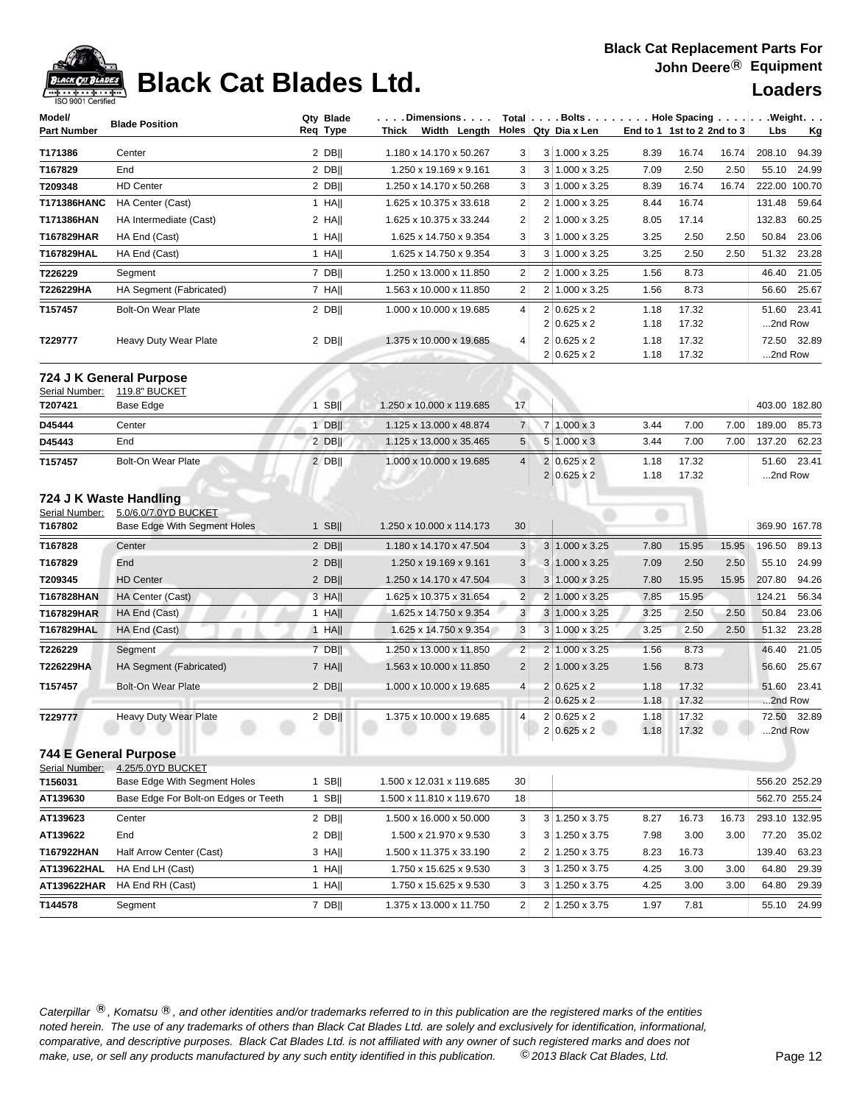

# **Black Cat Blades Ltd. Loaders Loaders**

| Model/                    | <b>Blade Position</b>                                | Qty Blade   | $\ldots$ . Dimensions $\ldots$ .       |                  | Total $\vert \ldots$ Bolts $\ldots \vert \ldots$ . Hole Spacing $\ldots \vert \ldots$ Weight. $\ldots$ |              |                            |                        |
|---------------------------|------------------------------------------------------|-------------|----------------------------------------|------------------|--------------------------------------------------------------------------------------------------------|--------------|----------------------------|------------------------|
| <b>Part Number</b>        |                                                      | Req Type    | Thick Width Length Holes Qty Dia x Len |                  |                                                                                                        |              | End to 1 1st to 2 2nd to 3 | Lbs<br><u>Kg</u>       |
| T171386                   | Center                                               | $2$ DB      | 1.180 x 14.170 x 50.267                | 3                | $3 1.000 \times 3.25$                                                                                  | 8.39         | 16.74<br>16.74             | 208.10<br>94.39        |
| T167829                   | End                                                  | 2 DB        | 1.250 x 19.169 x 9.161                 | 3                | 3 <sup>1</sup><br>1.000 x 3.25                                                                         | 7.09         | 2.50<br>2.50               | 55.10<br>24.99         |
| T209348                   | <b>HD Center</b>                                     | $2$ DB      | 1.250 x 14.170 x 50.268                | 3                | 3 <sup>1</sup><br>1.000 x 3.25                                                                         | 8.39         | 16.74<br>16.74             | 222.00 100.70          |
| T171386HANC               | HA Center (Cast)                                     | $1$ HA      | 1.625 x 10.375 x 33.618                | $\overline{c}$   | 2<br>1.000 x 3.25                                                                                      | 8.44         | 16.74                      | 131.48<br>59.64        |
| T171386HAN                | HA Intermediate (Cast)                               | $2$ HA      | 1.625 x 10.375 x 33.244                | $\overline{2}$   | 2 <sub>1</sub><br>1.000 x 3.25                                                                         | 8.05         | 17.14                      | 132.83<br>60.25        |
| T167829HAR                | HA End (Cast)                                        | $1$ HA      | 1.625 x 14.750 x 9.354                 | 3                | 3<br>1.000 x 3.25                                                                                      | 3.25         | 2.50<br>2.50               | 50.84<br>23.06         |
| T167829HAL                | HA End (Cast)                                        | 1 HA        | 1.625 x 14.750 x 9.354                 | 3                | 3 <sup>1</sup><br>1.000 x 3.25                                                                         | 3.25         | 2.50<br>2.50               | 51.32<br>23.28         |
| T226229                   | Segment                                              | 7 DB        | 1.250 x 13.000 x 11.850                | $\overline{c}$   | $\overline{2}$<br>1.000 x 3.25                                                                         | 1.56         | 8.73                       | 21.05<br>46.40         |
| T226229HA                 | HA Segment (Fabricated)                              | $7$ HA      | 1.563 x 10.000 x 11.850                | $\boldsymbol{2}$ | 2<br>1.000 x 3.25                                                                                      | 1.56         | 8.73                       | 25.67<br>56.60         |
| T157457                   | <b>Bolt-On Wear Plate</b>                            | $2$ DB      | 1.000 x 10.000 x 19.685                | $\overline{4}$   | $2 0.625 \times 2$<br>2<br>$0.625 \times 2$                                                            | 1.18<br>1.18 | 17.32<br>17.32             | 51.60 23.41<br>2nd Row |
| T229777                   | Heavy Duty Wear Plate                                | $2$ DB      | 1.375 x 10.000 x 19.685                | $\overline{4}$   | 2<br>$0.625 \times 2$<br>$2 0.625 \times 2$                                                            | 1.18<br>1.18 | 17.32<br>17.32             | 72.50 32.89<br>2nd Row |
| Serial Number:            | 724 J K General Purpose<br>119.8" BUCKET             |             |                                        |                  |                                                                                                        |              |                            |                        |
| T207421                   | Base Edge                                            | <b>SBII</b> | 1.250 x 10.000 x 119.685               | 17               |                                                                                                        |              |                            | 403.00 182.80          |
| D45444                    | Center                                               | 1 DBII      | 1.125 x 13.000 x 48.874                | $\overline{7}$   | 7 1.000 x 3                                                                                            | 3.44         | 7.00<br>7.00               | 189.00<br>85.73        |
| D45443                    | End                                                  | 2 DBII      | 1.125 x 13.000 x 35.465                | 5                | $1.000 \times 3$<br>5                                                                                  | 3.44         | 7.00<br>7.00               | 137.20<br>62.23        |
| T157457                   | <b>Bolt-On Wear Plate</b>                            | $2$ DB      | 1.000 x 10.000 x 19.685                | $\overline{4}$   | $\overline{2}$<br>$0.625 \times 2$<br>$\overline{2}$<br>$0.625 \times 2$                               | 1.18<br>1.18 | 17.32<br>17.32             | 51.60 23.41<br>2nd Row |
| Serial Number:<br>T167802 | 5.0/6.0/7.0YD BUCKET<br>Base Edge With Segment Holes | $1$ SB      | 1.250 x 10.000 x 114.173               | 30               |                                                                                                        |              |                            | 369.90 167.78          |
| T167828                   | Center                                               | $2$ DB      | 1.180 x 14.170 x 47.504                | 3                | $3 1.000 \times 3.25$                                                                                  | 7.80         | 15.95<br>15.95             | 196.50<br>89.13        |
| T167829                   | End                                                  | $2$ DB      | 1.250 x 19.169 x 9.161                 | 3                | $3 1.000 \times 3.25$                                                                                  | 7.09         | 2.50<br>2.50               | 24.99<br>55.10         |
| T209345                   | <b>HD Center</b>                                     | $2$ DB      | 1.250 x 14.170 x 47.504                | $\mathbf{3}$     | 3<br>1.000 x 3.25                                                                                      | 7.80         | 15.95<br>15.95             | 207.80<br>94.26        |
| T167828HAN                | HA Center (Cast)                                     | 3 HAII      | 1.625 x 10.375 x 31.654                | $\overline{2}$   | $\overline{2}$<br>1.000 x 3.25                                                                         | 7.85         | 15.95                      | 124.21<br>56.34        |
| T167829HAR                | HA End (Cast)                                        | $1$ HA      | 1.625 x 14.750 x 9.354                 | 3                | 3<br>1.000 x 3.25                                                                                      | 3.25         | 2.50<br>2.50               | 50.84<br>23.06         |
| T167829HAL                | HA End (Cast)                                        | $1$ HA      | 1.625 x 14.750 x 9.354                 | $\mathbf{3}$     | $3 1.000 \times 3.25$                                                                                  | 3.25         | 2.50<br>2.50               | 51.32<br>23.28         |
| T226229                   | Segment                                              | 7 DB        | 1.250 x 13.000 x 11.850                | $\overline{c}$   | $\overline{2}$<br>1.000 x 3.25                                                                         | 1.56         | 8.73                       | 46.40<br>21.05         |
| T226229HA                 | HA Segment (Fabricated)                              | $7$ HA      | 1.563 x 10.000 x 11.850                | $\overline{2}$   | $\overline{2}$<br>1.000 x 3.25                                                                         | 1.56         | 8.73                       | 56.60<br>25.67         |
| T157457                   | <b>Bolt-On Wear Plate</b>                            | $2$ DB      | 1.000 x 10.000 x 19.685                | $\overline{4}$   | $\overline{2}$<br>$0.625 \times 2$<br>$\overline{2}$<br>$0.625 \times 2$                               | 1.18<br>1.18 | 17.32<br>17.32             | 51.60 23.41<br>2nd Row |
| T229777                   | Heavy Duty Wear Plate                                | $2$ DB      | 1.375 x 10.000 x 19.685                | $\overline{4}$   | $2 0.625 \times 2$<br>2<br>$0.625 \times 2$                                                            | 1.18<br>1.18 | 17.32<br>17.32             | 72.50 32.89<br>2nd Row |
| Serial Number:            | <b>744 E General Purpose</b><br>4.25/5.0YD BUCKET    |             |                                        |                  |                                                                                                        |              |                            |                        |
| T156031                   | Base Edge With Segment Holes                         | $1$ SB      | 1.500 x 12.031 x 119.685               | 30               |                                                                                                        |              |                            | 556.20 252.29          |
| AT139630                  | Base Edge For Bolt-on Edges or Teeth                 | $1$ SB      | 1.500 x 11.810 x 119.670               | 18               |                                                                                                        |              |                            | 562.70 255.24          |
| AT139623                  | Center                                               | $2$ DB      | 1.500 x 16.000 x 50.000                | 3                | 3 1.250 x 3.75                                                                                         | 8.27         | 16.73<br>16.73             | 293.10 132.95          |
| AT139622                  | End                                                  | $2$ DB      | 1.500 x 21.970 x 9.530                 | 3                | 1.250 x 3.75<br>3 <sup>1</sup>                                                                         | 7.98         | 3.00<br>3.00               | 77.20<br>35.02         |
| T167922HAN                | Half Arrow Center (Cast)                             | 3 HA        | 1.500 x 11.375 x 33.190                | $\overline{2}$   | 1.250 x 3.75<br>2                                                                                      | 8.23         | 16.73                      | 63.23<br>139.40        |
| AT139622HAL               | HA End LH (Cast)                                     | $1$ HA      | 1.750 x 15.625 x 9.530                 | 3                | $3 \mid 1.250 \times 3.75$                                                                             | 4.25         | 3.00<br>3.00               | 64.80<br>29.39         |
| AT139622HAR               | HA End RH (Cast)                                     | $1$ HA      | 1.750 x 15.625 x 9.530                 | 3                | $3 \mid 1.250 \times 3.75$                                                                             | 4.25         | 3.00<br>3.00               | 64.80<br>29.39         |
| T144578                   | Segment                                              | 7 DB        | 1.375 x 13.000 x 11.750                | $\overline{2}$   | 2 1.250 x 3.75                                                                                         | 1.97         | 7.81                       | 55.10 24.99            |
|                           |                                                      |             |                                        |                  |                                                                                                        |              |                            |                        |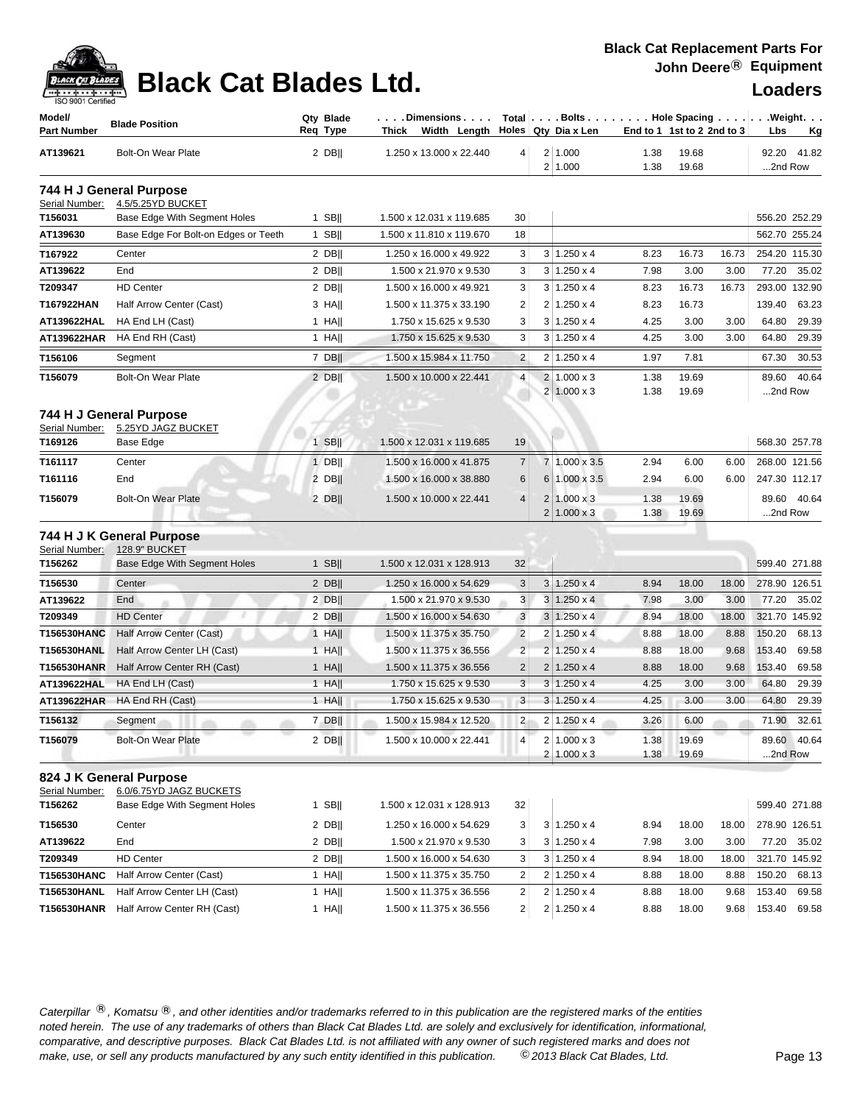| ack Cat |
|---------|
| . Jen   |

## **Black Cat Blades Ltd. Loaders Loaders**

| Model/<br><b>Part Number</b> | <b>Blade Position</b>                         | Qty Blade<br>Req Type | . Dimensions<br>Width Length Holes Qty Dia x Len<br>Thick |                         |                |                                        |              | End to 1 1st to 2 2nd to 3 | $Total   \ldots$ Bolts $\ldots   \ldots$ . Hole Spacing $\ldots   \ldots$ . Weight. $\ldots$<br>Lbs<br><u>Kg</u> |
|------------------------------|-----------------------------------------------|-----------------------|-----------------------------------------------------------|-------------------------|----------------|----------------------------------------|--------------|----------------------------|------------------------------------------------------------------------------------------------------------------|
| AT139621                     | <b>Bolt-On Wear Plate</b>                     | $2$ DB                | 1.250 x 13.000 x 22.440                                   | $\vert 4 \vert$         |                | 2 1.000<br>2 1.000                     | 1.38<br>1.38 | 19.68<br>19.68             | 41.82<br>92.20<br>2nd Row                                                                                        |
|                              | 744 H J General Purpose                       |                       |                                                           |                         |                |                                        |              |                            |                                                                                                                  |
| Serial Number:               | 4.5/5.25YD BUCKET                             |                       |                                                           |                         |                |                                        |              |                            |                                                                                                                  |
| T156031                      | Base Edge With Segment Holes                  | $1$ SB                | 1.500 x 12.031 x 119.685                                  | 30                      |                |                                        |              |                            | 556.20 252.29                                                                                                    |
| AT139630                     | Base Edge For Bolt-on Edges or Teeth          | $1$ SB                | 1.500 x 11.810 x 119.670                                  | 18                      |                |                                        |              |                            | 562.70 255.24                                                                                                    |
| T167922                      | Center                                        | $2$ DB                | 1.250 x 16.000 x 49.922                                   | 3                       |                | $3 \mid 1.250 \times 4$                | 8.23         | 16.73<br>16.73             | 254.20 115.30                                                                                                    |
| AT139622                     | End                                           | $2$ DB                | 1.500 x 21.970 x 9.530                                    | 3                       |                | $3 \mid 1.250 \times 4$                | 7.98         | 3.00<br>3.00               | 77.20<br>35.02                                                                                                   |
| T209347                      | <b>HD Center</b>                              | $2$ DB                | 1.500 x 16.000 x 49.921                                   | 3                       |                | $3 1.250 \times 4$                     | 8.23         | 16.73<br>16.73             | 293.00 132.90                                                                                                    |
| T167922HAN                   | Half Arrow Center (Cast)                      | $3$ HA                | 1.500 x 11.375 x 33.190                                   | $\overline{c}$          | $\overline{2}$ | $1.250 \times 4$                       | 8.23         | 16.73                      | 139.40<br>63.23                                                                                                  |
| AT139622HAL                  | HA End LH (Cast)                              | $1$ HA                | 1.750 x 15.625 x 9.530                                    | 3                       |                | $3 \mid 1.250 \times 4$                | 4.25         | 3.00<br>3.00               | 64.80<br>29.39                                                                                                   |
| AT139622HAR                  | HA End RH (Cast)                              | $1$ HA                | 1.750 x 15.625 x 9.530                                    | 3                       |                | $3 1.250 \times 4$                     | 4.25         | 3.00<br>3.00               | 64.80<br>29.39                                                                                                   |
| T156106                      | Segment                                       | 7 DBII                | 1.500 x 15.984 x 11.750                                   | $\overline{c}$          | 2              | $1.250 \times 4$                       | 1.97         | 7.81                       | 30.53<br>67.30                                                                                                   |
| T156079                      | <b>Bolt-On Wear Plate</b>                     | $2$ DB                | 1.500 x 10.000 x 22.441                                   | $\overline{4}$          | $\overline{2}$ | $1.000 \times 3$<br>$2 1.000 \times 3$ | 1.38<br>1.38 | 19.69<br>19.69             | 40.64<br>89.60<br>2nd Row                                                                                        |
| Serial Number:               | 744 H J General Purpose<br>5.25YD JAGZ BUCKET |                       |                                                           |                         |                |                                        |              |                            |                                                                                                                  |
| T169126                      | Base Edge                                     | $1$ SB                | 1.500 x 12.031 x 119.685                                  | 19                      |                |                                        |              |                            | 568.30 257.78                                                                                                    |
| T161117                      | Center                                        | $1$ DB                | 1.500 x 16.000 x 41.875                                   | $\overline{7}$          | $\overline{7}$ | $1.000 \times 3.5$                     | 2.94         | 6.00<br>6.00               | 268.00 121.56                                                                                                    |
| T161116                      | End                                           | $2$ DB                | 1.500 x 16.000 x 38.880                                   | 6                       | 6              | 1.000 x 3.5                            | 2.94         | 6.00<br>6.00               | 247.30 112.17                                                                                                    |
| T156079                      | <b>Bolt-On Wear Plate</b>                     | 2 DB                  | 1.500 x 10.000 x 22.441                                   | $\overline{4}$          |                | $2 1.000 \times 3$                     | 1.38         | 19.69                      | 40.64<br>89.60                                                                                                   |
|                              |                                               |                       |                                                           |                         | $\overline{2}$ | $1.000 \times 3$                       | 1.38         | 19.69                      | 2nd Row                                                                                                          |
|                              | 744 H J K General Purpose                     |                       |                                                           |                         |                |                                        |              |                            |                                                                                                                  |
| Serial Number:               | 128.9" BUCKET                                 |                       |                                                           |                         |                |                                        |              |                            |                                                                                                                  |
| T156262                      | <b>Base Edge With Segment Holes</b>           | $1$ SB                | 1.500 x 12.031 x 128.913                                  | 32                      |                |                                        |              |                            | 599.40 271.88                                                                                                    |
| T156530                      | Center                                        | $2$ DB                | 1.250 x 16.000 x 54.629                                   | 3                       |                | $3 1.250 \times 4$                     | 8.94         | 18.00<br>18.00             | 278.90 126.51                                                                                                    |
| AT139622                     | End                                           | $2$ DB                | 1.500 x 21.970 x 9.530                                    | 3                       |                | $3 1.250 \times 4$                     | 7.98         | 3.00<br>3.00               | 77.20<br>35.02                                                                                                   |
| T209349                      | <b>HD Center</b>                              | $2$ DB                | 1.500 x 16.000 x 54.630                                   | $\sqrt{3}$              |                | $3 1.250 \times 4$                     | 8.94         | 18.00<br>18.00             | 321.70 145.92                                                                                                    |
| T156530HANC                  | Half Arrow Center (Cast)                      | $1$ HA                | 1.500 x 11.375 x 35.750                                   | $\overline{2}$          | $\overline{2}$ | $1.250 \times 4$                       | 8.88         | 18.00<br>8.88              | 150.20<br>68.13                                                                                                  |
| T156530HANL                  | Half Arrow Center LH (Cast)                   | $1$ HA                | 1.500 x 11.375 x 36.556                                   | $\overline{2}$          | $\overline{2}$ | $1.250 \times 4$                       | 8.88         | 18.00<br>9.68              | 153.40<br>69.58                                                                                                  |
| <b>T156530HANR</b>           | Half Arrow Center RH (Cast)                   | $1$ HA                | 1.500 x 11.375 x 36.556                                   | $\overline{2}$          |                | $2 1.250 \times 4$                     | 8.88         | 18.00<br>9.68              | 153.40<br>69.58                                                                                                  |
| AT139622HAL                  | HA End LH (Cast)                              | $1$ HA                | 1.750 x 15.625 x 9.530                                    | $\sqrt{3}$              | 3              | $1.250 \times 4$                       | 4.25         | 3.00<br>3.00               | 64.80<br>29.39                                                                                                   |
| AT139622HAR                  | HA End RH (Cast)                              | $1$ HA                | 1.750 x 15.625 x 9.530                                    | 3                       |                | $3 1.250 \times 4$                     | 4.25         | 3.00<br>3.00               | 64.80<br>29.39                                                                                                   |
| T156132                      | Segment                                       | $7$ DB                | 1.500 x 15.984 x 12.520                                   | $\overline{2}$          |                | $2 \mid 1.250 \times 4$                | 3.26         | 6.00                       | 71.90<br>32.61                                                                                                   |
| T156079                      | Bolt-On Wear Plate                            | $2$ DB                | 1.500 x 10.000 x 22.441                                   | 4                       |                | $2 1.000 \times 3$                     | 1.38         | 19.69                      | 89.60 40.64                                                                                                      |
|                              |                                               |                       |                                                           |                         |                | $2 1.000 \times 3$                     | 1.38         | 19.69                      | 2nd Row                                                                                                          |
|                              | 824 J K General Purpose                       |                       |                                                           |                         |                |                                        |              |                            |                                                                                                                  |
| Serial Number:               | 6.0/6.75YD JAGZ BUCKETS                       |                       |                                                           |                         |                |                                        |              |                            |                                                                                                                  |
| T156262                      | Base Edge With Segment Holes                  | $1$ SB                | 1.500 x 12.031 x 128.913                                  | 32                      |                |                                        |              |                            | 599.40 271.88                                                                                                    |
| T156530                      | Center                                        | $2$ DB                | 1.250 x 16.000 x 54.629                                   | 3                       |                | $3 1.250 \times 4$                     | 8.94         | 18.00<br>18.00             | 278.90 126.51                                                                                                    |
| AT139622                     | End                                           | $2$ DB                | 1.500 x 21.970 x 9.530                                    | 3                       |                | $3 1.250 \times 4$                     | 7.98         | 3.00<br>3.00               | 77.20<br>35.02                                                                                                   |
| T209349                      | <b>HD Center</b>                              | $2$ DB                | 1.500 x 16.000 x 54.630                                   | 3                       |                | $3 1.250 \times 4$                     | 8.94         | 18.00<br>18.00             | 321.70 145.92                                                                                                    |
| T156530HANC                  | Half Arrow Center (Cast)                      | 1 HA                  | 1.500 x 11.375 x 35.750                                   | $\overline{\mathbf{c}}$ |                | $2 1.250 \times 4$                     | 8.88         | 18.00<br>8.88              | 150.20<br>68.13                                                                                                  |
| T156530HANL                  | Half Arrow Center LH (Cast)                   | $1$ HA                | 1.500 x 11.375 x 36.556                                   | $\overline{\mathbf{c}}$ |                | $2 1.250 \times 4$                     | 8.88         | 18.00<br>9.68              | 153.40<br>69.58                                                                                                  |
| T156530HANR                  | Half Arrow Center RH (Cast)                   | $1$ HA                | 1.500 x 11.375 x 36.556                                   | $\boldsymbol{2}$        |                | $2 1.250 \times 4$                     | 8.88         | 18.00<br>9.68              | 153.40<br>69.58                                                                                                  |
|                              |                                               |                       |                                                           |                         |                |                                        |              |                            |                                                                                                                  |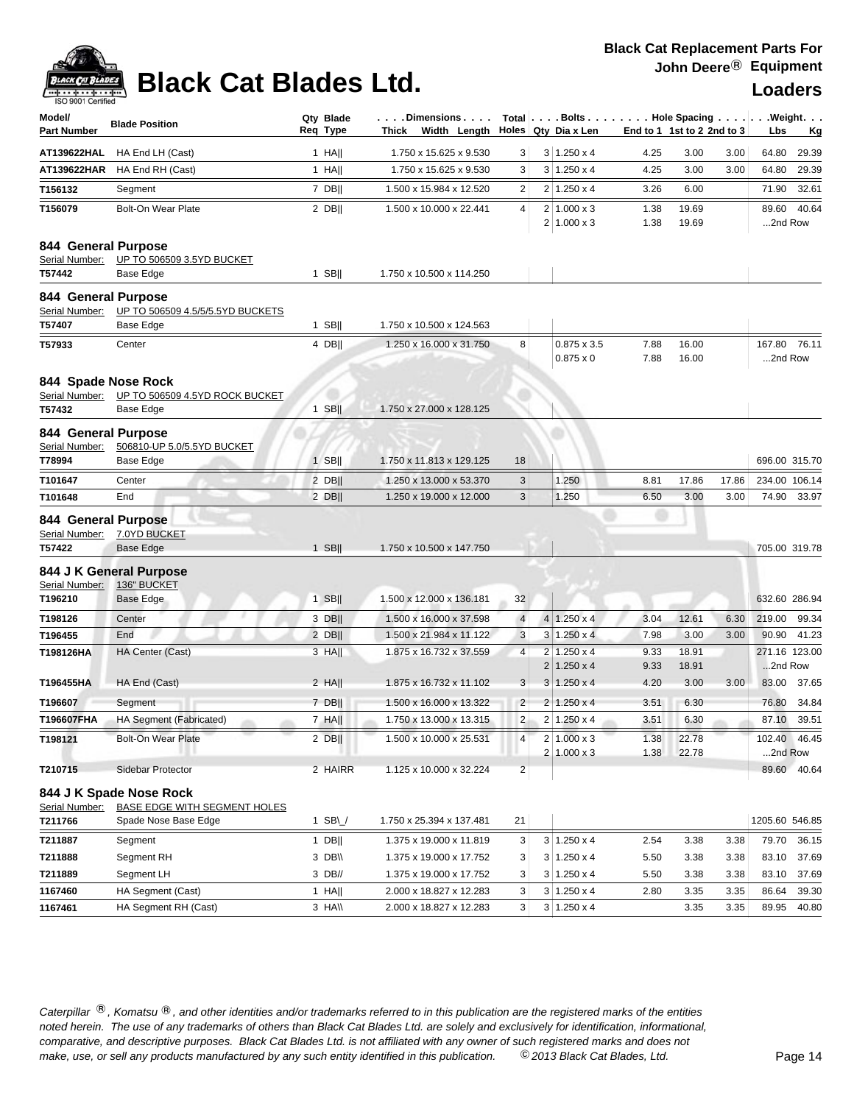

# **Black Cat Blades Ltd. Loaders Loaders**

| Model/<br><b>Part Number</b>                                                 | <b>Blade Position</b>                                                                          | Qty Blade<br>Req Type | . Dimensions<br>Thick Width Length                   |                     | Total $\left  \ldots$ Bolts $\ldots \right $ Hole Spacing $\ldots \right $<br>Holes Qty Dia x Len |              | End to 1 1st to 2 2nd to 3 |              | . Weight.<br>Lbs<br><u>Kg</u>     |
|------------------------------------------------------------------------------|------------------------------------------------------------------------------------------------|-----------------------|------------------------------------------------------|---------------------|---------------------------------------------------------------------------------------------------|--------------|----------------------------|--------------|-----------------------------------|
| AT139622HAL                                                                  | HA End LH (Cast)                                                                               | $1$ HA                | 1.750 x 15.625 x 9.530                               | 3                   | $3 1.250 \times 4$                                                                                | 4.25         | 3.00                       | 3.00         | 29.39<br>64.80                    |
| AT139622HAR                                                                  | HA End RH (Cast)                                                                               | $1$ HA                | 1.750 x 15.625 x 9.530                               | 3                   | $3 \mid 1.250 \times 4$                                                                           | 4.25         | 3.00                       | 3.00         | 64.80<br>29.39                    |
| T156132                                                                      | Segment                                                                                        | $7$ DB                | 1.500 x 15.984 x 12.520                              | 2                   | $2 1.250 \times 4$                                                                                | 3.26         | 6.00                       |              | 71.90<br>32.61                    |
| T156079                                                                      | <b>Bolt-On Wear Plate</b>                                                                      | $2$ DB                | 1.500 x 10.000 x 22.441                              | 4                   | $2 1.000 \times 3$<br>$2 1.000 \times 3$                                                          | 1.38<br>1.38 | 19.69<br>19.69             |              | 89.60 40.64<br>2nd Row            |
| 844 General Purpose<br>Serial Number:<br>T57442                              | UP TO 506509 3.5YD BUCKET<br>Base Edge                                                         | $1$ SB                | 1.750 x 10.500 x 114.250                             |                     |                                                                                                   |              |                            |              |                                   |
| 844 General Purpose<br>Serial Number:<br>T57407                              | UP TO 506509 4.5/5/5.5YD BUCKETS<br>Base Edge                                                  | $1$ SB                | 1.750 x 10.500 x 124.563                             |                     |                                                                                                   |              |                            |              |                                   |
| T57933                                                                       | Center                                                                                         | 4 DB                  | 1.250 x 16.000 x 31.750                              | 8                   | $0.875 \times 3.5$<br>$0.875 \times 0$                                                            | 7.88<br>7.88 | 16.00<br>16.00             |              | 167.80 76.11<br>2nd Row           |
| 844 Spade Nose Rock<br>Serial Number:<br>T57432                              | UP TO 506509 4.5YD ROCK BUCKET<br>Base Edge                                                    | $1$ SB                | 1.750 x 27.000 x 128.125                             |                     |                                                                                                   |              |                            |              |                                   |
| 844 General Purpose<br>Serial Number:<br>T78994                              | 506810-UP 5.0/5.5YD BUCKET<br>Base Edge                                                        | $1$ SB                | 1.750 x 11.813 x 129.125                             | 18                  |                                                                                                   |              |                            |              | 696.00 315.70                     |
| T101647                                                                      | Center                                                                                         | $2$ DB                | 1.250 x 13.000 x 53.370                              | 3                   | 1.250                                                                                             | 8.81         | 17.86                      | 17.86        | 234.00 106.14                     |
| T101648                                                                      | End                                                                                            | $2$ DB                | 1.250 x 19.000 x 12.000                              | 3                   | 1.250                                                                                             | 6.50         | 3.00                       | 3.00         | 74.90<br>33.97                    |
| 844 General Purpose<br>Serial Number:<br>T57422<br>Serial Number:<br>T196210 | 7.0YD BUCKET<br><b>Base Edge</b><br>844 J K General Purpose<br>136" BUCKET<br><b>Base Edge</b> | $1$ SB  <br>$1$ SB    | 1.750 x 10.500 x 147.750<br>1.500 x 12.000 x 136.181 | 32                  |                                                                                                   |              |                            |              | 705.00 319.78<br>632.60 286.94    |
|                                                                              |                                                                                                |                       |                                                      |                     |                                                                                                   |              |                            |              |                                   |
| T198126<br>T196455                                                           | Center<br>End                                                                                  | 3 DB  <br>2 DB        | 1.500 x 16.000 x 37.598<br>1.500 x 21.984 x 11.122   | $\overline{4}$<br>3 | $4 1.250 \times 4$<br>$3 1.250 \times 4$                                                          | 3.04<br>7.98 | 12.61<br>3.00              | 6.30<br>3.00 | 219.00<br>99.34<br>90.90<br>41.23 |
| T198126HA                                                                    | HA Center (Cast)                                                                               | $3$ HA                | 1.875 x 16.732 x 37.559                              | 4                   | $2 1.250 \times 4$                                                                                | 9.33         | 18.91                      |              | 271.16 123.00                     |
|                                                                              |                                                                                                |                       |                                                      |                     | $2 1.250 \times 4$                                                                                | 9.33         | 18.91                      |              | 2nd Row                           |
| T196455HA                                                                    | HA End (Cast)                                                                                  | $2$ HA                | 1.875 x 16.732 x 11.102                              | 3                   | $3 1.250 \times 4$                                                                                | 4.20         | 3.00                       | 3.00         | 83.00<br>37.65                    |
| T196607                                                                      | Segment                                                                                        | 7 DB                  | 1.500 x 16.000 x 13.322                              | $\overline{2}$      | $2 1.250 \times 4$                                                                                | 3.51         | 6.30                       |              | 76.80<br>34.84                    |
| T196607FHA                                                                   | HA Segment (Fabricated)                                                                        | $7$ HA                | 1.750 x 13.000 x 13.315                              | $\overline{2}$      | $2 1.250 \times 4$                                                                                | 3.51         | 6.30                       |              | 87.10 39.51                       |
| T198121                                                                      | <b>Bolt-On Wear Plate</b>                                                                      | $2$ DB                | 1.500 x 10.000 x 25.531                              | 4                   | $2 1.000 \times 3$<br>$2 1.000 \times 3$                                                          | 1.38<br>1.38 | 22.78<br>22.78             |              | 102.40 46.45<br>2nd Row           |
| T210715                                                                      | Sidebar Protector                                                                              | 2 HAIRR               | 1.125 x 10.000 x 32.224                              | $\overline{2}$      |                                                                                                   |              |                            |              | 89.60 40.64                       |
|                                                                              | 844 J K Spade Nose Rock                                                                        |                       |                                                      |                     |                                                                                                   |              |                            |              |                                   |
| Serial Number:                                                               | BASE EDGE WITH SEGMENT HOLES                                                                   |                       |                                                      |                     |                                                                                                   |              |                            |              |                                   |
| T211766                                                                      | Spade Nose Base Edge                                                                           | 1 SB $\cup$           | 1.750 x 25.394 x 137.481                             | 21                  |                                                                                                   |              |                            |              | 1205.60 546.85                    |
| T211887                                                                      | Segment                                                                                        | 1 DB                  | 1.375 x 19.000 x 11.819                              | 3                   | $3 \mid 1.250 \times 4$                                                                           | 2.54         | 3.38                       | 3.38         | 36.15<br>79.70                    |
| T211888                                                                      | Segment RH                                                                                     | 3 DB\\                | 1.375 x 19.000 x 17.752                              | 3                   | $3 1.250 \times 4$                                                                                | 5.50         | 3.38                       | 3.38         | 83.10<br>37.69                    |
| T211889                                                                      | Segment LH                                                                                     | 3 DB//                | 1.375 x 19.000 x 17.752                              | 3                   | $3 \mid 1.250 \times 4$                                                                           | 5.50         | 3.38                       | 3.38         | 37.69<br>83.10                    |
| 1167460                                                                      | HA Segment (Cast)                                                                              | 1 HA                  | 2.000 x 18.827 x 12.283                              | 3                   | $3 1.250 \times 4$                                                                                | 2.80         | 3.35                       | 3.35         | 86.64<br>39.30                    |
| 1167461                                                                      | HA Segment RH (Cast)                                                                           | 3 HAII                | 2.000 x 18.827 x 12.283                              | 3 <sup>2</sup>      | $3 1.250 \times 4$                                                                                |              | 3.35                       | 3.35         | 89.95<br>40.80                    |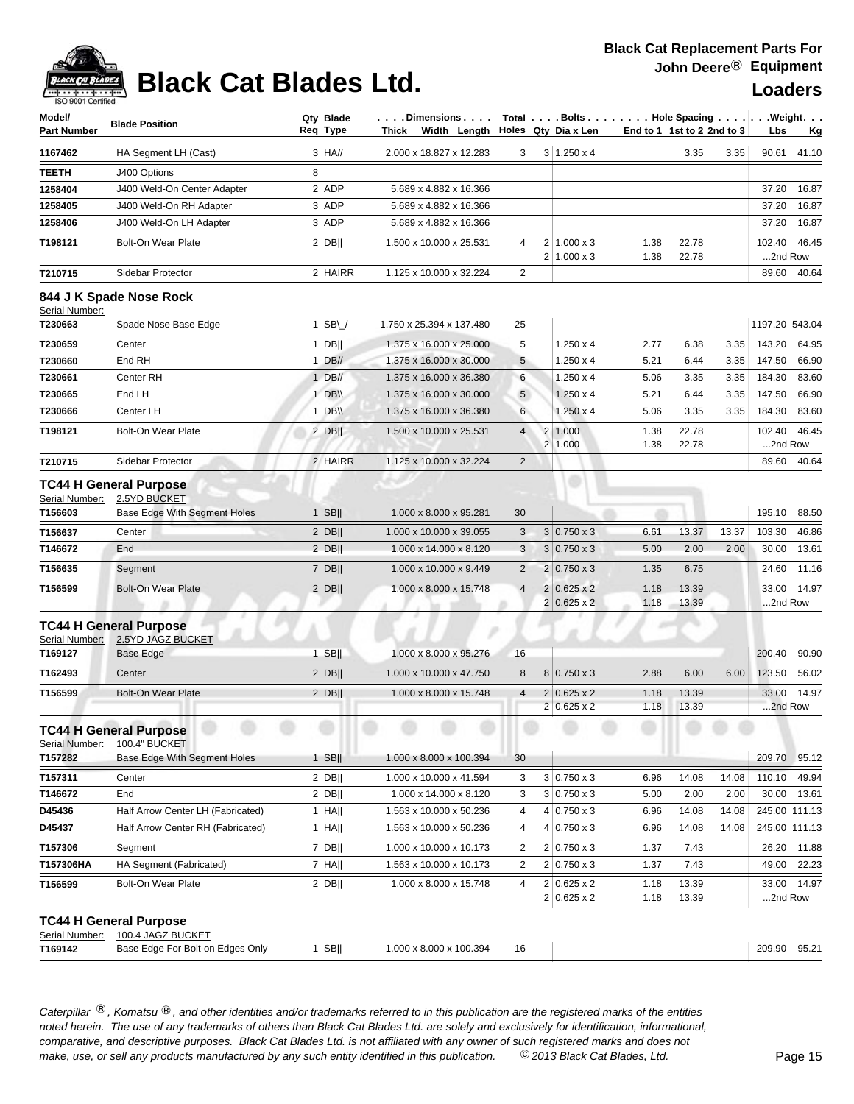# **Black Cat Blades Ltd. Loaders Loaders**

### **Black Cat Replacement Parts For John Deere**® **Equipment**

| Model/<br>Part Number | <b>Blade Position</b>                              | Reg Type | Qty Blade                      | Thick |                         | $\ldots$ . Dimensions $\ldots$ .<br>Width Length |                 | $Total   \ldots$ Bolts $\ldots   \ldots$ . Hole Spacing $\ldots   \ldots$ . Weight. $\ldots$<br>Holes Qty Dia x Len | End to 1 1st to 2 2nd to 3 |                |       | Lbs               | <u>Kg</u>   |
|-----------------------|----------------------------------------------------|----------|--------------------------------|-------|-------------------------|--------------------------------------------------|-----------------|---------------------------------------------------------------------------------------------------------------------|----------------------------|----------------|-------|-------------------|-------------|
| 1167462               | HA Segment LH (Cast)                               |          | 3 HA//                         |       |                         | 2.000 x 18.827 x 12.283                          | 3               | $3 1.250 \times 4$                                                                                                  |                            | 3.35           | 3.35  | 90.61             | 41.10       |
| TEETH                 | J400 Options                                       | 8        |                                |       |                         |                                                  |                 |                                                                                                                     |                            |                |       |                   |             |
| 1258404               | J400 Weld-On Center Adapter                        |          | 2 ADP                          |       |                         | 5.689 x 4.882 x 16.366                           |                 |                                                                                                                     |                            |                |       | 37.20             | 16.87       |
| 1258405               | J400 Weld-On RH Adapter                            |          | 3 ADP                          |       |                         | 5.689 x 4.882 x 16.366                           |                 |                                                                                                                     |                            |                |       | 37.20             | 16.87       |
| 1258406               | J400 Weld-On LH Adapter                            |          | 3 ADP                          |       | 5.689 x 4.882 x 16.366  |                                                  |                 |                                                                                                                     |                            |                |       | 37.20             | 16.87       |
| T198121               | <b>Bolt-On Wear Plate</b>                          |          | $2$ DB                         |       | 1.500 x 10.000 x 25.531 |                                                  | 4               | $2 1.000 \times 3$                                                                                                  | 1.38                       | 22.78          |       | 102.40            | 46.45       |
|                       |                                                    |          |                                |       |                         |                                                  |                 | $2 1.000 \times 3$                                                                                                  | 1.38                       | 22.78          |       | 2nd Row           |             |
| T210715               | Sidebar Protector                                  |          | 2 HAIRR                        |       | 1.125 x 10.000 x 32.224 |                                                  | $\overline{2}$  |                                                                                                                     |                            |                |       | 89.60             | 40.64       |
| Serial Number:        | 844 J K Spade Nose Rock                            |          |                                |       |                         |                                                  |                 |                                                                                                                     |                            |                |       |                   |             |
| T230663               | Spade Nose Base Edge                               |          | 1 SB\ $\overline{\phantom{a}}$ |       |                         | 1.750 x 25.394 x 137.480                         | 25              |                                                                                                                     |                            |                |       | 1197.20 543.04    |             |
| T230659               | Center                                             |          | $1$ DB                         |       | 1.375 x 16.000 x 25.000 |                                                  | 5               | $1.250 \times 4$                                                                                                    | 2.77                       | 6.38           | 3.35  | 143.20            | 64.95       |
| T230660               | End RH                                             |          | $1$ DB//                       |       | 1.375 x 16.000 x 30.000 |                                                  | 5               | $1.250 \times 4$                                                                                                    | 5.21                       | 6.44           | 3.35  | 147.50            | 66.90       |
| T230661               | Center RH                                          |          | $1$ DB//                       |       | 1.375 x 16.000 x 36.380 |                                                  | $6\phantom{1}6$ | $1.250 \times 4$                                                                                                    | 5.06                       | 3.35           | 3.35  | 184.30            | 83.60       |
| T230665               | End LH                                             |          | 1 DB\\                         |       | 1.375 x 16.000 x 30.000 |                                                  | $5\phantom{.0}$ | $1.250 \times 4$                                                                                                    | 5.21                       | 6.44           | 3.35  | 147.50            | 66.90       |
| T230666               | Center LH                                          |          | 1 $DB \vee$                    |       | 1.375 x 16.000 x 36.380 |                                                  | 6               | $1.250 \times 4$                                                                                                    | 5.06                       | 3.35           | 3.35  | 184.30            | 83.60       |
| T198121               | <b>Bolt-On Wear Plate</b>                          |          | $2$ DB                         |       | 1.500 x 10.000 x 25.531 |                                                  | $\overline{4}$  | 2 1.000<br>2 1.000                                                                                                  | 1.38<br>1.38               | 22.78<br>22.78 |       | 102.40<br>2nd Row | 46.45       |
| T210715               | Sidebar Protector                                  |          | 2 HAIRR                        |       | 1.125 x 10.000 x 32.224 |                                                  | $\overline{2}$  |                                                                                                                     |                            |                |       | 89.60             | 40.64       |
| Serial Number:        | <b>TC44 H General Purpose</b><br>2.5YD BUCKET      |          |                                |       |                         |                                                  |                 |                                                                                                                     |                            |                |       |                   |             |
| T156603               | Base Edge With Segment Holes                       |          | $1$ SB                         |       | 1.000 x 8.000 x 95.281  |                                                  | 30              |                                                                                                                     |                            |                |       | 195.10            | 88.50       |
| T156637               | Center                                             |          | $2$ DB                         |       |                         | 1.000 x 10.000 x 39.055                          | 3               | $3 0.750 \times 3$                                                                                                  | 6.61                       | 13.37          | 13.37 | 103.30            | 46.86       |
| T146672               | End                                                |          | $2$ DB                         |       | 1.000 x 14.000 x 8.120  |                                                  | 3               | $3 0.750 \times 3$                                                                                                  | 5.00                       | 2.00           | 2.00  | 30.00             | 13.61       |
| T156635               | Segment                                            |          | 7 DB                           |       | 1.000 x 10.000 x 9.449  |                                                  | $\overline{2}$  | $2 0.750 \times 3$                                                                                                  | 1.35                       | 6.75           |       | 24.60             | 11.16       |
| T156599               | <b>Bolt-On Wear Plate</b>                          |          | $2$ DB                         |       |                         | 1.000 x 8.000 x 15.748                           | $\overline{4}$  | $2 0.625 \times 2$<br>$2 0.625 \times 2$                                                                            | 1.18<br>1.18               | 13.39<br>13.39 |       | 33.00<br>2nd Row  | 14.97       |
| Serial Number:        | TC44 H General Purpose<br>2.5YD JAGZ BUCKET        |          |                                |       |                         |                                                  |                 |                                                                                                                     |                            |                |       |                   |             |
| T169127               | Base Edge                                          |          | $1$ SB                         |       |                         | 1.000 x 8.000 x 95.276                           | 16              |                                                                                                                     |                            |                |       | 200.40            | 90.90       |
| T162493               | Center                                             |          | $2$ DB                         |       |                         | 1.000 x 10.000 x 47.750                          | 8               | $8 0.750 \times 3$                                                                                                  | 2.88                       | 6.00           | 6.00  | 123.50            | 56.02       |
| T156599               | <b>Bolt-On Wear Plate</b>                          |          | $2$ DB                         |       |                         | 1.000 x 8.000 x 15.748                           | 4               | $2 0.625 \times 2$                                                                                                  | 1.18                       | 13.39          |       | 33.00             | 14.97       |
|                       |                                                    |          |                                |       |                         |                                                  |                 | $2 0.625 \times 2$                                                                                                  | 1.18                       | 13.39          |       | 2nd Row           |             |
| Serial Number:        | <b>TC44 H General Purpose</b><br>100.4" BUCKET     |          |                                |       |                         |                                                  |                 |                                                                                                                     |                            |                |       |                   |             |
| T157282               | Base Edge With Segment Holes                       |          | $1$ SB                         |       |                         | 1.000 x 8.000 x 100.394                          | 30              |                                                                                                                     |                            |                |       | 209.70 95.12      |             |
| T157311               | Center                                             |          | $2$ DB                         |       | 1.000 x 10.000 x 41.594 |                                                  | 3               | $3 0.750 \times 3$                                                                                                  | 6.96                       | 14.08          | 14.08 | 110.10            | 49.94       |
| T146672               | End                                                |          | $2$ DB                         |       |                         | 1.000 x 14.000 x 8.120                           | 3               | $3 0.750 \times 3$                                                                                                  | 5.00                       | 2.00           | 2.00  |                   | 30.00 13.61 |
| D45436                | Half Arrow Center LH (Fabricated)                  |          | $1$ HA                         |       |                         | 1.563 x 10.000 x 50.236                          | 4               | $4 0.750 \times 3$                                                                                                  | 6.96                       | 14.08          | 14.08 | 245.00 111.13     |             |
| D45437                | Half Arrow Center RH (Fabricated)                  |          | 1 HA                           |       |                         | 1.563 x 10.000 x 50.236                          | 4               | $4 0.750 \times 3$                                                                                                  | 6.96                       | 14.08          | 14.08 | 245.00 111.13     |             |
| T157306               | Segment                                            |          | $7$ DB                         |       |                         | 1.000 x 10.000 x 10.173                          | 2               | $2 0.750 \times 3$                                                                                                  | 1.37                       | 7.43           |       |                   | 26.20 11.88 |
| T157306HA             | HA Segment (Fabricated)                            |          | $7$ HA                         |       |                         | 1.563 x 10.000 x 10.173                          | 2               | $2 0.750 \times 3$                                                                                                  | 1.37                       | 7.43           |       |                   | 49.00 22.23 |
| T156599               | Bolt-On Wear Plate                                 |          | $2$ DB                         |       | 1.000 x 8.000 x 15.748  |                                                  | 4               | $2 0.625 \times 2$                                                                                                  | 1.18                       | 13.39          |       |                   | 33.00 14.97 |
|                       |                                                    |          |                                |       |                         |                                                  |                 | $2 0.625 \times 2$                                                                                                  | 1.18                       | 13.39          |       | 2nd Row           |             |
| Serial Number:        | <b>TC44 H General Purpose</b><br>100.4 JAGZ BUCKET |          |                                |       |                         |                                                  |                 |                                                                                                                     |                            |                |       |                   |             |
| T169142               | Base Edge For Bolt-on Edges Only                   |          | 1 SB $  $                      |       |                         | 1.000 x 8.000 x 100.394                          | 16              |                                                                                                                     |                            |                |       | 209.90 95.21      |             |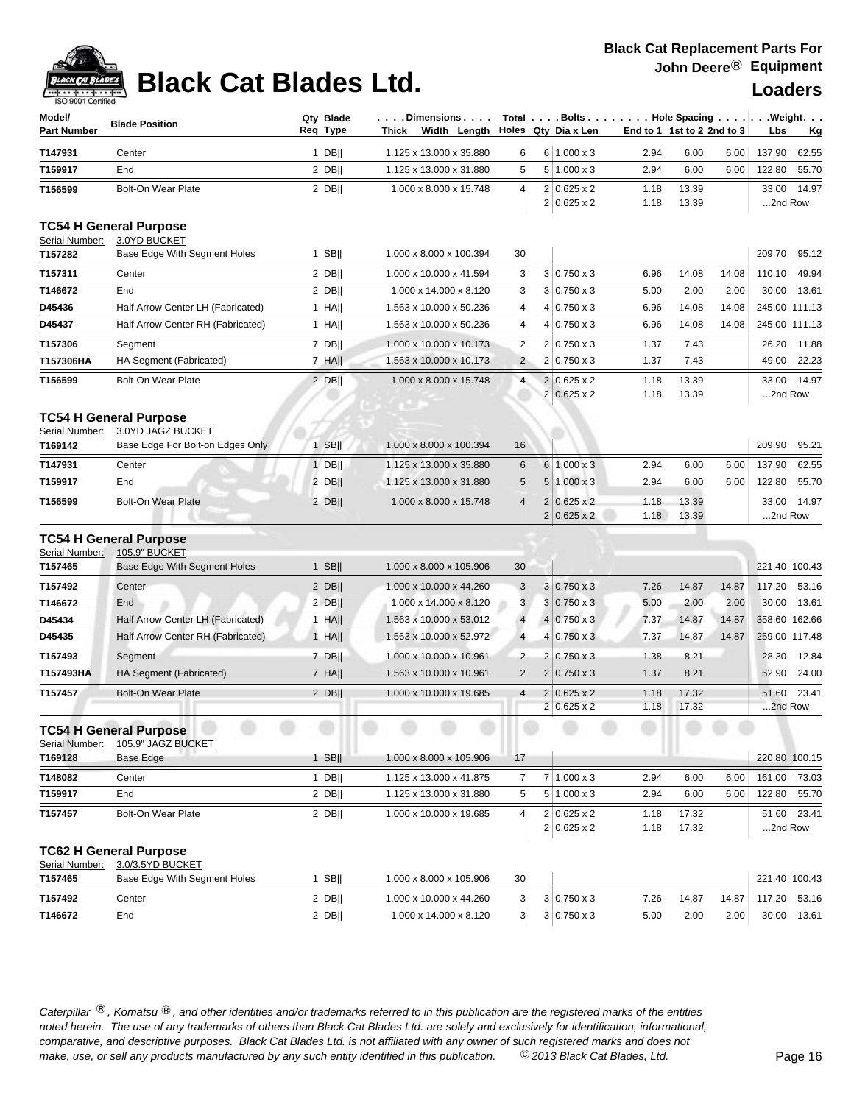## **Black Cat Blades Ltd. Loaders Loaders**

| Model/<br><b>Part Number</b> | <b>Blade Position</b>                                                             | Qty Blade<br>Reg Type | . Dimensions<br>Width Length<br>Thick |                         |                | Total $\vert \ldots$ Bolts $\ldots \vert \ldots$ Hole Spacing $\ldots \vert \ldots$ Weight. $\ldots$<br>Holes Qty Dia x Len | End to 1 1st to 2 2nd to 3 |                |       | Lbs              | <u>Kg</u>     |
|------------------------------|-----------------------------------------------------------------------------------|-----------------------|---------------------------------------|-------------------------|----------------|-----------------------------------------------------------------------------------------------------------------------------|----------------------------|----------------|-------|------------------|---------------|
| T147931                      | Center                                                                            | $1$ DB                | 1.125 x 13.000 x 35.880               | 6                       |                | $6 1.000 \times 3$                                                                                                          | 2.94                       | 6.00           | 6.00  | 137.90           | 62.55         |
| T159917                      | End                                                                               | 2 DB                  | 1.125 x 13.000 x 31.880               | 5                       |                | $5 1.000 \times 3$                                                                                                          | 2.94                       | 6.00           | 6.00  | 122.80           | 55.70         |
| T156599                      | <b>Bolt-On Wear Plate</b>                                                         | $2$ DB                | 1.000 x 8.000 x 15.748                | 4                       |                | $2 0.625 \times 2$<br>$2 0.625 \times 2$                                                                                    | 1.18<br>1.18               | 13.39<br>13.39 |       | 33.00<br>2nd Row | 14.97         |
| Serial Number:               | <b>TC54 H General Purpose</b><br>3.0YD BUCKET                                     |                       |                                       |                         |                |                                                                                                                             |                            |                |       |                  |               |
| T157282                      | Base Edge With Segment Holes                                                      | $1$ SB                | 1.000 x 8.000 x 100.394               | 30                      |                |                                                                                                                             |                            |                |       | 209.70           | 95.12         |
| T157311                      | Center                                                                            | $2$ DB                | 1.000 x 10.000 x 41.594               | 3                       |                | $3 0.750 \times 3$                                                                                                          | 6.96                       | 14.08          | 14.08 | 110.10           | 49.94         |
| T146672                      | End                                                                               | $2$ DB                | 1.000 x 14.000 x 8.120                | 3                       |                | $3 0.750 \times 3$                                                                                                          | 5.00                       | 2.00           | 2.00  | 30.00            | 13.61         |
| D45436                       | Half Arrow Center LH (Fabricated)                                                 | $1$ HA                | 1.563 x 10.000 x 50.236               | 4                       |                | $4 0.750 \times 3$                                                                                                          | 6.96                       | 14.08          | 14.08 |                  | 245.00 111.13 |
| D45437                       | Half Arrow Center RH (Fabricated)                                                 | $1$ HA                | 1.563 x 10.000 x 50.236               | 4                       |                | $4 0.750 \times 3$                                                                                                          | 6.96                       | 14.08          | 14.08 |                  | 245.00 111.13 |
| T157306                      | Segment                                                                           | 7 DB                  | 1.000 x 10.000 x 10.173               | $\overline{\mathbf{c}}$ |                | $2 0.750 \times 3$                                                                                                          | 1.37                       | 7.43           |       | 26.20            | 11.88         |
| T157306HA                    | HA Segment (Fabricated)                                                           | 7 HA                  | 1.563 x 10.000 x 10.173               | $\overline{2}$          |                | $2 0.750 \times 3$                                                                                                          | 1.37                       | 7.43           |       | 49.00            | 22.23         |
| T156599                      | <b>Bolt-On Wear Plate</b>                                                         | $2$ DB                | 1.000 x 8.000 x 15.748                | 4                       | $\overline{2}$ | $2 0.625 \times 2$<br>$0.625 \times 2$                                                                                      | 1.18<br>1.18               | 13.39<br>13.39 |       | 33.00<br>2nd Row | 14.97         |
| Serial Number:               | <b>TC54 H General Purpose</b><br>3.0YD JAGZ BUCKET                                |                       |                                       |                         |                |                                                                                                                             |                            |                |       |                  |               |
| T169142                      | Base Edge For Bolt-on Edges Only                                                  | 1 SB $  $             | 1.000 x 8.000 x 100.394               | 16                      |                |                                                                                                                             |                            |                |       | 209.90           | 95.21         |
| T147931                      | Center                                                                            | $1$ DB                | 1.125 x 13.000 x 35.880               | 6                       |                | $6 1.000 \times 3$                                                                                                          | 2.94                       | 6.00           | 6.00  | 137.90           | 62.55         |
| T159917                      | End                                                                               | $2$ DB                | 1.125 x 13.000 x 31.880               | 5                       |                | $5 1.000 \times 3$                                                                                                          | 2.94                       | 6.00           | 6.00  | 122.80           | 55.70         |
| T156599                      | <b>Bolt-On Wear Plate</b>                                                         | $2$ DB                | 1.000 x 8.000 x 15.748                | $\overline{4}$          |                | $2 0.625 \times 2$<br>$2 0.625 \times 2$                                                                                    | 1.18<br>1.18               | 13.39<br>13.39 |       | 33.00<br>2nd Row | 14.97         |
| Serial Number:               | <b>TC54 H General Purpose</b><br>105.9" BUCKET                                    |                       |                                       |                         |                |                                                                                                                             |                            |                |       |                  |               |
| T157465                      | Base Edge With Segment Holes                                                      | $1$ SB                | 1.000 x 8.000 x 105.906               | 30                      |                |                                                                                                                             |                            |                |       | 221.40 100.43    |               |
| T157492                      | Center                                                                            | $2$ DB                | 1.000 x 10.000 x 44.260               | 3                       |                | $3 0.750 \times 3$                                                                                                          | 7.26                       | 14.87          | 14.87 | 117.20           | 53.16         |
| T146672                      | End                                                                               | $2$ DB                | 1.000 x 14.000 x 8.120                | 3                       |                | $3 0.750 \times 3$                                                                                                          | 5.00                       | 2.00           | 2.00  | 30.00            | 13.61         |
| D45434                       | Half Arrow Center LH (Fabricated)                                                 | $1$ HA                | 1.563 x 10.000 x 53.012               | $\overline{4}$          |                | $4 0.750 \times 3$                                                                                                          | 7.37                       | 14.87          | 14.87 |                  | 358.60 162.66 |
| D45435                       | Half Arrow Center RH (Fabricated)                                                 | $1$ HA                | 1.563 x 10.000 x 52.972               | $\overline{4}$          |                | $4 0.750 \times 3$                                                                                                          | 7.37                       | 14.87          | 14.87 |                  | 259.00 117.48 |
| T157493                      | Segment                                                                           | 7 DB                  | 1.000 x 10.000 x 10.961               | $\overline{\mathbf{c}}$ |                | $2 0.750 \times 3$                                                                                                          | 1.38                       | 8.21           |       | 28.30            | 12.84         |
| T157493HA                    | HA Segment (Fabricated)                                                           | $7$ HA                | 1.563 x 10.000 x 10.961               | $\overline{2}$          |                | $2 0.750 \times 3$                                                                                                          | 1.37                       | 8.21           |       | 52.90            | 24.00         |
| T157457                      | <b>Bolt-On Wear Plate</b>                                                         | $2$ DB                | 1.000 x 10.000 x 19.685               | $\overline{4}$          |                | $2 0.625 \times 2$                                                                                                          | 1.18                       | 17.32          |       | 51.60            | 23.41         |
|                              |                                                                                   |                       |                                       |                         |                | $2 0.625 \times 2$                                                                                                          | 1.18                       | 17.32          |       | 2nd Row          |               |
| Serial Number:               | <b>TC54 H General Purpose</b><br>105.9" JAGZ BUCKET                               |                       |                                       |                         |                |                                                                                                                             |                            |                |       |                  |               |
| T169128                      | Base Edge                                                                         | 1 SB                  | 1.000 x 8.000 x 105.906               | 17                      |                |                                                                                                                             |                            |                |       |                  | 220.80 100.15 |
| T148082                      | Center                                                                            | $1$ DB                | 1.125 x 13.000 x 41.875               | $\overline{7}$          |                | $7 1.000 \times 3$                                                                                                          | 2.94                       | 6.00           | 6.00  | 161.00           | 73.03         |
| T159917                      | End                                                                               | $2$ DB                | 1.125 x 13.000 x 31.880               | 5                       |                | $5 \mid 1.000 \times 3$                                                                                                     | 2.94                       | 6.00           | 6.00  | 122.80           | 55.70         |
| T157457                      | Bolt-On Wear Plate                                                                | 2 DB                  | 1.000 x 10.000 x 19.685               | 4                       |                | $2 0.625 \times 2$<br>$2 0.625 \times 2$                                                                                    | 1.18<br>1.18               | 17.32<br>17.32 |       | 2nd Row          | 51.60 23.41   |
| Serial Number:<br>T157465    | <b>TC62 H General Purpose</b><br>3.0/3.5YD BUCKET<br>Base Edge With Segment Holes | $1$ SB                | 1.000 x 8.000 x 105.906               | 30                      |                |                                                                                                                             |                            |                |       |                  | 221.40 100.43 |
| T157492                      | Center                                                                            | 2 DB                  | 1.000 x 10.000 x 44.260               | 3                       |                | $3 0.750 \times 3$                                                                                                          | 7.26                       | 14.87          | 14.87 | 117.20           | 53.16         |
| T146672                      | End                                                                               | $2$ DB                | 1.000 x 14.000 x 8.120                | 3                       |                | $3 0.750 \times 3$                                                                                                          | 5.00                       | 2.00           | 2.00  | 30.00            | 13.61         |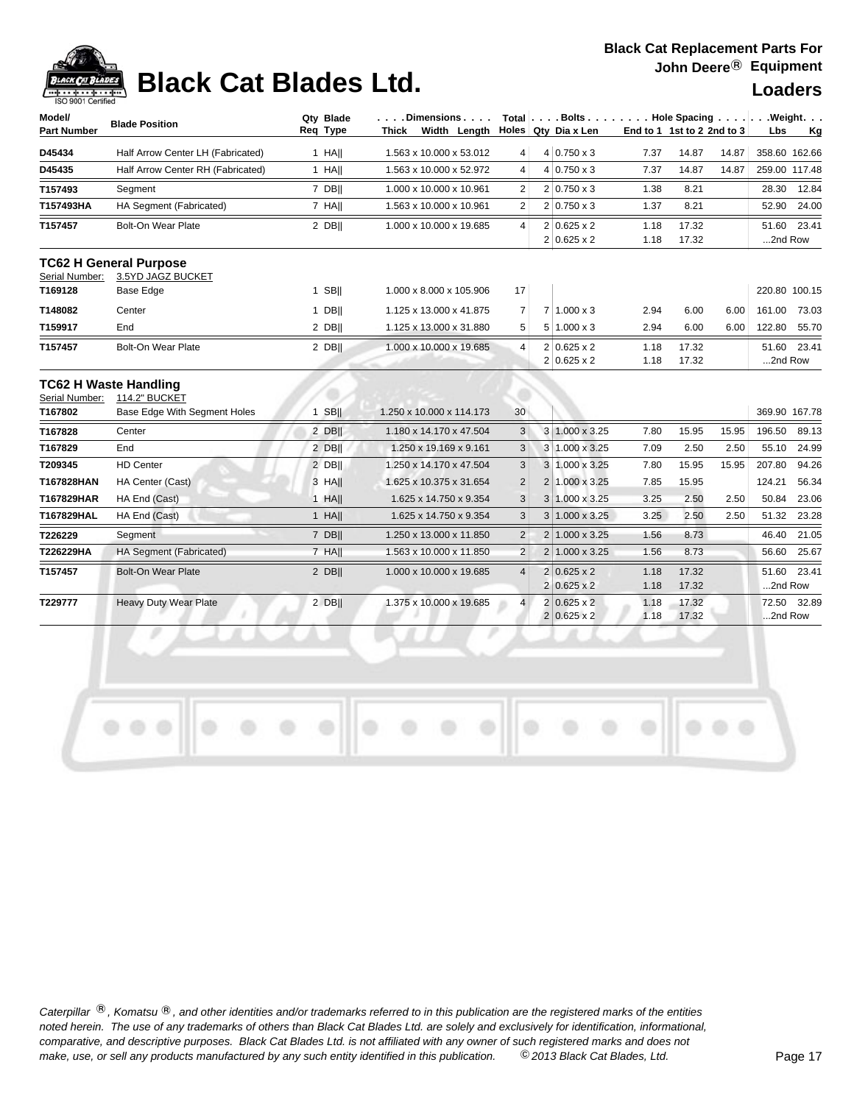## **Black Cat Blades Ltd. Loaders Legand Loaders**

| Model/      | <b>Blade Position</b>             | Qty Blade | . Dimensions "                  |   | $Total   \ldots$ Bolts $\ldots$ |                     | Hole Spacing |                            |       | .Weight.      |             |
|-------------|-----------------------------------|-----------|---------------------------------|---|---------------------------------|---------------------|--------------|----------------------------|-------|---------------|-------------|
| Part Number |                                   | Reg Type  | Width<br>Lenath<br><b>Thick</b> |   |                                 | Holes Qty Dia x Len |              | End to 1 1st to 2 2nd to 3 |       | Lbs.          | Kg          |
| D45434      | Half Arrow Center LH (Fabricated) | HAII      | 1.563 x 10.000 x 53.012         | 4 |                                 | $4 0.750 \times 3$  | 7.37         | 14.87                      | 14.87 | 358.60 162.66 |             |
| D45435      | Half Arrow Center RH (Fabricated) | HAII      | 1.563 x 10.000 x 52.972 l       | 4 |                                 | $4 0.750 \times 3$  | 7.37         | 14.87                      | 14.87 | 259.00 117.48 |             |
| T157493     | Seament                           | 7 DBII    | 1.000 x 10.000 x 10.961         | 2 |                                 | $2 0.750 \times 3$  | 1.38         | 8.21                       |       | 28.30         | 12.84       |
| T157493HA   | HA Segment (Fabricated)           | 7 HAII    | 1.563 x 10.000 x 10.961         | 2 |                                 | $2 0.750 \times 3$  | 1.37         | 8.21                       |       | 52.90         | 24.00       |
| T157457     | Bolt-On Wear Plate                | 2 DBII    | 1.000 x 10.000 x 19.685         | 4 |                                 | $2 0.625 \times 2$  | 1.18         | 17.32                      |       |               | 51.60 23.41 |
|             |                                   |           |                                 |   |                                 | $2 0.625 \times 2$  | 1.18         | 17.32                      |       | 2nd Row       |             |

### **TC62 H General Purpose**

Serial Number: 3.5YD JAGZ BUCKET

| T169128 | Base Edge          | <b>SBII</b> | 1.000 x 8.000 x 105.906 l | 17             |                    |      |       |      | 220.80 100.15 |       |
|---------|--------------------|-------------|---------------------------|----------------|--------------------|------|-------|------|---------------|-------|
| T148082 | Center             | <b>DBII</b> | 1.125 x 13.000 x 41.875   |                | $1.000 \times 3$   | 2.94 | 6.00  | 6.00 | 161.00        | 73.03 |
| T159917 | End                | 2 DBII      | 1.125 x 13.000 x 31.880   | 5 <sup>1</sup> | $5 1.000 \times 3$ | 2.94 | 6.00  | 6.00 | 122.80        | 55.70 |
| T157457 | Bolt-On Wear Plate | $2$ DB      | 1.000 x 10.000 x 19.685   | 4              | $2 0.625 \times 2$ | 1.18 | 17.32 |      | 51.60 23.41   |       |
|         |                    |             |                           |                | $2 0.625 \times 2$ | 1.18 | 17.32 |      | 2nd Row       |       |

### **TC62 H Waste Handling** Serial Number: 114.2" BUCKET

| JUINI I VUIIINUI. | ו ביוט של בידו               |             |                           |                 |                |                            |      |       |       |               |             |
|-------------------|------------------------------|-------------|---------------------------|-----------------|----------------|----------------------------|------|-------|-------|---------------|-------------|
| T167802           | Base Edge With Segment Holes | <b>SBII</b> | 1.250 x 10.000 x 114.173  | 30 <sup>1</sup> |                |                            |      |       |       | 369.90 167.78 |             |
| T167828           | Center                       | 2 DBII      | 1.180 x 14.170 x 47.504   | 3               |                | 3 1.000 x 3.25             | 7.80 | 15.95 | 15.95 | 196.50        | 89.13       |
| T167829           | End                          | 2 DBII      | 1.250 x 19.169 x 9.161    | 3               |                | $3 \mid 1.000 \times 3.25$ | 7.09 | 2.50  | 2.50  | 55.10         | 24.99       |
| T209345           | <b>HD Center</b>             | 2 DBII      | 1.250 x 14.170 x 47.504   | 3               | 3              | 1.000 x 3.25               | 7.80 | 15.95 | 15.95 | 207.80        | 94.26       |
| T167828HAN        | HA Center (Cast)             | 3 HAII      | 1.625 x 10.375 x 31.654   | $\overline{2}$  |                | $1.000 \times 3.25$        | 7.85 | 15.95 |       | 124.21        | 56.34       |
| T167829HAR        | HA End (Cast)                | $1$ HAII    | 1.625 x 14.750 x 9.354    | 3               |                | $3 1.000 \times 3.25$      | 3.25 | 2.50  | 2.50  | 50.84         | 23.06       |
| T167829HAL        | HA End (Cast)                | $1$ HA      | 1.625 x 14.750 x 9.354    | 3               |                | $1.000 \times 3.25$        | 3.25 | 2.50  | 2.50  | 51.32         | 23.28       |
| T226229           | Segment                      | 7 DBII      | 1.250 x 13.000 x 11.850 l | $\overline{2}$  | 2 <sup>1</sup> | $1.000 \times 3.25$        | 1.56 | 8.73  |       | 46.40         | 21.05       |
| T226229HA         | HA Segment (Fabricated)      | 7 HAII      | 1.563 x 10.000 x 11.850   | $\overline{2}$  |                | $1.000 \times 3.25$        | 1.56 | 8.73  |       | 56.60         | 25.67       |
| T157457           | <b>Bolt-On Wear Plate</b>    | 2 DBII      | 1.000 x 10.000 x 19.685   | $\overline{4}$  |                | $2 0.625 \times 2$         | 1.18 | 17.32 |       |               | 51.60 23.41 |
|                   |                              |             |                           |                 |                | $2 0.625 \times 2$         | 1.18 | 17.32 |       | 2nd Row       |             |
| T229777           | <b>Heavy Duty Wear Plate</b> | 2 DBII      | 375 x 10.000 x 19.685     | 4               |                | $2 0.625 \times 2$         | 1.18 | 17.32 |       | 72.50         | 32.89       |
|                   |                              |             |                           |                 |                | $2 0.625 \times 2$         | 1.18 | 17.32 |       | 2nd Row       |             |

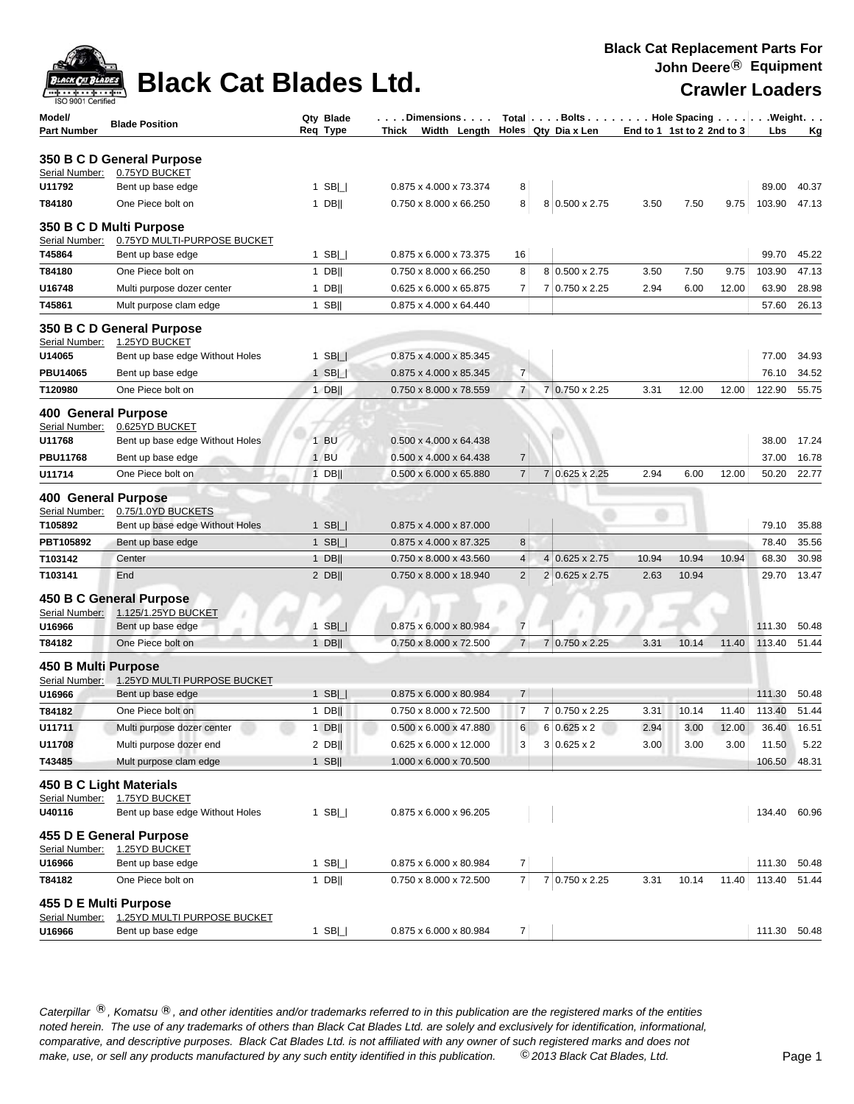| $\frac{1}{2}$       |  | <b>ANCONDUADER</b> Black Cat Blades Ltd |  |
|---------------------|--|-----------------------------------------|--|
| $0.0004$ $0.45 - 4$ |  |                                         |  |

D

| <b>BLACK CAT BLADES</b><br>ախոստիոսախոսակ <b>ո</b> ւ | <b>Black Cat Blades Ltd.</b>                           |                       |                                                           |                |                |                          |       |                            |       | <b>Crawler Loaders</b> |         |
|------------------------------------------------------|--------------------------------------------------------|-----------------------|-----------------------------------------------------------|----------------|----------------|--------------------------|-------|----------------------------|-------|------------------------|---------|
| ISO 9001 Certified<br>Model/<br>Part Number          | <b>Blade Position</b>                                  | Qty Blade<br>Req Type | . Dimensions<br>Width Length Holes Qty Dia x Len<br>Thick |                |                | Total Bolts Hole Spacing |       | End to 1 1st to 2 2nd to 3 |       | Lbs                    | Weight. |
|                                                      |                                                        |                       |                                                           |                |                |                          |       |                            |       |                        | Кg      |
|                                                      | 350 B C D General Purpose                              |                       |                                                           |                |                |                          |       |                            |       |                        |         |
| Serial Number:<br>U11792                             | 0.75YD BUCKET<br>Bent up base edge                     | 1 SB $\Box$           | 0.875 x 4.000 x 73.374                                    | 8              |                |                          |       |                            |       | 89.00                  | 40.37   |
| T84180                                               | One Piece bolt on                                      | $1$ DB                | 0.750 x 8.000 x 66.250                                    | 8              |                | 8 0.500 x 2.75           | 3.50  | 7.50                       | 9.75  | 103.90                 | 47.13   |
|                                                      |                                                        |                       |                                                           |                |                |                          |       |                            |       |                        |         |
| Serial Number:                                       | 350 B C D Multi Purpose<br>0.75YD MULTI-PURPOSE BUCKET |                       |                                                           |                |                |                          |       |                            |       |                        |         |
| T45864                                               | Bent up base edge                                      | 1 SB $\Box$           | 0.875 x 6.000 x 73.375                                    | 16             |                |                          |       |                            |       | 99.70                  | 45.22   |
| T84180                                               | One Piece bolt on                                      | $1$ DB                | 0.750 x 8.000 x 66.250                                    | 8              |                | 8 0.500 x 2.75           | 3.50  | 7.50                       | 9.75  | 103.90                 | 47.13   |
| U16748                                               | Multi purpose dozer center                             | $1$ DB                | $0.625 \times 6.000 \times 65.875$                        | $\overline{7}$ |                | 7 0.750 x 2.25           | 2.94  | 6.00                       | 12.00 | 63.90                  | 28.98   |
| T45861                                               | Mult purpose clam edge                                 | $1$ SB                | 0.875 x 4.000 x 64.440                                    |                |                |                          |       |                            |       | 57.60                  | 26.13   |
|                                                      | 350 B C D General Purpose                              |                       |                                                           |                |                |                          |       |                            |       |                        |         |
| Serial Number:                                       | 1.25YD BUCKET                                          |                       |                                                           |                |                |                          |       |                            |       |                        |         |
| U14065                                               | Bent up base edge Without Holes                        | 1 SB $\Box$           | 0.875 x 4.000 x 85.345                                    |                |                |                          |       |                            |       | 77.00                  | 34.93   |
| <b>PBU14065</b>                                      | Bent up base edge                                      | $1$ SB $\Box$         | 0.875 x 4.000 x 85.345                                    | $\overline{7}$ |                |                          |       |                            |       | 76.10                  | 34.52   |
| T120980                                              | One Piece bolt on                                      | $1$ DB                | 0.750 x 8.000 x 78.559                                    | $\overline{7}$ |                | 7 0.750 x 2.25           | 3.31  | 12.00                      | 12.00 | 122.90                 | 55.75   |
| <b>400 General Purpose</b>                           |                                                        |                       |                                                           |                |                |                          |       |                            |       |                        |         |
| Serial Number:                                       | 0.625YD BUCKET                                         |                       |                                                           |                |                |                          |       |                            |       |                        |         |
| U11768                                               | Bent up base edge Without Holes                        | $1$ BU                | 0.500 x 4.000 x 64.438                                    |                |                |                          |       |                            |       | 38.00                  | 17.24   |
| <b>PBU11768</b>                                      | Bent up base edge                                      | $1$ BU                | 0.500 x 4.000 x 64.438                                    | $\overline{7}$ |                |                          |       |                            |       | 37.00                  | 16.78   |
| U11714                                               | One Piece bolt on                                      | $1$ DB                | 0.500 x 6.000 x 65.880                                    | $\overline{7}$ | $\overline{7}$ | $0.625 \times 2.25$      | 2.94  | 6.00                       | 12.00 | 50.20                  | 22.77   |
| <b>400 General Purpose</b>                           |                                                        |                       |                                                           |                |                |                          |       |                            |       |                        |         |
| Serial Number:                                       | 0.75/1.0YD BUCKETS                                     |                       |                                                           |                |                |                          |       |                            |       |                        |         |
| T105892                                              | Bent up base edge Without Holes                        | 1 SB $  $             | 0.875 x 4.000 x 87.000                                    |                |                |                          |       |                            |       | 79.10                  | 35.88   |
| PBT105892                                            | Bent up base edge                                      | 1 SB $\Box$           | 0.875 x 4.000 x 87.325                                    | 8              |                |                          |       |                            |       | 78.40                  | 35.56   |
| T103142                                              | Center                                                 | $1$ DB                | 0.750 x 8.000 x 43.560                                    | 4              | $\overline{4}$ | $0.625 \times 2.75$      | 10.94 | 10.94                      | 10.94 | 68.30                  | 30.98   |
| T103141                                              | End                                                    | $2$ DB                | 0.750 x 8.000 x 18.940                                    | $\overline{2}$ | $\overline{2}$ | $0.625 \times 2.75$      | 2.63  | 10.94                      |       | 29.70                  | 13.47   |
|                                                      | 450 B C General Purpose                                |                       |                                                           |                |                |                          |       |                            |       |                        |         |
| Serial Number:                                       | 1.125/1.25YD BUCKET                                    |                       |                                                           |                |                |                          |       |                            |       |                        |         |
| U16966                                               | Bent up base edge                                      | 1 SB $\Box$           | 0.875 x 6.000 x 80.984                                    | $\overline{7}$ |                |                          |       |                            |       | 111.30                 | 50.48   |
| T84182                                               | One Piece bolt on                                      | $1$ DB                | 0.750 x 8.000 x 72.500                                    | $\overline{7}$ | 7              | $0.750 \times 2.25$      | 3.31  | 10.14                      | 11.40 | 113.40                 | 51.44   |
| 450 B Multi Purpose                                  |                                                        |                       |                                                           |                |                |                          |       |                            |       |                        |         |
| Serial Number:                                       | 1.25YD MULTI PURPOSE BUCKET                            |                       |                                                           |                |                |                          |       |                            |       |                        |         |
| U16966                                               | Bent up base edge                                      | SB <br>$\mathbf{1}$   | 0.875 x 6.000 x 80.984                                    | 7              |                |                          |       |                            |       | 111.30 50.48           |         |
| T84182                                               | One Piece bolt on                                      | 1 DB                  | 0.750 x 8.000 x 72.500                                    | $\overline{7}$ |                | 7 0.750 x 2.25           | 3.31  | 10.14                      | 11.40 | 113.40                 | 51.44   |
| U11711                                               | Multi purpose dozer center                             | $1$ DB                | $0.500 \times 6.000 \times 47.880$                        | 6              |                | $6 0.625 \times 2$       | 2.94  | 3.00                       | 12.00 | 36.40                  | 16.51   |
| U11708                                               | Multi purpose dozer end                                | $2$ DB                | 0.625 x 6.000 x 12.000                                    | 3              |                | $3 0.625 \times 2$       | 3.00  | 3.00                       | 3.00  | 11.50                  | 5.22    |
| T43485                                               | Mult purpose clam edge                                 | $1$ SB                | 1.000 x 6.000 x 70.500                                    |                |                |                          |       |                            |       | 106.50                 | 48.31   |
|                                                      | 450 B C Light Materials                                |                       |                                                           |                |                |                          |       |                            |       |                        |         |
| Serial Number:                                       | 1.75YD BUCKET                                          |                       |                                                           |                |                |                          |       |                            |       |                        |         |
| U40116                                               | Bent up base edge Without Holes                        | 1 SB $\Box$           | 0.875 x 6.000 x 96.205                                    |                |                |                          |       |                            |       | 134.40 60.96           |         |
|                                                      | 455 D E General Purpose                                |                       |                                                           |                |                |                          |       |                            |       |                        |         |
| Serial Number:                                       | 1.25YD BUCKET                                          |                       |                                                           |                |                |                          |       |                            |       |                        |         |
| U16966                                               | Bent up base edge                                      | $1$ SB $  $           | 0.875 x 6.000 x 80.984                                    | 7              |                |                          |       |                            |       | 111.30                 | 50.48   |
| T84182                                               | One Piece bolt on                                      | $1$ DB                | 0.750 x 8.000 x 72.500                                    | $\overline{7}$ |                | 7 0.750 x 2.25           | 3.31  | 10.14                      | 11.40 | 113.40                 | 51.44   |
| 455 D E Multi Purpose                                |                                                        |                       |                                                           |                |                |                          |       |                            |       |                        |         |
| Serial Number:                                       | 1.25YD MULTI PURPOSE BUCKET                            |                       |                                                           |                |                |                          |       |                            |       |                        |         |
| U16966                                               | Bent up base edge                                      | $1$ SB $  $           | 0.875 x 6.000 x 80.984                                    | 7              |                |                          |       |                            |       | 111.30 50.48           |         |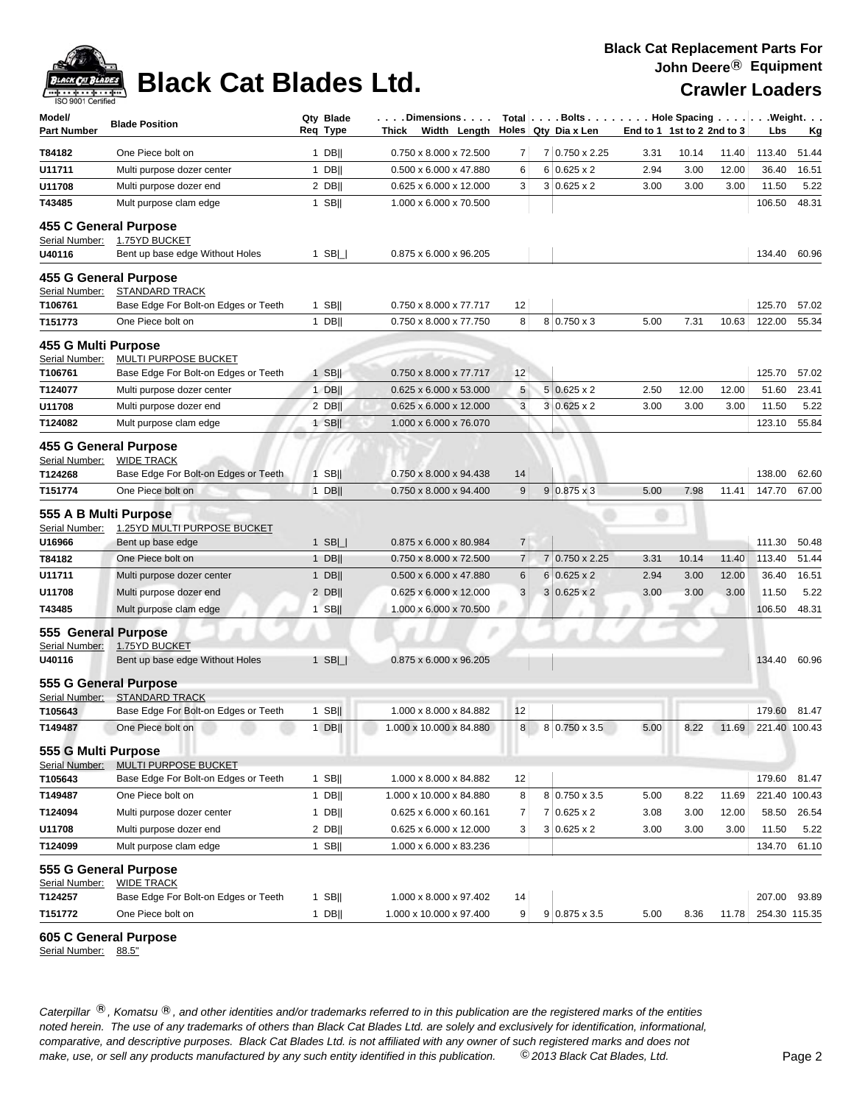# **Black Cat Blades Ltd.** Crawler Loaders

### **Black Cat Replacement Parts For John Deere**® **Equipment**

| Model/<br><b>Part Number</b>          | <b>Blade Position</b>                                         | Qty Blade<br>Req Type | . Dimensions<br>Thick<br>Width Length |                | Total $\left  \ldots$ Bolts $\ldots \right $ Hole Spacing $\ldots \right $<br>Holes Qty Dia x Len |      | End to 1 1st to 2 2nd to 3 |       | Lbs           | .Weight.<br><u>Kg</u> |
|---------------------------------------|---------------------------------------------------------------|-----------------------|---------------------------------------|----------------|---------------------------------------------------------------------------------------------------|------|----------------------------|-------|---------------|-----------------------|
| T84182                                | One Piece bolt on                                             | $1$ DB                | 0.750 x 8.000 x 72.500                | 7              | 7 0.750 x 2.25                                                                                    | 3.31 | 10.14                      | 11.40 | 113.40        | 51.44                 |
| U11711                                | Multi purpose dozer center                                    | $1$ DB                | 0.500 x 6.000 x 47.880                | 6              | $6 0.625 \times 2$                                                                                | 2.94 | 3.00                       | 12.00 | 36.40         | 16.51                 |
| U11708                                | Multi purpose dozer end                                       | $2$ DB                | $0.625 \times 6.000 \times 12.000$    | 3              | $3 0.625 \times 2$                                                                                | 3.00 | 3.00                       | 3.00  | 11.50         | 5.22                  |
| T43485                                | Mult purpose clam edge                                        | $1$ SB                | 1.000 x 6.000 x 70.500                |                |                                                                                                   |      |                            |       | 106.50        | 48.31                 |
|                                       | 455 C General Purpose                                         |                       |                                       |                |                                                                                                   |      |                            |       |               |                       |
| Serial Number:<br>U40116              | 1.75YD BUCKET<br>Bent up base edge Without Holes              | 1 SB $\Box$           | 0.875 x 6.000 x 96.205                |                |                                                                                                   |      |                            |       | 134.40        | 60.96                 |
|                                       | 455 G General Purpose                                         |                       |                                       |                |                                                                                                   |      |                            |       |               |                       |
| Serial Number:<br>T106761             | <b>STANDARD TRACK</b><br>Base Edge For Bolt-on Edges or Teeth | $1$ SB                | 0.750 x 8.000 x 77.717                | 12             |                                                                                                   |      |                            |       | 125.70        | 57.02                 |
| T151773                               | One Piece bolt on                                             | $1$ DB                | 0.750 x 8.000 x 77.750                | 8              | $8 0.750 \times 3$                                                                                | 5.00 | 7.31                       | 10.63 | 122.00        | 55.34                 |
| 455 G Multi Purpose<br>Serial Number: | MULTI PURPOSE BUCKET                                          |                       |                                       |                |                                                                                                   |      |                            |       |               |                       |
| T106761                               | Base Edge For Bolt-on Edges or Teeth                          | $1$ SB                | 0.750 x 8.000 x 77.717                | 12             |                                                                                                   |      |                            |       | 125.70        | 57.02                 |
| T124077                               | Multi purpose dozer center                                    | $1$ DB                | $0.625 \times 6.000 \times 53.000$    | 5              | $5 0.625 \times 2$                                                                                | 2.50 | 12.00                      | 12.00 | 51.60         | 23.41                 |
| U11708                                | Multi purpose dozer end                                       | $2$ DB                | 0.625 x 6.000 x 12.000                | $\mathbf{3}$   | $3 0.625 \times 2$                                                                                | 3.00 | 3.00                       | 3.00  | 11.50         | 5.22                  |
| T124082                               | Mult purpose clam edge                                        | $1$ SB                | 1.000 x 6.000 x 76.070                |                |                                                                                                   |      |                            |       | 123.10        | 55.84                 |
| Serial Number:                        | 455 G General Purpose<br><b>WIDE TRACK</b>                    |                       |                                       |                |                                                                                                   |      |                            |       |               |                       |
| T124268                               | Base Edge For Bolt-on Edges or Teeth                          | $1$ SB                | 0.750 x 8.000 x 94.438                | 14             |                                                                                                   |      |                            |       | 138.00        | 62.60                 |
| T151774                               | One Piece bolt on                                             | $1$ DB                | 0.750 x 8.000 x 94.400                | 9              | $9 0.875 \times 3$                                                                                | 5.00 | 7.98                       | 11.41 | 147.70        | 67.00                 |
| Serial Number:                        | 555 A B Multi Purpose<br>1.25YD MULTI PURPOSE BUCKET          |                       |                                       |                |                                                                                                   |      |                            |       |               |                       |
| U16966                                | Bent up base edge                                             | 1 SB $  $             | 0.875 x 6.000 x 80.984                | $\overline{7}$ |                                                                                                   |      |                            |       | 111.30        | 50.48                 |
| T84182                                | One Piece bolt on                                             | 1 DB                  | 0.750 x 8.000 x 72.500                | $\overline{7}$ | 7 0.750 x 2.25                                                                                    | 3.31 | 10.14                      | 11.40 | 113.40        | 51.44                 |
| U11711                                | Multi purpose dozer center                                    | 1 $DB$                | $0.500 \times 6.000 \times 47.880$    | 6              | $6 0.625 \times 2$                                                                                | 2.94 | 3.00                       | 12.00 | 36.40         | 16.51                 |
| U11708                                | Multi purpose dozer end                                       | $2$ DB                | $0.625 \times 6.000 \times 12.000$    | 3              | $3 0.625 \times 2$                                                                                | 3.00 | 3.00                       | 3.00  | 11.50         | 5.22                  |
| T43485                                | Mult purpose clam edge<br>555 General Purpose                 | $1$ SB                | 1.000 x 6.000 x 70.500                |                |                                                                                                   |      |                            |       | 106.50        | 48.31                 |
| Serial Number:                        | 1.75YD BUCKET                                                 |                       |                                       |                |                                                                                                   |      |                            |       |               |                       |
| U40116                                | Bent up base edge Without Holes                               | $1$ SB $\Box$         | 0.875 x 6.000 x 96.205                |                |                                                                                                   |      |                            |       | 134.40        | 60.96                 |
|                                       | 555 G General Purpose                                         |                       |                                       |                |                                                                                                   |      |                            |       |               |                       |
| Serial Number:<br>T105643             | <b>STANDARD TRACK</b><br>Base Edge For Bolt-on Edges or Teeth | $1$ SB                | 1.000 x 8.000 x 84.882                | 12             |                                                                                                   |      |                            |       | 179.60        | 81.47                 |
| T149487                               | One Piece bolt on                                             | $1$ DB                | 1.000 x 10.000 x 84.880               | 8              | 8 0.750 x 3.5                                                                                     | 5.00 | 8.22                       | 11.69 | 221.40 100.43 |                       |
| 555 G Multi Purpose                   |                                                               |                       |                                       |                |                                                                                                   |      |                            |       |               |                       |
| Serial Number:                        | MULTI PURPOSE BUCKET                                          |                       |                                       |                |                                                                                                   |      |                            |       |               |                       |
| T105643                               | Base Edge For Bolt-on Edges or Teeth                          | $1$ SB                | 1.000 x 8.000 x 84.882                | 12             |                                                                                                   |      |                            |       | 179.60        | 81.47                 |
| T149487                               | One Piece bolt on                                             | $1$ DB                | 1.000 x 10.000 x 84.880               | 8              | 8 0.750 x 3.5                                                                                     | 5.00 | 8.22                       | 11.69 | 221.40 100.43 |                       |
| T124094                               | Multi purpose dozer center                                    | $1$ DB                | $0.625 \times 6.000 \times 60.161$    | $\overline{7}$ | $7 0.625 \times 2$                                                                                | 3.08 | 3.00                       | 12.00 | 58.50         | 26.54                 |
| U11708                                | Multi purpose dozer end                                       | $2$ DB                | 0.625 x 6.000 x 12.000                | 3              | $3 0.625 \times 2$                                                                                | 3.00 | 3.00                       | 3.00  | 11.50         | 5.22                  |
| T124099                               | Mult purpose clam edge                                        | 1 SB                  | 1.000 x 6.000 x 83.236                |                |                                                                                                   |      |                            |       | 134.70        | 61.10                 |
| Serial Number:                        | 555 G General Purpose<br><b>WIDE TRACK</b>                    |                       |                                       |                |                                                                                                   |      |                            |       |               |                       |
| T124257                               | Base Edge For Bolt-on Edges or Teeth                          | $1$ SB                | 1.000 x 8.000 x 97.402                | 14             |                                                                                                   |      |                            |       | 207.00 93.89  |                       |
| T151772                               | One Piece bolt on                                             | $1$ DB                | 1.000 x 10.000 x 97.400               | 9 <sup>1</sup> | $9$ 0.875 x 3.5                                                                                   | 5.00 | 8.36                       | 11.78 | 254.30 115.35 |                       |

### **605 C General Purpose**

Serial Number: 88.5"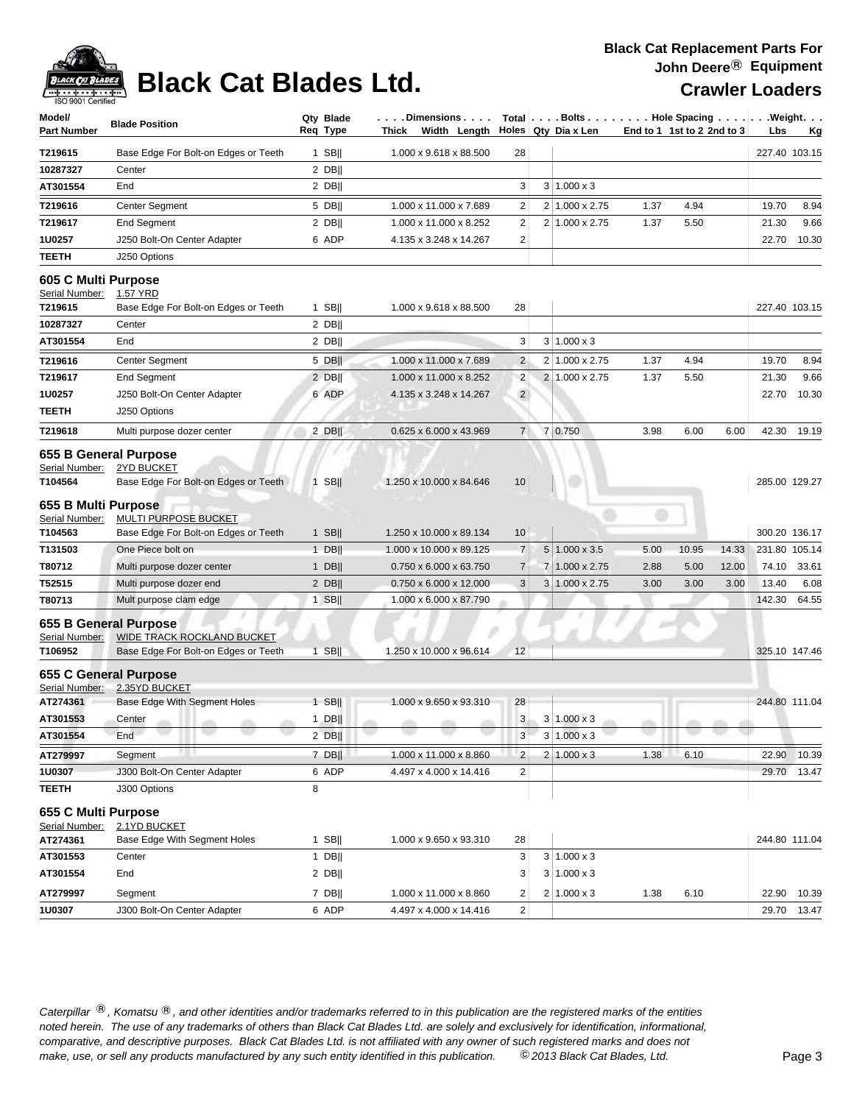

# **Black Cat Blades Ltd. Crawler Loaders Crawler Loaders**

| Model/<br><b>Part Number</b>                     | <b>Blade Position</b>                                                                              | Qty Blade<br>Req Type | Dimensions<br>Thick Width Length $\vert$ Holes Qty Dia x Len |                 |   |                         |      | $Total   \ldots$ Bolts $\ldots   \ldots$ . Hole Spacing $\ldots   \ldots$ . Weight. $\ldots$<br>End to 1 1st to 2 2nd to 3 | Lbs           | Κg            |
|--------------------------------------------------|----------------------------------------------------------------------------------------------------|-----------------------|--------------------------------------------------------------|-----------------|---|-------------------------|------|----------------------------------------------------------------------------------------------------------------------------|---------------|---------------|
| T219615                                          | Base Edge For Bolt-on Edges or Teeth                                                               | $1$ SB                | 1.000 x 9.618 x 88.500                                       | 28              |   |                         |      |                                                                                                                            |               | 227.40 103.15 |
| 10287327                                         | Center                                                                                             | $2$ DB                |                                                              |                 |   |                         |      |                                                                                                                            |               |               |
| AT301554                                         | End                                                                                                | $2$ DB                |                                                              | 3               |   | $3 \mid 1.000 \times 3$ |      |                                                                                                                            |               |               |
| T219616                                          | Center Segment                                                                                     | 5 DB                  | 1.000 x 11.000 x 7.689                                       | 2               |   | 2 1.000 x 2.75          | 1.37 | 4.94                                                                                                                       | 19.70         | 8.94          |
| T219617                                          | <b>End Segment</b>                                                                                 | $2$ DB                | 1.000 x 11.000 x 8.252                                       | $\overline{2}$  |   | 2 1.000 x 2.75          | 1.37 | 5.50                                                                                                                       | 21.30         | 9.66          |
| 1U0257                                           | J250 Bolt-On Center Adapter                                                                        | 6 ADP                 | 4.135 x 3.248 x 14.267                                       | $\overline{c}$  |   |                         |      |                                                                                                                            | 22.70         | 10.30         |
| TEETH                                            | J250 Options                                                                                       |                       |                                                              |                 |   |                         |      |                                                                                                                            |               |               |
| 605 C Multi Purpose<br>Serial Number:<br>T219615 | 1.57 YRD<br>Base Edge For Bolt-on Edges or Teeth                                                   | $1$ SB                | 1.000 x 9.618 x 88.500                                       | 28              |   |                         |      |                                                                                                                            |               | 227.40 103.15 |
| 10287327                                         | Center                                                                                             | 2 DB                  |                                                              |                 |   |                         |      |                                                                                                                            |               |               |
| AT301554                                         | End                                                                                                | 2 DB                  |                                                              | 3               |   | $3 \mid 1.000 \times 3$ |      |                                                                                                                            |               |               |
| T219616                                          | Center Segment                                                                                     | 5 DB                  | 1.000 x 11.000 x 7.689                                       | $\overline{c}$  |   | 2 1.000 x 2.75          | 1.37 | 4.94                                                                                                                       | 19.70         | 8.94          |
| T219617                                          | <b>End Segment</b>                                                                                 | $2$ DB                | 1.000 x 11.000 x 8.252                                       | $\overline{c}$  |   | 2 1.000 x 2.75          | 1.37 | 5.50                                                                                                                       | 21.30         | 9.66          |
| 1U0257                                           | J250 Bolt-On Center Adapter                                                                        | 6 ADP                 | 4.135 x 3.248 x 14.267                                       | $\overline{2}$  |   |                         |      |                                                                                                                            | 22.70         | 10.30         |
| TEETH                                            | J250 Options                                                                                       |                       |                                                              |                 |   |                         |      |                                                                                                                            |               |               |
| T219618                                          | Multi purpose dozer center                                                                         | $2$ DB                | 0.625 x 6.000 x 43.969                                       | 7 <sup>1</sup>  |   | 7 0.750                 | 3.98 | 6.00<br>6.00                                                                                                               | 42.30         | 19.19         |
| Serial Number:<br>T104564<br>655 B Multi Purpose | 655 B General Purpose<br><u>2YD BUCKET</u><br>Base Edge For Bolt-on Edges or Teeth                 | $1$ SB                | 1.250 x 10.000 x 84.646                                      | 10              |   |                         |      |                                                                                                                            |               | 285.00 129.27 |
| Serial Number:                                   | <b>MULTI PURPOSE BUCKET</b>                                                                        |                       |                                                              |                 |   |                         |      |                                                                                                                            |               |               |
| T104563                                          | Base Edge For Bolt-on Edges or Teeth                                                               | $1$ SB                | 1.250 x 10.000 x 89.134                                      | 10 <sup>°</sup> |   |                         |      |                                                                                                                            |               | 300.20 136.17 |
| T131503                                          | One Piece bolt on                                                                                  | $1$ DB                | 1.000 x 10.000 x 89.125                                      | $\overline{7}$  |   | $5 1.000 \times 3.5$    | 5.00 | 10.95<br>14.33                                                                                                             | 231.80 105.14 |               |
| T80712                                           | Multi purpose dozer center                                                                         | $1$ DB                | 0.750 x 6.000 x 63.750                                       | $\overline{7}$  |   | 7 1.000 x 2.75          | 2.88 | 5.00<br>12.00                                                                                                              | 74.10         | 33.61         |
| T52515                                           | Multi purpose dozer end                                                                            | $2$ DB                | 0.750 x 6.000 x 12.000                                       | $\sqrt{3}$      | 3 | 1.000 x 2.75            | 3.00 | 3.00<br>3.00                                                                                                               | 13.40         | 6.08          |
| T80713                                           | Mult purpose clam edge                                                                             | $1$ SB                | 1.000 x 6.000 x 87.790                                       |                 |   |                         |      |                                                                                                                            | 142.30        | 64.55         |
| Serial Number:<br>T106952                        | 655 B General Purpose<br><b>WIDE TRACK ROCKLAND BUCKET</b><br>Base Edge For Bolt-on Edges or Teeth | $1$ SB                | 1.250 x 10.000 x 96.614                                      | 12              |   |                         |      |                                                                                                                            |               | 325.10 147.46 |
| Serial Number:                                   | <b>655 C General Purpose</b><br>2.35YD BUCKET                                                      |                       |                                                              |                 |   |                         |      |                                                                                                                            |               |               |
| AT274361                                         | Base Edge With Segment Holes                                                                       | $1$ SB                | 1.000 x 9.650 x 93.310                                       | 28              |   |                         |      |                                                                                                                            |               | 244.80 111.04 |
| AT301553                                         | Center                                                                                             | $1$ DB                |                                                              | 3               |   | $3 1.000 \times 3$      |      |                                                                                                                            |               |               |
| AT301554                                         | End                                                                                                | $2$ DB                |                                                              | 3               |   | $3 1.000 \times 3$      |      |                                                                                                                            |               |               |
| AT279997                                         | Segment                                                                                            | $7$ DB                | 1.000 x 11.000 x 8.860                                       | $\overline{2}$  |   | $2 1.000 \times 3$      | 1.38 | 6.10                                                                                                                       | 22.90         | 10.39         |
| 1U0307                                           | J300 Bolt-On Center Adapter                                                                        | 6 ADP                 | 4.497 x 4.000 x 14.416                                       | $\overline{2}$  |   |                         |      |                                                                                                                            |               | 29.70 13.47   |
| <b>TEETH</b>                                     | J300 Options                                                                                       | 8                     |                                                              |                 |   |                         |      |                                                                                                                            |               |               |
| 655 C Multi Purpose<br>Serial Number:            | 2.1YD BUCKET                                                                                       |                       |                                                              |                 |   |                         |      |                                                                                                                            |               |               |
| AT274361                                         | Base Edge With Segment Holes                                                                       | $1$ SB                | 1.000 x 9.650 x 93.310                                       | 28              |   |                         |      |                                                                                                                            |               | 244.80 111.04 |
| AT301553                                         | Center                                                                                             | $1$ DB                |                                                              | 3               |   | 3   1.000 x 3           |      |                                                                                                                            |               |               |
| AT301554                                         | End                                                                                                | $2$ DB                |                                                              | 3               |   | $3 \mid 1.000 \times 3$ |      |                                                                                                                            |               |               |
| AT279997                                         | Segment                                                                                            | 7 DB                  | 1.000 x 11.000 x 8.860                                       | $\overline{c}$  |   | $2 \mid 1.000 \times 3$ | 1.38 | 6.10                                                                                                                       | 22.90         | 10.39         |
| 1U0307                                           | J300 Bolt-On Center Adapter                                                                        | 6 ADP                 | 4.497 x 4.000 x 14.416                                       | $\overline{2}$  |   |                         |      |                                                                                                                            |               | 29.70 13.47   |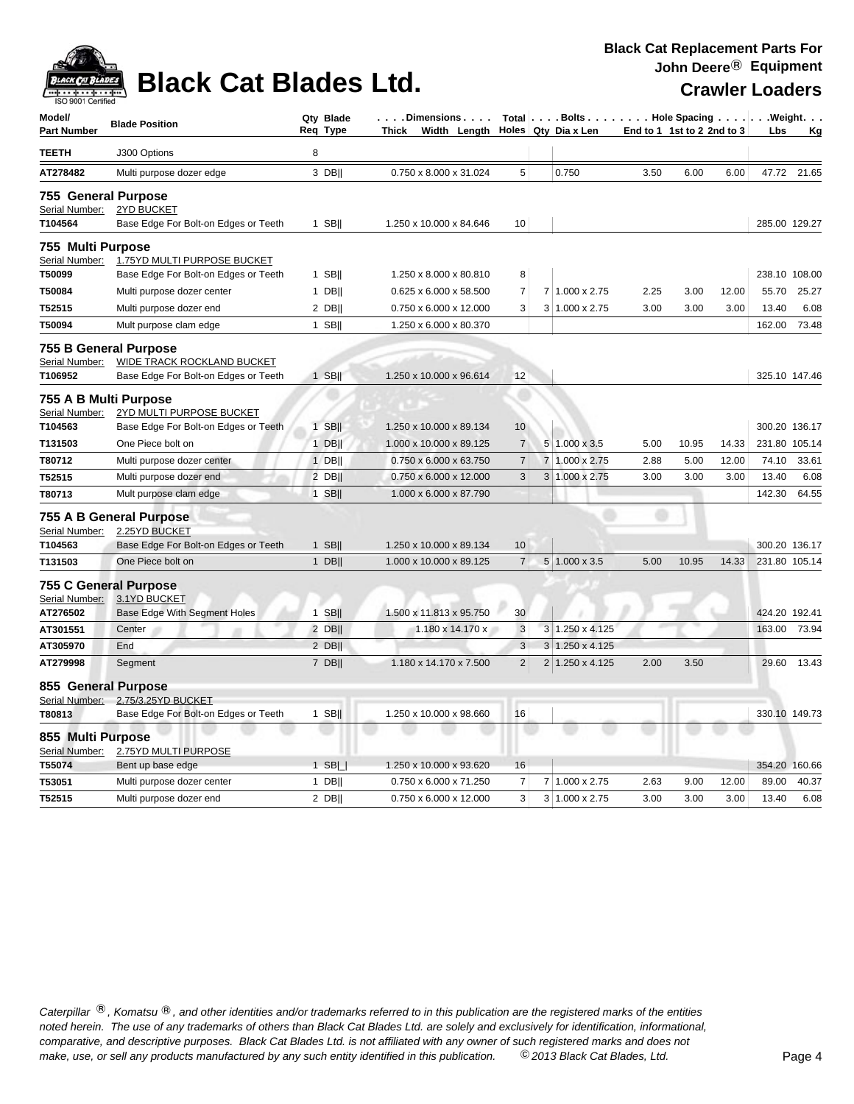

# **Black Cat Blades Ltd.** Crawler Loaders

| Model/<br><b>Part Number</b>                       | <b>Blade Position</b>                                                                              |   | Qty Blade<br>Req Type | . Dimensions<br>Thick Width Length |                | Total   Bolts   Hole Spacing   Weight.<br>Holes Qty Dia x Len |      | End to 1 1st to 2 2nd to 3 |       | Lbs           | Кg            |
|----------------------------------------------------|----------------------------------------------------------------------------------------------------|---|-----------------------|------------------------------------|----------------|---------------------------------------------------------------|------|----------------------------|-------|---------------|---------------|
| TEETH                                              | J300 Options                                                                                       | 8 |                       |                                    |                |                                                               |      |                            |       |               |               |
| AT278482                                           | Multi purpose dozer edge                                                                           |   | 3 DB                  | 0.750 x 8.000 x 31.024             | 5              | 0.750                                                         | 3.50 | 6.00                       | 6.00  |               | 47.72 21.65   |
| 755 General Purpose<br>Serial Number:<br>T104564   | 2YD BUCKET<br>Base Edge For Bolt-on Edges or Teeth                                                 |   | $1$ SB                | 1.250 x 10.000 x 84.646            | 10             |                                                               |      |                            |       |               | 285.00 129.27 |
| 755 Multi Purpose<br>Serial Number:                | 1.75YD MULTI PURPOSE BUCKET                                                                        |   |                       |                                    |                |                                                               |      |                            |       |               |               |
| T50099                                             | Base Edge For Bolt-on Edges or Teeth                                                               |   | 1 SB $  $             | 1.250 x 8.000 x 80.810             | 8              |                                                               |      |                            |       |               | 238.10 108.00 |
| T50084                                             | Multi purpose dozer center                                                                         |   | $1$ DB                | 0.625 x 6.000 x 58.500             | $\overline{7}$ | 7 1.000 x 2.75                                                | 2.25 | 3.00                       | 12.00 | 55.70         | 25.27         |
| T52515                                             | Multi purpose dozer end                                                                            |   | $2$ DB                | 0.750 x 6.000 x 12.000             | 3              | $3 1.000 \times 2.75$                                         | 3.00 | 3.00                       | 3.00  | 13.40         | 6.08          |
| T50094                                             | Mult purpose clam edge                                                                             |   | $1$ SB                | 1.250 x 6.000 x 80.370             |                |                                                               |      |                            |       | 162.00        | 73.48         |
| Serial Number:<br>T106952<br>755 A B Multi Purpose | 755 B General Purpose<br><b>WIDE TRACK ROCKLAND BUCKET</b><br>Base Edge For Bolt-on Edges or Teeth |   | 1 SBII                | 1.250 x 10.000 x 96.614            | 12             |                                                               |      |                            |       |               | 325.10 147.46 |
| Serial Number:<br>T104563                          | 2YD MULTI PURPOSE BUCKET<br>Base Edge For Bolt-on Edges or Teeth                                   |   | $1$ SB                | 1.250 x 10.000 x 89.134            | 10             |                                                               |      |                            |       |               | 300.20 136.17 |
| T131503                                            | One Piece bolt on                                                                                  |   | $1$ DB                | 1.000 x 10.000 x 89.125            | $\overline{7}$ | $5 1.000 \times 3.5$                                          | 5.00 | 10.95                      | 14.33 |               | 231.80 105.14 |
| T80712                                             | Multi purpose dozer center                                                                         |   | $1$ DB                | 0.750 x 6.000 x 63.750             | $\overline{7}$ | 7 1.000 x 2.75                                                | 2.88 | 5.00                       | 12.00 | 74.10         | 33.61         |
| T52515                                             | Multi purpose dozer end                                                                            |   | 2 DBII                | 0.750 x 6.000 x 12.000             | 3              | 3 1.000 x 2.75                                                | 3.00 | 3.00                       | 3.00  | 13.40         | 6.08          |
| T80713                                             | Mult purpose clam edge                                                                             |   | $1$ SB                | 1.000 x 6.000 x 87.790             |                |                                                               |      |                            |       | 142.30        | 64.55         |
| Serial Number:<br>T104563                          | 755 A B General Purpose<br>2.25YD BUCKET<br>Base Edge For Bolt-on Edges or Teeth                   |   | $1$ SB                | 1.250 x 10.000 x 89.134            | 10             |                                                               |      |                            |       |               | 300.20 136.17 |
| T131503                                            | One Piece bolt on                                                                                  |   | $1$ DB                | 1.000 x 10.000 x 89.125            | $\overline{7}$ | 5 1.000 x 3.5                                                 | 5.00 | 10.95                      | 14.33 | 231.80 105.14 |               |
| Serial Number:<br>AT276502                         | 755 C General Purpose<br>3.1YD BUCKET<br>Base Edge With Segment Holes                              |   | $1$ SB                | 1.500 x 11.813 x 95.750            | 30             |                                                               |      |                            |       |               | 424.20 192.41 |
| AT301551                                           | Center                                                                                             |   | 2 DB                  | 1.180 x 14.170 x                   | 3              | 3 1.250 x 4.125                                               |      |                            |       | 163.00        | 73.94         |
| AT305970                                           | End                                                                                                |   | 2 DB                  |                                    | 3              | $3 \mid 1.250 \times 4.125$                                   |      |                            |       |               |               |
| AT279998                                           | Segment                                                                                            |   | 7 DB                  | 1.180 x 14.170 x 7.500             | $\overline{2}$ | 2 1.250 x 4.125                                               | 2.00 | 3.50                       |       | 29.60         | 13.43         |
| 855 General Purpose<br>Serial Number:<br>T80813    | 2.75/3.25YD BUCKET<br>Base Edge For Bolt-on Edges or Teeth                                         |   | 1 SB $  $             | 1.250 x 10.000 x 98.660            | 16             |                                                               |      |                            |       |               | 330.10 149.73 |
| 855 Multi Purpose<br>Serial Number:<br>T55074      | 2.75YD MULTI PURPOSE<br>Bent up base edge                                                          |   | $1$ SB $\Box$         | 1.250 x 10.000 x 93.620            | 16             |                                                               |      |                            |       |               | 354.20 160.66 |
| T53051                                             | Multi purpose dozer center                                                                         |   | $1$ DB                | 0.750 x 6.000 x 71.250             | 7              | 7 1.000 x 2.75                                                | 2.63 | 9.00                       | 12.00 | 89.00         | 40.37         |
| T52515                                             | Multi purpose dozer end                                                                            |   | $2$ DB                | 0.750 x 6.000 x 12.000             | 3              | 3 1.000 x 2.75                                                | 3.00 | 3.00                       | 3.00  | 13.40         | 6.08          |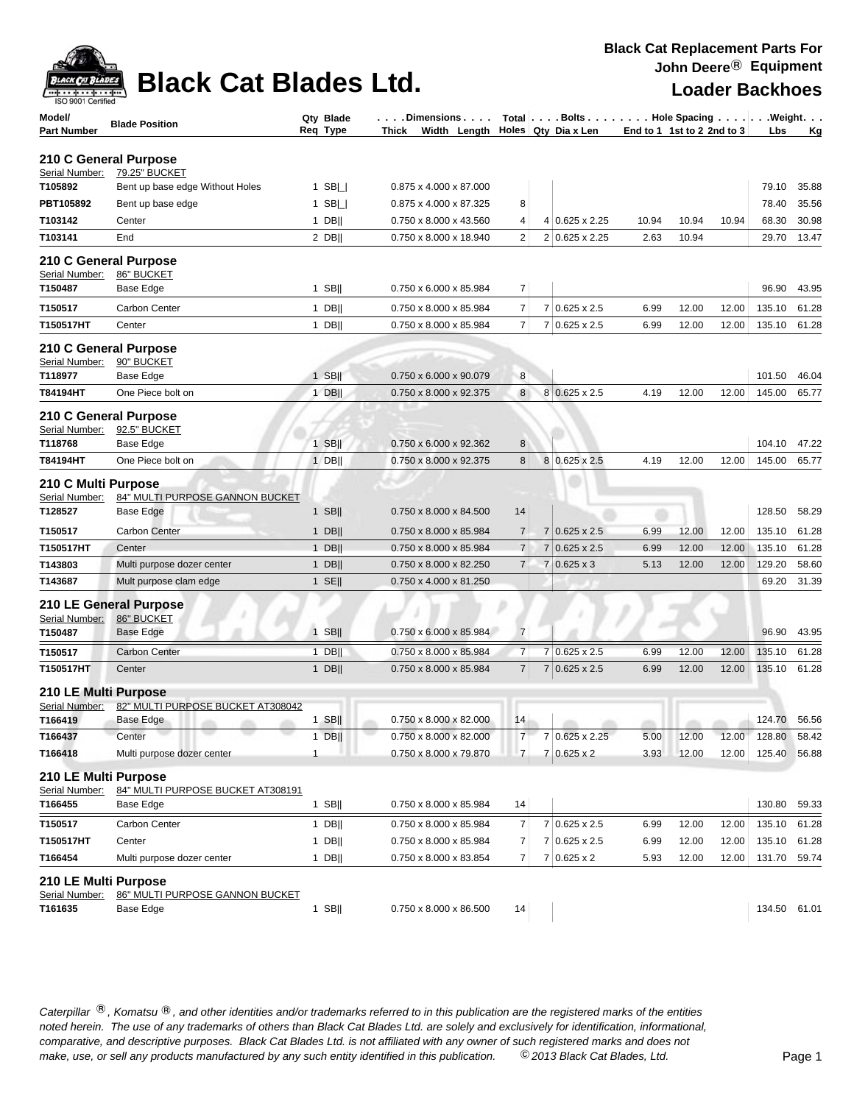| <b>Black Cat Replacement Parts For</b> |  |
|----------------------------------------|--|
| John Deere <sup>®</sup> Equipment      |  |



### **Black Cat Blades Ltd.**

| Model/<br>Part Number                            | <b>Blade Position</b>                                    | Qty Blade<br>Req Type | . Dimensions<br>Width Length Holes Qty Dia x Len<br>Thick |                | Total Bolts Hole Spacing Weight. |       | End to 1 1st to 2 2nd to 3 |       | Lbs          | <u>Kg</u> |
|--------------------------------------------------|----------------------------------------------------------|-----------------------|-----------------------------------------------------------|----------------|----------------------------------|-------|----------------------------|-------|--------------|-----------|
|                                                  | 210 C General Purpose                                    |                       |                                                           |                |                                  |       |                            |       |              |           |
| Serial Number:                                   | 79.25" BUCKET                                            |                       |                                                           |                |                                  |       |                            |       |              |           |
| T105892                                          | Bent up base edge Without Holes                          | 1 SB $\Box$           | 0.875 x 4.000 x 87.000                                    |                |                                  |       |                            |       | 79.10        | 35.88     |
| PBT105892                                        | Bent up base edge                                        | 1 SB $\Box$           | 0.875 x 4.000 x 87.325                                    | 8              |                                  |       |                            |       | 78.40        | 35.56     |
| T103142                                          | Center                                                   | $1$ DB                | 0.750 x 8.000 x 43.560                                    | 4              | 4 0.625 x 2.25                   | 10.94 | 10.94                      | 10.94 | 68.30        | 30.98     |
| T103141                                          | End                                                      | $2$ DB                | 0.750 x 8.000 x 18.940                                    | $\overline{2}$ | 2 0.625 x 2.25                   | 2.63  | 10.94                      |       | 29.70        | 13.47     |
| Serial Number: 86" BUCKET                        | 210 C General Purpose                                    |                       |                                                           |                |                                  |       |                            |       |              |           |
| T150487                                          | Base Edge                                                | $1$ SB                | 0.750 x 6.000 x 85.984                                    | 7              |                                  |       |                            |       | 96.90        | 43.95     |
| T150517                                          | Carbon Center                                            | $1$ DB                | 0.750 x 8.000 x 85.984                                    | $\overline{7}$ | 7 0.625 x 2.5                    | 6.99  | 12.00                      | 12.00 | 135.10       | 61.28     |
| T150517HT                                        | Center                                                   | $1$ DB                | 0.750 x 8.000 x 85.984                                    | $\overline{7}$ | 7 0.625 x 2.5                    | 6.99  | 12.00                      | 12.00 | 135.10       | 61.28     |
|                                                  | 210 C General Purpose                                    |                       |                                                           |                |                                  |       |                            |       |              |           |
| Serial Number:<br>T118977                        | 90" BUCKET<br>Base Edge                                  | $1$ SB                | 0.750 x 6.000 x 90.079                                    | 8              |                                  |       |                            |       | 101.50       | 46.04     |
| T84194HT                                         | One Piece bolt on                                        | $1$ DB                | 0.750 x 8.000 x 92.375                                    | 8 <sup>1</sup> | 8 0.625 x 2.5                    | 4.19  | 12.00                      | 12.00 | 145.00       | 65.77     |
|                                                  | 210 C General Purpose                                    |                       |                                                           |                |                                  |       |                            |       |              |           |
| Serial Number:<br>T118768                        | 92.5" BUCKET<br>Base Edge                                | $1$ SB                | 0.750 x 6.000 x 92.362                                    | 8              |                                  |       |                            |       | 104.10       | 47.22     |
| T84194HT                                         | One Piece bolt on                                        | $1$ DB                | 0.750 x 8.000 x 92.375                                    | 8              | 8 0.625 x 2.5                    | 4.19  | 12.00                      | 12.00 | 145.00       | 65.77     |
| 210 C Multi Purpose<br>Serial Number:<br>T128527 | 84" MULTI PURPOSE GANNON BUCKET<br>Base Edge             | $1$ SB                | 0.750 x 8.000 x 84.500                                    | 14             |                                  |       |                            |       | 128.50       | 58.29     |
| T150517                                          | <b>Carbon Center</b>                                     | 1 DB                  | 0.750 x 8.000 x 85.984                                    | $\overline{7}$ | 7 0.625 x 2.5                    | 6.99  | 12.00                      | 12.00 | 135.10       | 61.28     |
| T150517HT                                        | Center                                                   | $1$ DB                | 0.750 x 8.000 x 85.984                                    | $\overline{7}$ | 7 0.625 x 2.5                    | 6.99  | 12.00                      | 12.00 | 135.10       | 61.28     |
| T143803                                          | Multi purpose dozer center                               | $1$ DB                | 0.750 x 8.000 x 82.250                                    | $\overline{7}$ | $7 0.625 \times 3$               | 5.13  | 12.00                      | 12.00 | 129.20       | 58.60     |
| T143687                                          | Mult purpose clam edge                                   | $1$ SE                | 0.750 x 4.000 x 81.250                                    |                |                                  |       |                            |       | 69.20        | 31.39     |
| Serial Number:<br>T150487                        | 210 LE General Purpose<br>86" BUCKET<br><b>Base Edge</b> | $1$ SB                | 0.750 x 6.000 x 85.984                                    | $\overline{7}$ |                                  |       |                            |       | 96.90        | 43.95     |
| T150517                                          | <b>Carbon Center</b>                                     | $1$ DB                | 0.750 x 8.000 x 85.984                                    | $\overline{7}$ | 7 0.625 x 2.5                    | 6.99  | 12.00                      | 12.00 | 135.10       | 61.28     |
| T150517HT                                        | Center                                                   | $1$ DB                | 0.750 x 8.000 x 85.984                                    | $\overline{7}$ | 7 0.625 x 2.5                    | 6.99  | 12.00                      | 12.00 | 135.10       | 61.28     |
|                                                  |                                                          |                       |                                                           |                |                                  |       |                            |       |              |           |
| 210 LE Multi Purpose                             |                                                          |                       |                                                           |                |                                  |       |                            |       |              |           |
| Serial Number:<br>T166419                        | 82" MULTI PURPOSE BUCKET AT308042<br>Base Edge           | $1$ SB                | 0.750 x 8.000 x 82.000                                    | 14             |                                  |       |                            |       | 124.70 56.56 |           |
| T166437                                          | Center                                                   | $1$ DB                | 0.750 x 8.000 x 82.000                                    | $\overline{7}$ | 7 0.625 x 2.25                   |       | 5.00 12.00                 | 12.00 | 128.80 58.42 |           |
| T166418                                          | Multi purpose dozer center                               | $\mathbf{1}$          | 0.750 x 8.000 x 79.870                                    | $\overline{7}$ | $7 0.625 \times 2$               | 3.93  | 12.00                      | 12.00 | 125.40       | 56.88     |
|                                                  |                                                          |                       |                                                           |                |                                  |       |                            |       |              |           |
| 210 LE Multi Purpose<br>Serial Number:           | 84" MULTI PURPOSE BUCKET AT308191                        |                       |                                                           |                |                                  |       |                            |       |              |           |
| T166455                                          | <b>Base Edge</b>                                         | $1$ SB                | 0.750 x 8.000 x 85.984                                    | 14             |                                  |       |                            |       | 130.80       | 59.33     |
| T150517                                          | Carbon Center                                            | 1 DB                  | 0.750 x 8.000 x 85.984                                    | 7              | 7 0.625 x 2.5                    | 6.99  | 12.00                      | 12.00 | 135.10       | 61.28     |
| T150517HT                                        | Center                                                   | $1$ DB                | 0.750 x 8.000 x 85.984                                    | 7              | 7 0.625 x 2.5                    | 6.99  | 12.00                      | 12.00 | 135.10       | 61.28     |
| T166454                                          | Multi purpose dozer center                               | $1$ DB                | 0.750 x 8.000 x 83.854                                    | $\overline{7}$ | $7 0.625 \times 2$               | 5.93  | 12.00                      | 12.00 | 131.70 59.74 |           |
| 210 LE Multi Purpose                             |                                                          |                       |                                                           |                |                                  |       |                            |       |              |           |
| Serial Number:                                   | 86" MULTI PURPOSE GANNON BUCKET                          | $1$ SB                | $0.750 \times 8.000 \times 86.500$                        | 14             |                                  |       |                            |       | 134.50 61.01 |           |
| T161635                                          | Base Edge                                                |                       |                                                           |                |                                  |       |                            |       |              |           |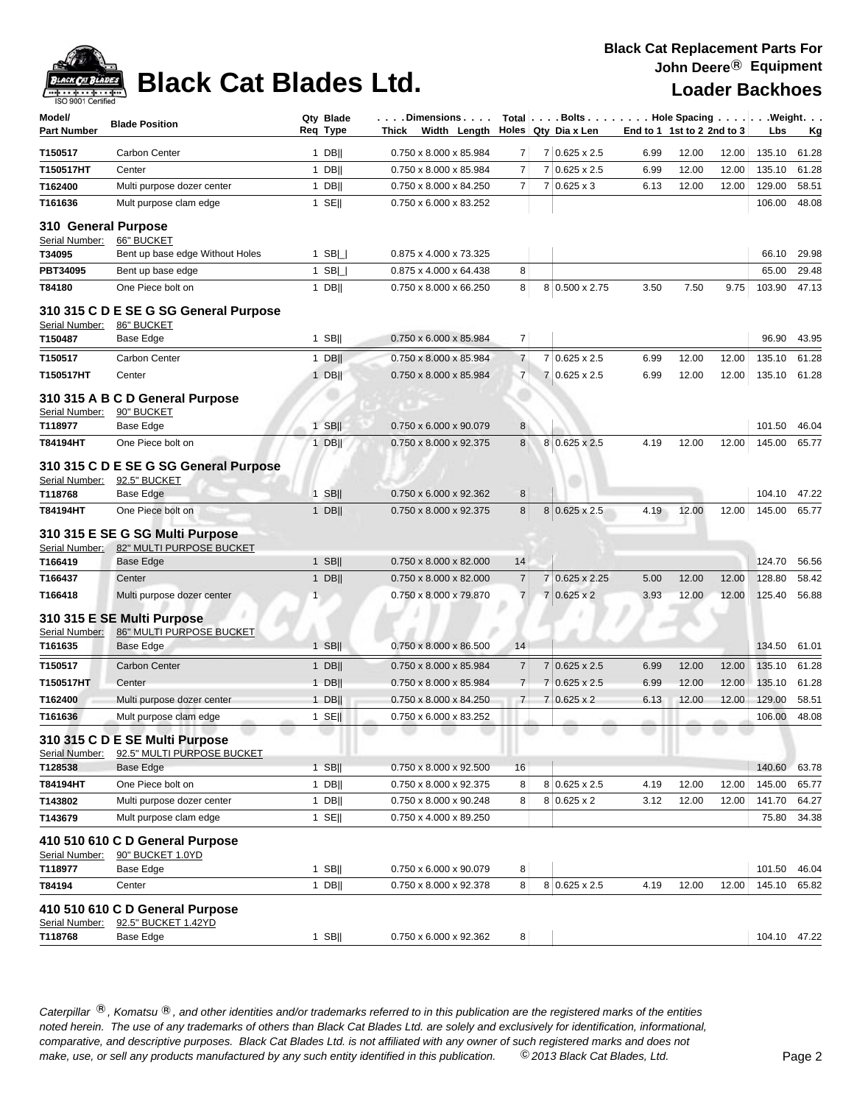

# **Black Cat Blades Ltd. Loader Backhoes**

### **Black Cat Replacement Parts For John Deere**® **Equipment**

| Model/<br><b>Part Number</b>          | <b>Blade Position</b>                                                                   | Qty Blade<br>Req Type | Thick | . Dimensions<br>Width Length                     |                |                | Total $\vert \ldots$ Bolts $\ldots \vert \ldots$ Hole Spacing $\ldots \vert \ldots$ Weight. $\ldots$<br>Holes Qty Dia x Len |      | End to 1 1st to 2 2nd to 3 |       | Lbs              | <u>Kg</u>      |
|---------------------------------------|-----------------------------------------------------------------------------------------|-----------------------|-------|--------------------------------------------------|----------------|----------------|-----------------------------------------------------------------------------------------------------------------------------|------|----------------------------|-------|------------------|----------------|
| T150517                               | <b>Carbon Center</b>                                                                    | $1$ DB                |       | 0.750 x 8.000 x 85.984                           | 7              |                | 7 0.625 x 2.5                                                                                                               | 6.99 | 12.00                      | 12.00 | 135.10           | 61.28          |
| T150517HT                             | Center                                                                                  | $1$ DB                |       | 0.750 x 8.000 x 85.984                           | $\overline{7}$ |                | 7 0.625 x 2.5                                                                                                               | 6.99 | 12.00                      | 12.00 | 135.10           | 61.28          |
| T162400                               | Multi purpose dozer center                                                              | $1$ DB                |       | 0.750 x 8.000 x 84.250                           | $\overline{7}$ | $\overline{7}$ | $0.625 \times 3$                                                                                                            | 6.13 | 12.00                      | 12.00 | 129.00           | 58.51          |
| T161636                               | Mult purpose clam edge                                                                  | $1$ SE                |       | 0.750 x 6.000 x 83.252                           |                |                |                                                                                                                             |      |                            |       | 106.00           | 48.08          |
| 310 General Purpose                   |                                                                                         |                       |       |                                                  |                |                |                                                                                                                             |      |                            |       |                  |                |
| Serial Number:                        | 66" BUCKET                                                                              |                       |       |                                                  |                |                |                                                                                                                             |      |                            |       |                  |                |
| T34095                                | Bent up base edge Without Holes                                                         | 1 SB $\Box$           |       | 0.875 x 4.000 x 73.325                           |                |                |                                                                                                                             |      |                            |       | 66.10            | 29.98          |
| PBT34095                              | Bent up base edge                                                                       | $1$ SB $\Box$         |       | 0.875 x 4.000 x 64.438                           | 8              |                |                                                                                                                             |      |                            |       | 65.00            | 29.48          |
| T84180                                | One Piece bolt on                                                                       | $1$ DB                |       | 0.750 x 8.000 x 66.250                           | 8              |                | 8 0.500 x 2.75                                                                                                              | 3.50 | 7.50                       | 9.75  | 103.90           | 47.13          |
| Serial Number:                        | 310 315 C D E SE G SG General Purpose<br>86" BUCKET                                     |                       |       |                                                  |                |                |                                                                                                                             |      |                            |       |                  |                |
| T150487                               | Base Edge                                                                               | $1$ SB                |       | 0.750 x 6.000 x 85.984                           | $\overline{7}$ |                |                                                                                                                             |      |                            |       | 96.90            | 43.95          |
| T150517                               | <b>Carbon Center</b>                                                                    | $1$ DB                |       | 0.750 x 8.000 x 85.984                           | $\overline{7}$ | 7              | $0.625 \times 2.5$                                                                                                          | 6.99 | 12.00                      | 12.00 | 135.10           | 61.28          |
| T150517HT                             | Center                                                                                  | $1$ DB                |       | 0.750 x 8.000 x 85.984                           | $\overline{7}$ |                | 7 0.625 x 2.5                                                                                                               | 6.99 | 12.00                      | 12.00 | 135.10           | 61.28          |
| Serial Number:<br>T118977<br>T84194HT | 310 315 A B C D General Purpose<br>90" BUCKET<br>Base Edge<br>One Piece bolt on         | 1 SBII<br>$1$ DB      |       | 0.750 x 6.000 x 90.079<br>0.750 x 8.000 x 92.375 | 8<br>8         |                | 8 0.625 x 2.5                                                                                                               | 4.19 | 12.00                      | 12.00 | 101.50<br>145.00 | 46.04<br>65.77 |
| Serial Number:<br>T118768<br>T84194HT | 310 315 C D E SE G SG General Purpose<br>92.5" BUCKET<br>Base Edge<br>One Piece bolt on | $1$ SB  <br>$1$ DB    |       | 0.750 x 6.000 x 92.362<br>0.750 x 8.000 x 92.375 | 8<br>8         |                | 8 0.625 x 2.5                                                                                                               | 4.19 | 12.00                      | 12.00 | 104.10<br>145.00 | 47.22<br>65.77 |
| Serial Number:                        | 310 315 E SE G SG Multi Purpose<br>82" MULTI PURPOSE BUCKET                             |                       |       |                                                  |                |                |                                                                                                                             |      |                            |       |                  |                |
| T166419                               | Base Edge                                                                               | $1$ SB                |       | 0.750 x 8.000 x 82.000                           | 14             |                |                                                                                                                             |      |                            |       | 124.70           | 56.56          |
| T166437                               | Center                                                                                  | $1$ DB                |       | 0.750 x 8.000 x 82.000                           | $\overline{7}$ |                | 7 0.625 x 2.25                                                                                                              | 5.00 | 12.00                      | 12.00 | 128.80           | 58.42          |
| T166418                               | Multi purpose dozer center                                                              | $\mathbf{1}$          |       | 0.750 x 8.000 x 79.870                           | $\overline{7}$ |                | $7 0.625 \times 2$                                                                                                          | 3.93 | 12.00                      | 12.00 | 125.40           | 56.88          |
| Serial Number:                        | 310 315 E SE Multi Purpose<br>86" MULTI PURPOSE BUCKET                                  |                       |       |                                                  |                |                |                                                                                                                             |      |                            |       |                  |                |
| T161635                               | Base Edge                                                                               | $1$ SB                |       | 0.750 x 8.000 x 86.500                           | 14             |                |                                                                                                                             |      |                            |       | 134.50           | 61.01          |
| T150517                               | <b>Carbon Center</b>                                                                    | $1$ DB                |       | 0.750 x 8.000 x 85.984                           | $\overline{7}$ | $\overline{7}$ | $0.625 \times 2.5$                                                                                                          | 6.99 | 12.00                      | 12.00 | 135.10           | 61.28          |
| T150517HT                             | Center                                                                                  | $1$ DB                |       | $0.750 \times 8.000 \times 85.984$               | $\overline{7}$ | $\overline{7}$ | $0.625 \times 2.5$                                                                                                          | 6.99 | 12.00                      | 12.00 | 135.10           | 61.28          |
| T162400                               | Multi purpose dozer center                                                              | $1$ DB                |       | 0.750 x 8.000 x 84.250                           | $\overline{7}$ | 7              | $0.625 \times 2$                                                                                                            | 6.13 | 12.00                      | 12.00 | 129.00           | 58.51          |
| T161636                               | Mult purpose clam edge                                                                  | $1$ SE                |       | 0.750 x 6.000 x 83.252                           |                |                |                                                                                                                             |      |                            |       | 106.00           | 48.08          |
| Serial Number:                        | 310 315 C D E SE Multi Purpose<br>92.5" MULTI PURPOSE BUCKET                            |                       |       |                                                  |                |                |                                                                                                                             |      |                            |       |                  |                |
| T128538                               | <b>Base Edge</b>                                                                        | $1$ SB                |       | 0.750 x 8.000 x 92.500                           | 16             |                |                                                                                                                             |      |                            |       | 140.60           | 63.78          |
| T84194HT                              | One Piece bolt on                                                                       | 1 DB                  |       | 0.750 x 8.000 x 92.375                           | 8              |                | $8 0.625 \times 2.5$                                                                                                        | 4.19 | 12.00                      | 12.00 | 145.00           | 65.77          |
| T143802                               | Multi purpose dozer center                                                              | $1$ DB                |       | 0.750 x 8.000 x 90.248                           | 8              |                | $8 0.625 \times 2$                                                                                                          | 3.12 | 12.00                      | 12.00 | 141.70           | 64.27          |
| T143679                               | Mult purpose clam edge                                                                  | $1$ SE                |       | 0.750 x 4.000 x 89.250                           |                |                |                                                                                                                             |      |                            |       | 75.80            | 34.38          |
| Serial Number:                        | 410 510 610 C D General Purpose<br>90" BUCKET 1.0YD                                     |                       |       |                                                  |                |                |                                                                                                                             |      |                            |       |                  |                |
| T118977                               | Base Edge                                                                               | $1$ SB                |       | 0.750 x 6.000 x 90.079                           | 8              |                |                                                                                                                             |      |                            |       | 101.50           | 46.04          |
| T84194                                | Center                                                                                  | $1$ DB                |       | 0.750 x 8.000 x 92.378                           | 8              |                | $8 0.625 \times 2.5$                                                                                                        | 4.19 | 12.00                      | 12.00 | 145.10           | 65.82          |
| Serial Number:                        | 410 510 610 C D General Purpose<br>92.5" BUCKET 1.42YD                                  |                       |       |                                                  |                |                |                                                                                                                             |      |                            |       |                  |                |
| T118768                               | Base Edge                                                                               | $1$ SB                |       | 0.750 x 6.000 x 92.362                           | 8              |                |                                                                                                                             |      |                            |       | 104.10 47.22     |                |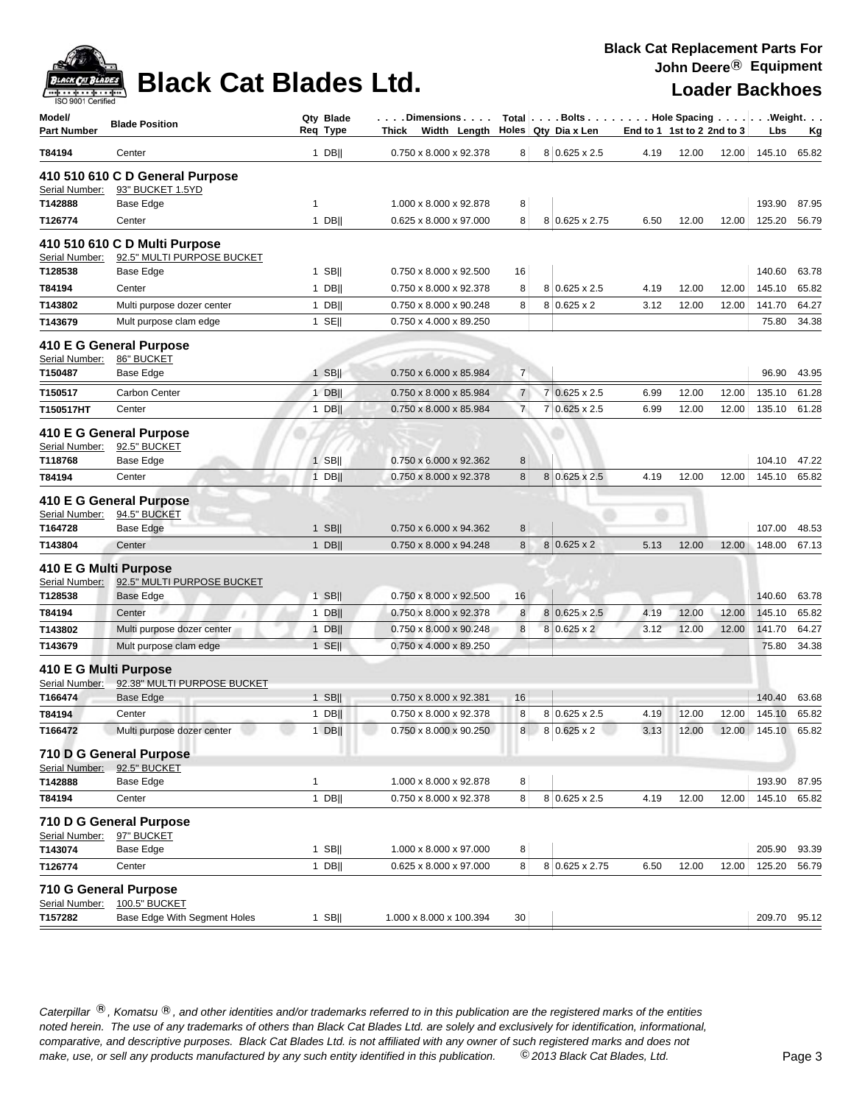

## **Black Cat Blades Ltd. Loader Backhoes**

| 0.750 x 8.000 x 92.378<br>$8 0.625 \times 2.5$<br>T84194<br>$1$ DB  <br>8<br>4.19<br>Center<br>410 510 610 C D General Purpose<br>93" BUCKET 1.5YD<br>Serial Number:<br>T142888<br>Base Edge<br>1.000 x 8.000 x 92.878<br>8<br>$\mathbf{1}$<br>$1$ DB  <br>0.625 x 8.000 x 97.000<br>8<br>Center<br>8 0.625 x 2.75<br>6.50<br>T126774<br>410 510 610 C D Multi Purpose<br>92.5" MULTI PURPOSE BUCKET<br>Serial Number:<br>T128538<br>Base Edge<br>$1$ SB  <br>0.750 x 8.000 x 92.500<br>16<br>T84194<br>$1$ DB  <br>8<br>0.750 x 8.000 x 92.378<br>$8 0.625 \times 2.5$<br>4.19<br>Center<br>$1$ DB  <br>8<br>$8 0.625 \times 2$<br>T143802<br>0.750 x 8.000 x 90.248<br>3.12<br>Multi purpose dozer center<br>$1$ SE  <br>0.750 x 4.000 x 89.250<br>T143679<br>Mult purpose clam edge<br>410 E G General Purpose<br>86" BUCKET<br>Serial Number:<br>$\overline{7}$<br>T150487<br>Base Edge<br>$1$ SB<br>0.750 x 6.000 x 85.984<br>T150517<br>Carbon Center<br>$\overline{7}$<br>$7 0.625 \times 2.5$<br>$1$ DB  <br>0.750 x 8.000 x 85.984<br>6.99<br>T150517HT<br>$\overline{7}$<br>7 0.625 x 2.5<br>6.99<br>Center<br>1 DBII<br>0.750 x 8.000 x 85.984<br>410 E G General Purpose<br>92.5" BUCKET<br>Serial Number:<br>$1$ SB<br>0.750 x 6.000 x 92.362<br>Base Edge<br>8<br>T118768 | 12.00<br>12.00 | 145.10             |       |
|-----------------------------------------------------------------------------------------------------------------------------------------------------------------------------------------------------------------------------------------------------------------------------------------------------------------------------------------------------------------------------------------------------------------------------------------------------------------------------------------------------------------------------------------------------------------------------------------------------------------------------------------------------------------------------------------------------------------------------------------------------------------------------------------------------------------------------------------------------------------------------------------------------------------------------------------------------------------------------------------------------------------------------------------------------------------------------------------------------------------------------------------------------------------------------------------------------------------------------------------------------------------------------------------|----------------|--------------------|-------|
|                                                                                                                                                                                                                                                                                                                                                                                                                                                                                                                                                                                                                                                                                                                                                                                                                                                                                                                                                                                                                                                                                                                                                                                                                                                                                         |                |                    | 65.82 |
|                                                                                                                                                                                                                                                                                                                                                                                                                                                                                                                                                                                                                                                                                                                                                                                                                                                                                                                                                                                                                                                                                                                                                                                                                                                                                         |                |                    |       |
|                                                                                                                                                                                                                                                                                                                                                                                                                                                                                                                                                                                                                                                                                                                                                                                                                                                                                                                                                                                                                                                                                                                                                                                                                                                                                         |                | 193.90             | 87.95 |
|                                                                                                                                                                                                                                                                                                                                                                                                                                                                                                                                                                                                                                                                                                                                                                                                                                                                                                                                                                                                                                                                                                                                                                                                                                                                                         | 12.00<br>12.00 | 125.20             | 56.79 |
|                                                                                                                                                                                                                                                                                                                                                                                                                                                                                                                                                                                                                                                                                                                                                                                                                                                                                                                                                                                                                                                                                                                                                                                                                                                                                         |                |                    |       |
|                                                                                                                                                                                                                                                                                                                                                                                                                                                                                                                                                                                                                                                                                                                                                                                                                                                                                                                                                                                                                                                                                                                                                                                                                                                                                         |                | 140.60             | 63.78 |
|                                                                                                                                                                                                                                                                                                                                                                                                                                                                                                                                                                                                                                                                                                                                                                                                                                                                                                                                                                                                                                                                                                                                                                                                                                                                                         | 12.00<br>12.00 | 145.10             | 65.82 |
|                                                                                                                                                                                                                                                                                                                                                                                                                                                                                                                                                                                                                                                                                                                                                                                                                                                                                                                                                                                                                                                                                                                                                                                                                                                                                         | 12.00<br>12.00 | 141.70             | 64.27 |
|                                                                                                                                                                                                                                                                                                                                                                                                                                                                                                                                                                                                                                                                                                                                                                                                                                                                                                                                                                                                                                                                                                                                                                                                                                                                                         |                | 75.80              | 34.38 |
|                                                                                                                                                                                                                                                                                                                                                                                                                                                                                                                                                                                                                                                                                                                                                                                                                                                                                                                                                                                                                                                                                                                                                                                                                                                                                         |                |                    |       |
|                                                                                                                                                                                                                                                                                                                                                                                                                                                                                                                                                                                                                                                                                                                                                                                                                                                                                                                                                                                                                                                                                                                                                                                                                                                                                         |                | 96.90              | 43.95 |
|                                                                                                                                                                                                                                                                                                                                                                                                                                                                                                                                                                                                                                                                                                                                                                                                                                                                                                                                                                                                                                                                                                                                                                                                                                                                                         | 12.00<br>12.00 | 135.10             | 61.28 |
|                                                                                                                                                                                                                                                                                                                                                                                                                                                                                                                                                                                                                                                                                                                                                                                                                                                                                                                                                                                                                                                                                                                                                                                                                                                                                         | 12.00<br>12.00 | 135.10             | 61.28 |
|                                                                                                                                                                                                                                                                                                                                                                                                                                                                                                                                                                                                                                                                                                                                                                                                                                                                                                                                                                                                                                                                                                                                                                                                                                                                                         |                |                    |       |
|                                                                                                                                                                                                                                                                                                                                                                                                                                                                                                                                                                                                                                                                                                                                                                                                                                                                                                                                                                                                                                                                                                                                                                                                                                                                                         |                | 104.10             | 47.22 |
| $1$ DB  <br>8 0.625 x 2.5<br>4.19<br>Center<br>0.750 x 8.000 x 92.378<br>8<br>T84194                                                                                                                                                                                                                                                                                                                                                                                                                                                                                                                                                                                                                                                                                                                                                                                                                                                                                                                                                                                                                                                                                                                                                                                                    | 12.00<br>12.00 | 145.10             | 65.82 |
| 410 E G General Purpose<br>Serial Number:<br>94.5" BUCKET<br>Ð                                                                                                                                                                                                                                                                                                                                                                                                                                                                                                                                                                                                                                                                                                                                                                                                                                                                                                                                                                                                                                                                                                                                                                                                                          |                |                    |       |
| T164728<br><b>Base Edge</b><br>$1$ SB  <br>0.750 x 6.000 x 94.362<br>8                                                                                                                                                                                                                                                                                                                                                                                                                                                                                                                                                                                                                                                                                                                                                                                                                                                                                                                                                                                                                                                                                                                                                                                                                  |                | 107.00             | 48.53 |
| 8<br>$8 0.625 \times 2$<br>T143804<br>$1$ DB  <br>0.750 x 8.000 x 94.248<br>5.13<br>Center                                                                                                                                                                                                                                                                                                                                                                                                                                                                                                                                                                                                                                                                                                                                                                                                                                                                                                                                                                                                                                                                                                                                                                                              | 12.00<br>12.00 | 148.00             | 67.13 |
| 410 E G Multi Purpose<br>Serial Number:<br>92.5" MULTI PURPOSE BUCKET                                                                                                                                                                                                                                                                                                                                                                                                                                                                                                                                                                                                                                                                                                                                                                                                                                                                                                                                                                                                                                                                                                                                                                                                                   |                |                    |       |
| T128538<br>$1$ SB  <br>16<br><b>Base Edge</b><br>0.750 x 8.000 x 92.500                                                                                                                                                                                                                                                                                                                                                                                                                                                                                                                                                                                                                                                                                                                                                                                                                                                                                                                                                                                                                                                                                                                                                                                                                 |                | 140.60             | 63.78 |
| T84194<br>$1$ DB  <br>8 0.625 x 2.5<br>4.19<br>Center<br>0.750 x 8.000 x 92.378<br>8                                                                                                                                                                                                                                                                                                                                                                                                                                                                                                                                                                                                                                                                                                                                                                                                                                                                                                                                                                                                                                                                                                                                                                                                    | 12.00<br>12.00 | 145.10             | 65.82 |
| Multi purpose dozer center<br>$1$ DB  <br>8<br>$8 0.625 \times 2 $<br>3.12<br>T143802<br>0.750 x 8.000 x 90.248                                                                                                                                                                                                                                                                                                                                                                                                                                                                                                                                                                                                                                                                                                                                                                                                                                                                                                                                                                                                                                                                                                                                                                         | 12.00<br>12.00 | 141.70             | 64.27 |
| $1$ SE  <br>0.750 x 4.000 x 89.250<br>T143679<br>Mult purpose clam edge                                                                                                                                                                                                                                                                                                                                                                                                                                                                                                                                                                                                                                                                                                                                                                                                                                                                                                                                                                                                                                                                                                                                                                                                                 |                | 75.80              | 34.38 |
| 410 E G Multi Purpose<br>Serial Number:<br>92.38" MULTI PURPOSE BUCKET                                                                                                                                                                                                                                                                                                                                                                                                                                                                                                                                                                                                                                                                                                                                                                                                                                                                                                                                                                                                                                                                                                                                                                                                                  |                |                    |       |
| $1$ SB  <br>0.750 x 8.000 x 92.381<br>16<br>T166474<br>Base Edge                                                                                                                                                                                                                                                                                                                                                                                                                                                                                                                                                                                                                                                                                                                                                                                                                                                                                                                                                                                                                                                                                                                                                                                                                        |                | 140.40             | 63.68 |
| $1$ DB  <br>0.750 x 8.000 x 92.378<br>8<br>8 0.625 x 2.5<br>Center<br>4.19<br>T84194                                                                                                                                                                                                                                                                                                                                                                                                                                                                                                                                                                                                                                                                                                                                                                                                                                                                                                                                                                                                                                                                                                                                                                                                    | 12.00<br>12.00 | 145.10             | 65.82 |
| 0.750 x 8.000 x 90.250<br>8 0.625 x 2<br>T166472<br>Multi purpose dozer center<br>$1$ DB  <br>8<br>3.13 12.00                                                                                                                                                                                                                                                                                                                                                                                                                                                                                                                                                                                                                                                                                                                                                                                                                                                                                                                                                                                                                                                                                                                                                                           |                | 12.00 145.10 65.82 |       |
| 710 D G General Purpose<br>Serial Number: 92.5" BUCKET                                                                                                                                                                                                                                                                                                                                                                                                                                                                                                                                                                                                                                                                                                                                                                                                                                                                                                                                                                                                                                                                                                                                                                                                                                  |                |                    |       |
| $\mathbf{1}$<br>1.000 x 8.000 x 92.878<br>8<br>T142888<br>Base Edge                                                                                                                                                                                                                                                                                                                                                                                                                                                                                                                                                                                                                                                                                                                                                                                                                                                                                                                                                                                                                                                                                                                                                                                                                     |                | 193.90             | 87.95 |
| $1$ DB  <br>0.750 x 8.000 x 92.378<br>8<br>8 0.625 x 2.5<br>T84194<br>Center<br>4.19                                                                                                                                                                                                                                                                                                                                                                                                                                                                                                                                                                                                                                                                                                                                                                                                                                                                                                                                                                                                                                                                                                                                                                                                    | 12.00<br>12.00 | 145.10             | 65.82 |
| 710 D G General Purpose<br>Serial Number:<br>97" BUCKET                                                                                                                                                                                                                                                                                                                                                                                                                                                                                                                                                                                                                                                                                                                                                                                                                                                                                                                                                                                                                                                                                                                                                                                                                                 |                |                    |       |
| $1$ SB  <br>T143074<br>Base Edge<br>1.000 x 8.000 x 97.000<br>8                                                                                                                                                                                                                                                                                                                                                                                                                                                                                                                                                                                                                                                                                                                                                                                                                                                                                                                                                                                                                                                                                                                                                                                                                         |                | 205.90             | 93.39 |
| 8<br>T126774<br>$1$ DB  <br>8 0.625 x 2.75<br>6.50<br>Center<br>0.625 x 8.000 x 97.000                                                                                                                                                                                                                                                                                                                                                                                                                                                                                                                                                                                                                                                                                                                                                                                                                                                                                                                                                                                                                                                                                                                                                                                                  | 12.00<br>12.00 | 125.20             | 56.79 |
| 710 G General Purpose<br>Serial Number:<br><b>100.5" BUCKET</b>                                                                                                                                                                                                                                                                                                                                                                                                                                                                                                                                                                                                                                                                                                                                                                                                                                                                                                                                                                                                                                                                                                                                                                                                                         |                |                    |       |
| Base Edge With Segment Holes<br>1.000 x 8.000 x 100.394<br>T157282<br>1 SB $  $<br>30                                                                                                                                                                                                                                                                                                                                                                                                                                                                                                                                                                                                                                                                                                                                                                                                                                                                                                                                                                                                                                                                                                                                                                                                   |                | 209.70 95.12       |       |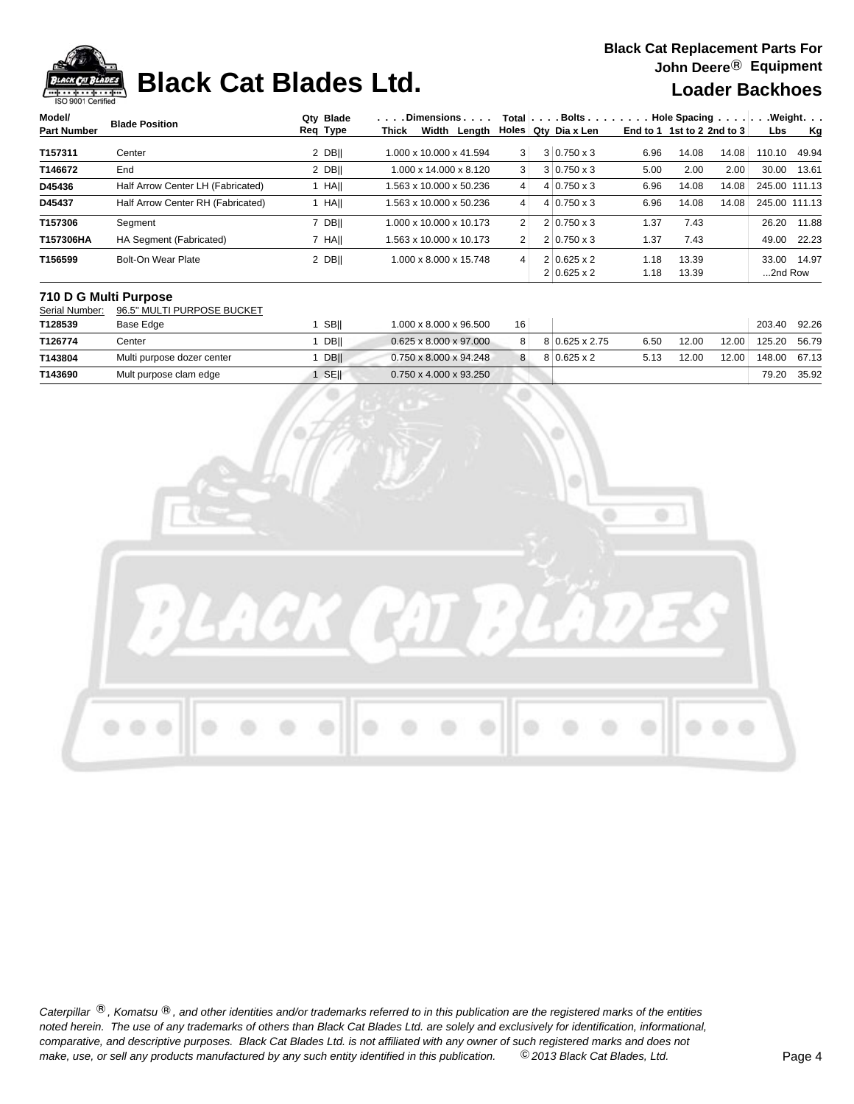

### **Black Cat Blades Ltd. Loader Backhoes**

| Model/             | <b>Blade Position</b>             | Qtv Blade   | . Dimensions               |                | $Total   \ldots$ Bolts | $\ldots$ . Hole Spacing $\ldots$ . |       |       |               | . Weight.     |
|--------------------|-----------------------------------|-------------|----------------------------|----------------|------------------------|------------------------------------|-------|-------|---------------|---------------|
| <b>Part Number</b> |                                   | Req Type    | Width<br>Lenath I<br>Thick |                | Holes   Qty Dia x Len  | End to 1 1st to 2 2nd to 3         |       |       | Lbs           | Kg            |
| T157311            | Center                            | 2 DBII      | 1.000 x 10.000 x 41.594    | 3              | $3 0.750 \times 3$     | 6.96                               | 14.08 | 14.08 | 110.10        | 49.94         |
| T146672            | End                               | $2$ DB      | 1.000 x 14.000 x 8.120     | 3              | $3 0.750 \times 3$     | 5.00                               | 2.00  | 2.00  | 30.00         | 13.61         |
| D45436             | Half Arrow Center LH (Fabricated) | <b>HAII</b> | 1.563 x 10.000 x 50.236    | $\vert$        | $4 0.750 \times 3$     | 6.96                               | 14.08 | 14.08 | 245.00 111.13 |               |
| D45437             | Half Arrow Center RH (Fabricated) | HAII        | 1.563 x 10.000 x 50.236    | $\vert$        | $4 0.750 \times 3$     | 6.96                               | 14.08 | 14.08 |               | 245.00 111.13 |
| T157306            | Seament                           | 7 DB        | 1.000 x 10.000 x 10.173    | $\overline{2}$ | $2 0.750 \times 3$     | 1.37                               | 7.43  |       | 26.20         | 11.88         |
| T157306HA          | HA Segment (Fabricated)           | 7 HAII      | 1.563 x 10.000 x 10.173    | 2 <sub>1</sub> | $2 0.750 \times 3$     | 1.37                               | 7.43  |       | 49.00         | 22.23         |
| T156599            | Bolt-On Wear Plate                | 2 DBII      | 1.000 x 8.000 x 15.748     | $\vert$        | $2 0.625 \times 2$     | 1.18                               | 13.39 |       | 33.00         | 14.97         |
|                    |                                   |             |                            |                | $2 0.625 \times 2$     | 1.18                               | 13.39 |       | 2nd Row       |               |

### **710 D G Multi Purpose**

Serial Number: 96.5" MULTI PURPOSE BUCKET

| T128539 | Base Edge                  | <b>SBII</b> | 1.000 x 8.000 x 96.500             | 16 |                    |      |       |       | 203.40 | 92.26 |
|---------|----------------------------|-------------|------------------------------------|----|--------------------|------|-------|-------|--------|-------|
| T126774 | Center                     | DBII        | $0.625 \times 8.000 \times 97.000$ | 8  | 8 0.625 x 2.75     | 6.50 | 12.00 | 12.00 | 125.20 | 56.79 |
| T143804 | Multi purpose dozer center | DB          | $0.750 \times 8.000 \times 94.248$ | 8  | $8 0.625 \times 2$ | 5.13 | 12.00 | 12.00 | 148.00 | 67.13 |
| T143690 | Mult purpose clam edge     | <b>SEII</b> | $0.750 \times 4.000 \times 93.250$ |    |                    |      |       |       | 79.20  | 35.92 |

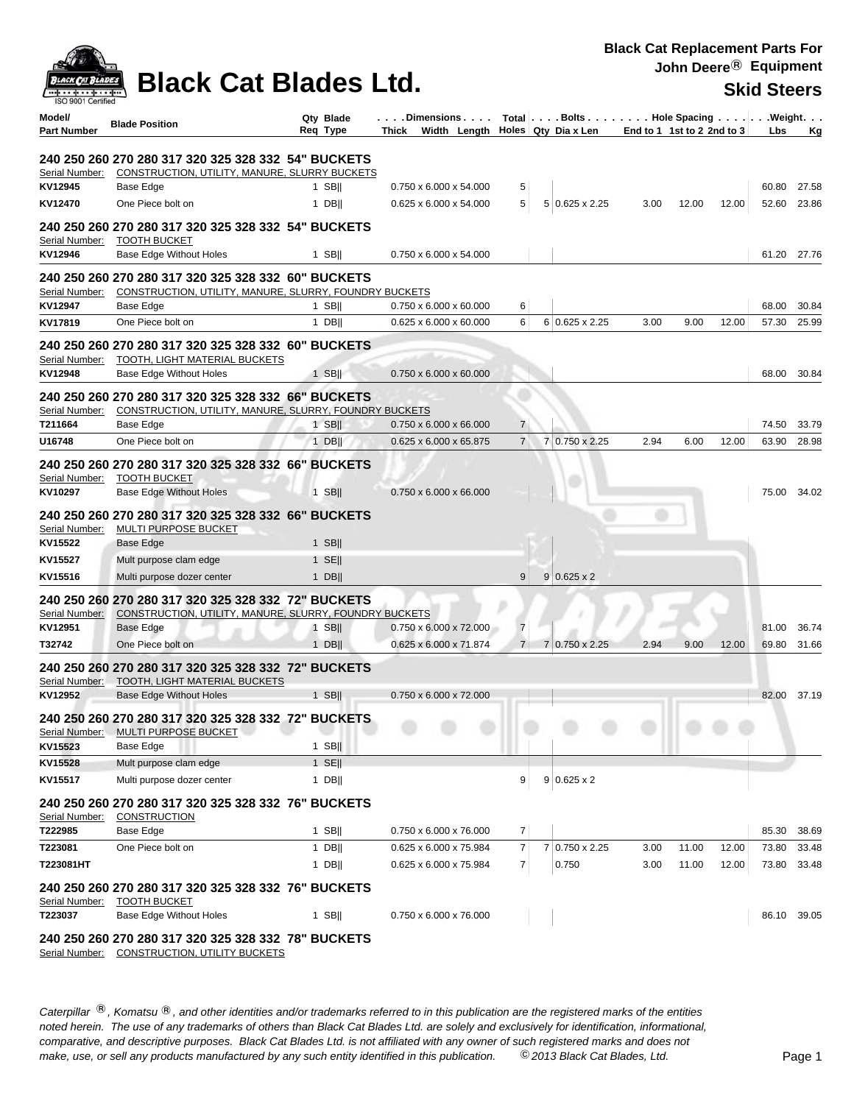## **Black Cat Blades Ltd.** Skid Steers

| <b>ISO 9001 Certified</b><br>Model/<br><b>Part Number</b> | <b>Blade Position</b>                                                                                 | Qty Blade<br>Req Type | .Dimensions<br>Width Length<br>Thick             |                | Total   Bolts   Hole Spacing   Weight.<br>Holes   Qty Dia x Len | End to 1 1st to 2 2nd to 3 |       |       | Lbs            | <u>Kg</u>      |
|-----------------------------------------------------------|-------------------------------------------------------------------------------------------------------|-----------------------|--------------------------------------------------|----------------|-----------------------------------------------------------------|----------------------------|-------|-------|----------------|----------------|
|                                                           |                                                                                                       |                       |                                                  |                |                                                                 |                            |       |       |                |                |
| Serial Number:                                            | 240 250 260 270 280 317 320 325 328 332  54" BUCKETS<br>CONSTRUCTION, UTILITY, MANURE, SLURRY BUCKETS |                       |                                                  |                |                                                                 |                            |       |       |                |                |
| KV12945                                                   | Base Edge                                                                                             | 1 SB                  | 0.750 x 6.000 x 54.000                           | 5              |                                                                 |                            |       |       | 60.80          | 27.58          |
| KV12470                                                   | One Piece bolt on                                                                                     | $1$ DB                | 0.625 x 6.000 x 54.000                           | 5              | 5 0.625 x 2.25                                                  | 3.00                       | 12.00 | 12.00 | 52.60          | 23.86          |
|                                                           | 240 250 260 270 280 317 320 325 328 332  54" BUCKETS                                                  |                       |                                                  |                |                                                                 |                            |       |       |                |                |
| Serial Number:                                            | <b>TOOTH BUCKET</b>                                                                                   |                       |                                                  |                |                                                                 |                            |       |       |                |                |
| KV12946                                                   | <b>Base Edge Without Holes</b>                                                                        | $1$ SB                | 0.750 x 6.000 x 54.000                           |                |                                                                 |                            |       |       | 61.20 27.76    |                |
|                                                           | 240 250 260 270 280 317 320 325 328 332  60" BUCKETS                                                  |                       |                                                  |                |                                                                 |                            |       |       |                |                |
| Serial Number:                                            | CONSTRUCTION, UTILITY, MANURE, SLURRY, FOUNDRY BUCKETS                                                |                       |                                                  |                |                                                                 |                            |       |       |                |                |
| KV12947                                                   | Base Edge                                                                                             | $1$ SB                | $0.750 \times 6.000 \times 60.000$               | 6              |                                                                 |                            |       |       | 68.00          | 30.84          |
| KV17819                                                   | One Piece bolt on                                                                                     | 1 DBII                | $0.625 \times 6.000 \times 60.000$               | 6              | $6 0.625 \times 2.25$                                           | 3.00                       | 9.00  | 12.00 | 57.30          | 25.99          |
|                                                           | 240 250 260 270 280 317 320 325 328 332  60" BUCKETS                                                  |                       |                                                  |                |                                                                 |                            |       |       |                |                |
| Serial Number:                                            | <b>TOOTH, LIGHT MATERIAL BUCKETS</b>                                                                  |                       |                                                  |                |                                                                 |                            |       |       |                |                |
| KV12948                                                   | <b>Base Edge Without Holes</b>                                                                        | $1$ SB                | 0.750 x 6.000 x 60.000                           |                |                                                                 |                            |       |       | 68.00          | 30.84          |
|                                                           | 240 250 260 270 280 317 320 325 328 332 66" BUCKETS                                                   |                       |                                                  |                |                                                                 |                            |       |       |                |                |
| Serial Number:<br>T211664                                 | CONSTRUCTION, UTILITY, MANURE, SLURRY, FOUNDRY BUCKETS<br><b>Base Edge</b>                            | $1$ SB                | $0.750 \times 6.000 \times 66.000$               | 7              |                                                                 |                            |       |       | 74.50          | 33.79          |
|                                                           | One Piece bolt on                                                                                     |                       | 0.625 x 6.000 x 65.875                           | $\overline{7}$ | 7 0.750 x 2.25                                                  | 2.94                       | 6.00  | 12.00 | 63.90          | 28.98          |
| U16748                                                    |                                                                                                       | $1$ DB                |                                                  |                |                                                                 |                            |       |       |                |                |
|                                                           | 240 250 260 270 280 317 320 325 328 332 66" BUCKETS                                                   |                       |                                                  |                |                                                                 |                            |       |       |                |                |
| Serial Number:                                            | <b>TOOTH BUCKET</b>                                                                                   |                       |                                                  |                |                                                                 |                            |       |       |                |                |
| KV10297                                                   | <b>Base Edge Without Holes</b>                                                                        | $1$ SB                | $0.750 \times 6.000 \times 66.000$               |                |                                                                 |                            |       |       | 75.00          | 34.02          |
|                                                           | 240 250 260 270 280 317 320 325 328 332 66" BUCKETS                                                   |                       |                                                  |                |                                                                 |                            |       |       |                |                |
| Serial Number:                                            | <b>MULTI PURPOSE BUCKET</b>                                                                           |                       |                                                  |                |                                                                 |                            |       |       |                |                |
| KV15522                                                   | <b>Base Edge</b>                                                                                      | $1$ SB                |                                                  |                |                                                                 |                            |       |       |                |                |
| KV15527                                                   | Mult purpose clam edge                                                                                | $1$ SE                |                                                  |                |                                                                 |                            |       |       |                |                |
| KV15516                                                   | Multi purpose dozer center                                                                            | $1$ DB                |                                                  | 9              | $9 0.625 \times 2$                                              |                            |       |       |                |                |
|                                                           | 240 250 260 270 280 317 320 325 328 332 72" BUCKETS                                                   |                       |                                                  |                |                                                                 |                            |       |       |                |                |
| Serial Number:                                            | CONSTRUCTION, UTILITY, MANURE, SLURRY, FOUNDRY BUCKETS                                                |                       |                                                  |                |                                                                 |                            |       |       |                |                |
| KV12951                                                   | Base Edge                                                                                             | $1$ SB                | 0.750 x 6.000 x 72.000                           | $\overline{7}$ |                                                                 |                            |       |       | 81.00          | 36.74          |
| T32742                                                    | One Piece bolt on                                                                                     | $1$ DB                | 0.625 x 6.000 x 71.874                           | $\overline{7}$ | 7 0.750 x 2.25                                                  | 2.94                       | 9.00  | 12.00 | 69.80          | 31.66          |
|                                                           | 240 250 260 270 280 317 320 325 328 332 72" BUCKETS                                                   |                       |                                                  |                |                                                                 |                            |       |       |                |                |
| Serial Number:                                            | TOOTH, LIGHT MATERIAL BUCKETS                                                                         |                       |                                                  |                |                                                                 |                            |       |       |                |                |
| KV12952                                                   | Base Edge Without Holes                                                                               | 1 SB                  | 0.750 x 6.000 x 72.000                           |                |                                                                 |                            |       |       | 82.00          | 37.19          |
|                                                           | 240 250 260 270 280 317 320 325 328 332  72" BUCKETS                                                  |                       |                                                  |                |                                                                 |                            |       |       |                |                |
| Serial Number:                                            | MULTI PURPOSE BUCKET                                                                                  |                       |                                                  |                |                                                                 |                            |       |       |                |                |
| KV15523<br>KV15528                                        | Base Edge<br>Mult purpose clam edge                                                                   | $1$ SBII<br>$1$ SE    |                                                  |                |                                                                 |                            |       |       |                |                |
| KV15517                                                   | Multi purpose dozer center                                                                            | 1 DB                  |                                                  | 9              | $9 0.625 \times 2$                                              |                            |       |       |                |                |
|                                                           |                                                                                                       |                       |                                                  |                |                                                                 |                            |       |       |                |                |
|                                                           | 240 250 260 270 280 317 320 325 328 332 76" BUCKETS                                                   |                       |                                                  |                |                                                                 |                            |       |       |                |                |
| Serial Number:                                            | <b>CONSTRUCTION</b>                                                                                   |                       |                                                  | 7              |                                                                 |                            |       |       |                |                |
| T222985                                                   | Base Edge<br>One Piece bolt on                                                                        | 1 SB $  $             | 0.750 x 6.000 x 76.000<br>0.625 x 6.000 x 75.984 | $\overline{7}$ | 7 0.750 x 2.25                                                  | 3.00                       | 11.00 | 12.00 | 85.30<br>73.80 | 38.69<br>33.48 |
| T223081                                                   |                                                                                                       | $1$ DB                | 0.625 x 6.000 x 75.984                           |                |                                                                 |                            |       |       |                |                |
| T223081HT                                                 |                                                                                                       | $1$ DB                |                                                  | $\overline{7}$ | 0.750                                                           | 3.00                       | 11.00 | 12.00 | 73.80          | 33.48          |
|                                                           | 240 250 260 270 280 317 320 325 328 332 76" BUCKETS                                                   |                       |                                                  |                |                                                                 |                            |       |       |                |                |
| Serial Number:                                            | <b>TOOTH BUCKET</b>                                                                                   |                       |                                                  |                |                                                                 |                            |       |       |                |                |
| T223037                                                   | <b>Base Edge Without Holes</b>                                                                        | 1 SB $  $             | 0.750 x 6.000 x 76.000                           |                |                                                                 |                            |       |       | 86.10 39.05    |                |
|                                                           | 240 250 260 270 280 317 320 325 328 332 78" BUCKETS                                                   |                       |                                                  |                |                                                                 |                            |       |       |                |                |

Serial Number: CONSTRUCTION, UTILITY BUCKETS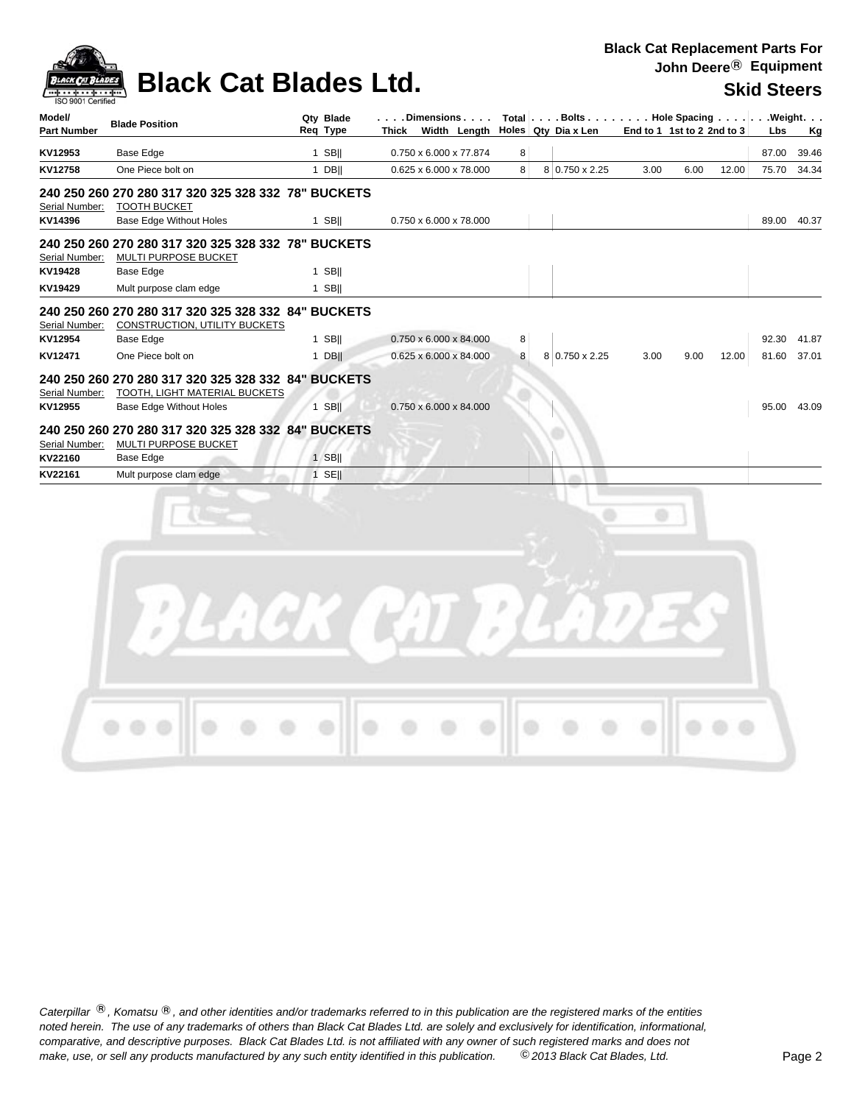

# **Black Cat Blades Ltd.** Skid Steers

| Model/<br><b>Part Number</b> | <b>Blade Position</b>                                 |   | Qtv Blade<br>Req Type | . Dimensions<br>Width Length<br>Thick |   | Total $\vert \ldots$ Bolts $\ldots \vert \ldots$ Hole Spacing $\ldots \vert \ldots$ Weight. $\ldots$<br>Holes Qty Dia x Len |      | End to 1 1st to 2 2nd to 3 |       | <b>Lbs</b> | Kg          |
|------------------------------|-------------------------------------------------------|---|-----------------------|---------------------------------------|---|-----------------------------------------------------------------------------------------------------------------------------|------|----------------------------|-------|------------|-------------|
| KV12953                      | <b>Base Edge</b>                                      |   | 1 SBII                | 0.750 x 6.000 x 77.874                | 8 |                                                                                                                             |      |                            |       | 87.00      | 39.46       |
| KV12758                      | One Piece bolt on                                     |   | $1$ DB                | 0.625 x 6.000 x 78.000                | 8 | 8 0.750 x 2.25                                                                                                              | 3.00 | 6.00                       | 12.00 | 75.70      | 34.34       |
|                              | 240 250 260 270 280 317 320 325 328 332 78" BUCKETS   |   |                       |                                       |   |                                                                                                                             |      |                            |       |            |             |
| Serial Number:<br>KV14396    | <b>TOOTH BUCKET</b><br><b>Base Edge Without Holes</b> |   | $1$ SBII              | 0.750 x 6.000 x 78.000                |   |                                                                                                                             |      |                            |       | 89.00      | 40.37       |
|                              | 240 250 260 270 280 317 320 325 328 332 78" BUCKETS   |   |                       |                                       |   |                                                                                                                             |      |                            |       |            |             |
| Serial Number:               | MULTI PURPOSE BUCKET                                  |   |                       |                                       |   |                                                                                                                             |      |                            |       |            |             |
| KV19428                      | Base Edge                                             |   | $1$ SB                |                                       |   |                                                                                                                             |      |                            |       |            |             |
| KV19429                      | Mult purpose clam edge                                |   | 1 SBII                |                                       |   |                                                                                                                             |      |                            |       |            |             |
|                              | 240 250 260 270 280 317 320 325 328 332 84" BUCKETS   |   |                       |                                       |   |                                                                                                                             |      |                            |       |            |             |
| Serial Number:               | CONSTRUCTION, UTILITY BUCKETS                         |   |                       |                                       |   |                                                                                                                             |      |                            |       |            |             |
| KV12954                      | Base Edge                                             |   | 1 SBII                | $0.750 \times 6.000 \times 84.000$    | 8 |                                                                                                                             |      |                            |       | 92.30      | 41.87       |
| KV12471                      | One Piece bolt on                                     |   | 1 DBII                | $0.625 \times 6.000 \times 84.000$    | 8 | 8 0.750 x 2.25                                                                                                              | 3.00 | 9.00                       | 12.00 | 81.60      | 37.01       |
|                              | 240 250 260 270 280 317 320 325 328 332 84" BUCKETS   |   |                       |                                       |   |                                                                                                                             |      |                            |       |            |             |
| Serial Number:               | TOOTH, LIGHT MATERIAL BUCKETS                         |   |                       |                                       |   |                                                                                                                             |      |                            |       |            |             |
| KV12955                      | <b>Base Edge Without Holes</b>                        |   | 1 SBII                | $0.750 \times 6.000 \times 84.000$    |   |                                                                                                                             |      |                            |       |            | 95.00 43.09 |
|                              | 240 250 260 270 280 317 320 325 328 332 84" BUCKETS   |   |                       |                                       |   |                                                                                                                             |      |                            |       |            |             |
| Serial Number:               | <b>MULTI PURPOSE BUCKET</b>                           |   |                       |                                       |   |                                                                                                                             |      |                            |       |            |             |
| KV22160                      | Base Edge                                             | 1 | <b>SBII</b>           |                                       |   |                                                                                                                             |      |                            |       |            |             |
| KV22161                      | Mult purpose clam edge                                |   | $1$ SE                |                                       |   |                                                                                                                             |      |                            |       |            |             |
|                              |                                                       |   |                       |                                       |   |                                                                                                                             |      |                            |       |            |             |
|                              |                                                       |   |                       |                                       |   |                                                                                                                             |      |                            |       |            |             |

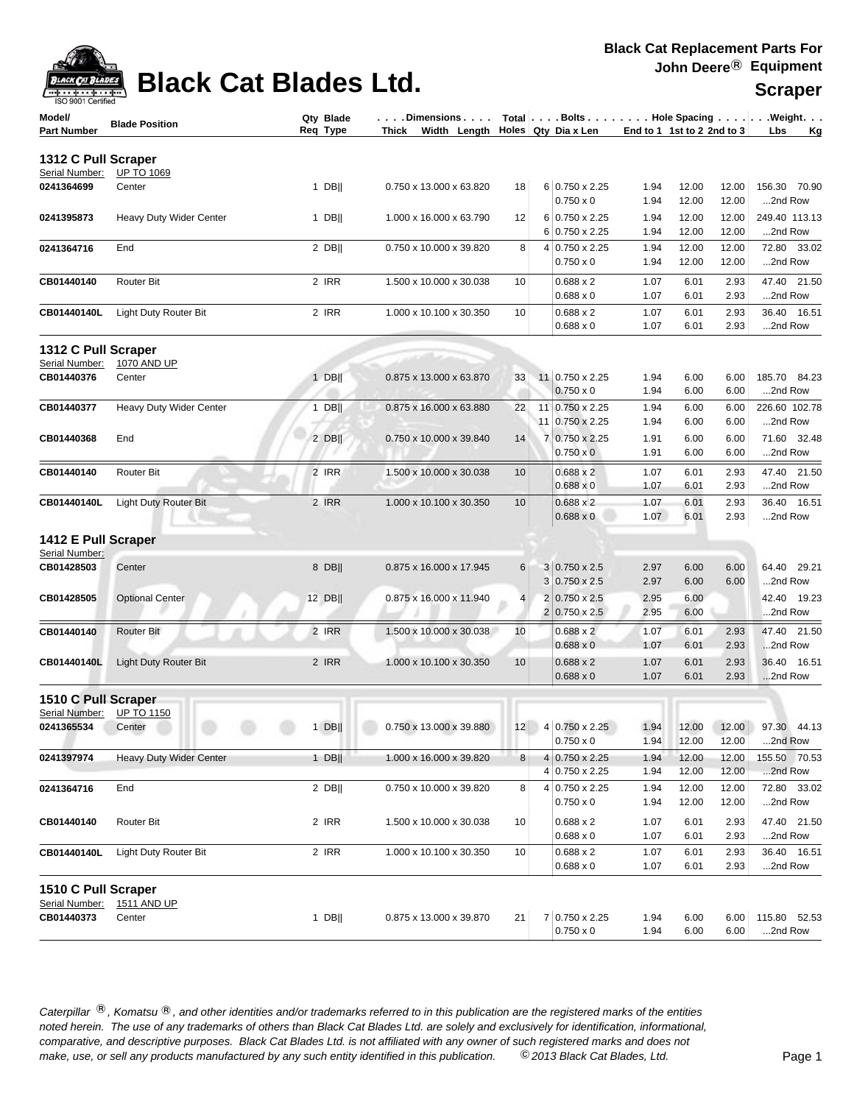### **Black Cat**

**Black Cat Replacement Parts For John Deere**® **Equipment**

| Model/                       | <b>Blade Position</b>        | Qty Blade | $\ldots$ . Dimensions   |    |    | Total   Bolts   Hole Spacing   Weight. |                            |       |       |               |    |
|------------------------------|------------------------------|-----------|-------------------------|----|----|----------------------------------------|----------------------------|-------|-------|---------------|----|
| <b>Part Number</b>           |                              | Req Type  | Thick Width Lenath      |    |    | Holes Qty Dia x Len                    | End to 1 1st to 2 2nd to 3 |       |       | <b>Lbs</b>    | Kg |
| 1312 C Pull Scraper          |                              |           |                         |    |    |                                        |                            |       |       |               |    |
| Serial Number:               | <b>UP TO 1069</b>            |           |                         |    |    |                                        |                            |       |       |               |    |
| 0241364699                   | Center                       | $1$ DB    | 0.750 x 13.000 x 63.820 | 18 |    | $6 0.750 \times 2.25$                  | 1.94                       | 12.00 | 12.00 | 156.30 70.90  |    |
|                              |                              |           |                         |    |    | $0.750 \times 0$                       | 1.94                       | 12.00 | 12.00 | 2nd Row       |    |
| 0241395873                   | Heavy Duty Wider Center      | $1$ DB    | 1.000 x 16.000 x 63.790 | 12 |    | 6 0.750 x 2.25                         | 1.94                       | 12.00 | 12.00 | 249.40 113.13 |    |
|                              |                              |           |                         |    |    | $6 0.750 \times 2.25$                  | 1.94                       | 12.00 | 12.00 | 2nd Row       |    |
| 0241364716                   | End                          | 2 DBII    | 0.750 x 10.000 x 39.820 | 8  |    | $4 0.750 \times 2.25$                  | 1.94                       | 12.00 | 12.00 | 72.80 33.02   |    |
|                              |                              |           |                         |    |    | $0.750 \times 0$                       | 1.94                       | 12.00 | 12.00 | 2nd Row       |    |
| CB01440140                   | <b>Router Bit</b>            | 2 IRR     | 1.500 x 10.000 x 30.038 | 10 |    | $0.688 \times 2$                       | 1.07                       | 6.01  | 2.93  | 47.40 21.50   |    |
|                              |                              |           |                         |    |    | $0.688 \times 0$                       | 1.07                       | 6.01  | 2.93  | 2nd Row       |    |
| CB01440140L                  | <b>Light Duty Router Bit</b> | 2 IRR     | 1.000 x 10.100 x 30.350 | 10 |    | $0.688 \times 2$                       | 1.07                       | 6.01  | 2.93  | 36.40 16.51   |    |
|                              |                              |           |                         |    |    | $0.688 \times 0$                       | 1.07                       | 6.01  | 2.93  | 2nd Row       |    |
|                              |                              |           |                         |    |    |                                        |                            |       |       |               |    |
| 1312 C Pull Scraper          |                              |           |                         |    |    |                                        |                            |       |       |               |    |
| Serial Number:               | 1070 AND UP                  |           |                         |    |    |                                        |                            |       |       |               |    |
|                              |                              |           |                         |    |    |                                        |                            |       |       |               |    |
| CB01440376                   | Center                       | $1$ DB    | 0.875 x 13.000 x 63.870 | 33 |    | 11 0.750 x 2.25                        | 1.94                       | 6.00  | 6.00  | 185.70 84.23  |    |
|                              |                              |           |                         |    |    | $0.750 \times 0$                       | 1.94                       | 6.00  | 6.00  | 2nd Row       |    |
| CB01440377                   | Heavy Duty Wider Center      | $1$ DB    | 0.875 x 16.000 x 63.880 | 22 | 11 | $0.750 \times 2.25$                    | 1.94                       | 6.00  | 6.00  | 226.60 102.78 |    |
|                              |                              |           |                         |    |    | 11 0.750 x 2.25                        | 1.94                       | 6.00  | 6.00  | 2nd Row       |    |
| CB01440368                   | End                          | 2 DBII    | 0.750 x 10.000 x 39.840 | 14 |    | 7 0.750 x 2.25                         | 1.91                       | 6.00  | 6.00  | 71.60 32.48   |    |
|                              |                              |           |                         |    |    | $0.750 \times 0$                       | 1.91                       | 6.00  | 6.00  | 2nd Row       |    |
| CB01440140                   | <b>Router Bit</b>            | 2 IRR     | 1.500 x 10.000 x 30.038 | 10 |    | $0.688 \times 2$                       | 1.07                       | 6.01  | 2.93  | 47.40 21.50   |    |
|                              |                              |           |                         |    |    | $0.688 \times 0$                       | 1.07                       | 6.01  | 2.93  | 2nd Row       |    |
| CB01440140L                  | <b>Light Duty Router Bit</b> | 2 IRR     | 1.000 x 10.100 x 30.350 | 10 |    | $0.688 \times 2$                       | 1.07                       | 6.01  | 2.93  | 36.40 16.51   |    |
|                              |                              |           |                         |    |    | $0.688 \times 0$                       | 1.07                       | 6.01  | 2.93  | 2nd Row       |    |
|                              |                              |           |                         |    |    |                                        |                            |       |       |               |    |
| 1412 E Pull Scraper          |                              |           |                         |    |    |                                        |                            |       |       |               |    |
| Serial Number:<br>CB01428503 | Center                       | 8 DB      | 0.875 x 16.000 x 17.945 | 6  |    | $3 0.750 \times 2.5$                   | 2.97                       | 6.00  | 6.00  | 64.40 29.21   |    |

| Serial Number:      |                                |        |                         |                |                       |      |       |       |                |
|---------------------|--------------------------------|--------|-------------------------|----------------|-----------------------|------|-------|-------|----------------|
| CB01428503          | Center                         | 8 DBII | 0.875 x 16.000 x 17.945 | $6 \mid$       | $3 0.750 \times 2.5$  | 2.97 | 6.00  | 6.00  | 29.21<br>64.40 |
|                     |                                |        |                         |                | $3 0.750 \times 2.5$  | 2.97 | 6.00  | 6.00  | 2nd Row        |
| CB01428505          | <b>Optional Center</b>         | 12 DB  | 0.875 x 16.000 x 11.940 | $\overline{4}$ | $2 0.750 \times 2.5$  | 2.95 | 6.00  |       | 42.40 19.23    |
|                     |                                |        |                         |                | $2 0.750 \times 2.5 $ | 2.95 | 6.00  |       | 2nd Row        |
| CB01440140          | <b>Router Bit</b>              | 2 IRR  | 1.500 x 10.000 x 30.038 | 10             | $0.688 \times 2$      | 1.07 | 6.01  | 2.93  | 47.40 21.50    |
|                     |                                |        |                         |                | $0.688 \times 0$      | 1.07 | 6.01  | 2.93  | 2nd Row        |
| CB01440140L         | <b>Light Duty Router Bit</b>   | 2 IRR  | 1.000 x 10.100 x 30.350 | 10             | $0.688 \times 2$      | 1.07 | 6.01  | 2.93  | 36.40 16.51    |
|                     |                                |        |                         |                | $0.688 \times 0$      | 1.07 | 6.01  | 2.93  | 2nd Row        |
| 1510 C Pull Scraper |                                |        |                         |                |                       |      |       |       |                |
| Serial Number:      | <b>UP TO 1150</b>              |        |                         |                |                       |      |       |       |                |
| 0241365534          | Center                         | $1$ DB | 0.750 x 13.000 x 39.880 | 12             | 4 0.750 x 2.25        | 1.94 | 12.00 | 12.00 | 97.30 44.13    |
|                     |                                |        |                         |                | $0.750 \times 0$      | 1.94 | 12.00 | 12.00 | 2nd Row        |
| 0241397974          | <b>Heavy Duty Wider Center</b> | $1$ DB | 1.000 x 16.000 x 39.820 | 8              | 4 0.750 x 2.25        | 1.94 | 12.00 | 12.00 | 155.50 70.53   |
|                     |                                |        |                         |                | 4 0.750 x 2.25        | 1.94 | 12.00 | 12.00 | 2nd Row        |
| 0241364716          | End                            | 2 DBII | 0.750 x 10.000 x 39.820 | 8              | 4 0.750 x 2.25        | 1.94 | 12.00 | 12.00 | 72.80 33.02    |
|                     |                                |        |                         |                | $0.750 \times 0$      | 1.94 | 12.00 | 12.00 | 2nd Row        |
| CB01440140          | <b>Router Bit</b>              | 2 IRR  | 1.500 x 10.000 x 30.038 | 10             | $0.688 \times 2$      | 1.07 | 6.01  | 2.93  | 47.40 21.50    |
|                     |                                |        |                         |                | $0.688 \times 0$      | 1.07 | 6.01  | 2.93  | 2nd Row        |
| CB01440140L         | <b>Light Duty Router Bit</b>   | 2 IRR  | 1.000 x 10.100 x 30.350 | 10             | $0.688 \times 2$      | 1.07 | 6.01  | 2.93  | 36.40 16.51    |
|                     |                                |        |                         |                | $0.688 \times 0$      | 1.07 | 6.01  | 2.93  | 2nd Row        |
| 1510 C Pull Scraper |                                |        |                         |                |                       |      |       |       |                |
| Serial Number:      | 1511 AND UP                    |        |                         |                |                       |      |       |       |                |
| CB01440373          | Center                         | $1$ DB | 0.875 x 13.000 x 39.870 | 21             | 7 0.750 x 2.25        | 1.94 | 6.00  | 6.00  | 115.80 52.53   |
|                     |                                |        |                         |                | $0.750 \times 0$      | 1.94 | 6.00  | 6.00  | 2nd Row        |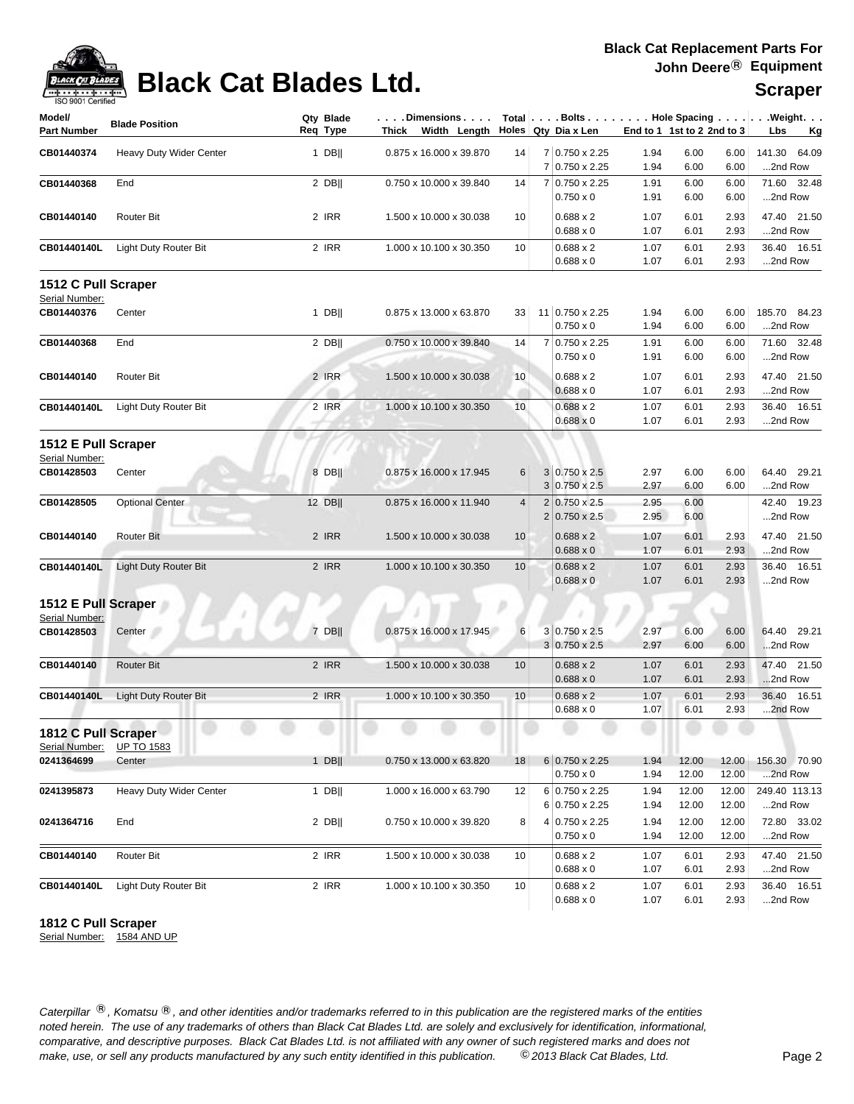

# **Black Cat Blades Ltd.** Scraper

| Model/              | <b>Blade Position</b>        | Qty Blade | $\ldots$ . Dimensions $\ldots$ .    |                |                |                        |                            |       |             | Total $\vert \ldots$ Bolts $\ldots \vert \ldots$ Hole Spacing $\ldots \vert \ldots$ Weight. $\ldots$ |
|---------------------|------------------------------|-----------|-------------------------------------|----------------|----------------|------------------------|----------------------------|-------|-------------|------------------------------------------------------------------------------------------------------|
| <b>Part Number</b>  |                              | Reg Type  | Thick Width Length                  |                |                | Holes   Qty Dia x Len  | End to 1 1st to 2 2nd to 3 |       |             | Lbs<br><u>Kg</u>                                                                                     |
| CB01440374          | Heavy Duty Wider Center      | $1$ DB    | 0.875 x 16.000 x 39.870             | 14             |                | 7 0.750 x 2.25         | 1.94                       | 6.00  | 6.00        | 141.30<br>64.09                                                                                      |
|                     |                              |           |                                     |                |                | 7 0.750 x 2.25         | 1.94                       | 6.00  | 6.00        | 2nd Row                                                                                              |
| CB01440368          | End                          | 2 DB      | 0.750 x 10.000 x 39.840             | 14             |                | 7 0.750 x 2.25         | 1.91                       | 6.00  | 6.00        | 71.60 32.48                                                                                          |
|                     |                              |           |                                     |                |                | $0.750 \times 0$       | 1.91                       | 6.00  | 6.00        | 2nd Row                                                                                              |
| CB01440140          | Router Bit                   | 2 IRR     | 1.500 x 10.000 x 30.038             | 10             |                | $0.688 \times 2$       | 1.07                       | 6.01  | 2.93        | 47.40 21.50                                                                                          |
|                     |                              |           |                                     |                |                | $0.688 \times 0$       | 1.07                       | 6.01  | 2.93        | 2nd Row                                                                                              |
| CB01440140L         | Light Duty Router Bit        | 2 IRR     | 1.000 x 10.100 x 30.350             | 10             |                | $0.688 \times 2$       | 1.07                       | 6.01  | 2.93        | 36.40 16.51                                                                                          |
|                     |                              |           |                                     |                |                | $0.688 \times 0$       | 1.07                       | 6.01  | 2.93        | 2nd Row                                                                                              |
| 1512 C Pull Scraper |                              |           |                                     |                |                |                        |                            |       |             |                                                                                                      |
| Serial Number:      |                              |           |                                     |                |                |                        |                            |       |             |                                                                                                      |
| CB01440376          | Center                       | $1$ DB    | 0.875 x 13.000 x 63.870             | 33             |                | 11 0.750 x 2.25        | 1.94                       | 6.00  | 6.00        | 185.70 84.23                                                                                         |
|                     |                              |           |                                     |                |                | $0.750 \times 0$       | 1.94                       | 6.00  | 6.00        | 2nd Row                                                                                              |
| CB01440368          | End                          | $2$ DB    | 0.750 x 10.000 x 39.840             | 14             |                | 7 0.750 x 2.25         | 1.91                       | 6.00  | 6.00        | 71.60 32.48                                                                                          |
|                     |                              |           |                                     |                |                | $0.750 \times 0$       | 1.91                       | 6.00  | 6.00        | 2nd Row                                                                                              |
| CB01440140          | <b>Router Bit</b>            | 2 IRR     | 1.500 x 10.000 x 30.038             | 10             |                | $0.688 \times 2$       | 1.07                       | 6.01  | 2.93        | 47.40 21.50                                                                                          |
|                     |                              |           |                                     |                |                | $0.688 \times 0$       | 1.07                       | 6.01  | 2.93        | 2nd Row                                                                                              |
| CB01440140L         | Light Duty Router Bit        | 2 IRR     | 1.000 x 10.100 x 30.350             | 10             |                | $0.688 \times 2$       | 1.07                       | 6.01  | 2.93        | 36.40 16.51                                                                                          |
|                     |                              |           |                                     |                |                | $0.688 \times 0$       | 1.07                       | 6.01  | 2.93        | 2nd Row                                                                                              |
| 1512 E Pull Scraper |                              |           |                                     |                |                |                        |                            |       |             |                                                                                                      |
| Serial Number:      |                              |           |                                     |                |                |                        |                            |       |             |                                                                                                      |
| CB01428503          | Center                       | 8 DB      | 0.875 x 16.000 x 17.945             | 6              |                | $3 0.750 \times 2.5$   | 2.97                       | 6.00  | 6.00        | 64.40 29.21                                                                                          |
|                     |                              |           |                                     |                |                | $3 0.750 \times 2.5$   | 2.97                       | 6.00  | 6.00        | 2nd Row                                                                                              |
| CB01428505          | <b>Optional Center</b>       | 12 DB     | 0.875 x 16.000 x 11.940             | $\overline{4}$ | $\overline{2}$ | $0.750 \times 2.5$     | 2.95                       | 6.00  |             | 42.40 19.23                                                                                          |
|                     |                              |           |                                     |                |                | 2 0.750 x 2.5          | 2.95                       | 6.00  |             | 2nd Row                                                                                              |
| CB01440140          | <b>Router Bit</b>            | 2 IRR     | 1.500 x 10.000 x 30.038             | 10             |                | $0.688 \times 2$       | 1.07                       | 6.01  | 2.93        | 47.40 21.50                                                                                          |
|                     |                              |           |                                     |                |                | $0.688 \times 0$       | 1.07                       | 6.01  | 2.93        | 2nd Row                                                                                              |
| CB01440140L         | <b>Light Duty Router Bit</b> | 2 IRR     | 1.000 x 10.100 x 30.350             | 10             |                | $0.688 \times 2$       | 1.07                       | 6.01  | 2.93        | 36.40 16.51                                                                                          |
|                     |                              |           |                                     |                |                | $0.688 \times 0$       | 1.07                       | 6.01  | 2.93        | 2nd Row                                                                                              |
| 1512 E Pull Scraper |                              |           |                                     |                |                |                        |                            |       |             |                                                                                                      |
| Serial Number:      |                              |           |                                     |                |                |                        |                            |       |             |                                                                                                      |
| CB01428503          | Center                       | 7 DB      | $0.875 \times 16.000 \times 17.945$ | 6              |                | $3 0.750 \times 2.5$   | 2.97                       | 6.00  | 6.00        | 64.40 29.21                                                                                          |
|                     |                              |           |                                     |                |                | $3 0.750 \times 2.5$   | 2.97                       | 6.00  | 6.00        | 2nd Row                                                                                              |
| CB01440140          | <b>Router Bit</b>            | 2 IRR     | 1.500 x 10.000 x 30.038             | 10             |                | $0.688 \times 2$       | 1.07                       | 6.01  | 2.93        | 47.40 21.50                                                                                          |
|                     |                              |           |                                     |                |                | $0.688 \times 0$       | 1.07                       | 6.01  | 2.93        | 2nd Row                                                                                              |
| CB01440140L         | <b>Light Duty Router Bit</b> | 2 IRR     | 1.000 x 10.100 x 30.350             | 10             |                | $0.688 \times 2$       | 1.07                       | 6.01  | 2.93        | 36.40 16.51                                                                                          |
|                     |                              |           |                                     |                |                | $0.688 \times 0$       | 1.07                       | 6.01  | 2.93        | 2nd Row                                                                                              |
| 1812 C Pull Scraper |                              |           |                                     |                |                |                        |                            | ÷     | ÷<br>$\sim$ |                                                                                                      |
| Serial Number:      | <b>UP TO 1583</b>            |           |                                     |                |                |                        |                            |       |             |                                                                                                      |
| 0241364699          | Center                       | $1$ DB    | 0.750 x 13.000 x 63.820             | 18             |                | $6 0.750 \times 2.25 $ | 1.94                       | 12.00 | 12.00       | 156.30 70.90                                                                                         |
|                     |                              |           |                                     |                |                | $0.750 \times 0$       | 1.94                       | 12.00 | 12.00       | 2nd Row                                                                                              |
| 0241395873          | Heavy Duty Wider Center      | $1$ DB    | 1.000 x 16.000 x 63.790             | 12             |                | 6 0.750 x 2.25         | 1.94                       | 12.00 | 12.00       | 249.40 113.13                                                                                        |
|                     |                              |           |                                     |                |                | 6 0.750 x 2.25         | 1.94                       | 12.00 | 12.00       | 2nd Row                                                                                              |
| 0241364716          | End                          | $2$ DB    | 0.750 x 10.000 x 39.820             | 8              |                | 4 0.750 x 2.25         | 1.94                       | 12.00 | 12.00       | 72.80 33.02                                                                                          |
|                     |                              |           |                                     |                |                | $0.750 \times 0$       | 1.94                       | 12.00 | 12.00       | 2nd Row                                                                                              |
| CB01440140          | Router Bit                   | 2 IRR     | 1.500 x 10.000 x 30.038             | 10             |                | $0.688 \times 2$       | 1.07                       | 6.01  | 2.93        | 47.40 21.50                                                                                          |
|                     |                              |           |                                     |                |                | $0.688 \times 0$       | 1.07                       | 6.01  | 2.93        | 2nd Row                                                                                              |
| CB01440140L         | Light Duty Router Bit        | 2 IRR     | 1.000 x 10.100 x 30.350             | 10             |                | $0.688 \times 2$       | 1.07                       | 6.01  | 2.93        | 36.40 16.51                                                                                          |
|                     |                              |           |                                     |                |                | $0.688 \times 0$       | 1.07                       | 6.01  | 2.93        | 2nd Row                                                                                              |

### **1812 C Pull Scraper**

Serial Number: 1584 AND UP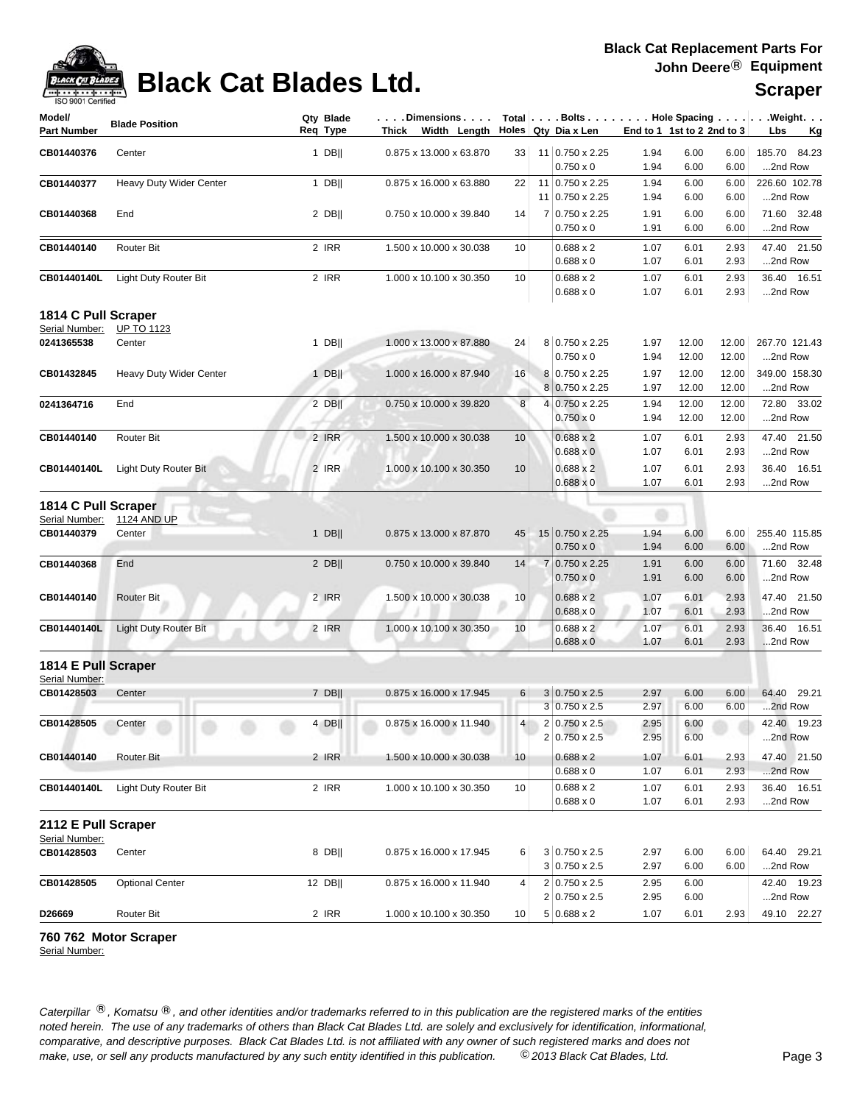## **Black Cat Blades Ltd.**

| $\sqrt{+\cdots+\cdots+\cdots}$<br>ISO 9001 Certified | PIUVIL VUL PIUUVU LLUI  |           |                                     |    |                        |      |                            |      | <b>Scraper</b>                                                                                         |
|------------------------------------------------------|-------------------------|-----------|-------------------------------------|----|------------------------|------|----------------------------|------|--------------------------------------------------------------------------------------------------------|
| Model/                                               | <b>Blade Position</b>   | Qty Blade | . Dimensions                        |    |                        |      |                            |      | Total $\vert \ldots$ Bolts $\ldots \vert \ldots$ . Hole Spacing $\ldots \vert \ldots$ Weight. $\ldots$ |
| Part Number                                          |                         | Req Type  | Width Lenath<br>Thick               |    | Holes   Qty Dia x Len  |      | End to 1 1st to 2 2nd to 3 |      | Lbs<br>– Kg                                                                                            |
| <b>CB01440376</b>                                    | Center                  | DBII      | $0.875 \times 13.000 \times 63.870$ | 33 | $11$ 0.750 x 2.25      | 1.94 | 6.00                       | 6.00 | 185.70 84.23                                                                                           |
|                                                      |                         |           |                                     |    | $0.750 \times 0$       | 1.94 | 6.00                       | 6.00 | 2nd Row                                                                                                |
| CB01440377                                           | Heavy Duty Wider Center | DBII      | 0.875 x 16.000 x 63.880             | 22 | $11 0.750 \times 2.25$ | 1.94 | 6.00                       | 6.00 | 226.60 102.78                                                                                          |
|                                                      |                         |           |                                     |    | $11 0.750 \times 2.25$ | 1.94 | 6.00                       | 6.00 | 2nd Row                                                                                                |
| CB01440368                                           | End                     | 2 DBII    | 0.750 x 10.000 x 39.840             | 14 | 7 0.750 x 2.25         | 1.91 | 6.00                       | 6.00 | 71.60 32.48                                                                                            |
|                                                      |                         |           |                                     |    | $0.750 \times 0$       | 1.91 | 6.00                       | 6.00 | 2nd Row                                                                                                |
| <b>CB01440140</b>                                    | <b>Router Bit</b>       | 2 IRR     | .500 x 10.000 x 30.038              | 10 | $0.688 \times 2$       | 1.07 | 6.01                       | 2.93 | 47.40 21.50                                                                                            |
|                                                      |                         |           |                                     |    | $0.688 \times 0$       | 1.07 | 6.01                       | 2.93 | 2nd Row                                                                                                |

0.688 x 0 1.07 6.01 2.93 ...2nd Row

### **1814 C Pull Scraper**

Serial Number: UP TO 1123

| OCHAL INUHIDEL. | <b>UIIU IILU</b>        |             |                         |                 |                            |      |       |       |               |
|-----------------|-------------------------|-------------|-------------------------|-----------------|----------------------------|------|-------|-------|---------------|
| 0241365538      | Center                  | <b>DBII</b> | 1.000 x 13.000 x 87.880 | 24              | $8 \mid 0.750 \times 2.25$ | 1.97 | 12.00 | 12.00 | 267.70 121.43 |
|                 |                         |             |                         |                 | $0.750 \times 0$           | 1.94 | 12.00 | 12.00 | $$ 2nd Row    |
| CB01432845      | Heavy Duty Wider Center | <b>DBII</b> | 1.000 x 16.000 x 87.940 | 16              | 8 0.750 x 2.25             | 1.97 | 12.00 | 12.00 | 349.00 158.30 |
|                 |                         |             |                         |                 | $8 0.750 \times 2.25$      | 1.97 | 12.00 | 12.00 | 2nd Row       |
| 0241364716      | End                     | 2 DBII      | 0.750 x 10.000 x 39.820 | 8 <sup>1</sup>  | 4 0.750 x 2.25             | 1.94 | 12.00 | 12.00 | 72.80 33.02   |
|                 |                         |             |                         |                 | $0.750 \times 0$           | 1.94 | 12.00 | 12.00 | $$ 2nd Row    |
| CB01440140      | <b>Router Bit</b>       | $2$ IRR     | 1.500 x 10.000 x 30.038 | 10 <sup>1</sup> | $0.688 \times 2$           | 1.07 | 6.01  | 2.93  | 47.40 21.50   |
|                 |                         |             |                         |                 | $0.688 \times 0$           | 1.07 | 6.01  | 2.93  | 2nd Row       |
| CB01440140L     | Light Duty Router Bit   | $2$ IRR     | 1.000 x 10.100 x 30.350 | 10 <sup>1</sup> | $0.688 \times 2$           | 1.07 | 6.01  | 2.93  | 36.40 16.51   |
|                 |                         |             |                         |                 | $0.688 \times 0$           | 1.07 | 6.01  | 2.93  | 2nd Row       |

**CB01440140L** Light Duty Router Bit 2 IRR 1.000 x 10.100 x 30.350 10 0.688 x 2 1.07 6.01 2.93 36.40 16.51

### **1814 C Pull Scraper**

| Serial Number: | <b>1124 AND UP</b>           |             |                         |                 |                             |      |      |      |               |
|----------------|------------------------------|-------------|-------------------------|-----------------|-----------------------------|------|------|------|---------------|
| CB01440379     | Center                       | <b>DBII</b> | 0.875 x 13.000 x 87.870 | 45              | $15 \mid 0.750 \times 2.25$ | 1.94 | 6.00 | 6.00 | 255.40 115.85 |
|                |                              |             |                         |                 | $0.750 \times 0$            | 1.94 | 6.00 | 6.00 | 2nd Row       |
| CB01440368     | End                          | 2 DBII      | 0.750 x 10.000 x 39.840 | 14              | 7 0.750 x 2.25              | 1.91 | 6.00 | 6.00 | 71.60 32.48   |
|                |                              |             |                         |                 | $0.750 \times 0$            | 1.91 | 6.00 | 6.00 | 2nd Row       |
| CB01440140     | <b>Router Bit</b>            | 2 IRR       | .500 x 10.000 x 30.038  | 10 <sup>1</sup> | $0.688 \times 2$            | 1.07 | 6.01 | 2.93 | 47.40 21.50   |
|                |                              |             |                         |                 | $0.688 \times 0$            | 1.07 | 6.01 | 2.93 | 2nd Row       |
| CB01440140L    | <b>Light Duty Router Bit</b> | 2 IRR       | 1.000 x 10.100 x 30.350 | 10 <sup>1</sup> | $0.688 \times 2$            | 1.07 | 6.01 | 2.93 | 36.40 16.51   |
|                |                              |             |                         |                 | $0.688 \times 0$            | 1.07 | 6.01 | 2.93 | 2nd Row       |

**1814 E Pull Scraper**

| Serial Number:      |                       |  |        |                         |                 |                       |      |      |      |             |
|---------------------|-----------------------|--|--------|-------------------------|-----------------|-----------------------|------|------|------|-------------|
| CB01428503          | Center                |  | 7 DBII | 0.875 x 16.000 x 17.945 | $6 \mid$        | $3 0.750 \times 2.5$  | 2.97 | 6.00 | 6.00 | 64.40 29.21 |
|                     |                       |  |        |                         |                 | $3 0.750 \times 2.5$  | 2.97 | 6.00 | 6.00 | 2nd Row     |
| CB01428505          | Center                |  | $4$ DB | 0.875 x 16.000 x 11.940 | 4 <sup>1</sup>  | $2 0.750 \times 2.5 $ | 2.95 | 6.00 |      | 42.40 19.23 |
|                     |                       |  |        |                         |                 | $2 0.750 \times 2.5 $ | 2.95 | 6.00 |      | 2nd Row     |
| CB01440140          | <b>Router Bit</b>     |  | 2 IRR  | 1.500 x 10.000 x 30.038 | 10 <sup>1</sup> | $0.688 \times 2$      | 1.07 | 6.01 | 2.93 | 47.40 21.50 |
|                     |                       |  |        |                         |                 | $0.688 \times 0$      | 1.07 | 6.01 | 2.93 | 2nd Row     |
| CB01440140L         | Light Duty Router Bit |  | 2 IRR  | 1.000 x 10.100 x 30.350 | 10 <sub>1</sub> | $0.688 \times 2$      | 1.07 | 6.01 | 2.93 | 36.40 16.51 |
|                     |                       |  |        |                         |                 | $0.688 \times 0$      | 1.07 | 6.01 | 2.93 | 2nd Row     |
| 2112 E Pull Scraper |                       |  |        |                         |                 |                       |      |      |      |             |
| Serial Number:      |                       |  |        |                         |                 |                       |      |      |      |             |

### **CB01428503** Center 8 DB|| 6 2.97 6.00 6.00 64.40 29.21 0.875 x 16.000 x 17.945 3 0.750 x 2.5  $3 | 0.750 \times 2.5$  2.97 6.00 6.00 ...2nd Row **CB01428505** Optional Center 12 DB|| 4 2.95 6.00 42.40 19.23 0.875 x 16.000 x 11.940 2 0.750 x 2.5 2 0.750 x 2.5 2.95 6.00 ...2nd Row **D26669** Router Bit 2 IRR 1.000 x 10.100 x 30.350 10 5 0.688 x 2 1.07 6.01 2.93 49.10 22.27

### **760 762 Motor Scraper**

Serial Number: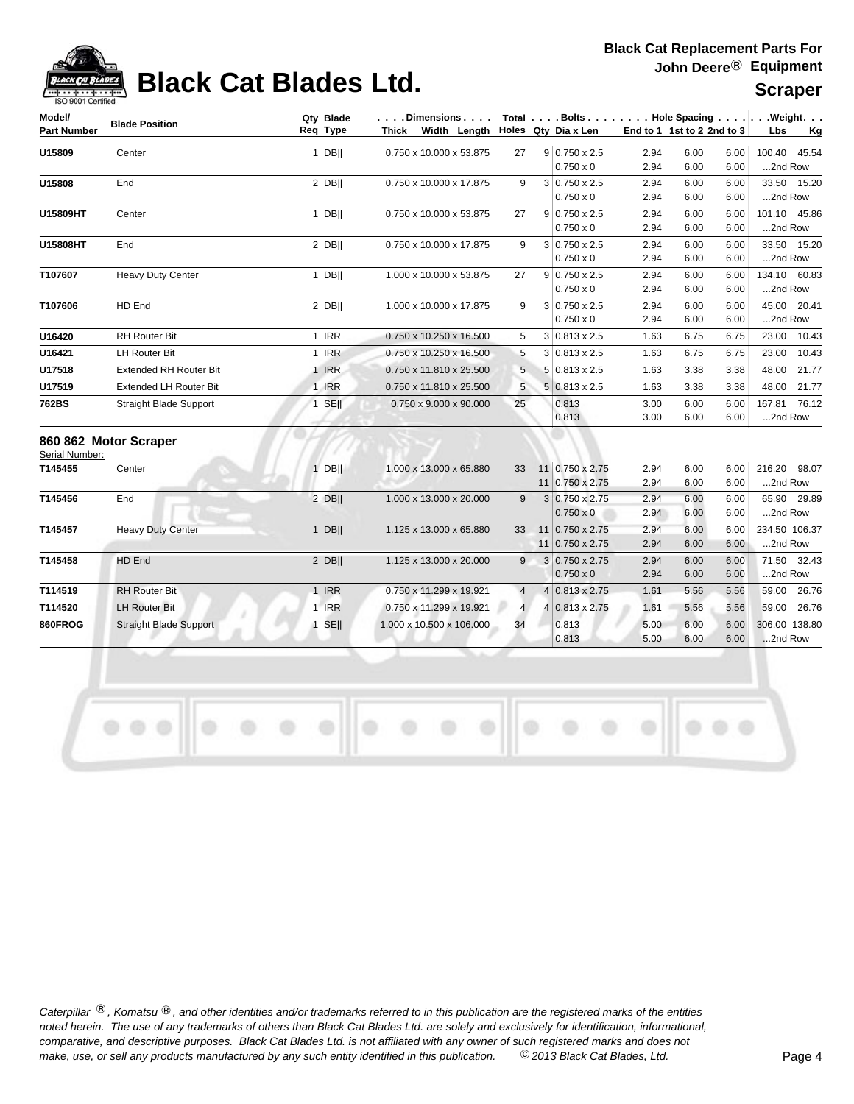# **Black Cat Blades Ltd.** Scraper

### **Black Cat Replacement Parts For John Deere**® **Equipment**

| Model/             | <b>Blade Position</b>         | Qty Blade |       | . Dimensions             |                | Total Bolts Hole Spacing Weight.         |              |                            |              |               |             |
|--------------------|-------------------------------|-----------|-------|--------------------------|----------------|------------------------------------------|--------------|----------------------------|--------------|---------------|-------------|
| <b>Part Number</b> |                               | Req Type  | Thick | Width Length             |                | Holes $Qty$ Dia x Len                    |              | End to 1 1st to 2 2nd to 3 |              | Lbs           | Kg          |
| U15809             | Center                        | $1$ DB    |       | 0.750 x 10.000 x 53.875  | 27             | $9 0.750 \times 2.5$                     | 2.94         | 6.00                       | 6.00         | 100.40        | 45.54       |
|                    |                               |           |       |                          |                | $0.750 \times 0$                         | 2.94         | 6.00                       | 6.00         | 2nd Row       |             |
| U15808             | End                           | 2 DB      |       | 0.750 x 10.000 x 17.875  | 9 <sup>1</sup> | $3 0.750 \times 2.5$                     | 2.94         | 6.00                       | 6.00         |               | 33.50 15.20 |
|                    |                               |           |       |                          |                | $0.750 \times 0$                         | 2.94         | 6.00                       | 6.00         | 2nd Row       |             |
| U15809HT           | Center                        | 1 DBII    |       | 0.750 x 10.000 x 53.875  | 27             | $9 0.750 \times 2.5$                     | 2.94         | 6.00                       | 6.00         | 101.10 45.86  |             |
|                    |                               |           |       |                          |                | $0.750 \times 0$                         | 2.94         | 6.00                       | 6.00         | 2nd Row       |             |
| U15808HT           | End                           | 2 DB      |       | 0.750 x 10.000 x 17.875  | 9 <sup>1</sup> | $3 0.750 \times 2.5$                     | 2.94         | 6.00                       | 6.00         |               | 33.50 15.20 |
|                    |                               |           |       |                          |                | $0.750 \times 0$                         | 2.94         | 6.00                       | 6.00         | 2nd Row       |             |
| T107607            | <b>Heavy Duty Center</b>      | $1$ DB    |       | 1.000 x 10.000 x 53.875  | 27             | $9 0.750 \times 2.5$                     | 2.94         | 6.00                       | 6.00         | 134.10 60.83  |             |
|                    |                               |           |       |                          |                | $0.750 \times 0$                         | 2.94         | 6.00                       | 6.00         | 2nd Row       |             |
| T107606            | HD End                        | 2 DB      |       | 1.000 x 10.000 x 17.875  | 9              | $3 0.750 \times 2.5$<br>$0.750 \times 0$ | 2.94<br>2.94 | 6.00<br>6.00               | 6.00<br>6.00 | 2nd Row       | 45.00 20.41 |
|                    | <b>RH Router Bit</b>          | 1 IRR     |       | 0.750 x 10.250 x 16.500  |                | $3 0.813 \times 2.5$                     |              | 6.75                       |              |               | 23.00 10.43 |
| U16420             |                               |           |       |                          | 5              |                                          | 1.63         |                            | 6.75         |               |             |
| U16421             | <b>LH Router Bit</b>          | 1 IRR     |       | 0.750 x 10.250 x 16.500  | 5              | $3 0.813 \times 2.5$                     | 1.63         | 6.75                       | 6.75         | 23.00         | 10.43       |
| U17518             | <b>Extended RH Router Bit</b> | 1 IRR     |       | 0.750 x 11.810 x 25.500  | 5              | $5 0.813 \times 2.5$                     | 1.63         | 3.38                       | 3.38         | 48.00         | 21.77       |
| U17519             | <b>Extended LH Router Bit</b> | 1 IRR     |       | 0.750 x 11.810 x 25.500  | 5              | $5 0.813 \times 2.5$                     | 1.63         | 3.38                       | 3.38         |               | 48.00 21.77 |
| 762BS              | <b>Straight Blade Support</b> | $1$ SE    |       | 0.750 x 9.000 x 90.000   | 25             | 0.813                                    | 3.00         | 6.00                       | 6.00         | 167.81 76.12  |             |
|                    |                               |           |       |                          |                | 0.813                                    | 3.00         | 6.00                       | 6.00         | 2nd Row       |             |
| Serial Number:     | 860 862 Motor Scraper         |           |       |                          |                |                                          |              |                            |              |               |             |
| T145455            | Center                        | $1$ DB    |       | 1.000 x 13.000 x 65.880  | 33             | 11 0.750 x 2.75                          | 2.94         | 6.00                       | 6.00         | 216.20 98.07  |             |
|                    |                               |           |       |                          |                | 11 0.750 x 2.75                          | 2.94         | 6.00                       | 6.00         | 2nd Row       |             |
| T145456            | End                           | $2$ DB    |       | 1.000 x 13.000 x 20.000  | 9              | 3 0.750 x 2.75                           | 2.94         | 6.00                       | 6.00         |               | 65.90 29.89 |
|                    |                               |           |       |                          |                | $0.750 \times 0$                         | 2.94         | 6.00                       | 6.00         | 2nd Row       |             |
| T145457            | <b>Heavy Duty Center</b>      | $1$ DB    |       | 1.125 x 13.000 x 65.880  | 33             | 11 0.750 x 2.75                          | 2.94         | 6.00                       | 6.00         | 234.50 106.37 |             |
|                    |                               |           |       |                          |                | 11 0.750 x 2.75                          | 2.94         | 6.00                       | 6.00         | 2nd Row       |             |
| T145458            | HD End                        | $2$ DB    |       | 1.125 x 13.000 x 20.000  | 9              | 3 0.750 x 2.75                           | 2.94         | 6.00                       | 6.00         |               | 71.50 32.43 |
|                    |                               |           |       |                          |                | $0.750 \times 0$                         | 2.94         | 6.00                       | 6.00         | 2nd Row       |             |
| T114519            | <b>RH Router Bit</b>          | 1 IRR     |       | 0.750 x 11.299 x 19.921  | $\overline{4}$ | 4 0.813 x 2.75                           | 1.61         | 5.56                       | 5.56         |               | 59.00 26.76 |
| T114520            | <b>LH Router Bit</b>          | 1 IRR     |       | 0.750 x 11.299 x 19.921  | 4 <sup>1</sup> | $4 0.813 \times 2.75$                    | 1.61         | 5.56                       | 5.56         | 59.00         | 26.76       |
| 860FROG            | <b>Straight Blade Support</b> | $1$ SE    |       | 1.000 x 10.500 x 106.000 | 34             | 0.813                                    | 5.00         | 6.00                       | 6.00         | 306.00 138.80 |             |
|                    |                               |           |       |                          |                | 0.813                                    | 5.00         | 6.00                       | 6.00         | 2nd Row       |             |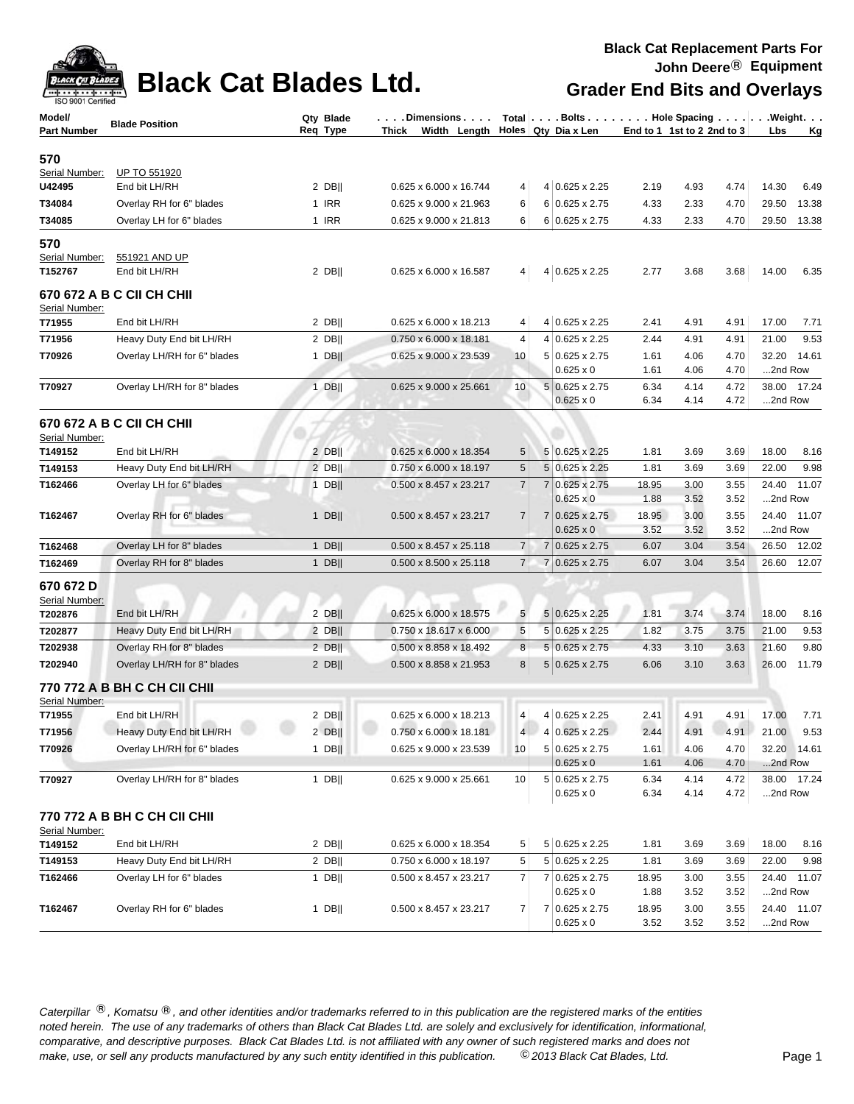

### **Black Cat Blades Ltd. Grader End Bits and Overlays**

| ISO 9001 Certified |                                     |           |                                           |                 |                |                                        |                            |              |              |         |             |
|--------------------|-------------------------------------|-----------|-------------------------------------------|-----------------|----------------|----------------------------------------|----------------------------|--------------|--------------|---------|-------------|
| Model/             | <b>Blade Position</b>               | Qty Blade | . Dimensions                              |                 |                | Total   Bolts   Hole Spacing   Weight. |                            |              |              |         |             |
| <b>Part Number</b> |                                     | Req Type  | Width Length Holes Qty Dia x Len<br>Thick |                 |                |                                        | End to 1 1st to 2 2nd to 3 |              |              | Lbs     | <u>Kg</u>   |
| 570                |                                     |           |                                           |                 |                |                                        |                            |              |              |         |             |
| Serial Number:     | UP TO 551920                        |           |                                           |                 |                |                                        |                            |              |              |         |             |
| U42495             | End bit LH/RH                       | $2$ DB    | 0.625 x 6.000 x 16.744                    | 4               |                | 4 0.625 x 2.25                         | 2.19                       | 4.93         | 4.74         | 14.30   | 6.49        |
| T34084             | Overlay RH for 6" blades            | 1 IRR     | 0.625 x 9.000 x 21.963                    | 6               |                | $6 0.625 \times 2.75$                  | 4.33                       | 2.33         | 4.70         | 29.50   | 13.38       |
| T34085             | Overlay LH for 6" blades            | 1 IRR     | 0.625 x 9.000 x 21.813                    | 6               |                | $6 0.625 \times 2.75$                  | 4.33                       | 2.33         | 4.70         | 29.50   | 13.38       |
| 570                |                                     |           |                                           |                 |                |                                        |                            |              |              |         |             |
| Serial Number:     | 551921 AND UP                       |           |                                           |                 |                |                                        |                            |              |              |         |             |
| T152767            | End bit LH/RH                       | 2 DB      | 0.625 x 6.000 x 16.587                    | 4               |                | 4 0.625 x 2.25                         | 2.77                       | 3.68         | 3.68         | 14.00   | 6.35        |
|                    | 670 672 A B C CII CH CHII           |           |                                           |                 |                |                                        |                            |              |              |         |             |
| Serial Number:     |                                     |           |                                           |                 |                |                                        |                            |              |              |         |             |
| T71955             | End bit LH/RH                       | $2$ DB    | 0.625 x 6.000 x 18.213                    | 4               |                | 4 0.625 x 2.25                         | 2.41                       | 4.91         | 4.91         | 17.00   | 7.71        |
| T71956             | Heavy Duty End bit LH/RH            | 2 DB      | 0.750 x 6.000 x 18.181                    | 4               |                | 4 0.625 x 2.25                         | 2.44                       | 4.91         | 4.91         | 21.00   | 9.53        |
| T70926             | Overlay LH/RH for 6" blades         | $1$ DB    | 0.625 x 9.000 x 23.539                    | 10              |                | 5 0.625 x 2.75                         | 1.61                       | 4.06         | 4.70         | 32.20   | 14.61       |
|                    |                                     |           |                                           |                 |                | $0.625 \times 0$                       | 1.61                       | 4.06         | 4.70         | 2nd Row |             |
| T70927             | Overlay LH/RH for 8" blades         | $1$ DB    | 0.625 x 9.000 x 25.661                    | 10              |                | 5 0.625 x 2.75                         | 6.34                       | 4.14         | 4.72         | 38.00   | 17.24       |
|                    |                                     |           |                                           |                 |                | $0.625 \times 0$                       | 6.34                       | 4.14         | 4.72         | 2nd Row |             |
|                    | 670 672 A B C CII CH CHII           |           |                                           |                 |                |                                        |                            |              |              |         |             |
| Serial Number:     |                                     |           |                                           |                 |                |                                        |                            |              |              |         |             |
| T149152            | End bit LH/RH                       | $2$ DB    | 0.625 x 6.000 x 18.354                    | 5               |                | 5 0.625 x 2.25                         | 1.81                       | 3.69         | 3.69         | 18.00   | 8.16        |
| T149153            | Heavy Duty End bit LH/RH            | $2$ DB    | 0.750 x 6.000 x 18.197                    | 5               |                | 5 0.625 x 2.25                         | 1.81                       | 3.69         | 3.69         | 22.00   | 9.98        |
| T162466            | Overlay LH for 6" blades            | $1$ DB    | 0.500 x 8.457 x 23.217                    | $\overline{7}$  |                | 7 0.625 x 2.75                         | 18.95                      | 3.00         | 3.55         | 24.40   | 11.07       |
|                    |                                     |           |                                           |                 |                | $0.625 \times 0$                       | 1.88                       | 3.52         | 3.52         | 2nd Row |             |
| T162467            | Overlay RH for 6" blades            | $1$ DB    | 0.500 x 8.457 x 23.217                    | $\overline{7}$  | $\overline{7}$ | $0.625 \times 2.75$                    | 18.95                      | 3.00         | 3.55         | 24.40   | 11.07       |
|                    |                                     |           |                                           |                 |                | $0.625 \times 0$                       | 3.52                       | 3.52         | 3.52         | 2nd Row |             |
| T162468            | Overlay LH for 8" blades            | $1$ DB    | 0.500 x 8.457 x 25.118                    | $\overline{7}$  |                | 7 0.625 x 2.75                         | 6.07                       | 3.04         | 3.54         | 26.50   | 12.02       |
| T162469            | Overlay RH for 8" blades            | 1 $DB$    | 0.500 x 8.500 x 25.118                    | $\overline{7}$  |                | 7 0.625 x 2.75                         | 6.07                       | 3.04         | 3.54         | 26.60   | 12.07       |
| 670 672 D          |                                     |           |                                           |                 |                |                                        |                            |              |              |         |             |
| Serial Number:     |                                     |           |                                           |                 |                |                                        |                            |              |              |         |             |
| T202876            | End bit LH/RH                       | 2 DB      | $0.625 \times 6.000 \times 18.575$        | 5               |                | 5 0.625 x 2.25                         | 1.81                       | 3.74         | 3.74         | 18.00   | 8.16        |
| T202877            | Heavy Duty End bit LH/RH            | $2$ DB    | 0.750 x 18.617 x 6.000                    | $\sqrt{5}$      |                | $5 0.625 \times 2.25$                  | 1.82                       | 3.75         | 3.75         | 21.00   | 9.53        |
| T202938            | Overlay RH for 8" blades            | 2 DB      | 0.500 x 8.858 x 18.492                    | 8               |                | $5 0.625 \times 2.75$                  | 4.33                       | 3.10         | 3.63         | 21.60   | 9.80        |
| T202940            | Overlay LH/RH for 8" blades         | $2$ DB    | 0.500 x 8.858 x 21.953                    | 8               |                | $5 0.625 \times 2.75$                  | 6.06                       | 3.10         | 3.63         | 26.00   | 11.79       |
|                    | <b>770 772 A B BH C CH CII CHII</b> |           |                                           |                 |                |                                        |                            |              |              |         |             |
| Serial Number:     |                                     |           |                                           |                 |                |                                        |                            |              |              |         |             |
| T71955             | End bit LH/RH                       | $2$ DB    | 0.625 x 6.000 x 18.213                    | $\vert 4 \vert$ |                | 4 0.625 x 2.25                         | 2.41                       | 4.91         | 4.91         | 17.00   | 7.71        |
| T71956             | Heavy Duty End bit LH/RH            | $2$ DB    | $0.750 \times 6.000 \times 18.181$        | 4               |                | 4 0.625 x 2.25                         | 2.44                       | 4.91         | 4.91         | 21.00   | 9.53        |
| T70926             | Overlay LH/RH for 6" blades         | $1$ DB    | 0.625 x 9.000 x 23.539                    | 10              |                | 5 0.625 x 2.75                         | 1.61                       | 4.06         | 4.70         | 32.20   | 14.61       |
|                    |                                     |           |                                           |                 |                | $0.625 \times 0$                       | 1.61                       | 4.06         | 4.70         | 2nd Row |             |
| T70927             | Overlay LH/RH for 8" blades         | $1$ DB    | 0.625 x 9.000 x 25.661                    | 10              |                | 5 0.625 x 2.75<br>$0.625 \times 0$     | 6.34<br>6.34               | 4.14<br>4.14 | 4.72<br>4.72 | 2nd Row | 38.00 17.24 |
|                    |                                     |           |                                           |                 |                |                                        |                            |              |              |         |             |
|                    | 770 772 A B BH C CH CII CHII        |           |                                           |                 |                |                                        |                            |              |              |         |             |
| Serial Number:     |                                     |           |                                           |                 |                |                                        |                            |              |              |         |             |
| T149152            | End bit LH/RH                       | $2$ DB    | 0.625 x 6.000 x 18.354                    | 5               |                | 5 0.625 x 2.25                         | 1.81                       | 3.69         | 3.69         | 18.00   | 8.16        |
| T149153            | Heavy Duty End bit LH/RH            | $2$ DB    | 0.750 x 6.000 x 18.197                    | 5               |                | 5 0.625 x 2.25                         | 1.81                       | 3.69         | 3.69         | 22.00   | 9.98        |
| T162466            | Overlay LH for 6" blades            | 1 DB $  $ | 0.500 x 8.457 x 23.217                    | $\overline{7}$  |                | 7 0.625 x 2.75<br>$0.625 \times 0$     | 18.95<br>1.88              | 3.00<br>3.52 | 3.55<br>3.52 | 2nd Row | 24.40 11.07 |
| T162467            | Overlay RH for 6" blades            | $1$ DB    | 0.500 x 8.457 x 23.217                    | $\overline{7}$  |                | 7 0.625 x 2.75                         | 18.95                      | 3.00         | 3.55         |         | 24.40 11.07 |
|                    |                                     |           |                                           |                 |                | $0.625 \times 0$                       | 3.52                       | 3.52         | 3.52         | 2nd Row |             |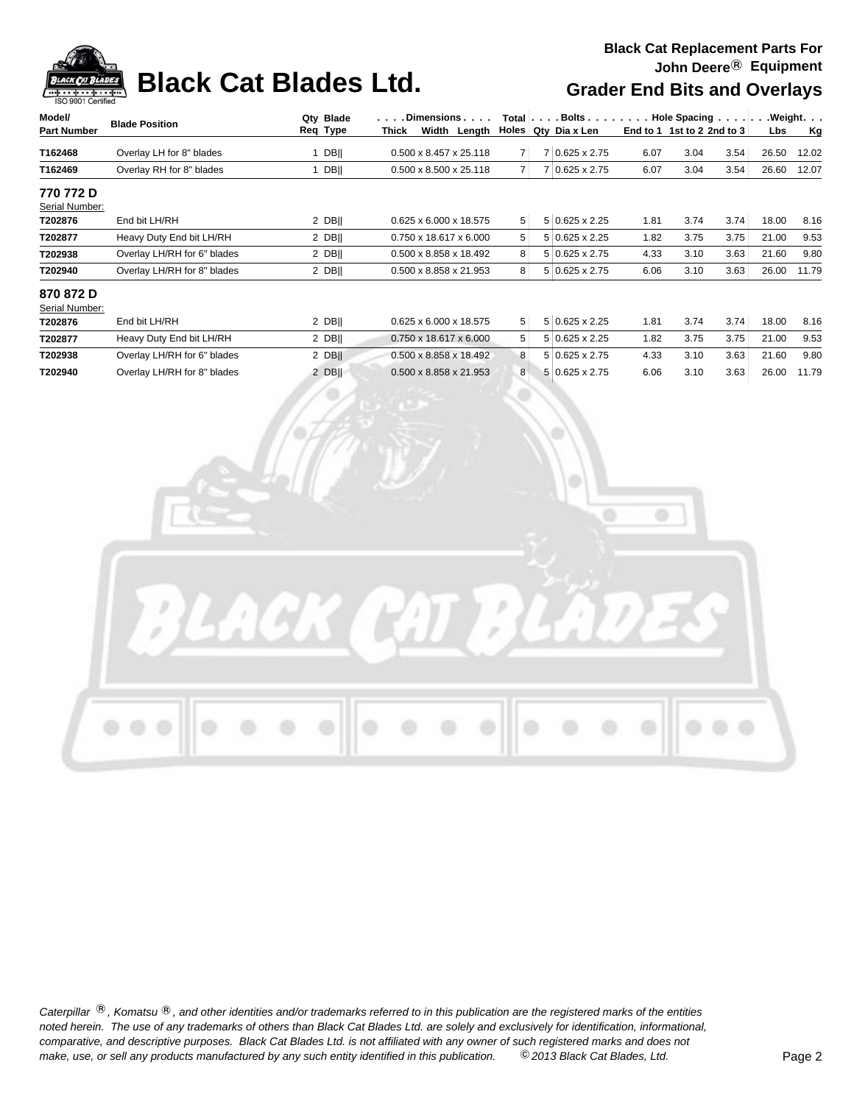# **Black Cat Blades Ltd. Grader End Bits and Overlays**

| Model/                      | <b>Blade Position</b>       | Qty Blade   | $\cdots$ | . Dimensions                       |                | Total $\vert \ldots$ Bolts $\ldots$ $\vert \ldots$ . |      | Hole Spacing                  |      |       | .Weight.  |
|-----------------------------|-----------------------------|-------------|----------|------------------------------------|----------------|------------------------------------------------------|------|-------------------------------|------|-------|-----------|
| <b>Part Number</b>          |                             | Req Type    | Thick    | Width Length                       | <b>Holes</b>   | Qty Dia x Len                                        |      | End to 1 1st to 2 2nd to $31$ |      | Lbs   | <u>Kg</u> |
| T162468                     | Overlay LH for 8" blades    | <b>DBII</b> |          | $0.500 \times 8.457 \times 25.118$ | $\overline{7}$ | 7 0.625 x 2.75                                       | 6.07 | 3.04                          | 3.54 | 26.50 | 12.02     |
| T162469                     | Overlay RH for 8" blades    | DBII        |          | $0.500 \times 8.500 \times 25.118$ | 7 <sup>1</sup> | 7 0.625 x 2.75                                       | 6.07 | 3.04                          | 3.54 | 26.60 | 12.07     |
| 770 772 D                   |                             |             |          |                                    |                |                                                      |      |                               |      |       |           |
| Serial Number:              |                             |             |          |                                    |                |                                                      |      |                               |      |       |           |
| T202876                     | End bit LH/RH               | 2 DBII      |          | 0.625 x 6.000 x 18.575             | 5 <sup>1</sup> | $5 0.625 \times 2.25$                                | 1.81 | 3.74                          | 3.74 | 18.00 | 8.16      |
| T202877                     | Heavy Duty End bit LH/RH    | 2 DBII      |          | $0.750 \times 18.617 \times 6.000$ | 5 <sup>1</sup> | $5 0.625 \times 2.25$                                | 1.82 | 3.75                          | 3.75 | 21.00 | 9.53      |
| T202938                     | Overlay LH/RH for 6" blades | $2$ DB      |          | 0.500 x 8.858 x 18.492             | 8 <sup>1</sup> | 5 0.625 x 2.75                                       | 4.33 | 3.10                          | 3.63 | 21.60 | 9.80      |
| T202940                     | Overlay LH/RH for 8" blades | 2 DBII      |          | $0.500 \times 8.858 \times 21.953$ | 8 <sup>1</sup> | $5 0.625 \times 2.75$                                | 6.06 | 3.10                          | 3.63 | 26.00 | 11.79     |
| 870 872 D<br>Serial Number: |                             |             |          |                                    |                |                                                      |      |                               |      |       |           |
| T202876                     | End bit LH/RH               | 2 DBII      |          | 0.625 x 6.000 x 18.575             | 5 <sup>1</sup> | $5 0.625 \times 2.25$                                | 1.81 | 3.74                          | 3.74 | 18.00 | 8.16      |
| T202877                     | Heavy Duty End bit LH/RH    | 2 DBII      |          | $0.750 \times 18.617 \times 6.000$ | 5 <sup>1</sup> | $5 0.625 \times 2.25$                                | 1.82 | 3.75                          | 3.75 | 21.00 | 9.53      |
| T202938                     | Overlay LH/RH for 6" blades | $2$ DB      |          | $0.500 \times 8.858 \times 18.492$ | 8 <sup>1</sup> | 5 0.625 x 2.75                                       | 4.33 | 3.10                          | 3.63 | 21.60 | 9.80      |
| T202940                     | Overlay LH/RH for 8" blades | 2 DBII      |          | $0.500 \times 8.858 \times 21.953$ | 8 <sup>1</sup> | 5 0.625 x 2.75                                       | 6.06 | 3.10                          | 3.63 | 26.00 | 11.79     |
|                             |                             |             |          |                                    |                |                                                      |      |                               |      |       |           |

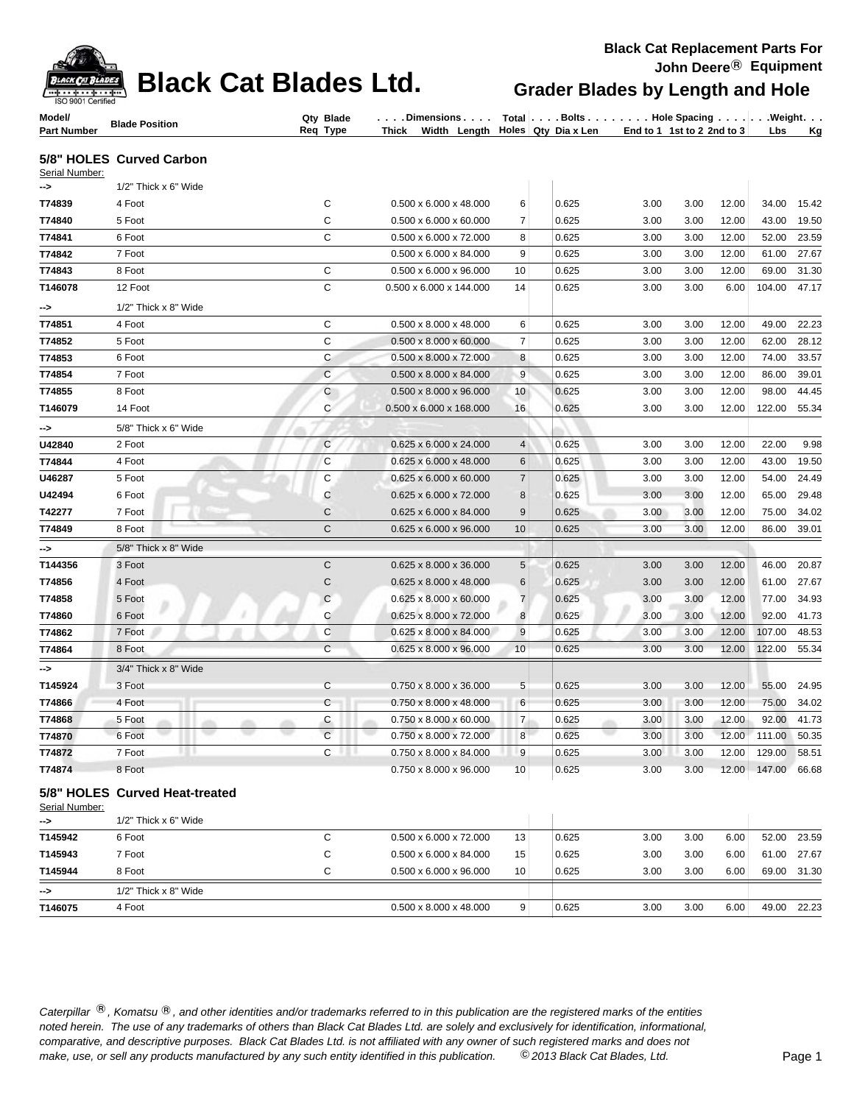| ACK PAT T         |
|-------------------|
|                   |
| SO 9001 Certified |

### **Black Cat Blades Ltd. Grader Blades by Length and Hole**

| Model/             | <b>Blade Position</b> | <b>Blade</b><br>Qtv | . Dimensions I             | Total ∣.<br>. Bolts . | <b>Hole Spacing</b>           | . Weiaht. . |
|--------------------|-----------------------|---------------------|----------------------------|-----------------------|-------------------------------|-------------|
| <b>Part Number</b> |                       | Rea<br>Tvpe         | Width<br>Thick<br>∟enath ∣ | Holes Qty Dia x Len   | End to 1<br>1st to 2 2nd to 3 | Ka<br>∟bs   |

### **5/8" HOLES Curved Carbon**

| Serial Number: |                         |              |                                     |                |       |      |      |       |        |       |
|----------------|-------------------------|--------------|-------------------------------------|----------------|-------|------|------|-------|--------|-------|
| ->             | $1/2$ " Thick x 6" Wide |              |                                     |                |       |      |      |       |        |       |
| T74839         | 4 Foot                  | C            | $0.500 \times 6.000 \times 48.000$  | 6              | 0.625 | 3.00 | 3.00 | 12.00 | 34.00  | 15.42 |
| T74840         | 5 Foot                  | C            | $0.500 \times 6.000 \times 60.000$  | $\overline{7}$ | 0.625 | 3.00 | 3.00 | 12.00 | 43.00  | 19.50 |
| T74841         | 6 Foot                  | $\mathbf C$  | 0.500 x 6.000 x 72.000              | 8              | 0.625 | 3.00 | 3.00 | 12.00 | 52.00  | 23.59 |
| T74842         | 7 Foot                  |              | $0.500 \times 6.000 \times 84.000$  | 9              | 0.625 | 3.00 | 3.00 | 12.00 | 61.00  | 27.67 |
| T74843         | 8 Foot                  | C            | $0.500 \times 6.000 \times 96.000$  | 10             | 0.625 | 3.00 | 3.00 | 12.00 | 69.00  | 31.30 |
| T146078        | 12 Foot                 | $\mathbf C$  | 0.500 x 6.000 x 144.000             | 14             | 0.625 | 3.00 | 3.00 | 6.00  | 104.00 | 47.17 |
| ->             | 1/2" Thick x 8" Wide    |              |                                     |                |       |      |      |       |        |       |
| T74851         | 4 Foot                  | C            | $0.500 \times 8.000 \times 48.000$  | 6              | 0.625 | 3.00 | 3.00 | 12.00 | 49.00  | 22.23 |
| T74852         | 5 Foot                  | C            | $0.500 \times 8.000 \times 60.000$  | $\overline{7}$ | 0.625 | 3.00 | 3.00 | 12.00 | 62.00  | 28.12 |
| T74853         | 6 Foot                  | C            | 0.500 x 8.000 x 72.000              | 8              | 0.625 | 3.00 | 3.00 | 12.00 | 74.00  | 33.57 |
| T74854         | 7 Foot                  | $\mathsf{C}$ | $0.500 \times 8.000 \times 84.000$  | 9              | 0.625 | 3.00 | 3.00 | 12.00 | 86.00  | 39.01 |
| T74855         | 8 Foot                  | $\mathsf{C}$ | $0.500 \times 8.000 \times 96.000$  | 10             | 0.625 | 3.00 | 3.00 | 12.00 | 98.00  | 44.45 |
| T146079        | 14 Foot                 | C            | $0.500 \times 6.000 \times 168.000$ | 16             | 0.625 | 3.00 | 3.00 | 12.00 | 122.00 | 55.34 |
| ⊸>             | 5/8" Thick x 6" Wide    |              |                                     |                |       |      |      |       |        |       |
| U42840         | 2 Foot                  | $\mathbf C$  | 0.625 x 6.000 x 24.000              | $\overline{4}$ | 0.625 | 3.00 | 3.00 | 12.00 | 22.00  | 9.98  |
| T74844         | 4 Foot                  | C            | $0.625 \times 6.000 \times 48.000$  | 6              | 0.625 | 3.00 | 3.00 | 12.00 | 43.00  | 19.50 |
| U46287         | 5 Foot                  | C            | 0.625 x 6.000 x 60.000              | $\overline{7}$ | 0.625 | 3.00 | 3.00 | 12.00 | 54.00  | 24.49 |
| U42494         | 6 Foot                  | $\mathsf{C}$ | 0.625 x 6.000 x 72.000              | 8              | 0.625 | 3.00 | 3.00 | 12.00 | 65.00  | 29.48 |
| T42277         | 7 Foot                  | $\mathsf{C}$ | $0.625 \times 6.000 \times 84.000$  | 9              | 0.625 | 3.00 | 3.00 | 12.00 | 75.00  | 34.02 |
| T74849         | 8 Foot                  | $\mathsf{C}$ | 0.625 x 6.000 x 96.000              | 10             | 0.625 | 3.00 | 3.00 | 12.00 | 86.00  | 39.01 |
| -->            | 5/8" Thick x 8" Wide    |              |                                     |                |       |      |      |       |        |       |
| T144356        | 3 Foot                  | $\mathsf{C}$ | 0.625 x 8.000 x 36.000              | 5              | 0.625 | 3.00 | 3.00 | 12.00 | 46.00  | 20.87 |
| T74856         | 4 Foot                  | $\mathsf{C}$ | 0.625 x 8.000 x 48.000              | 6              | 0.625 | 3.00 | 3.00 | 12.00 | 61.00  | 27.67 |
| T74858         | 5 Foot                  | $\mathsf{C}$ | $0.625 \times 8.000 \times 60.000$  | $\overline{7}$ | 0.625 | 3.00 | 3.00 | 12.00 | 77.00  | 34.93 |
| T74860         | 6 Foot                  | C            | 0.625 x 8.000 x 72.000              | 8              | 0.625 | 3.00 | 3.00 | 12.00 | 92.00  | 41.73 |
| T74862         | 7 Foot                  | $\mathbf C$  | 0.625 x 8.000 x 84.000              | 9              | 0.625 | 3.00 | 3.00 | 12.00 | 107.00 | 48.53 |
| T74864         | 8 Foot                  | $\mathbf C$  | $0.625 \times 8.000 \times 96.000$  | 10             | 0.625 | 3.00 | 3.00 | 12.00 | 122.00 | 55.34 |
| -->            | 3/4" Thick x 8" Wide    |              |                                     |                |       |      |      |       |        |       |
| T145924        | 3 Foot                  | $\mathsf{C}$ | $0.750 \times 8.000 \times 36.000$  | 5              | 0.625 | 3.00 | 3.00 | 12.00 | 55.00  | 24.95 |
| T74866         | 4 Foot                  | C            | 0.750 x 8.000 x 48.000              | 6              | 0.625 | 3.00 | 3.00 | 12.00 | 75.00  | 34.02 |
| T74868         | 5 Foot                  | C            | 0.750 x 8.000 x 60.000              | $\overline{7}$ | 0.625 | 3.00 | 3.00 | 12.00 | 92.00  | 41.73 |
| T74870         | 6 Foot                  | $\mathsf{C}$ | 0.750 x 8.000 x 72.000              | 8              | 0.625 | 3.00 | 3.00 | 12.00 | 111.00 | 50.35 |
| T74872         | 7 Foot                  | C            | 0.750 x 8.000 x 84.000              | 9              | 0.625 | 3.00 | 3.00 | 12.00 | 129.00 | 58.51 |
| T74874         | 8 Foot                  |              | 0.750 x 8.000 x 96.000              | 10             | 0.625 | 3.00 | 3.00 | 12.00 | 147.00 | 66.68 |
|                |                         |              |                                     |                |       |      |      |       |        |       |

### **5/8" HOLES Curved Heat-treated**

Serial Number:

| ->            | 1/2" Thick x 6" Wide   |                                    |                 |       |      |      |      |       |       |
|---------------|------------------------|------------------------------------|-----------------|-------|------|------|------|-------|-------|
| T145942       | 6 Foot                 | $0.500 \times 6.000 \times 72.000$ | 13 <sub>1</sub> | 0.625 | 3.00 | 3.00 | 6.00 | 52.00 | 23.59 |
| T145943       | 7 Foot                 | $0.500 \times 6.000 \times 84.000$ | 15              | 0.625 | 3.00 | 3.00 | 6.00 | 61.00 | 27.67 |
| T145944       | 8 Foot                 | $0.500 \times 6.000 \times 96.000$ | 10 <sup>1</sup> | 0.625 | 3.00 | 3.00 | 6.00 | 69.00 | 31.30 |
| $\rightarrow$ | $1/2"$ Thick x 8" Wide |                                    |                 |       |      |      |      |       |       |
| T146075       | 4 Foot                 | $0.500 \times 8.000 \times 48.000$ | 9 <sup>1</sup>  | 0.625 | 3.00 | 3.00 | 6.00 | 49.00 | 22.23 |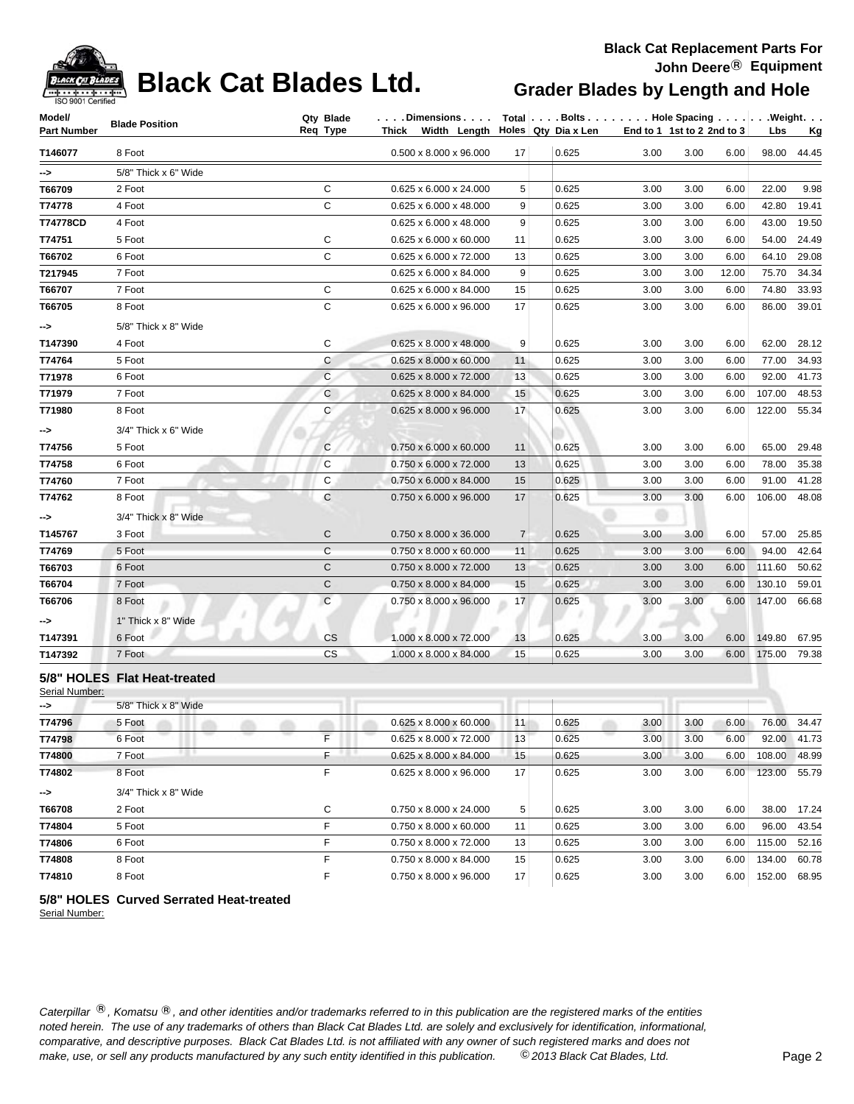| <b>ACK CAT</b> |
|----------------|
| ווס            |

# **Black Cat Blades Ltd. Grader Blades by Length and Hole**

### **Black Cat Replacement Parts For John Deere**® **Equipment**

| Model/             | <b>Blade Position</b>        | Qty Blade    | $\ldots$ . Dimensions $\ldots$ .               |                | Total   Bolts   Hole Spacing   Weight. |      |                            |       |              |             |
|--------------------|------------------------------|--------------|------------------------------------------------|----------------|----------------------------------------|------|----------------------------|-------|--------------|-------------|
| <b>Part Number</b> |                              | Req Type     | Thick Width Length $\vert$ Holes Qty Dia x Len |                |                                        |      | End to 1 1st to 2 2nd to 3 |       | Lbs          | <u>Kg</u>   |
| T146077            | 8 Foot                       |              | $0.500 \times 8.000 \times 96.000$             | 17             | 0.625                                  | 3.00 | 3.00                       | 6.00  |              | 98.00 44.45 |
| ⊸>                 | 5/8" Thick x 6" Wide         |              |                                                |                |                                        |      |                            |       |              |             |
| T66709             | 2 Foot                       | C            | 0.625 x 6.000 x 24.000                         | 5              | 0.625                                  | 3.00 | 3.00                       | 6.00  | 22.00        | 9.98        |
| T74778             | 4 Foot                       | $\mathsf{C}$ | 0.625 x 6.000 x 48.000                         | 9              | 0.625                                  | 3.00 | 3.00                       | 6.00  | 42.80        | 19.41       |
| T74778CD           | 4 Foot                       |              | 0.625 x 6.000 x 48.000                         | 9              | 0.625                                  | 3.00 | 3.00                       | 6.00  | 43.00        | 19.50       |
| T74751             | 5 Foot                       | C            | 0.625 x 6.000 x 60.000                         | 11             | 0.625                                  | 3.00 | 3.00                       | 6.00  | 54.00        | 24.49       |
| T66702             | 6 Foot                       | $\mathsf{C}$ | 0.625 x 6.000 x 72.000                         | 13             | 0.625                                  | 3.00 | 3.00                       | 6.00  | 64.10        | 29.08       |
| T217945            | 7 Foot                       |              | $0.625 \times 6.000 \times 84.000$             | 9              | 0.625                                  | 3.00 | 3.00                       | 12.00 | 75.70        | 34.34       |
| T66707             | 7 Foot                       | C            | 0.625 x 6.000 x 84.000                         | 15             | 0.625                                  | 3.00 | 3.00                       | 6.00  | 74.80        | 33.93       |
| T66705             | 8 Foot                       | $\mathbf C$  | 0.625 x 6.000 x 96.000                         | 17             | 0.625                                  | 3.00 | 3.00                       | 6.00  | 86.00        | 39.01       |
| ->                 | 5/8" Thick x 8" Wide         |              |                                                |                |                                        |      |                            |       |              |             |
| T147390            | 4 Foot                       | C            | $0.625 \times 8.000 \times 48.000$             | 9              | 0.625                                  | 3.00 | 3.00                       | 6.00  | 62.00        | 28.12       |
| T74764             | 5 Foot                       | C            | 0.625 x 8.000 x 60.000                         | 11             | 0.625                                  | 3.00 | 3.00                       | 6.00  | 77.00        | 34.93       |
| T71978             | 6 Foot                       | $\mathsf{C}$ | 0.625 x 8.000 x 72.000                         | 13             | 0.625                                  | 3.00 | 3.00                       | 6.00  | 92.00        | 41.73       |
| T71979             | 7 Foot                       | $\mathbf C$  | 0.625 x 8.000 x 84.000                         | 15             | 0.625                                  | 3.00 | 3.00                       | 6.00  | 107.00       | 48.53       |
| T71980             | 8 Foot                       | C            | 0.625 x 8.000 x 96.000                         | 17             | 0.625                                  | 3.00 | 3.00                       | 6.00  | 122.00       | 55.34       |
| ⊸>                 | 3/4" Thick x 6" Wide         |              |                                                |                |                                        |      |                            |       |              |             |
| T74756             | 5 Foot                       | $\mathsf{C}$ | 0.750 x 6.000 x 60.000                         | 11             | 0.625                                  | 3.00 | 3.00                       | 6.00  | 65.00        | 29.48       |
| T74758             | 6 Foot                       | C            | 0.750 x 6.000 x 72.000                         | 13             | 0.625                                  | 3.00 | 3.00                       | 6.00  | 78.00        | 35.38       |
| T74760             | 7 Foot                       | C            | 0.750 x 6.000 x 84.000                         | 15             | 0.625                                  | 3.00 | 3.00                       | 6.00  | 91.00        | 41.28       |
| T74762             | 8 Foot                       | $\mathsf{C}$ | 0.750 x 6.000 x 96.000                         | 17             | 0.625                                  | 3.00 | 3.00                       | 6.00  | 106.00       | 48.08       |
| -->                | 3/4" Thick x 8" Wide         |              |                                                |                |                                        |      |                            |       |              |             |
| T145767            | 3 Foot                       | $\mathsf{C}$ | 0.750 x 8.000 x 36.000                         | $\overline{7}$ | 0.625                                  | 3.00 | 3.00                       | 6.00  | 57.00        | 25.85       |
| T74769             | 5 Foot                       | $\mathsf{C}$ | $0.750 \times 8.000 \times 60.000$             | 11             | 0.625                                  | 3.00 | 3.00                       | 6.00  | 94.00        | 42.64       |
| T66703             | 6 Foot                       | $\mathsf{C}$ | 0.750 x 8.000 x 72.000                         | 13             | 0.625                                  | 3.00 | 3.00                       | 6.00  | 111.60       | 50.62       |
| T66704             | 7 Foot                       | $\mathsf{C}$ | 0.750 x 8.000 x 84.000                         | 15             | 0.625                                  | 3.00 | 3.00                       | 6.00  | 130.10       | 59.01       |
| T66706             | 8 Foot                       | $\mathbf C$  | 0.750 x 8.000 x 96.000                         | 17             | 0.625                                  | 3.00 | 3.00                       | 6.00  | 147.00       | 66.68       |
| ⊸>                 | 1" Thick x 8" Wide           |              |                                                |                |                                        |      |                            |       |              |             |
| T147391            | 6 Foot                       | <b>CS</b>    | 1.000 x 8.000 x 72.000                         | 13             | 0.625                                  | 3.00 | 3.00                       | 6.00  | 149.80       | 67.95       |
| T147392            | 7 Foot                       | <b>CS</b>    | 1.000 x 8.000 x 84.000                         | 15             | 0.625                                  | 3.00 | 3.00                       | 6.00  | 175.00 79.38 |             |
|                    | 5/8" HOLES Flat Heat-treated |              |                                                |                |                                        |      |                            |       |              |             |
| Serial Number:     |                              |              |                                                |                |                                        |      |                            |       |              |             |
| ⊸>                 | 5/8" Thick x 8" Wide         |              |                                                |                |                                        |      |                            |       |              |             |

|        | $\cup$ , $\cup$ individual $\cup$ |   |                                    |                 |       |      |      |      |        |       |
|--------|-----------------------------------|---|------------------------------------|-----------------|-------|------|------|------|--------|-------|
| T74796 | 5 Foot                            |   | $0.625 \times 8.000 \times 60.000$ | 11              | 0.625 | 3.00 | 3.00 | 6.00 | 76.00  | 34.47 |
| T74798 | 6 Foot                            |   | $0.625 \times 8.000 \times 72.000$ | 13              | 0.625 | 3.00 | 3.00 | 6.00 | 92.00  | 41.73 |
| T74800 | 7 Foot                            | Е | $0.625 \times 8.000 \times 84.000$ | 15 <sub>1</sub> | 0.625 | 3.00 | 3.00 | 6.00 | 108.00 | 48.99 |
| T74802 | 8 Foot                            |   | $0.625 \times 8.000 \times 96.000$ | 17 <sub>1</sub> | 0.625 | 3.00 | 3.00 | 6.00 | 123.00 | 55.79 |
| -->    | 3/4" Thick x 8" Wide              |   |                                    |                 |       |      |      |      |        |       |
| T66708 | 2 Foot                            | C | $0.750 \times 8.000 \times 24.000$ | 5               | 0.625 | 3.00 | 3.00 | 6.00 | 38.00  | 17.24 |
| T74804 | 5 Foot                            |   | $0.750 \times 8.000 \times 60.000$ | 11              | 0.625 | 3.00 | 3.00 | 6.00 | 96.00  | 43.54 |
| T74806 | 6 Foot                            |   | 0.750 x 8.000 x 72.000             | 13              | 0.625 | 3.00 | 3.00 | 6.00 | 115.00 | 52.16 |
| T74808 | 8 Foot                            |   | $0.750 \times 8.000 \times 84.000$ | 15              | 0.625 | 3.00 | 3.00 | 6.00 | 134.00 | 60.78 |
| T74810 | 8 Foot                            |   | $0.750 \times 8.000 \times 96.000$ | 17              | 0.625 | 3.00 | 3.00 | 6.00 | 152.00 | 68.95 |

### **5/8" HOLES Curved Serrated Heat-treated**

Serial Number: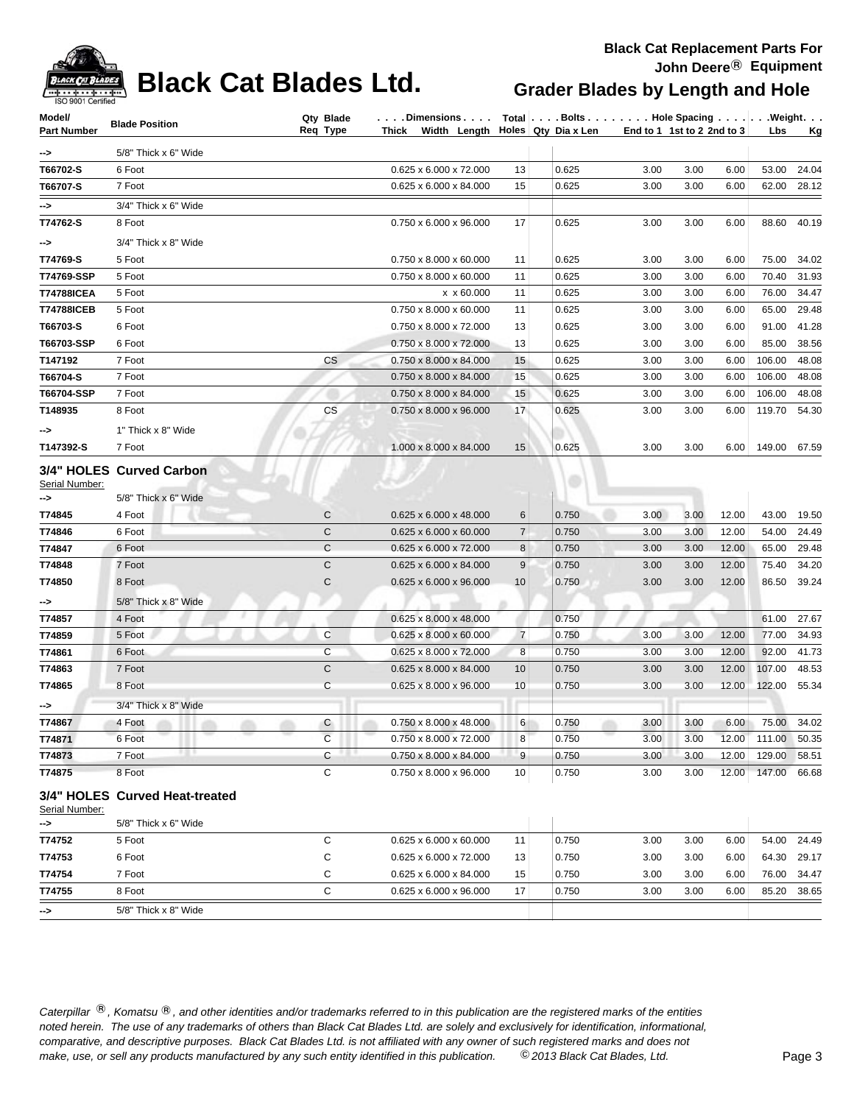

### **Black Cat Blades Ltd. Grader Blades by Length and Hole**

### **Black Cat Replacement Parts For John Deere**® **Equipment**

| ISO 9001 Certified |                                |                |                                                        |                |                                  |      |                            |       |        |           |
|--------------------|--------------------------------|----------------|--------------------------------------------------------|----------------|----------------------------------|------|----------------------------|-------|--------|-----------|
| Model/             | <b>Blade Position</b>          | Qty Blade      | Dimensions                                             |                | Total Bolts Hole Spacing Weight. |      |                            |       |        |           |
| <b>Part Number</b> |                                | Req Type       | Thick Width Length $\vert$ Holes $\vert$ Qty Dia x Len |                |                                  |      | End to 1 1st to 2 2nd to 3 |       | Lbs    | <u>Kg</u> |
| ->                 | 5/8" Thick x 6" Wide           |                |                                                        |                |                                  |      |                            |       |        |           |
| T66702-S           | 6 Foot                         |                | 0.625 x 6.000 x 72.000                                 | 13             | 0.625                            | 3.00 | 3.00                       | 6.00  | 53.00  | 24.04     |
| T66707-S           | 7 Foot                         |                | 0.625 x 6.000 x 84.000                                 | 15             | 0.625                            | 3.00 | 3.00                       | 6.00  | 62.00  | 28.12     |
| ->                 | 3/4" Thick x 6" Wide           |                |                                                        |                |                                  |      |                            |       |        |           |
| T74762-S           | 8 Foot                         |                | 0.750 x 6.000 x 96.000                                 | 17             | 0.625                            | 3.00 | 3.00                       | 6.00  | 88.60  | 40.19     |
| -->                | 3/4" Thick x 8" Wide           |                |                                                        |                |                                  |      |                            |       |        |           |
| T74769-S           | 5 Foot                         |                | 0.750 x 8.000 x 60.000                                 | 11             | 0.625                            | 3.00 | 3.00                       | 6.00  | 75.00  | 34.02     |
| T74769-SSP         | 5 Foot                         |                | $0.750 \times 8.000 \times 60.000$                     | 11             | 0.625                            | 3.00 | 3.00                       | 6.00  | 70.40  | 31.93     |
| <b>T74788ICEA</b>  | 5 Foot                         |                | x x 60.000                                             | 11             | 0.625                            | 3.00 | 3.00                       | 6.00  | 76.00  | 34.47     |
| <b>T74788ICEB</b>  | 5 Foot                         |                | 0.750 x 8.000 x 60.000                                 | 11             | 0.625                            | 3.00 | 3.00                       | 6.00  | 65.00  | 29.48     |
| T66703-S           | 6 Foot                         |                | 0.750 x 8.000 x 72.000                                 | 13             | 0.625                            | 3.00 | 3.00                       | 6.00  | 91.00  | 41.28     |
| T66703-SSP         | 6 Foot                         |                | 0.750 x 8.000 x 72.000                                 | 13             | 0.625                            | 3.00 | 3.00                       | 6.00  | 85.00  | 38.56     |
| T147192            | 7 Foot                         | <b>CS</b>      | 0.750 x 8.000 x 84.000                                 | 15             | 0.625                            | 3.00 | 3.00                       | 6.00  | 106.00 | 48.08     |
| T66704-S           | 7 Foot                         |                | $0.750 \times 8.000 \times 84.000$                     | 15             | 0.625                            | 3.00 | 3.00                       | 6.00  | 106.00 | 48.08     |
| T66704-SSP         | 7 Foot                         |                | $0.750 \times 8.000 \times 84.000$                     | 15             | 0.625                            | 3.00 | 3.00                       | 6.00  | 106.00 | 48.08     |
| T148935            | 8 Foot                         | CS             | 0.750 x 8.000 x 96.000                                 | 17             | 0.625                            | 3.00 | 3.00                       | 6.00  | 119.70 | 54.30     |
| -->                | 1" Thick x 8" Wide             |                |                                                        |                |                                  |      |                            |       |        |           |
| T147392-S          | 7 Foot                         |                | 1.000 x 8.000 x 84.000                                 | 15             | 0.625                            | 3.00 | 3.00                       | 6.00  | 149.00 | 67.59     |
| Serial Number:     | 3/4" HOLES Curved Carbon       |                |                                                        |                |                                  |      |                            |       |        |           |
| -->                | 5/8" Thick x 6" Wide           |                |                                                        |                |                                  |      |                            |       |        |           |
| T74845             | 4 Foot                         | C              | 0.625 x 6.000 x 48.000                                 | 6              | 0.750                            | 3.00 | 3.00                       | 12.00 | 43.00  | 19.50     |
| T74846             | 6 Foot                         | $\mathsf{C}$   | $0.625 \times 6.000 \times 60.000$                     | $\overline{7}$ | 0.750                            | 3.00 | 3.00                       | 12.00 | 54.00  | 24.49     |
| T74847             | 6 Foot                         | C              | 0.625 x 6.000 x 72.000                                 | 8              | 0.750                            | 3.00 | 3.00                       | 12.00 | 65.00  | 29.48     |
| T74848             | 7 Foot                         | $\mathsf{C}$   | 0.625 x 6.000 x 84.000                                 | 9              | 0.750                            | 3.00 | 3.00                       | 12.00 | 75.40  | 34.20     |
| T74850             | 8 Foot                         | $\mathsf{C}$   | 0.625 x 6.000 x 96.000                                 | 10             | 0.750                            | 3.00 | 3.00                       | 12.00 | 86.50  | 39.24     |
| -->                | 5/8" Thick x 8" Wide           |                |                                                        |                |                                  |      |                            |       |        |           |
| T74857             | 4 Foot                         |                | 0.625 x 8.000 x 48.000                                 |                | 0.750                            |      |                            |       | 61.00  | 27.67     |
| T74859             | 5 Foot                         | C              | $0.625 \times 8.000 \times 60.000$                     | $\overline{7}$ | 0.750                            | 3.00 | 3.00                       | 12.00 | 77.00  | 34.93     |
| T74861             | 6 Foot                         | C              | 0.625 x 8.000 x 72.000                                 | 8              | 0.750                            | 3.00 | 3.00                       | 12.00 | 92.00  | 41.73     |
| T74863             | 7 Foot                         | $\mathsf{C}$   | 0.625 x 8.000 x 84.000                                 | 10             | 0.750                            | 3.00 | 3.00                       | 12.00 | 107.00 | 48.53     |
| T74865             | 8 Foot                         | C              | 0.625 x 8.000 x 96.000                                 | 10             | 0.750                            | 3.00 | 3.00                       | 12.00 | 122.00 | 55.34     |
| ->                 | 3/4" Thick x 8" Wide           |                |                                                        |                |                                  |      |                            |       |        |           |
| T74867             | 4 Foot                         | C              | $0.750 \times 8.000 \times 48.000$                     | 6              | 0.750                            | 3.00 | 3.00                       | 6.00  | 75.00  | 34.02     |
| T74871             | 6 Foot                         | $\overline{C}$ | $0.750 \times 8.000 \times 72.000$                     | 8              | 0.750                            | 3.00 | 3.00                       | 12.00 | 111.00 | 50.35     |
| T74873             | <br>7 Foot                     | C              | 0.750 x 8.000 x 84.000                                 | 9              | 0.750                            | 3.00 | 3.00                       | 12.00 | 129.00 | 58.51     |
| T74875             | 8 Foot                         | C              | 0.750 x 8.000 x 96.000                                 | 10             | 0.750                            | 3.00 | 3.00                       | 12.00 | 147.00 | 66.68     |
|                    | 3/4" HOLES Curved Heat-treated |                |                                                        |                |                                  |      |                            |       |        |           |

Serial Number:

| 5/8" Thick x 6" Wide |  |                 |                                                                                                                                                      |                                  |      |      |             |             |
|----------------------|--|-----------------|------------------------------------------------------------------------------------------------------------------------------------------------------|----------------------------------|------|------|-------------|-------------|
| 5 Foot               |  | 11              |                                                                                                                                                      | 3.00                             | 3.00 | 6.00 | 54.00 24.49 |             |
| 6 Foot               |  | 13              |                                                                                                                                                      | 3.00                             | 3.00 | 6.00 | 64.30 29.17 |             |
| 7 Foot               |  | 15 <sub>1</sub> |                                                                                                                                                      | 3.00                             | 3.00 | 6.00 |             | 76.00 34.47 |
| 8 Foot               |  | 17              |                                                                                                                                                      | 3.00                             | 3.00 | 6.00 | 85.20       | 38.65       |
| 5/8" Thick x 8" Wide |  |                 |                                                                                                                                                      |                                  |      |      |             |             |
|                      |  |                 | $0.625 \times 6.000 \times 60.000$<br>$0.625 \times 6.000 \times 72.000$<br>$0.625 \times 6.000 \times 84.000$<br>$0.625 \times 6.000 \times 96.000$ | 0.750<br>0.750<br>0.750<br>0.750 |      |      |             |             |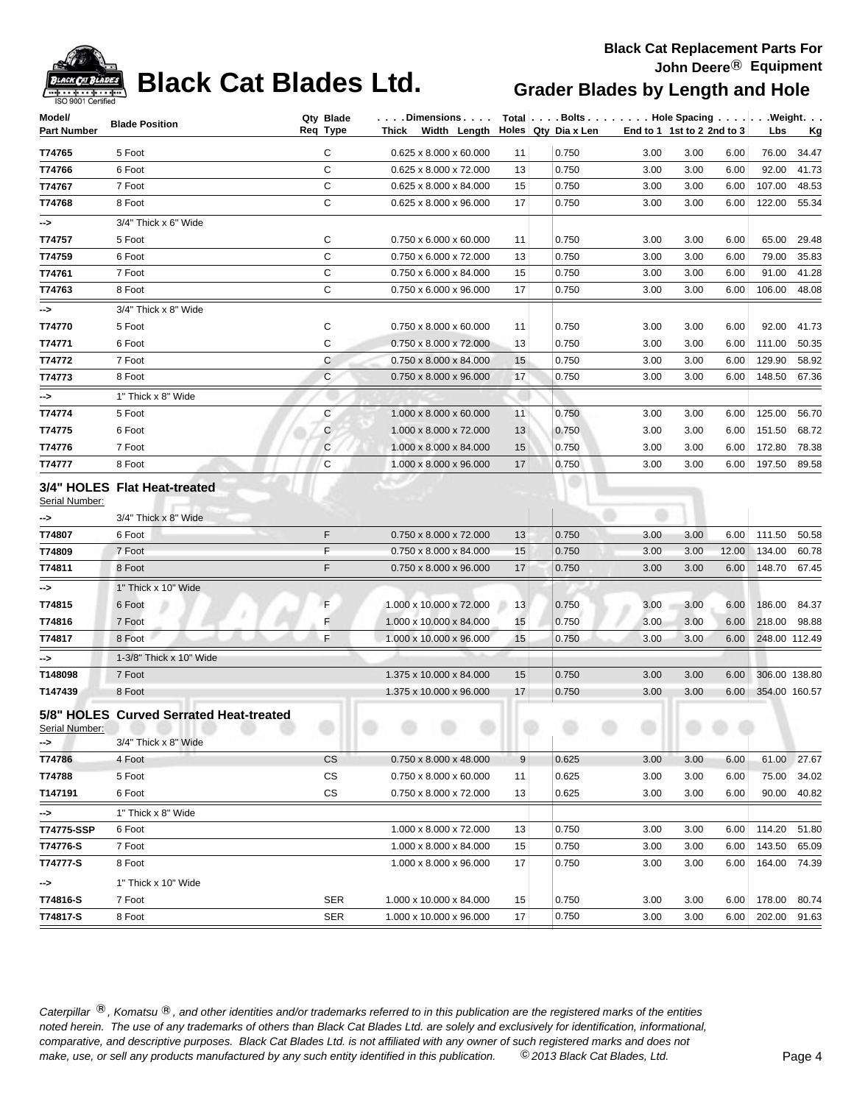

**-->** 1" Thick x 10" Wide

# **Black Cat Blades Ltd. Grader Blades by Length and Hole**

### **Black Cat Replacement Parts For John Deere**® **Equipment**

| Model/               |                                                                 | Qty Blade    | $\ldots$ . Dimensions. $\ldots$        |    | Total   Bolts Hole Spacing Weight. |                            |      |       |               |           |
|----------------------|-----------------------------------------------------------------|--------------|----------------------------------------|----|------------------------------------|----------------------------|------|-------|---------------|-----------|
| Part Number          | <b>Blade Position</b>                                           | Req Type     | Thick Width Length Holes Qty Dia x Len |    |                                    | End to 1 1st to 2 2nd to 3 |      |       | <b>Lbs</b>    | <u>Kg</u> |
| T74765               | 5 Foot                                                          | C            | $0.625 \times 8.000 \times 60.000$     | 11 | 0.750                              | 3.00                       | 3.00 | 6.00  | 76.00         | 34.47     |
| T74766               | 6 Foot                                                          | C            | 0.625 x 8.000 x 72.000                 | 13 | 0.750                              | 3.00                       | 3.00 | 6.00  | 92.00         | 41.73     |
| T74767               | 7 Foot                                                          | C            | 0.625 x 8.000 x 84.000                 | 15 | 0.750                              | 3.00                       | 3.00 | 6.00  | 107.00        | 48.53     |
| T74768               | 8 Foot                                                          | C            | 0.625 x 8.000 x 96.000                 | 17 | 0.750                              | 3.00                       | 3.00 | 6.00  | 122.00        | 55.34     |
| -->                  | 3/4" Thick x 6" Wide                                            |              |                                        |    |                                    |                            |      |       |               |           |
| T74757               | 5 Foot                                                          | C            | 0.750 x 6.000 x 60.000                 | 11 | 0.750                              | 3.00                       | 3.00 | 6.00  | 65.00         | 29.48     |
| T74759               | 6 Foot                                                          | $\mathsf{C}$ | 0.750 x 6.000 x 72.000                 | 13 | 0.750                              | 3.00                       | 3.00 | 6.00  | 79.00         | 35.83     |
| T74761               | 7 Foot                                                          | C            | 0.750 x 6.000 x 84.000                 | 15 | 0.750                              | 3.00                       | 3.00 | 6.00  | 91.00         | 41.28     |
| T74763               | 8 Foot                                                          | C            | 0.750 x 6.000 x 96.000                 | 17 | 0.750                              | 3.00                       | 3.00 | 6.00  | 106.00        | 48.08     |
| ->                   | 3/4" Thick x 8" Wide                                            |              |                                        |    |                                    |                            |      |       |               |           |
| T74770               | 5 Foot                                                          | C            | 0.750 x 8.000 x 60.000                 | 11 | 0.750                              | 3.00                       | 3.00 | 6.00  | 92.00         | 41.73     |
| T74771               | 6 Foot                                                          | C            | 0.750 x 8.000 x 72.000                 | 13 | 0.750                              | 3.00                       | 3.00 | 6.00  | 111.00        | 50.35     |
| T74772               | 7 Foot                                                          | C            | 0.750 x 8.000 x 84.000                 | 15 | 0.750                              | 3.00                       | 3.00 | 6.00  | 129.90        | 58.92     |
| T74773               | 8 Foot                                                          | $\mathsf{C}$ | 0.750 x 8.000 x 96.000                 | 17 | 0.750                              | 3.00                       | 3.00 | 6.00  | 148.50        | 67.36     |
| ->                   | 1" Thick x 8" Wide                                              |              |                                        |    |                                    |                            |      |       |               |           |
| T74774               | 5 Foot                                                          | C            | 1.000 x 8.000 x 60.000                 | 11 | 0.750                              | 3.00                       | 3.00 | 6.00  | 125.00        | 56.70     |
| T74775               | 6 Foot                                                          | C            | 1.000 x 8.000 x 72.000                 | 13 | 0.750                              | 3.00                       | 3.00 | 6.00  | 151.50        | 68.72     |
| T74776               | 7 Foot                                                          | C            | 1.000 x 8.000 x 84.000                 | 15 | 0.750                              | 3.00                       | 3.00 | 6.00  | 172.80        | 78.38     |
| T74777               | 8 Foot                                                          | C            | 1.000 x 8.000 x 96.000                 | 17 | 0.750                              | 3.00                       | 3.00 | 6.00  | 197.50        | 89.58     |
| Serial Number:       | 3/4" HOLES Flat Heat-treated                                    |              |                                        |    |                                    |                            |      |       |               |           |
| ⊸>                   | 3/4" Thick x 8" Wide                                            |              |                                        |    |                                    |                            |      |       |               |           |
| T74807               | 6 Foot                                                          | F            | 0.750 x 8.000 x 72.000                 | 13 | 0.750                              | 3.00                       | 3.00 | 6.00  | 111.50        | 50.58     |
| T74809               | 7 Foot                                                          | F            | 0.750 x 8.000 x 84.000                 | 15 | 0.750                              | 3.00                       | 3.00 | 12.00 | 134.00        | 60.78     |
| T74811               | 8 Foot                                                          | F            | 0.750 x 8.000 x 96.000                 | 17 | 0.750                              | 3.00                       | 3.00 | 6.00  | 148.70        | 67.45     |
| -->                  | 1" Thick x 10" Wide                                             |              |                                        |    |                                    |                            |      |       |               |           |
| T74815               | 6 Foot                                                          | F            | 1.000 x 10.000 x 72.000                | 13 | 0.750                              | 3.00                       | 3.00 | 6.00  | 186.00        | 84.37     |
| T74816               | 7 Foot                                                          | F            | 1.000 x 10.000 x 84.000                | 15 | 0.750                              | 3.00                       | 3.00 | 6.00  | 218.00        | 98.88     |
| T74817               | 8 Foot                                                          | F            | 1.000 x 10.000 x 96.000                | 15 | 0.750                              | 3.00                       | 3.00 | 6.00  | 248.00 112.49 |           |
| -->                  | 1-3/8" Thick x 10" Wide                                         |              |                                        |    |                                    |                            |      |       |               |           |
| T148098              | 7 Foot                                                          |              | 1.375 x 10.000 x 84.000                | 15 | 0.750                              | 3.00                       | 3.00 | 6.00  | 306.00 138.80 |           |
| T147439              | 8 Foot                                                          |              | 1.375 x 10.000 x 96.000                | 17 | 0.750                              | 3.00                       | 3.00 | 6.00  | 354.00 160.57 |           |
| Serial Number:<br>⊸> | 5/8" HOLES Curved Serrated Heat-treated<br>3/4" Thick x 8" Wide |              |                                        |    |                                    |                            |      |       |               |           |
| T74786               | 4 Foot                                                          | <b>CS</b>    | 0.750 x 8.000 x 48.000                 | 9  | 0.625                              | 3.00                       | 3.00 | 6.00  | 61.00         | 27.67     |
| T74788               | 5 Foot                                                          | <b>CS</b>    | $0.750 \times 8.000 \times 60.000$     | 11 | 0.625                              | 3.00                       | 3.00 | 6.00  | 75.00         | 34.02     |
| T147191              | 6 Foot                                                          | CS           | 0.750 x 8.000 x 72.000                 | 13 | 0.625                              | 3.00                       | 3.00 | 6.00  | 90.00         | 40.82     |
| ->                   | 1" Thick x 8" Wide                                              |              |                                        |    |                                    |                            |      |       |               |           |

**T74775-SSP** 6 Foot 6.00 **114.20** 51.80 **1.000 x 8.000 x 72.000** 13 0.750 3.00 3.00 6.00 114.20 51.80 **T74776-S** 7 Foot **1.000** 7 Transition 2.000 x 8.000 x 8.000 x 84.000 15 0.750 3.00 3.00 6.00 143.50 65.09 **T74777-S** 8 Foot 8 Foot 1.000 x 8.000 x 96.000 17 0.750 3.00 3.00 6.00 164.00 74.39

**T74816-S** 7 Foot SER 1.000 x 10.000 x 84.000 15 0.750 3.00 3.00 6.00 178.00 80.74 **T74817-S** 8 Foot SER 1.000 x 10.000 x 96.000 17 0.750 3.00 3.00 6.00 202.00 91.63